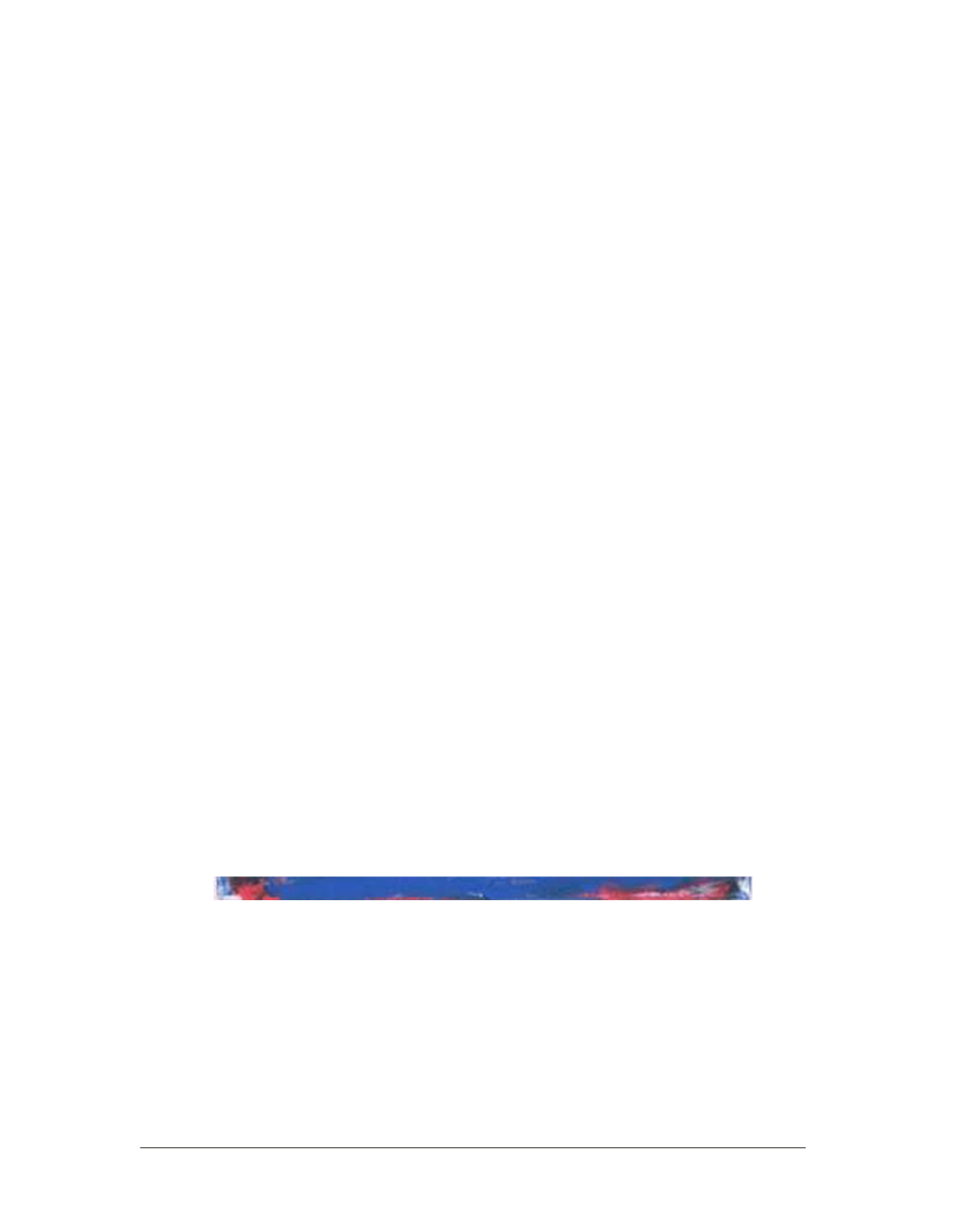## drd udde xtill uc eithetsi uas W ho ale a fild and Sgi nut and the De vedpm enatyleal yed

KaeMos Robbe**Ba**ha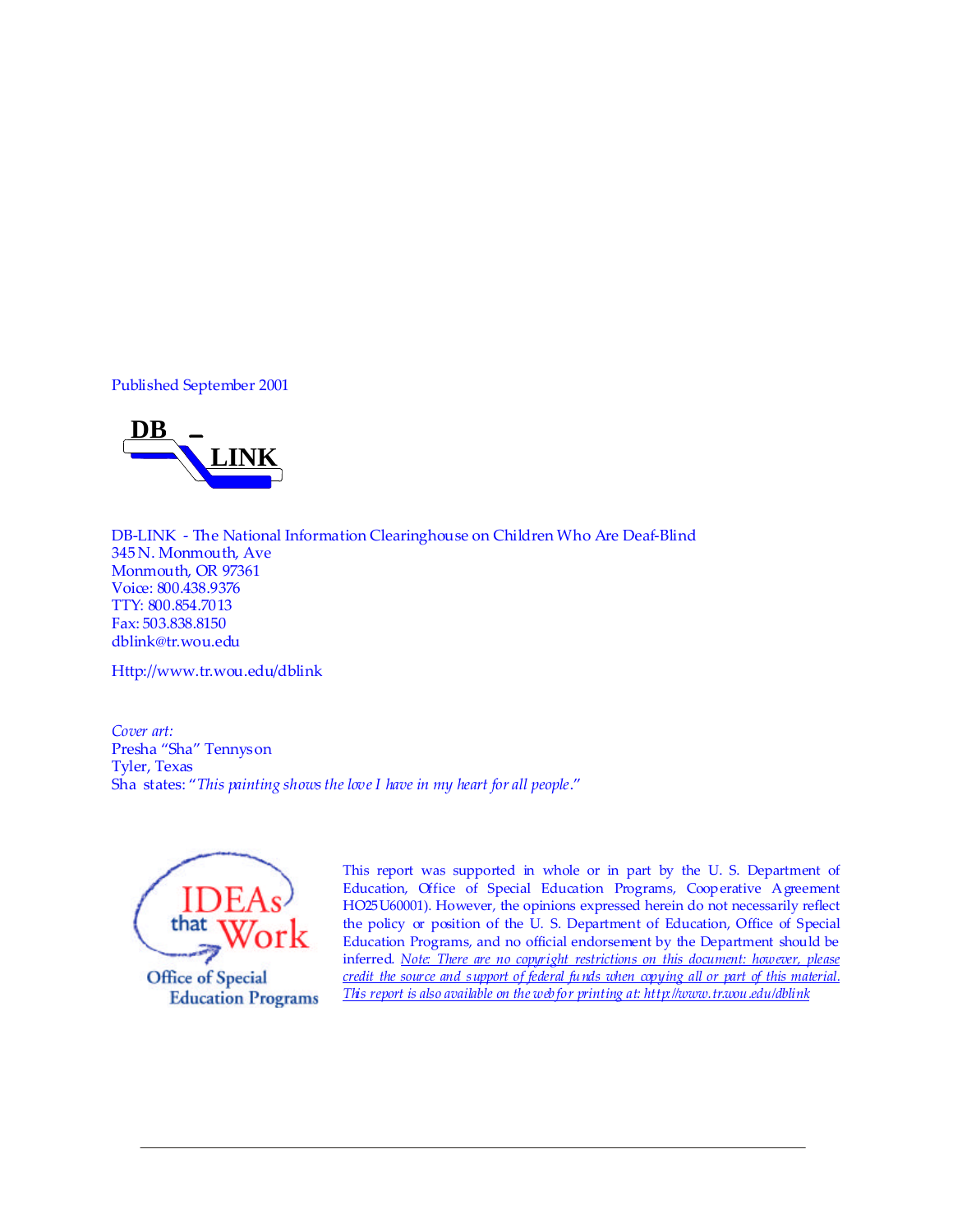Published September 2001



DB-LINK - The National Information Clearinghouse on Children Who Are Deaf-Blind 345 N. Monmouth, Ave Monmouth, OR 97361 Voice: 800.438.9376 TTY: 800.854.7013 Fax: 503.838.8150 dblink@tr.wou.edu

Http://www.tr.wou.edu/dblink

*Cover art:* Presha "Sha" Tennyson Tyler, Texas Sha states: "This painting shows the love I have in my heart for all people."



This report was supported in whole or in part by the U.S. Department of Education, Office of Special Education Programs, Cooperative Agreement HO25 U60001). However, the opinions expressed herein do not necessarily reflect the policy or position of the U. S. Department of Education, Office of Special Education Programs, and no official endorsement by the Department should be inferred. *Note: There are no copyright restrictions on this document: however, please credit the source and support of federal funds when copying all or part of this material. This report is also availa ble on the web for printing a t: http://www.tr.wou.ed u/d blink*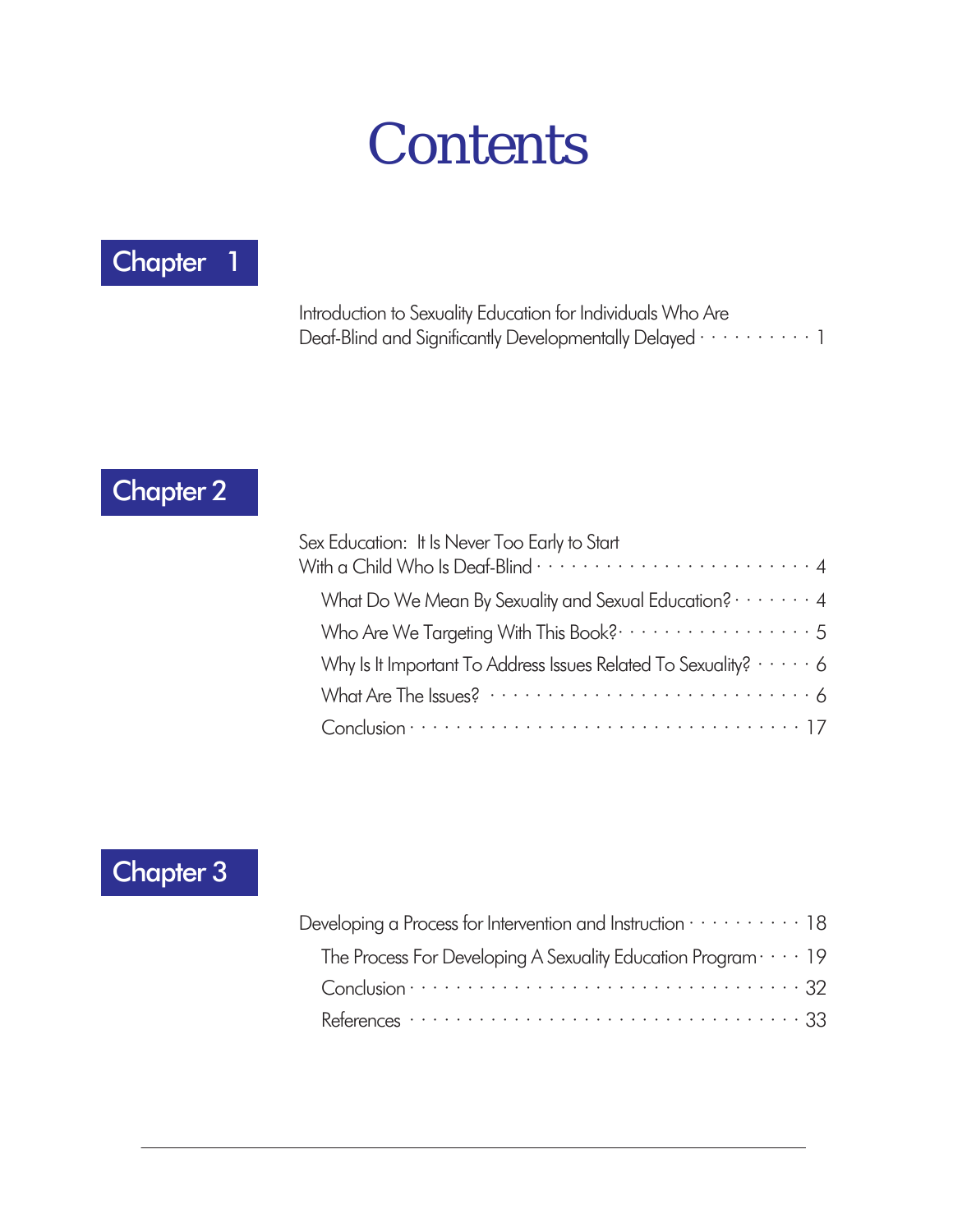# **Contents**

### Chapter 1

Introduction to Sexuality Education for Individuals Who Are Deaf-Blind and Significantly Developmentally Delayed ···········1

### [Chapter 2](#page-3-0)

| Sex Education: It Is Never Too Early to Start<br>With a Child Who Is Deaf-Blind $\cdots\cdots\cdots\cdots\cdots\cdots\cdots\cdots\cdots\cdots$ |  |  |  |
|------------------------------------------------------------------------------------------------------------------------------------------------|--|--|--|
| What Do We Mean By Sexuality and Sexual Education? $\cdots \cdots$ 4                                                                           |  |  |  |
| Who Are We Targeting With This Book? $\cdots \cdots \cdots \cdots \cdots 5$                                                                    |  |  |  |
| Why Is It Important To Address Issues Related To Sexuality? $\cdots$ 6                                                                         |  |  |  |
|                                                                                                                                                |  |  |  |
|                                                                                                                                                |  |  |  |

| Developing a Process for Intervention and Instruction $\cdots \cdots \cdots 18$ |
|---------------------------------------------------------------------------------|
| The Process For Developing A Sexuality Education Program $\cdots$ 19            |
|                                                                                 |
|                                                                                 |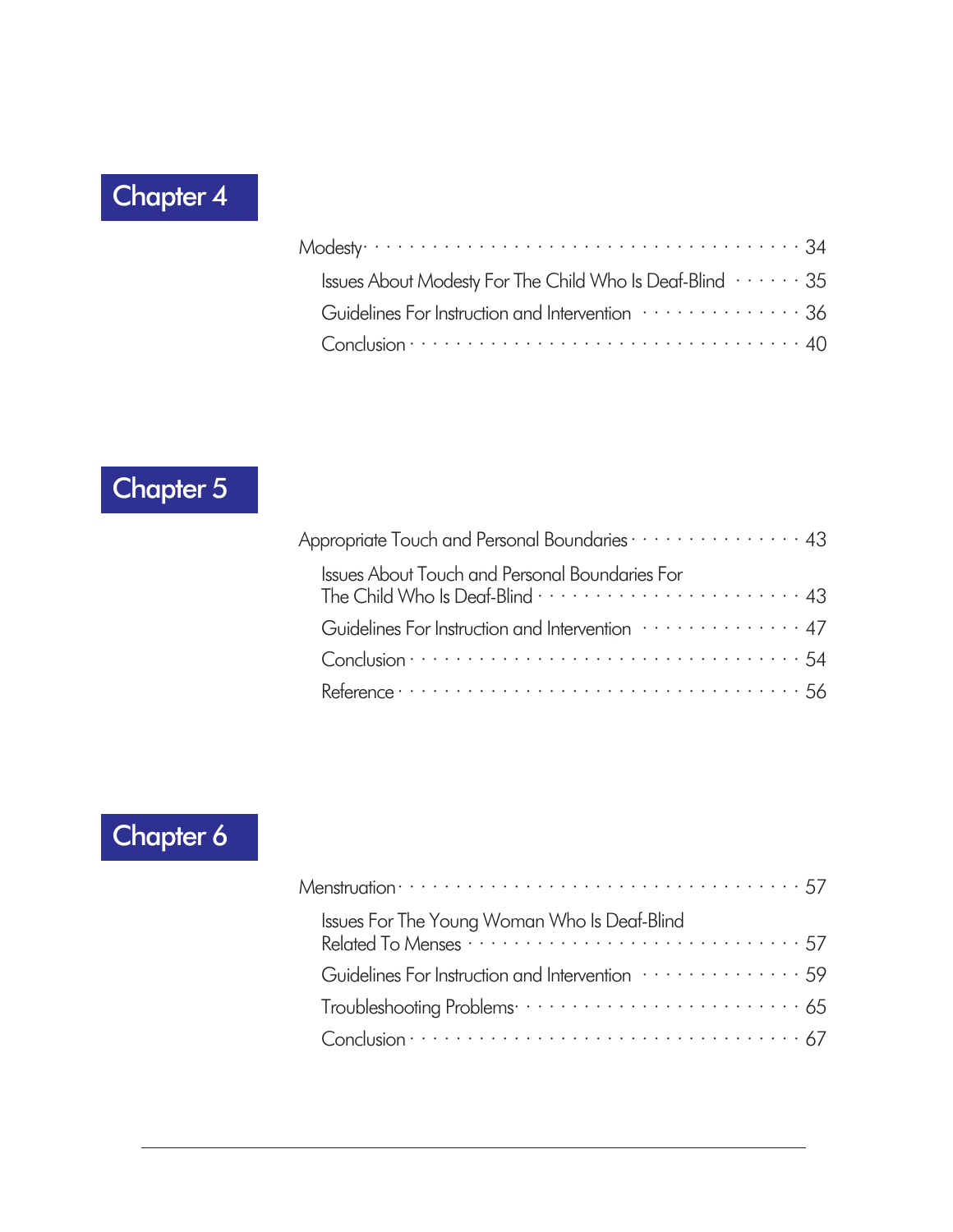<span id="page-3-0"></span>

| Issues About Modesty For The Child Who Is Deaf-Blind Theory 35 |  |
|----------------------------------------------------------------|--|
| Guidelines For Instruction and Intervention Tuber of Tubers 36 |  |
|                                                                |  |

## [Chapter 5](#page--1-0)

| Issues About Touch and Personal Boundaries For | Appropriate Touch and Personal Boundaries $\cdots\cdots\cdots\cdots\cdots\cdots$ 43 |
|------------------------------------------------|-------------------------------------------------------------------------------------|
|                                                |                                                                                     |
|                                                | Guidelines For Instruction and Intervention Tuber of Tuber 47                       |
|                                                |                                                                                     |
|                                                |                                                                                     |

| Issues For The Young Woman Who Is Deaf-Blind                    |
|-----------------------------------------------------------------|
| Guidelines For Instruction and Intervention Tuber of Tubers 199 |
|                                                                 |
|                                                                 |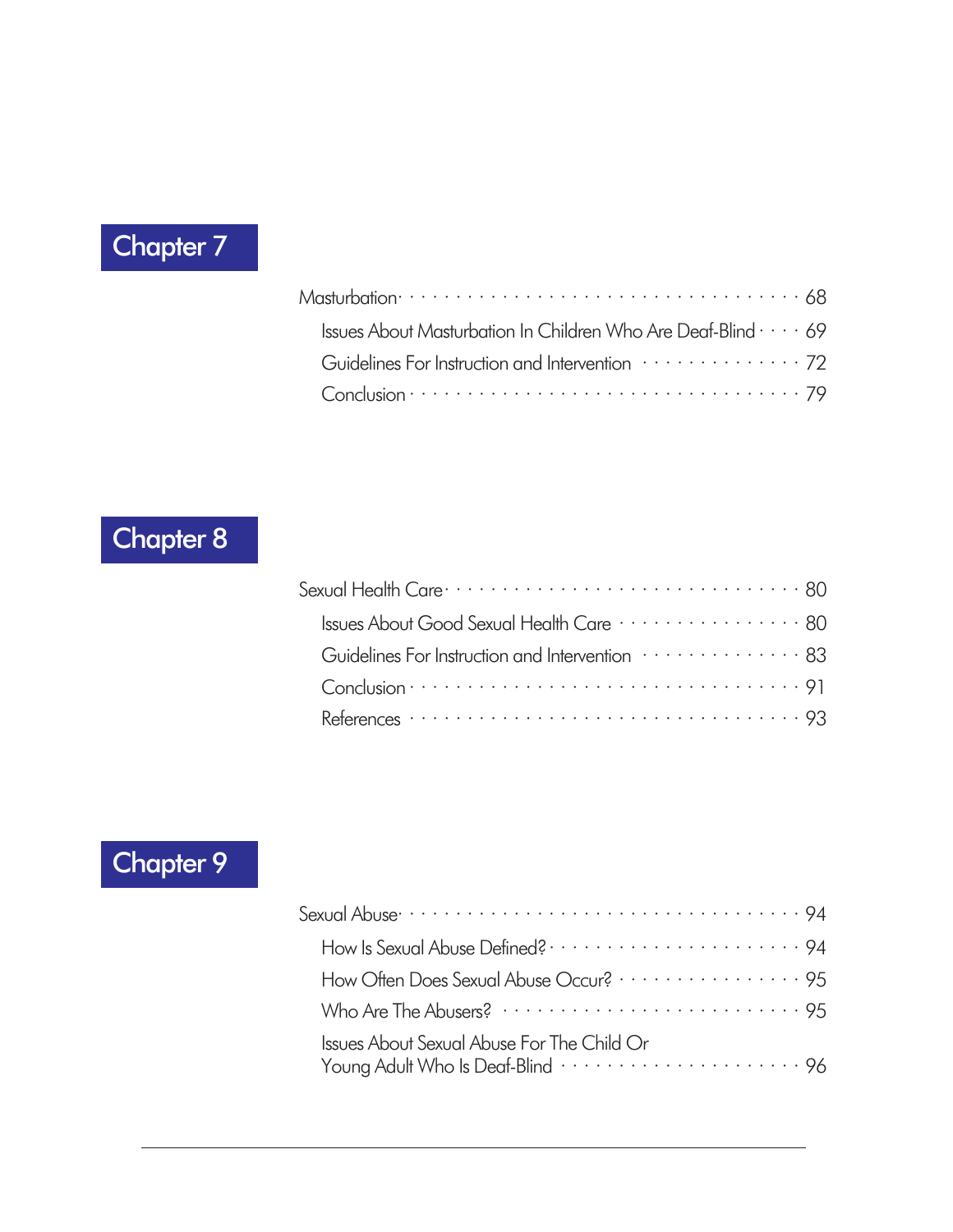<span id="page-4-0"></span>

| Issues About Masturbation In Children Who Are Deaf-Blind · · · · 69 |
|---------------------------------------------------------------------|
| Guidelines For Instruction and Intervention contracts of the TV2    |
|                                                                     |

## [Chapter 8](#page--1-0)

| Issues About Good Sexual Health Care ·················· 80 |
|------------------------------------------------------------|
| Guidelines For Instruction and Intervention Theorem 23     |
|                                                            |
|                                                            |

| Issues About Sexual Abuse For The Child Or<br>Young Adult Who Is Deaf-Blind ····························· 96 |
|--------------------------------------------------------------------------------------------------------------|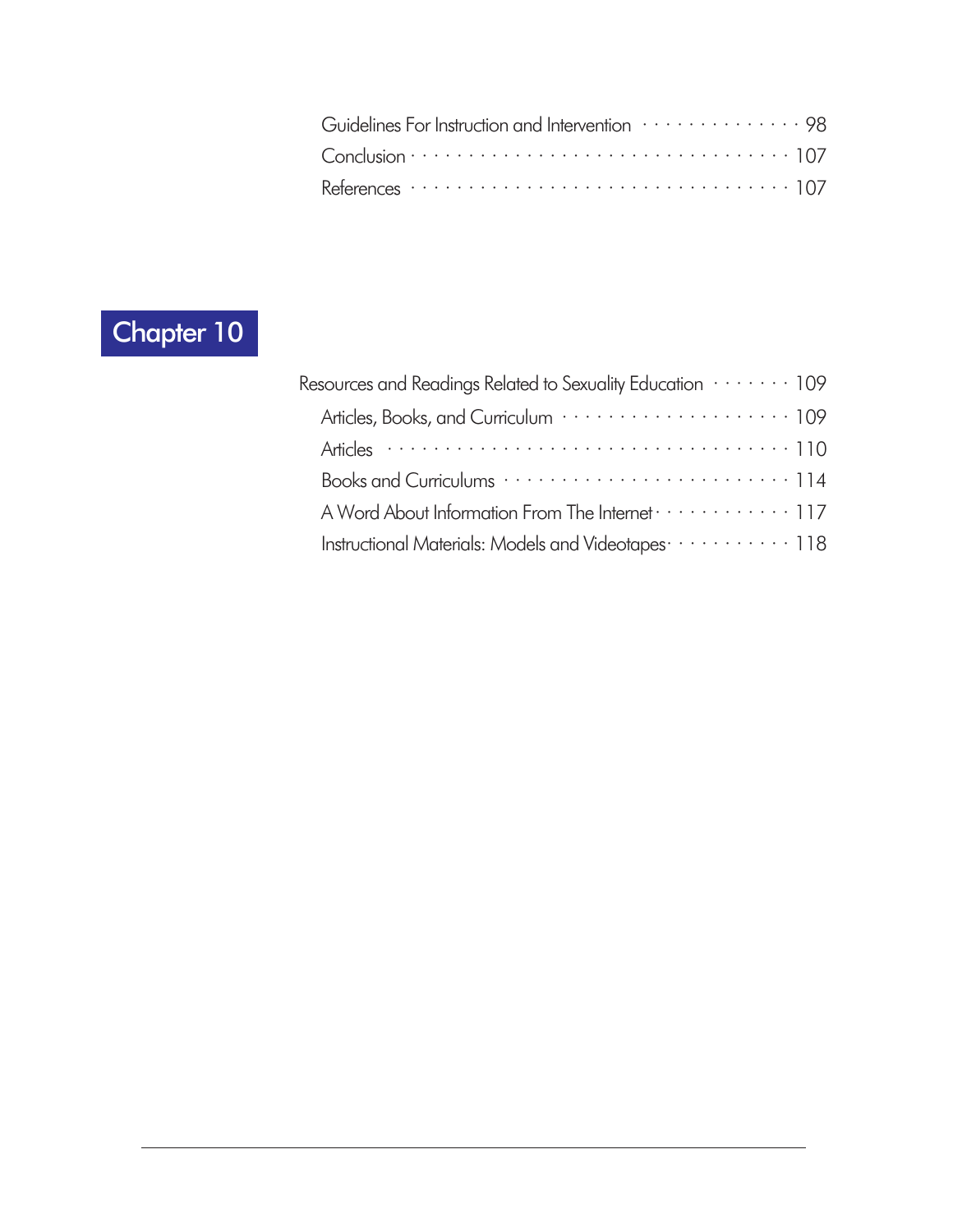<span id="page-5-0"></span>

| Guidelines For Instruction and Intervention Tuber of Tubers 198 |  |
|-----------------------------------------------------------------|--|
|                                                                 |  |
|                                                                 |  |

| Resources and Readings Related to Sexuality Education $\cdots \cdots 109$ |  |  |  |
|---------------------------------------------------------------------------|--|--|--|
|                                                                           |  |  |  |
|                                                                           |  |  |  |
|                                                                           |  |  |  |
| A Word About Information From The Internet · · · · · · · · · · · · 117    |  |  |  |
| Instructional Materials: Models and Videotapes $\cdots \cdots \cdots 118$ |  |  |  |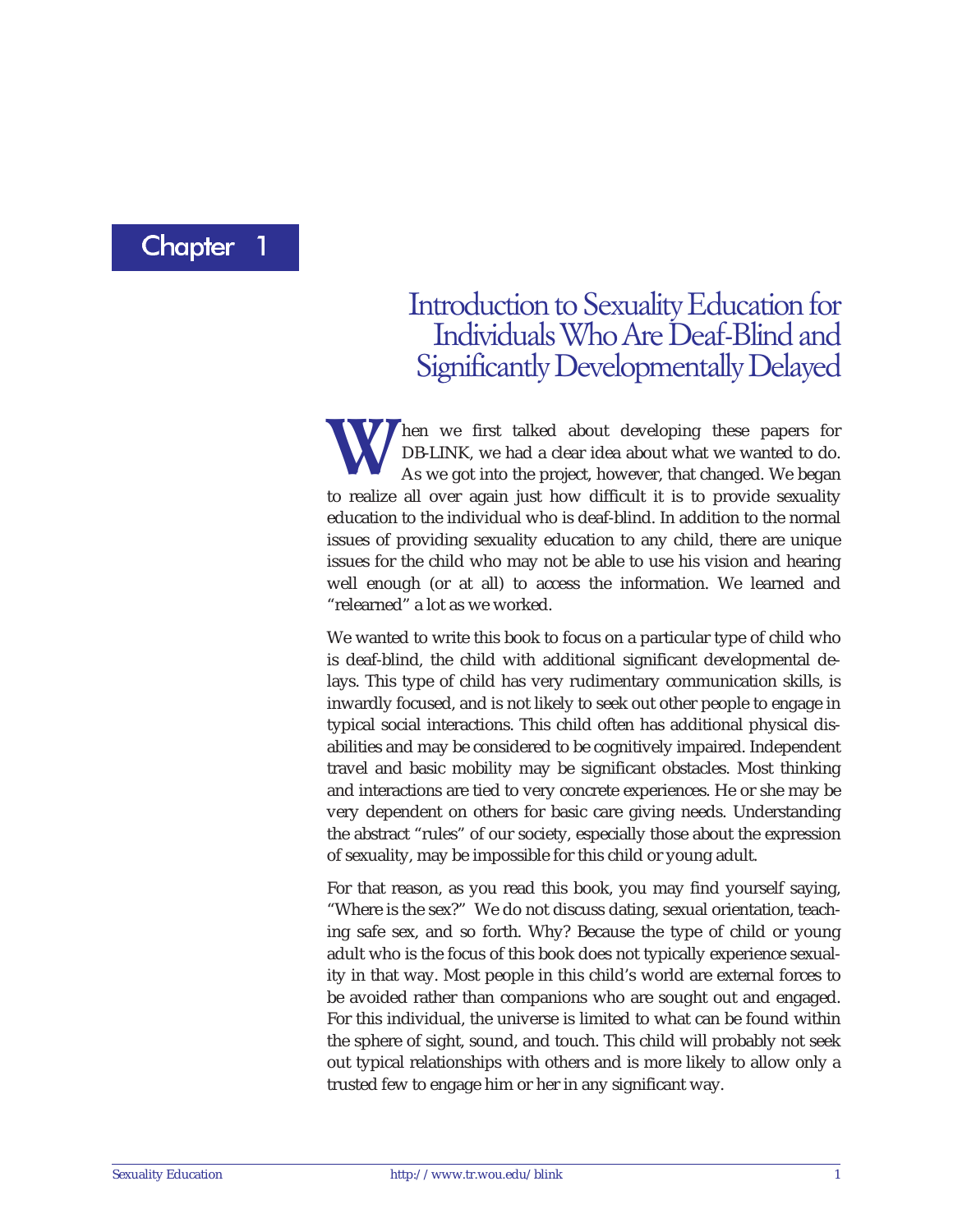### *Introduction to Sexuality Education for IndividualsWho Are Deaf-Blind and Significantly Developmentally Delayed*

**Then we first talked about developing these papers for** DB-LINK, we had a clear idea about what we wanted to do. As we got into the project, however, that changed. We began to realize all over again just how difficult it is to provide sexuality education to the individual who is deaf-blind. In addition to the normal issues of providing sexuality education to any child, there are unique issues for the child who may not be able to use his vision and hearing well enough (or at all) to access the information. We learned and "relearned" a lot as we worked.

We wanted to write this book to focus on a particular type of child who is deaf-blind, the child with additional significant developmental delays. This type of child has very rudimentary communication skills, is inwardly focused, and is not likely to seek out other people to engage in typical social interactions. This child often has additional physical disabilities and may be considered to be cognitively impaired. Independent travel and basic mobility may be significant obstacles. Most thinking and interactions are tied to very concrete experiences. He or she may be very dependent on others for basic care giving needs. Understanding the abstract "rules" of our society, especially those about the expression of sexuality, may be impossible for this child or young adult.

For that reason, as you read this book, you may find yourself saying, "Where is the sex?" We do not discuss dating, sexual orientation, teaching safe sex, and so forth. Why? Because the type of child or young adult who is the focus of this book does not typically experience sexuality in that way. Most people in this child's world are external forces to be avoided rather than companions who are sought out and engaged. For this individual, the universe is limited to what can be found within the sphere of sight, sound, and touch. This child will probably not seek out typical relationships with others and is more likely to allow only a trusted few to engage him or her in any significant way.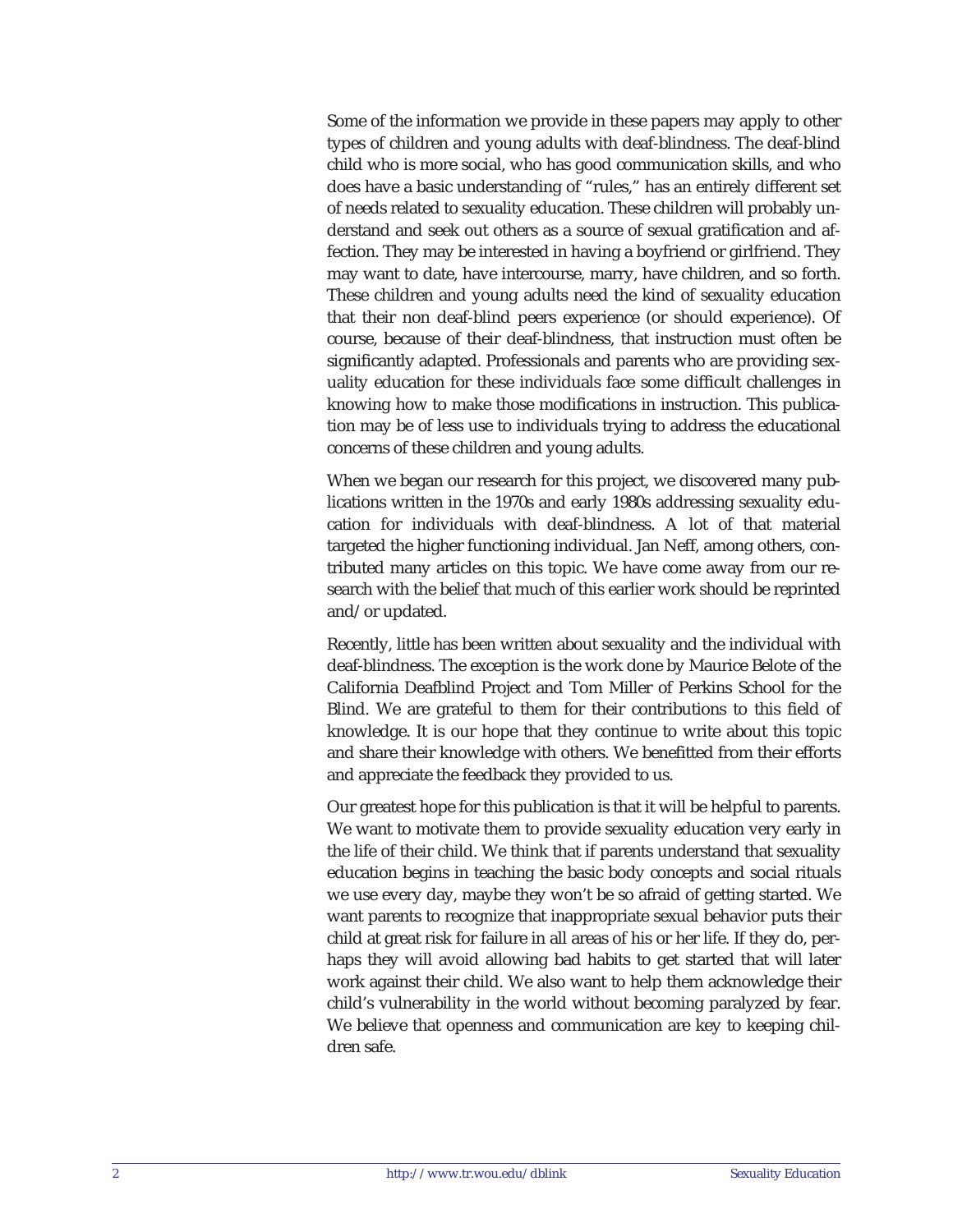Some of the information we provide in these papers may apply to other types of children and young adults with deaf-blindness. The deaf-blind child who is more social, who has good communication skills, and who does have a basic understanding of "rules," has an entirely different set of needs related to sexuality education. These children will probably understand and seek out others as a source of sexual gratification and affection. They may be interested in having a boyfriend or girlfriend. They may want to date, have intercourse, marry, have children, and so forth. These children and young adults need the kind of sexuality education that their non deaf-blind peers experience (or should experience). Of course, because of their deaf-blindness, that instruction must often be significantly adapted. Professionals and parents who are providing sexuality education for these individuals face some difficult challenges in knowing how to make those modifications in instruction. This publication may be of less use to individuals trying to address the educational concerns of these children and young adults.

When we began our research for this project, we discovered many publications written in the 1970s and early 1980s addressing sexuality education for individuals with deaf-blindness. A lot of that material targeted the higher functioning individual. Jan Neff, among others, contributed many articles on this topic. We have come away from our research with the belief that much of this earlier work should be reprinted and/or updated.

Recently, little has been written about sexuality and the individual with deaf-blindness. The exception is the work done by Maurice Belote of the California Deafblind Project and Tom Miller of Perkins School for the Blind. We are grateful to them for their contributions to this field of knowledge. It is our hope that they continue to write about this topic and share their knowledge with others. We benefitted from their efforts and appreciate the feedback they provided to us.

Our greatest hope for this publication is that it will be helpful to parents. We want to motivate them to provide sexuality education very early in the life of their child. We think that if parents understand that sexuality education begins in teaching the basic body concepts and social rituals we use every day, maybe they won't be so afraid of getting started. We want parents to recognize that inappropriate sexual behavior puts their child at great risk for failure in all areas of his or her life. If they do, perhaps they will avoid allowing bad habits to get started that will later work against their child. We also want to help them acknowledge their child's vulnerability in the world without becoming paralyzed by fear. We believe that openness and communication are key to keeping children safe.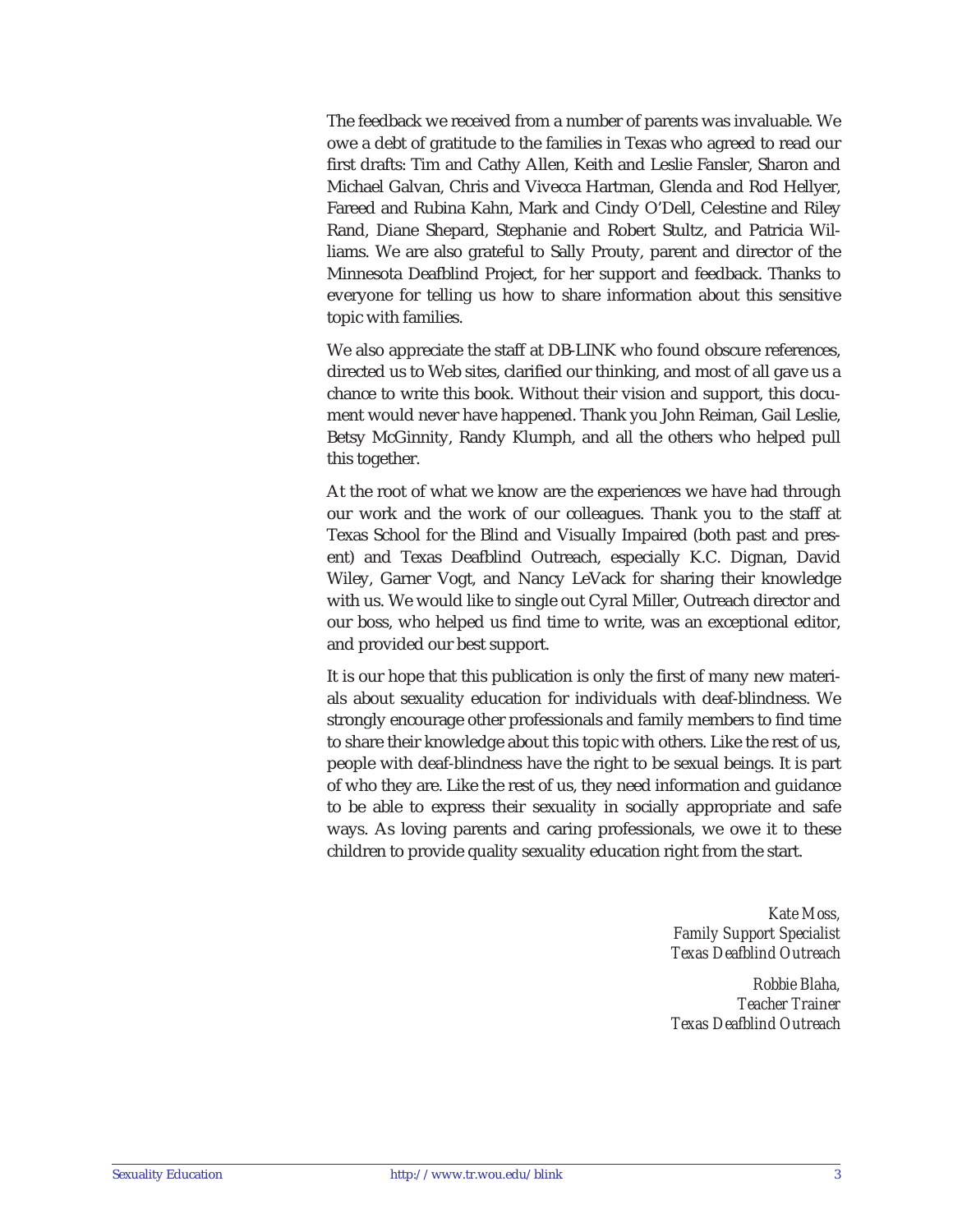The feedback we received from a number of parents was invaluable. We owe a debt of gratitude to the families in Texas who agreed to read our first drafts: Tim and Cathy Allen, Keith and Leslie Fansler, Sharon and Michael Galvan, Chris and Vivecca Hartman, Glenda and Rod Hellyer, Fareed and Rubina Kahn, Mark and Cindy O'Dell, Celestine and Riley Rand, Diane Shepard, Stephanie and Robert Stultz, and Patricia Williams. We are also grateful to Sally Prouty, parent and director of the Minnesota Deafblind Project, for her support and feedback. Thanks to everyone for telling us how to share information about this sensitive topic with families.

We also appreciate the staff at DB-LINK who found obscure references, directed us to Web sites, clarified our thinking, and most of all gave us a chance to write this book. Without their vision and support, this document would never have happened. Thank you John Reiman, Gail Leslie, Betsy McGinnity, Randy Klumph, and all the others who helped pull this together.

At the root of what we know are the experiences we have had through our work and the work of our colleagues. Thank you to the staff at Texas School for the Blind and Visually Impaired (both past and present) and Texas Deafblind Outreach, especially K.C. Dignan, David Wiley, Garner Vogt, and Nancy LeVack for sharing their knowledge with us. We would like to single out Cyral Miller, Outreach director and our boss, who helped us find time to write, was an exceptional editor, and provided our best support.

It is our hope that this publication is only the first of many new materials about sexuality education for individuals with deaf-blindness. We strongly encourage other professionals and family members to find time to share their knowledge about this topic with others. Like the rest of us, people with deaf-blindness have the right to be sexual beings. It is part of who they are. Like the rest of us, they need information and guidance to be able to express their sexuality in socially appropriate and safe ways. As loving parents and caring professionals, we owe it to these children to provide quality sexuality education right from the start.

> *Kate Moss, Family Support Specialist Texas Deafblind Outreach*

> *Robbie Blaha, Teacher Trainer Texas Deafblind Outreach*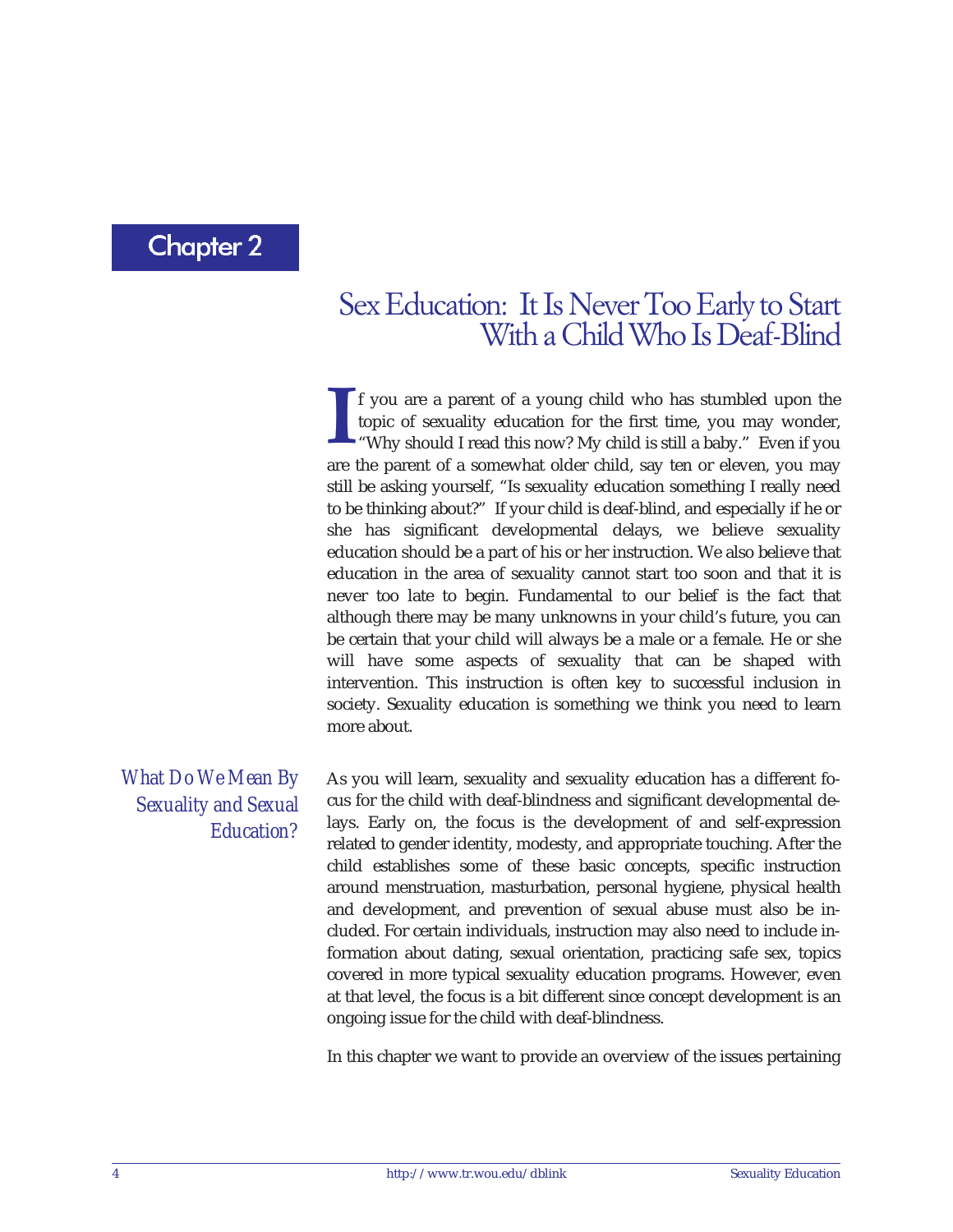### *Sex Education: It Is Never Too Early to Start With a ChildWho Is Deaf-Blind*

*I* f you are a parent of a young child who has stumbled upon the topic of sexuality education for the first time, you may wonder, "Why should I read this now? My child is still a baby." Even if you are the parent of a somewhat older child, say ten or eleven, you may still be asking yourself, "Is sexuality education something I really need to be thinking about?" If your child is deaf-blind, and especially if he or she has significant developmental delays, we believe sexuality education should be a part of his or her instruction. We also believe that education in the area of sexuality cannot start too soon and that it is never too late to begin. Fundamental to our belief is the fact that although there may be many unknowns in your child's future, you can be certain that your child will always be a male or a female. He or she will have some aspects of sexuality that can be shaped with intervention. This instruction is often key to successful inclusion in society. Sexuality education is something we think you need to learn more about.

*What Do We Mean By Sexuality and Sexual Education?*

As you will learn, sexuality and sexuality education has a different focus for the child with deaf-blindness and significant developmental delays. Early on, the focus is the development of and self-expression related to gender identity, modesty, and appropriate touching. After the child establishes some of these basic concepts, specific instruction around menstruation, masturbation, personal hygiene, physical health and development, and prevention of sexual abuse must also be included. For certain individuals, instruction may also need to include information about dating, sexual orientation, practicing safe sex, topics covered in more typical sexuality education programs. However, even at that level, the focus is a bit different since concept development is an ongoing issue for the child with deaf-blindness.

In this chapter we want to provide an overview of the issues pertaining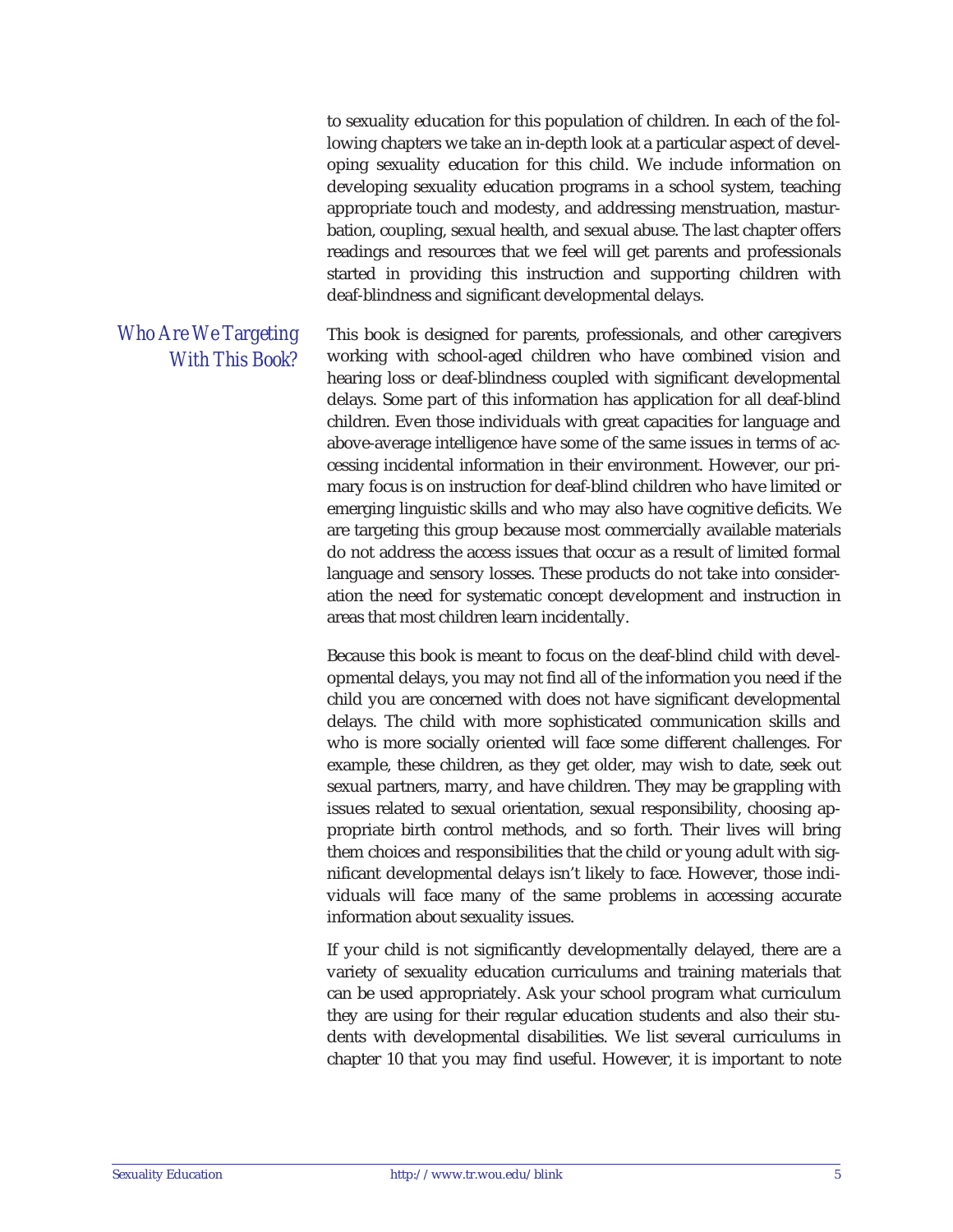to sexuality education for this population of children. In each of the following chapters we take an in-depth look at a particular aspect of developing sexuality education for this child. We include information on developing sexuality education programs in a school system, teaching appropriate touch and modesty, and addressing menstruation, masturbation, coupling, sexual health, and sexual abuse. The last chapter offers readings and resources that we feel will get parents and professionals started in providing this instruction and supporting children with deaf-blindness and significant developmental delays.

#### *Who Are We Targeting With This Book?*

This book is designed for parents, professionals, and other caregivers working with school-aged children who have combined vision and hearing loss or deaf-blindness coupled with significant developmental delays. Some part of this information has application for all deaf-blind children. Even those individuals with great capacities for language and above-average intelligence have some of the same issues in terms of accessing incidental information in their environment. However, our primary focus is on instruction for deaf-blind children who have limited or emerging linguistic skills and who may also have cognitive deficits. We are targeting this group because most commercially available materials do not address the access issues that occur as a result of limited formal language and sensory losses. These products do not take into consideration the need for systematic concept development and instruction in areas that most children learn incidentally.

Because this book is meant to focus on the deaf-blind child with developmental delays, you may not find all of the information you need if the child you are concerned with does not have significant developmental delays. The child with more sophisticated communication skills and who is more socially oriented will face some different challenges. For example, these children, as they get older, may wish to date, seek out sexual partners, marry, and have children. They may be grappling with issues related to sexual orientation, sexual responsibility, choosing appropriate birth control methods, and so forth. Their lives will bring them choices and responsibilities that the child or young adult with significant developmental delays isn't likely to face. However, those individuals will face many of the same problems in accessing accurate information about sexuality issues.

If your child is not significantly developmentally delayed, there are a variety of sexuality education curriculums and training materials that can be used appropriately. Ask your school program what curriculum they are using for their regular education students and also their students with developmental disabilities. We list several curriculums in chapter 10 that you may find useful. However, it is important to note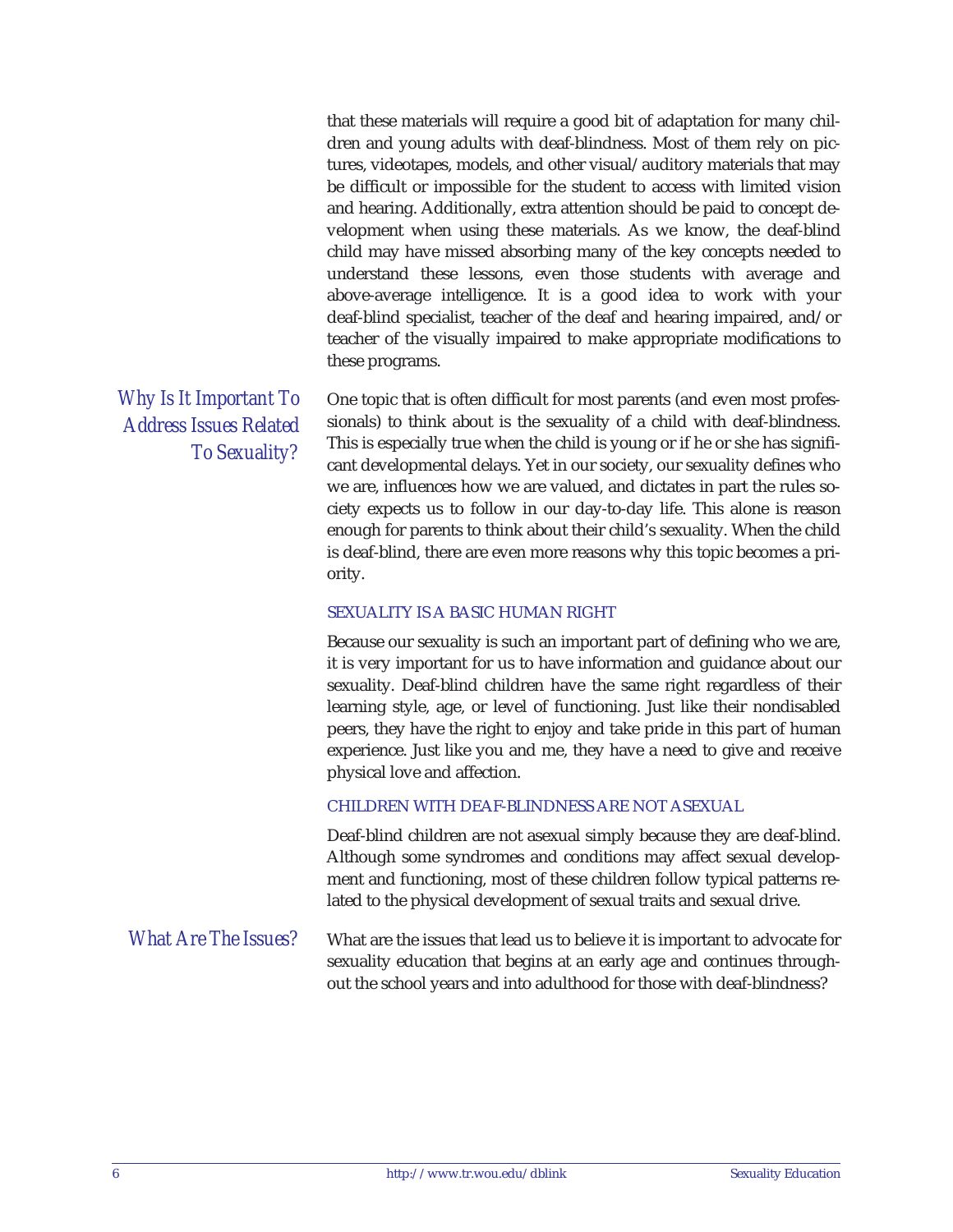that these materials will require a good bit of adaptation for many children and young adults with deaf-blindness. Most of them rely on pictures, videotapes, models, and other visual/auditory materials that may be difficult or impossible for the student to access with limited vision and hearing. Additionally, extra attention should be paid to concept development when using these materials. As we know, the deaf-blind child may have missed absorbing many of the key concepts needed to understand these lessons, even those students with average and above-average intelligence. It is a good idea to work with your deaf-blind specialist, teacher of the deaf and hearing impaired, and/or teacher of the visually impaired to make appropriate modifications to these programs.

One topic that is often difficult for most parents (and even most professionals) to think about is the sexuality of a child with deaf-blindness. This is especially true when the child is young or if he or she has significant developmental delays. Yet in our society, our sexuality defines who we are, influences how we are valued, and dictates in part the rules society expects us to follow in our day-to-day life. This alone is reason enough for parents to think about their child's sexuality. When the child is deaf-blind, there are even more reasons why this topic becomes a priority.

#### SEXUALITY IS A BASIC HUMAN RIGHT

Because our sexuality is such an important part of defining who we are, it is very important for us to have information and guidance about our sexuality. Deaf-blind children have the same right regardless of their learning style, age, or level of functioning. Just like their nondisabled peers, they have the right to enjoy and take pride in this part of human experience. Just like you and me, they have a need to give and receive physical love and affection.

#### CHILDREN WITH DEAF-BLINDNESS ARE NOT ASEXUAL

Deaf-blind children are not asexual simply because they are deaf-blind. Although some syndromes and conditions may affect sexual development and functioning, most of these children follow typical patterns related to the physical development of sexual traits and sexual drive.

*What Are The Issues?* What are the issues that lead us to believe it is important to advocate for sexuality education that begins at an early age and continues throughout the school years and into adulthood for those with deaf-blindness?

*Why Is It Important To Address Issues Related To Sexuality?*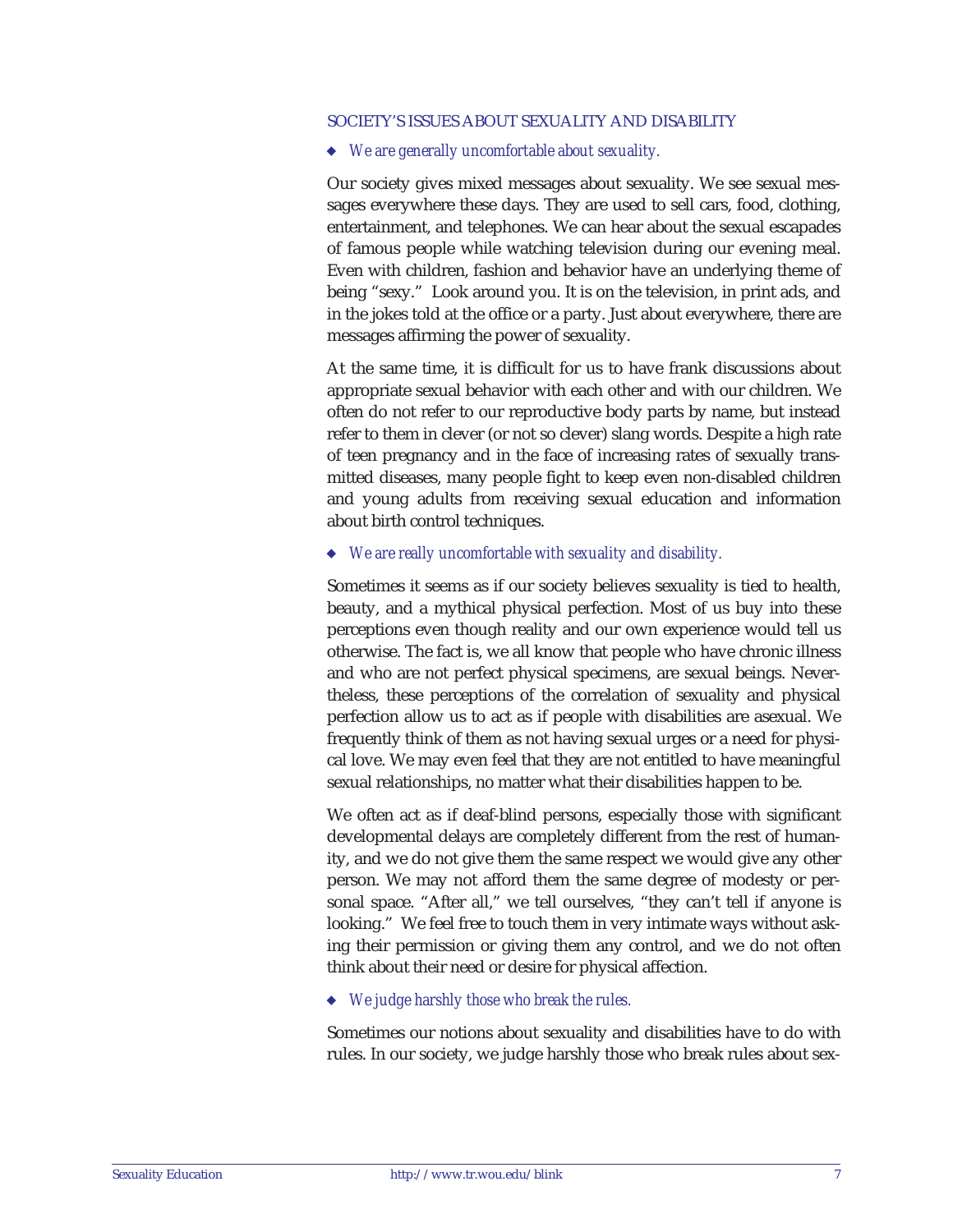#### SOCIETY'S ISSUES ABOUT SEXUALITY AND DISABILITY

#### ◆ *We are generally uncomfortable about sexuality.*

Our society gives mixed messages about sexuality. We see sexual messages everywhere these days. They are used to sell cars, food, clothing, entertainment, and telephones. We can hear about the sexual escapades of famous people while watching television during our evening meal. Even with children, fashion and behavior have an underlying theme of being "sexy." Look around you. It is on the television, in print ads, and in the jokes told at the office or a party. Just about everywhere, there are messages affirming the power of sexuality.

At the same time, it is difficult for us to have frank discussions about appropriate sexual behavior with each other and with our children. We often do not refer to our reproductive body parts by name, but instead refer to them in clever (or not so clever) slang words. Despite a high rate of teen pregnancy and in the face of increasing rates of sexually transmitted diseases, many people fight to keep even non-disabled children and young adults from receiving sexual education and information about birth control techniques.

#### ◆ *We are really uncomfortable with sexuality and disability.*

Sometimes it seems as if our society believes sexuality is tied to health, beauty, and a mythical physical perfection. Most of us buy into these perceptions even though reality and our own experience would tell us otherwise. The fact is, we all know that people who have chronic illness and who are not perfect physical specimens, are sexual beings. Nevertheless, these perceptions of the correlation of sexuality and physical perfection allow us to act as if people with disabilities are asexual. We frequently think of them as not having sexual urges or a need for physical love. We may even feel that they are not entitled to have meaningful sexual relationships, no matter what their disabilities happen to be.

We often act as if deaf-blind persons, especially those with significant developmental delays are completely different from the rest of humanity, and we do not give them the same respect we would give any other person. We may not afford them the same degree of modesty or personal space. "After all," we tell ourselves, "they can't tell if anyone is looking." We feel free to touch them in very intimate ways without asking their permission or giving them any control, and we do not often think about their need or desire for physical affection.

#### ◆ *We judge harshly those who break the rules.*

Sometimes our notions about sexuality and disabilities have to do with rules. In our society, we judge harshly those who break rules about sex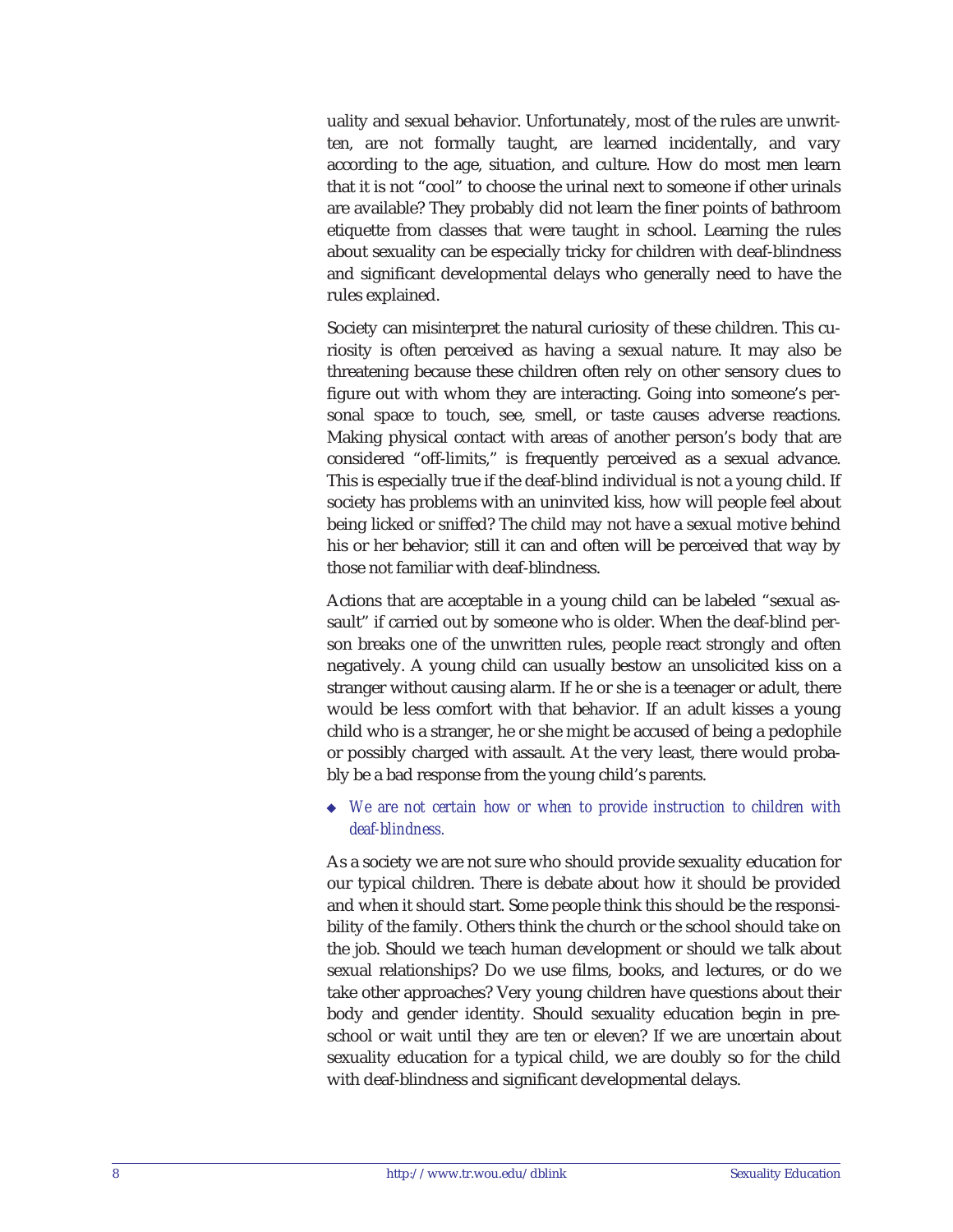uality and sexual behavior. Unfortunately, most of the rules are unwritten, are not formally taught, are learned incidentally, and vary according to the age, situation, and culture. How do most men learn that it is not "cool" to choose the urinal next to someone if other urinals are available? They probably did not learn the finer points of bathroom etiquette from classes that were taught in school. Learning the rules about sexuality can be especially tricky for children with deaf-blindness and significant developmental delays who generally need to have the rules explained.

Society can misinterpret the natural curiosity of these children. This curiosity is often perceived as having a sexual nature. It may also be threatening because these children often rely on other sensory clues to figure out with whom they are interacting. Going into someone's personal space to touch, see, smell, or taste causes adverse reactions. Making physical contact with areas of another person's body that are considered "off-limits," is frequently perceived as a sexual advance. This is especially true if the deaf-blind individual is not a young child. If society has problems with an uninvited kiss, how will people feel about being licked or sniffed? The child may not have a sexual motive behind his or her behavior; still it can and often will be perceived that way by those not familiar with deaf-blindness.

Actions that are acceptable in a young child can be labeled "sexual assault" if carried out by someone who is older. When the deaf-blind person breaks one of the unwritten rules, people react strongly and often negatively. A young child can usually bestow an unsolicited kiss on a stranger without causing alarm. If he or she is a teenager or adult, there would be less comfort with that behavior. If an adult kisses a young child who is a stranger, he or she might be accused of being a pedophile or possibly charged with assault. At the very least, there would probably be a bad response from the young child's parents.

#### ◆ *We are not certain how or when to provide instruction to children with deaf-blindness.*

As a society we are not sure who should provide sexuality education for our typical children. There is debate about how it should be provided and when it should start. Some people think this should be the responsibility of the family. Others think the church or the school should take on the job. Should we teach human development or should we talk about sexual relationships? Do we use films, books, and lectures, or do we take other approaches? Very young children have questions about their body and gender identity. Should sexuality education begin in preschool or wait until they are ten or eleven? If we are uncertain about sexuality education for a typical child, we are doubly so for the child with deaf-blindness and significant developmental delays.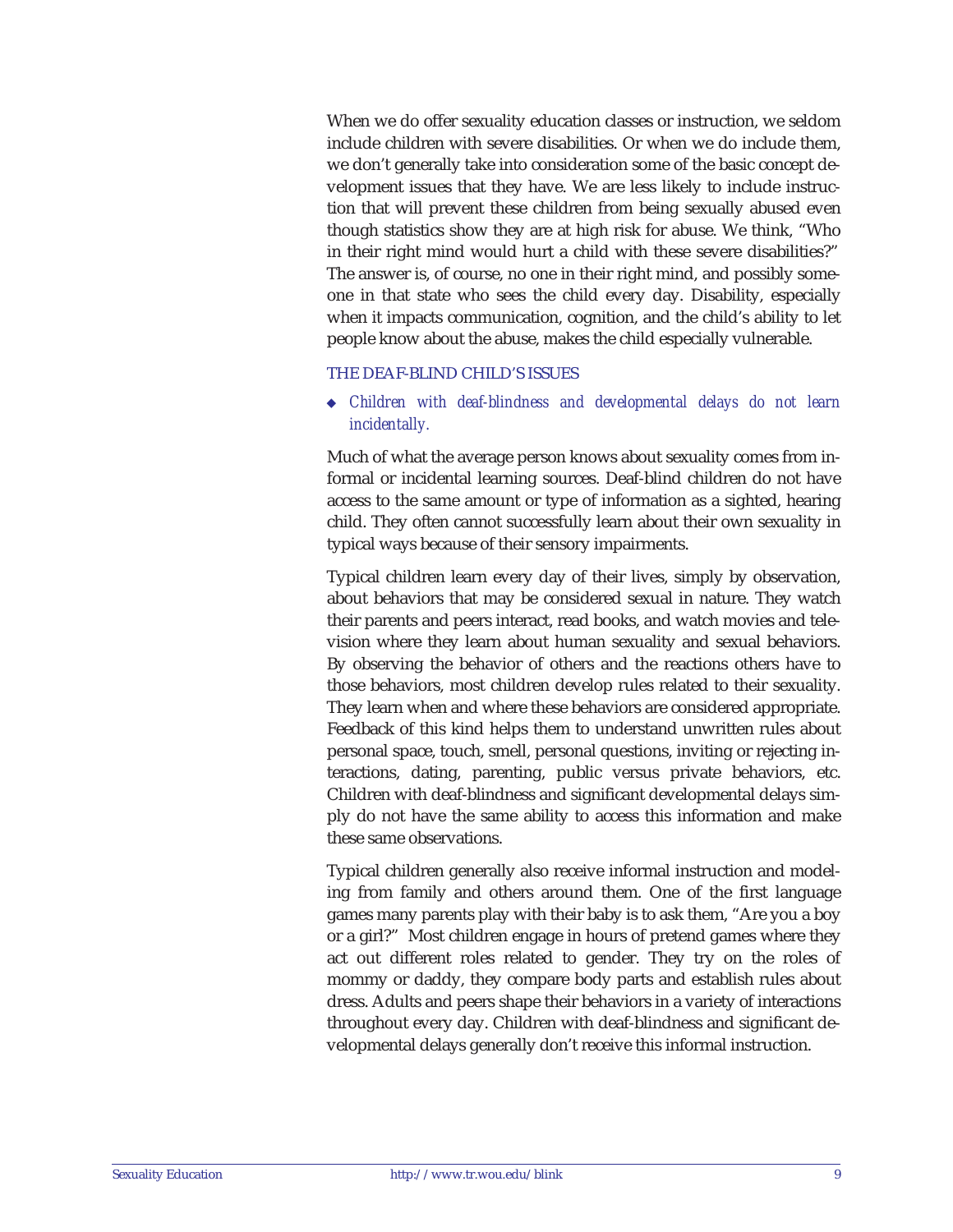When we do offer sexuality education classes or instruction, we seldom include children with severe disabilities. Or when we do include them, we don't generally take into consideration some of the basic concept development issues that they have. We are less likely to include instruction that will prevent these children from being sexually abused even though statistics show they are at high risk for abuse. We think, "Who in their right mind would hurt a child with these severe disabilities?" The answer is, of course, no one in their right mind, and possibly someone in that state who sees the child every day. Disability, especially when it impacts communication, cognition, and the child's ability to let people know about the abuse, makes the child especially vulnerable.

#### THE DEAF-BLIND CHILD'S ISSUES

◆ *Children with deaf-blindness and developmental delays do not learn incidentally.*

Much of what the average person knows about sexuality comes from informal or incidental learning sources. Deaf-blind children do not have access to the same amount or type of information as a sighted, hearing child. They often cannot successfully learn about their own sexuality in typical ways because of their sensory impairments.

Typical children learn every day of their lives, simply by observation, about behaviors that may be considered sexual in nature. They watch their parents and peers interact, read books, and watch movies and television where they learn about human sexuality and sexual behaviors. By observing the behavior of others and the reactions others have to those behaviors, most children develop rules related to their sexuality. They learn when and where these behaviors are considered appropriate. Feedback of this kind helps them to understand unwritten rules about personal space, touch, smell, personal questions, inviting or rejecting interactions, dating, parenting, public versus private behaviors, etc. Children with deaf-blindness and significant developmental delays simply do not have the same ability to access this information and make these same observations.

Typical children generally also receive informal instruction and modeling from family and others around them. One of the first language games many parents play with their baby is to ask them, "Are you a boy or a girl?" Most children engage in hours of pretend games where they act out different roles related to gender. They try on the roles of mommy or daddy, they compare body parts and establish rules about dress. Adults and peers shape their behaviors in a variety of interactions throughout every day. Children with deaf-blindness and significant developmental delays generally don't receive this informal instruction.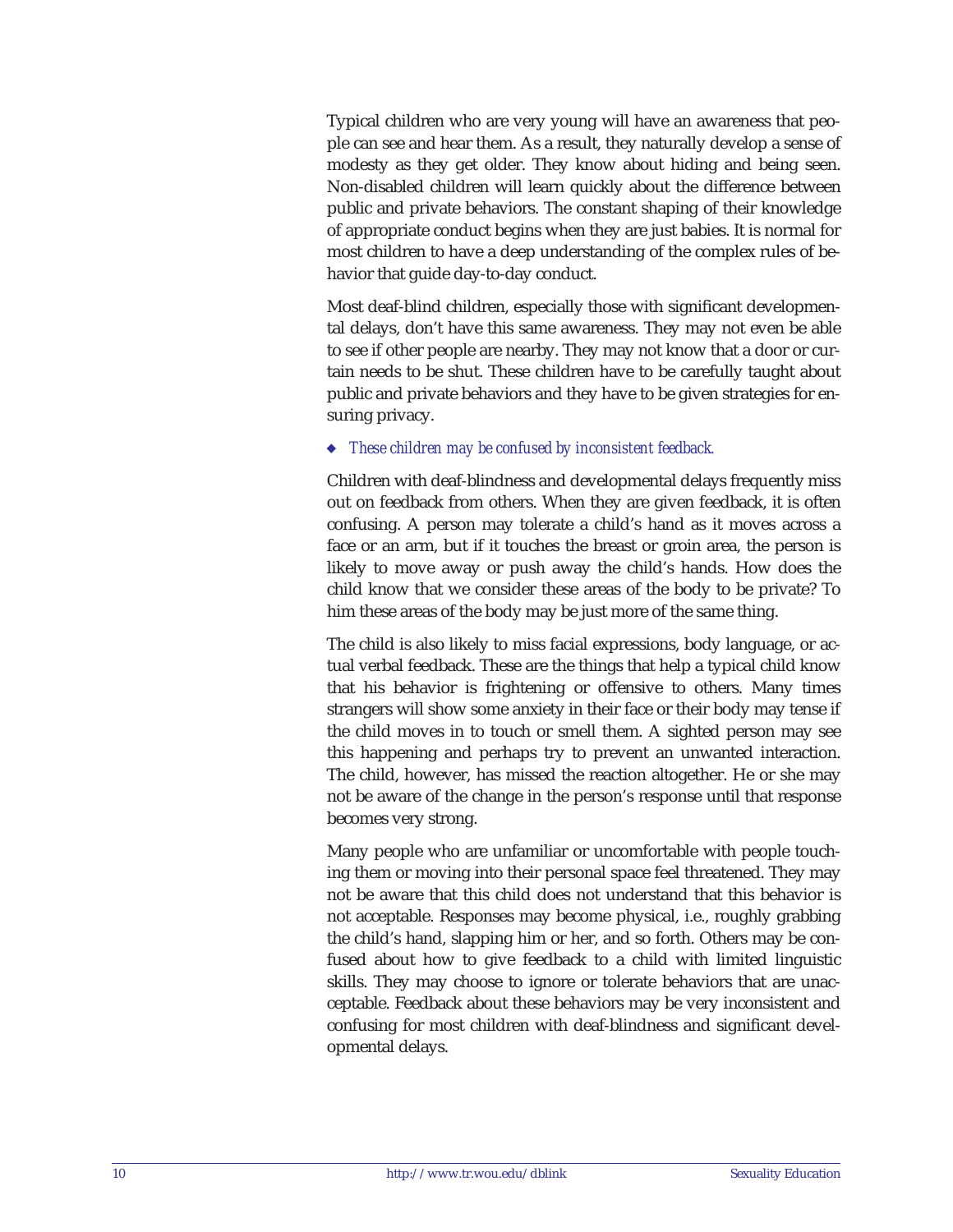Typical children who are very young will have an awareness that people can see and hear them. As a result, they naturally develop a sense of modesty as they get older. They know about hiding and being seen. Non-disabled children will learn quickly about the difference between public and private behaviors. The constant shaping of their knowledge of appropriate conduct begins when they are just babies. It is normal for most children to have a deep understanding of the complex rules of behavior that guide day-to-day conduct.

Most deaf-blind children, especially those with significant developmental delays, don't have this same awareness. They may not even be able to see if other people are nearby. They may not know that a door or curtain needs to be shut. These children have to be carefully taught about public and private behaviors and they have to be given strategies for ensuring privacy.

#### ◆ *These children may be confused by inconsistent feedback.*

Children with deaf-blindness and developmental delays frequently miss out on feedback from others. When they are given feedback, it is often confusing. A person may tolerate a child's hand as it moves across a face or an arm, but if it touches the breast or groin area, the person is likely to move away or push away the child's hands. How does the child know that we consider these areas of the body to be private? To him these areas of the body may be just more of the same thing.

The child is also likely to miss facial expressions, body language, or actual verbal feedback. These are the things that help a typical child know that his behavior is frightening or offensive to others. Many times strangers will show some anxiety in their face or their body may tense if the child moves in to touch or smell them. A sighted person may see this happening and perhaps try to prevent an unwanted interaction. The child, however, has missed the reaction altogether. He or she may not be aware of the change in the person's response until that response becomes very strong.

Many people who are unfamiliar or uncomfortable with people touching them or moving into their personal space feel threatened. They may not be aware that this child does not understand that this behavior is not acceptable. Responses may become physical, i.e., roughly grabbing the child's hand, slapping him or her, and so forth. Others may be confused about how to give feedback to a child with limited linguistic skills. They may choose to ignore or tolerate behaviors that are unacceptable. Feedback about these behaviors may be very inconsistent and confusing for most children with deaf-blindness and significant developmental delays.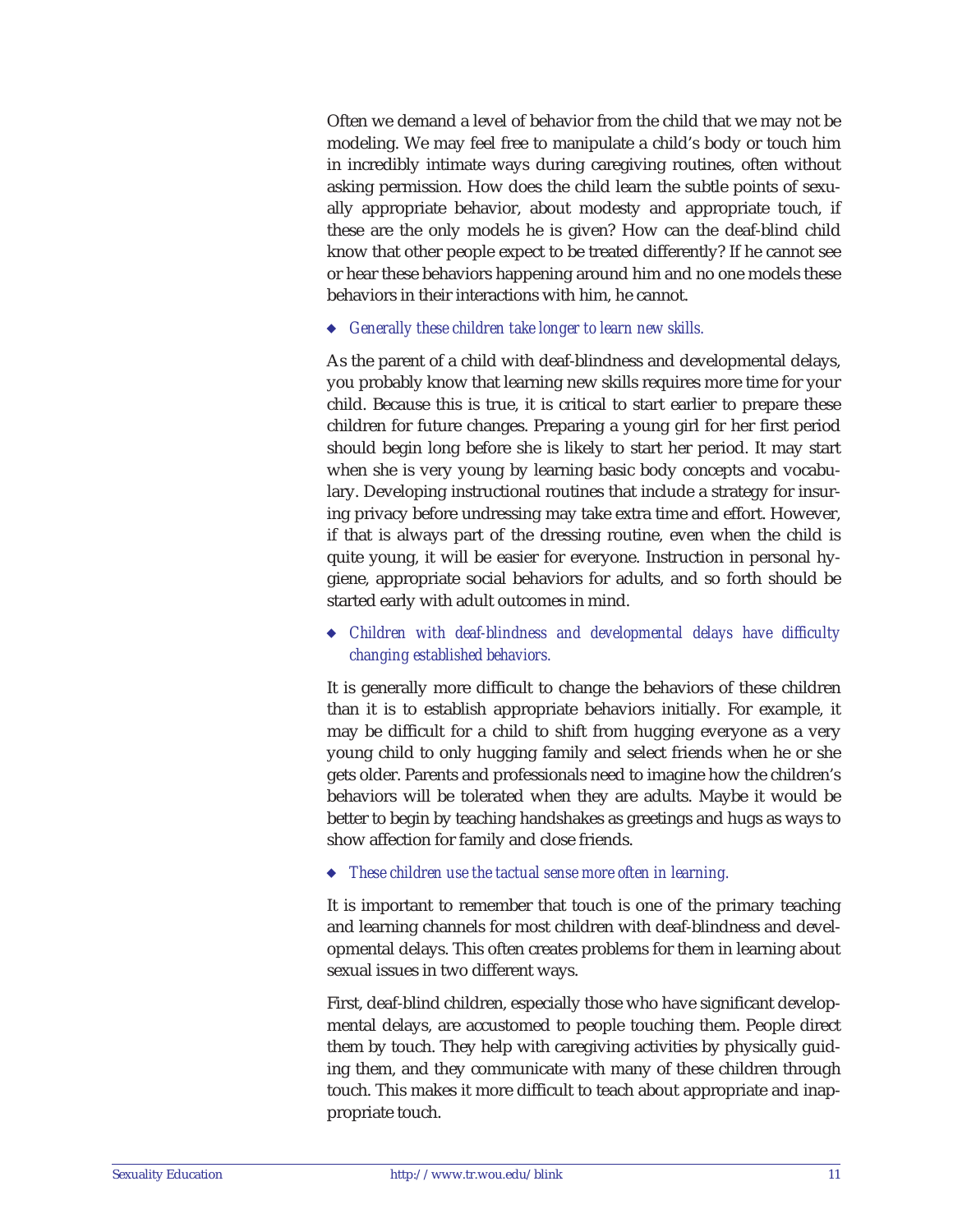Often we demand a level of behavior from the child that we may not be modeling. We may feel free to manipulate a child's body or touch him in incredibly intimate ways during caregiving routines, often without asking permission. How does the child learn the subtle points of sexually appropriate behavior, about modesty and appropriate touch, if these are the only models he is given? How can the deaf-blind child know that other people expect to be treated differently? If he cannot see or hear these behaviors happening around him and no one models these behaviors in their interactions with him, he cannot.

#### ◆ *Generally these children take longer to learn new skills.*

As the parent of a child with deaf-blindness and developmental delays, you probably know that learning new skills requires more time for your child. Because this is true, it is critical to start earlier to prepare these children for future changes. Preparing a young girl for her first period should begin long before she is likely to start her period. It may start when she is very young by learning basic body concepts and vocabulary. Developing instructional routines that include a strategy for insuring privacy before undressing may take extra time and effort. However, if that is always part of the dressing routine, even when the child is quite young, it will be easier for everyone. Instruction in personal hygiene, appropriate social behaviors for adults, and so forth should be started early with adult outcomes in mind.

◆ *Children with deaf-blindness and developmental delays have difficulty changing established behaviors.*

It is generally more difficult to change the behaviors of these children than it is to establish appropriate behaviors initially. For example, it may be difficult for a child to shift from hugging everyone as a very young child to only hugging family and select friends when he or she gets older. Parents and professionals need to imagine how the children's behaviors will be tolerated when they are adults. Maybe it would be better to begin by teaching handshakes as greetings and hugs as ways to show affection for family and close friends.

#### ◆ *These children use the tactual sense more often in learning.*

It is important to remember that touch is one of the primary teaching and learning channels for most children with deaf-blindness and developmental delays. This often creates problems for them in learning about sexual issues in two different ways.

First, deaf-blind children, especially those who have significant developmental delays, are accustomed to people touching them. People direct them by touch. They help with caregiving activities by physically guiding them, and they communicate with many of these children through touch. This makes it more difficult to teach about appropriate and inappropriate touch.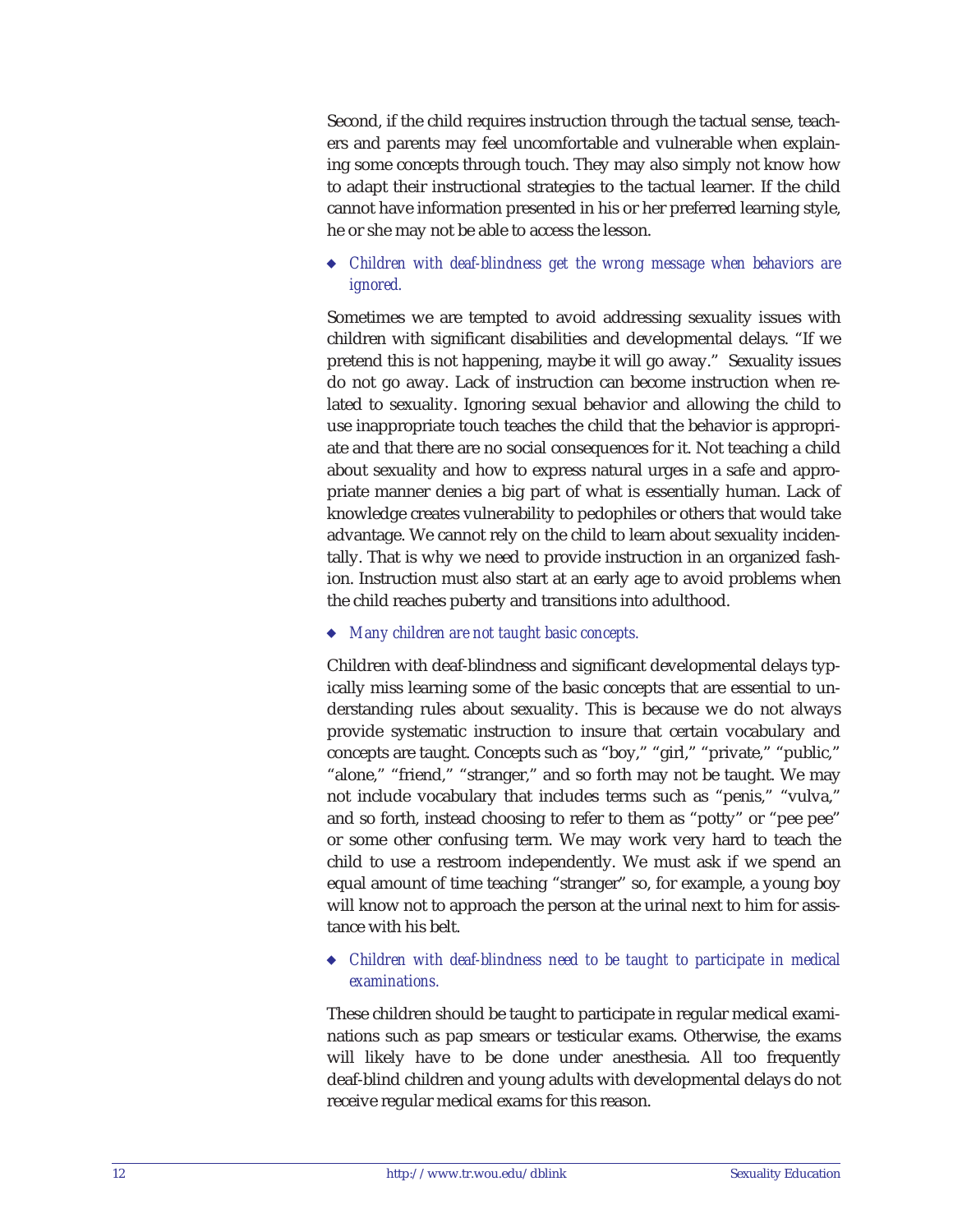Second, if the child requires instruction through the tactual sense, teachers and parents may feel uncomfortable and vulnerable when explaining some concepts through touch. They may also simply not know how to adapt their instructional strategies to the tactual learner. If the child cannot have information presented in his or her preferred learning style, he or she may not be able to access the lesson.

#### ◆ *Children with deaf-blindness get the wrong message when behaviors are ignored.*

Sometimes we are tempted to avoid addressing sexuality issues with children with significant disabilities and developmental delays. "If we pretend this is not happening, maybe it will go away." Sexuality issues do not go away. Lack of instruction can become instruction when related to sexuality. Ignoring sexual behavior and allowing the child to use inappropriate touch teaches the child that the behavior is appropriate and that there are no social consequences for it. Not teaching a child about sexuality and how to express natural urges in a safe and appropriate manner denies a big part of what is essentially human. Lack of knowledge creates vulnerability to pedophiles or others that would take advantage. We cannot rely on the child to learn about sexuality incidentally. That is why we need to provide instruction in an organized fashion. Instruction must also start at an early age to avoid problems when the child reaches puberty and transitions into adulthood.

#### ◆ *Many children are not taught basic concepts.*

Children with deaf-blindness and significant developmental delays typically miss learning some of the basic concepts that are essential to understanding rules about sexuality. This is because we do not always provide systematic instruction to insure that certain vocabulary and concepts are taught. Concepts such as "boy," "girl," "private," "public," "alone," "friend," "stranger," and so forth may not be taught. We may not include vocabulary that includes terms such as "penis," "vulva," and so forth, instead choosing to refer to them as "potty" or "pee pee" or some other confusing term. We may work very hard to teach the child to use a restroom independently. We must ask if we spend an equal amount of time teaching "stranger" so, for example, a young boy will know not to approach the person at the urinal next to him for assistance with his belt.

#### ◆ *Children with deaf-blindness need to be taught to participate in medical examinations.*

These children should be taught to participate in regular medical examinations such as pap smears or testicular exams. Otherwise, the exams will likely have to be done under anesthesia. All too frequently deaf-blind children and young adults with developmental delays do not receive regular medical exams for this reason.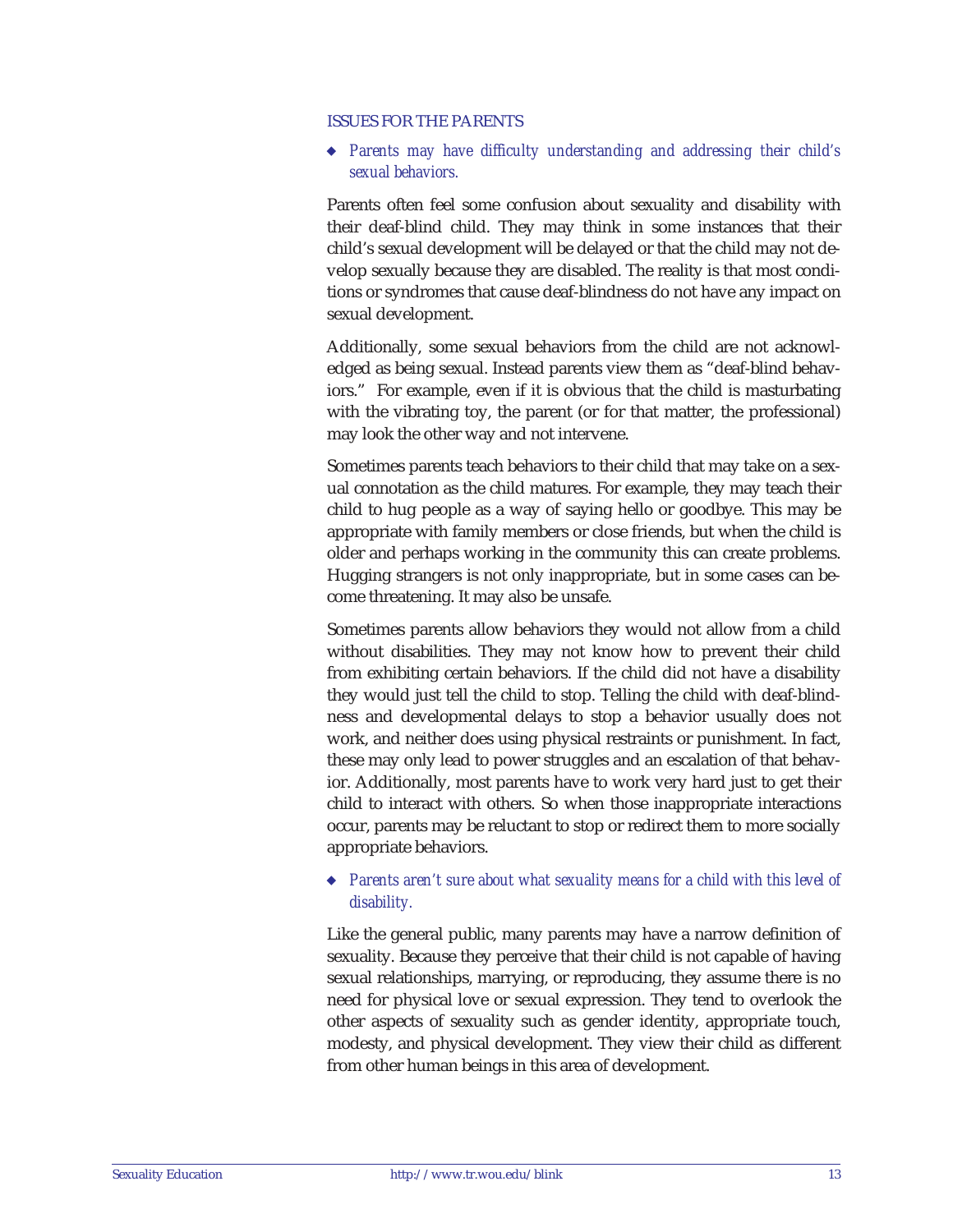#### ISSUES FOR THE PARENTS

#### ◆ *Parents may have difficulty understanding and addressing their child's sexual behaviors.*

Parents often feel some confusion about sexuality and disability with their deaf-blind child. They may think in some instances that their child's sexual development will be delayed or that the child may not develop sexually because they are disabled. The reality is that most conditions or syndromes that cause deaf-blindness do not have any impact on sexual development.

Additionally, some sexual behaviors from the child are not acknowledged as being sexual. Instead parents view them as "deaf-blind behaviors." For example, even if it is obvious that the child is masturbating with the vibrating toy, the parent (or for that matter, the professional) may look the other way and not intervene.

Sometimes parents teach behaviors to their child that may take on a sexual connotation as the child matures. For example, they may teach their child to hug people as a way of saying hello or goodbye. This may be appropriate with family members or close friends, but when the child is older and perhaps working in the community this can create problems. Hugging strangers is not only inappropriate, but in some cases can become threatening. It may also be unsafe.

Sometimes parents allow behaviors they would not allow from a child without disabilities. They may not know how to prevent their child from exhibiting certain behaviors. If the child did not have a disability they would just tell the child to stop. Telling the child with deaf-blindness and developmental delays to stop a behavior usually does not work, and neither does using physical restraints or punishment. In fact, these may only lead to power struggles and an escalation of that behavior. Additionally, most parents have to work very hard just to get their child to interact with others. So when those inappropriate interactions occur, parents may be reluctant to stop or redirect them to more socially appropriate behaviors.

#### ◆ *Parents aren't sure about what sexuality means for a child with this level of disability.*

Like the general public, many parents may have a narrow definition of sexuality. Because they perceive that their child is not capable of having sexual relationships, marrying, or reproducing, they assume there is no need for physical love or sexual expression. They tend to overlook the other aspects of sexuality such as gender identity, appropriate touch, modesty, and physical development. They view their child as different from other human beings in this area of development.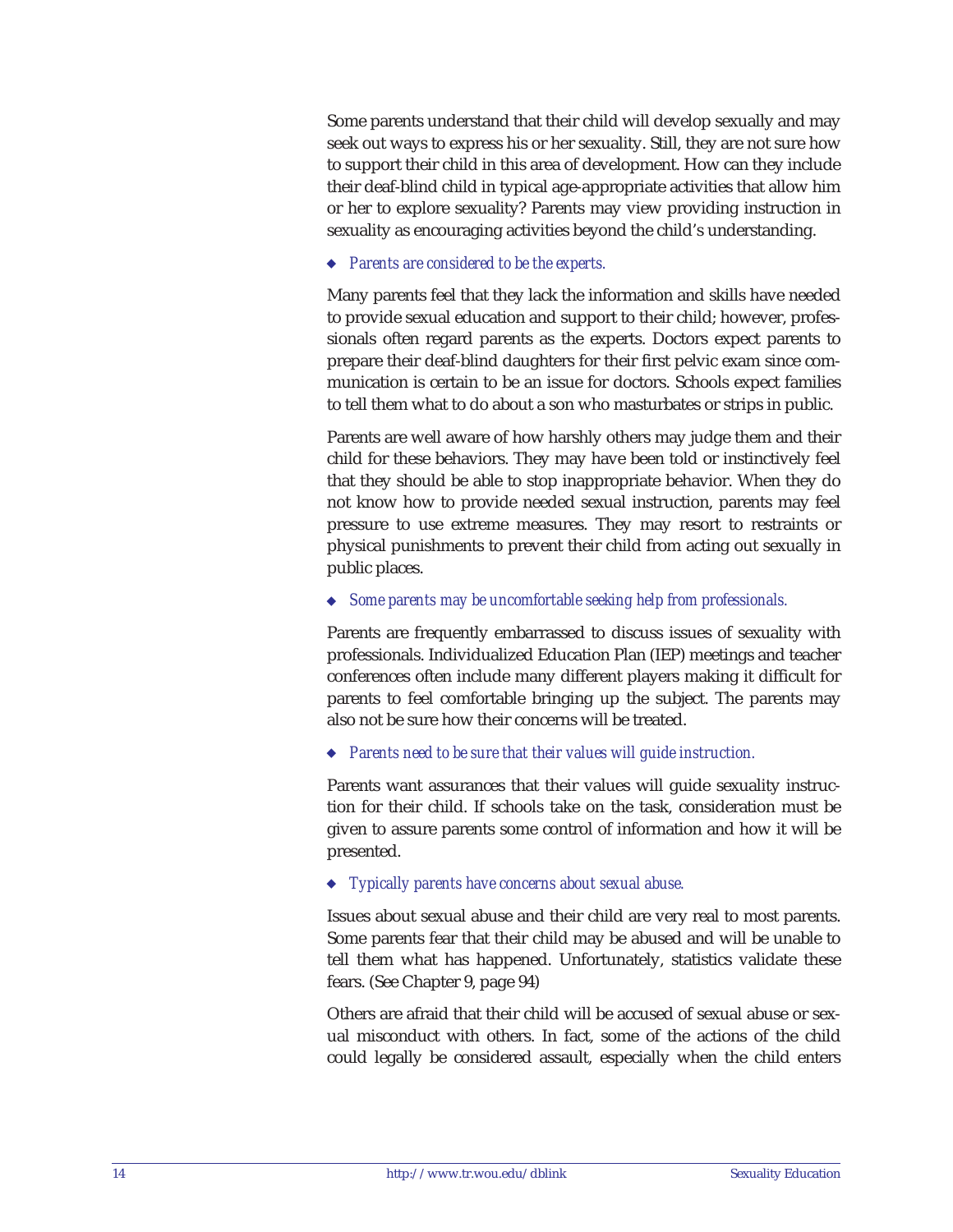Some parents understand that their child will develop sexually and may seek out ways to express his or her sexuality. Still, they are not sure how to support their child in this area of development. How can they include their deaf-blind child in typical age-appropriate activities that allow him or her to explore sexuality? Parents may view providing instruction in sexuality as encouraging activities beyond the child's understanding.

#### ◆ *Parents are considered to be the experts.*

Many parents feel that they lack the information and skills have needed to provide sexual education and support to their child; however, professionals often regard parents as the experts. Doctors expect parents to prepare their deaf-blind daughters for their first pelvic exam since communication is certain to be an issue for doctors. Schools expect families to tell them what to do about a son who masturbates or strips in public.

Parents are well aware of how harshly others may judge them and their child for these behaviors. They may have been told or instinctively feel that they should be able to stop inappropriate behavior. When they do not know how to provide needed sexual instruction, parents may feel pressure to use extreme measures. They may resort to restraints or physical punishments to prevent their child from acting out sexually in public places.

#### ◆ *Some parents may be uncomfortable seeking help from professionals.*

Parents are frequently embarrassed to discuss issues of sexuality with professionals. Individualized Education Plan (IEP) meetings and teacher conferences often include many different players making it difficult for parents to feel comfortable bringing up the subject. The parents may also not be sure how their concerns will be treated.

#### ◆ *Parents need to be sure that their values will guide instruction.*

Parents want assurances that their values will guide sexuality instruction for their child. If schools take on the task, consideration must be given to assure parents some control of information and how it will be presented.

#### ◆ *Typically parents have concerns about sexual abuse.*

Issues about sexual abuse and their child are very real to most parents. Some parents fear that their child may be abused and will be unable to tell them what has happened. Unfortunately, statistics validate these fears. (See Chapter 9, page [94](#page-99-0))

Others are afraid that their child will be accused of sexual abuse or sexual misconduct with others. In fact, some of the actions of the child could legally be considered assault, especially when the child enters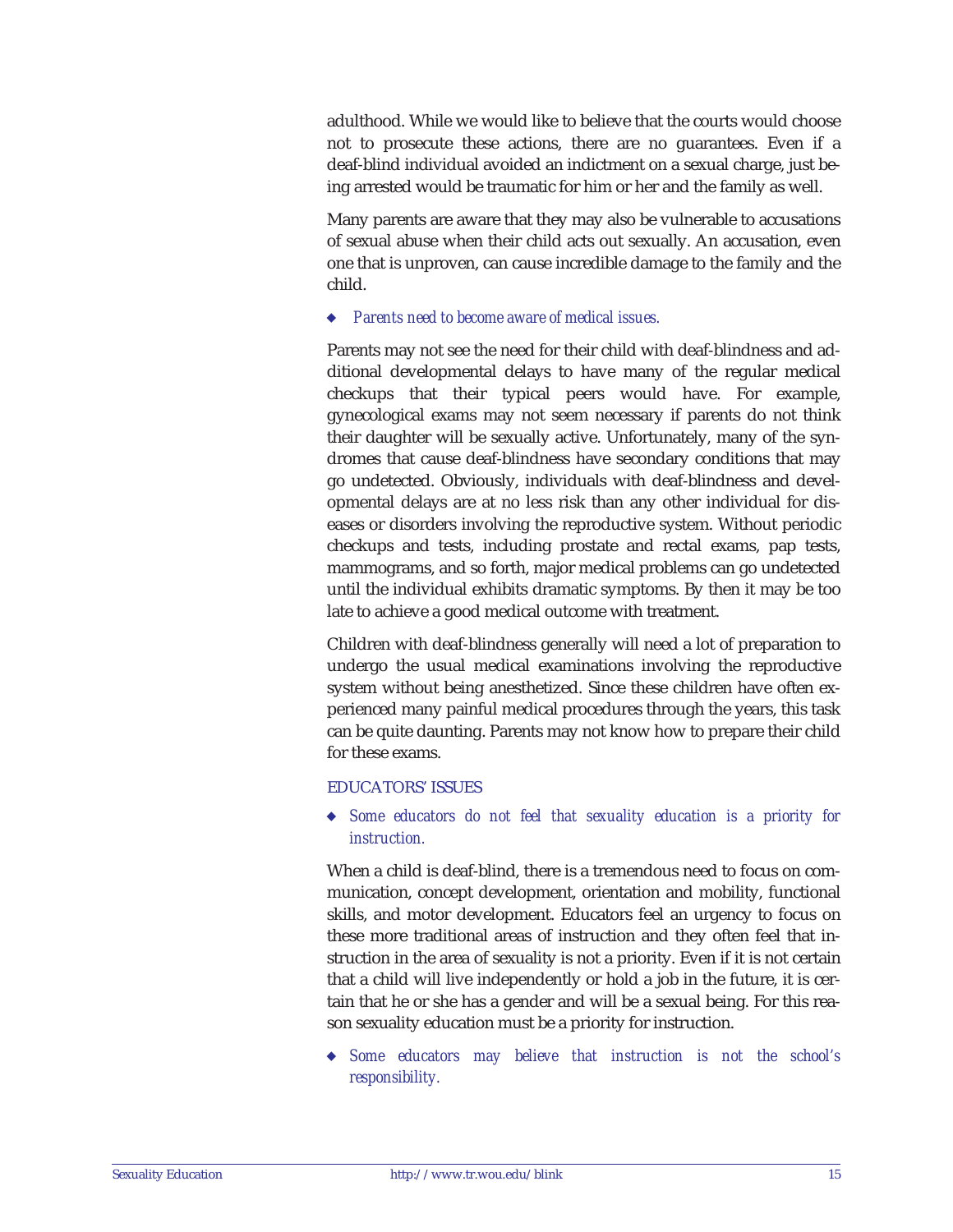adulthood. While we would like to believe that the courts would choose not to prosecute these actions, there are no guarantees. Even if a deaf-blind individual avoided an indictment on a sexual charge, just being arrested would be traumatic for him or her and the family as well.

Many parents are aware that they may also be vulnerable to accusations of sexual abuse when their child acts out sexually. An accusation, even one that is unproven, can cause incredible damage to the family and the child.

#### ◆ *Parents need to become aware of medical issues.*

Parents may not see the need for their child with deaf-blindness and additional developmental delays to have many of the regular medical checkups that their typical peers would have. For example, gynecological exams may not seem necessary if parents do not think their daughter will be sexually active. Unfortunately, many of the syndromes that cause deaf-blindness have secondary conditions that may go undetected. Obviously, individuals with deaf-blindness and developmental delays are at no less risk than any other individual for diseases or disorders involving the reproductive system. Without periodic checkups and tests, including prostate and rectal exams, pap tests, mammograms, and so forth, major medical problems can go undetected until the individual exhibits dramatic symptoms. By then it may be too late to achieve a good medical outcome with treatment.

Children with deaf-blindness generally will need a lot of preparation to undergo the usual medical examinations involving the reproductive system without being anesthetized. Since these children have often experienced many painful medical procedures through the years, this task can be quite daunting. Parents may not know how to prepare their child for these exams.

#### EDUCATORS' ISSUES

#### ◆ *Some educators do not feel that sexuality education is a priority for instruction.*

When a child is deaf-blind, there is a tremendous need to focus on communication, concept development, orientation and mobility, functional skills, and motor development. Educators feel an urgency to focus on these more traditional areas of instruction and they often feel that instruction in the area of sexuality is not a priority. Even if it is not certain that a child will live independently or hold a job in the future, it is certain that he or she has a gender and will be a sexual being. For this reason sexuality education must be a priority for instruction.

◆ *Some educators may believe that instruction is not the school's responsibility.*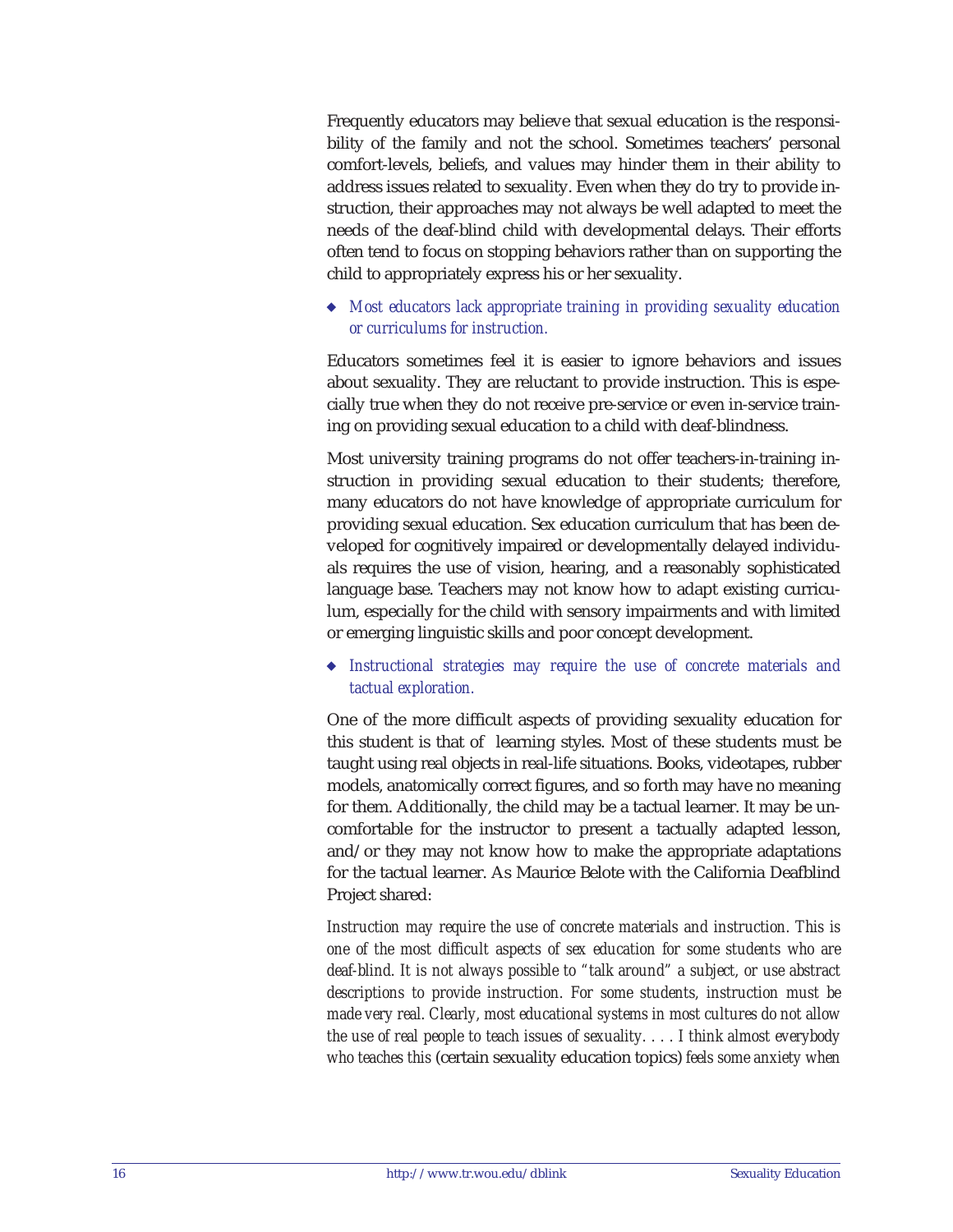Frequently educators may believe that sexual education is the responsibility of the family and not the school. Sometimes teachers' personal comfort-levels, beliefs, and values may hinder them in their ability to address issues related to sexuality. Even when they do try to provide instruction, their approaches may not always be well adapted to meet the needs of the deaf-blind child with developmental delays. Their efforts often tend to focus on stopping behaviors rather than on supporting the child to appropriately express his or her sexuality.

#### ◆ *Most educators lack appropriate training in providing sexuality education or curriculums for instruction.*

Educators sometimes feel it is easier to ignore behaviors and issues about sexuality. They are reluctant to provide instruction. This is especially true when they do not receive pre-service or even in-service training on providing sexual education to a child with deaf-blindness.

Most university training programs do not offer teachers-in-training instruction in providing sexual education to their students; therefore, many educators do not have knowledge of appropriate curriculum for providing sexual education. Sex education curriculum that has been developed for cognitively impaired or developmentally delayed individuals requires the use of vision, hearing, and a reasonably sophisticated language base. Teachers may not know how to adapt existing curriculum, especially for the child with sensory impairments and with limited or emerging linguistic skills and poor concept development.

#### ◆ *Instructional strategies may require the use of concrete materials and tactual exploration.*

One of the more difficult aspects of providing sexuality education for this student is that of learning styles. Most of these students must be taught using real objects in real-life situations. Books, videotapes, rubber models, anatomically correct figures, and so forth may have no meaning for them. Additionally, the child may be a tactual learner. It may be uncomfortable for the instructor to present a tactually adapted lesson, and/or they may not know how to make the appropriate adaptations for the tactual learner. As Maurice Belote with the California Deafblind Project shared:

*Instruction may require the use of concrete materials and instruction. This is one of the most difficult aspects of sex education for some students who are deaf-blind. It is not always possible to "talk around" a subject, or use abstract descriptions to provide instruction. For some students, instruction must be made very real. Clearly, most educational systems in most cultures do not allow the use of real people to teach issues of sexuality....I think almost everybody who teaches this* (certain sexuality education topics) *feels some anxiety when*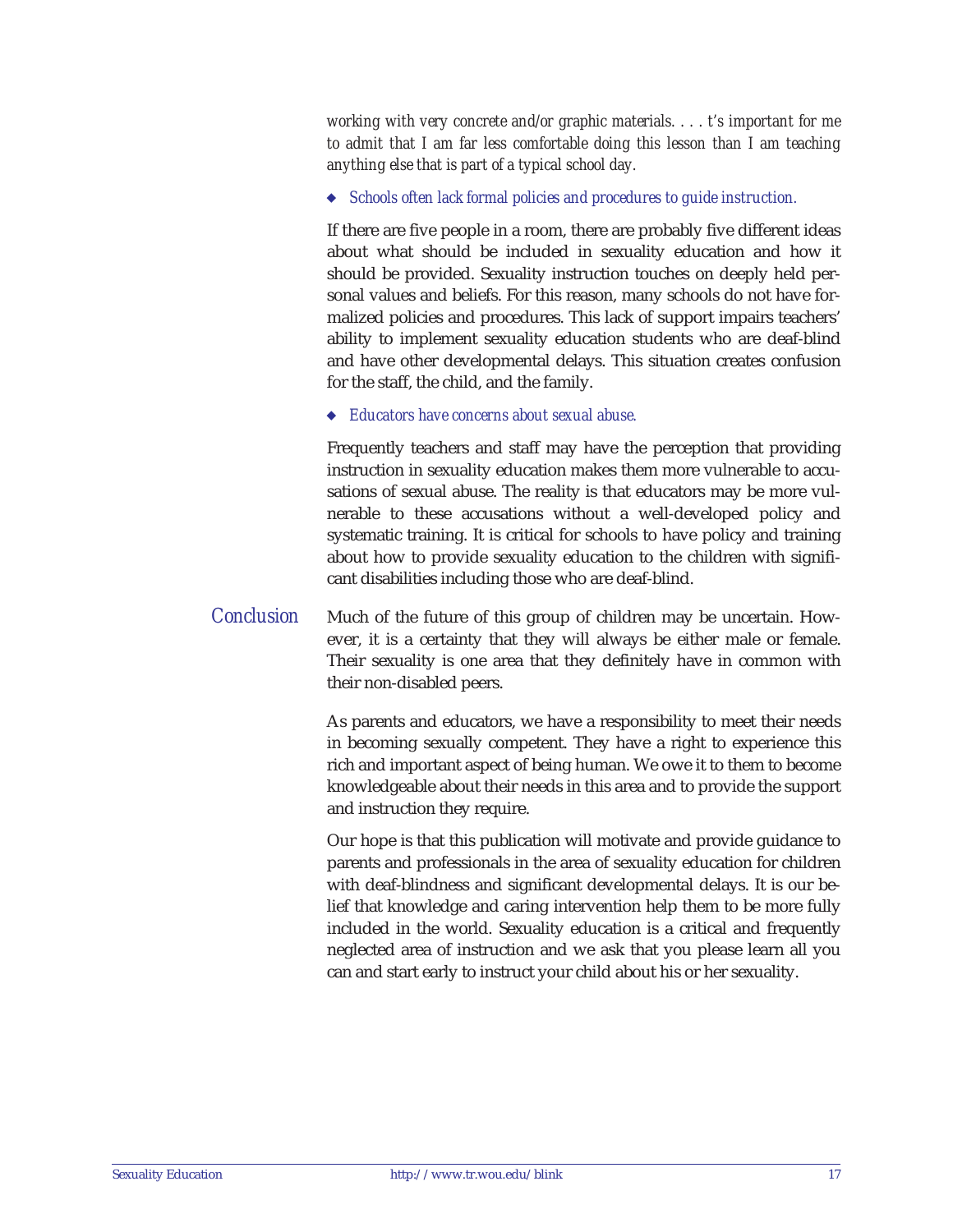*working with very concrete and/or graphic materials. . . . t's important for me to admit that I am far less comfortable doing this lesson than I am teaching anything else that is part of a typical school day.*

◆ *Schools often lack formal policies and procedures to guide instruction.*

If there are five people in a room, there are probably five different ideas about what should be included in sexuality education and how it should be provided. Sexuality instruction touches on deeply held personal values and beliefs. For this reason, many schools do not have formalized policies and procedures. This lack of support impairs teachers' ability to implement sexuality education students who are deaf-blind and have other developmental delays. This situation creates confusion for the staff, the child, and the family.

◆ *Educators have concerns about sexual abuse.*

Frequently teachers and staff may have the perception that providing instruction in sexuality education makes them more vulnerable to accusations of sexual abuse. The reality is that educators may be more vulnerable to these accusations without a well-developed policy and systematic training. It is critical for schools to have policy and training about how to provide sexuality education to the children with significant disabilities including those who are deaf-blind.

*Conclusion* Much of the future of this group of children may be uncertain. However, it is a certainty that they will always be either male or female. Their sexuality is one area that they definitely have in common with their non-disabled peers.

> As parents and educators, we have a responsibility to meet their needs in becoming sexually competent. They have a right to experience this rich and important aspect of being human. We owe it to them to become knowledgeable about their needs in this area and to provide the support and instruction they require.

> Our hope is that this publication will motivate and provide guidance to parents and professionals in the area of sexuality education for children with deaf-blindness and significant developmental delays. It is our belief that knowledge and caring intervention help them to be more fully included in the world. Sexuality education is a critical and frequently neglected area of instruction and we ask that you please learn all you can and start early to instruct your child about his or her sexuality.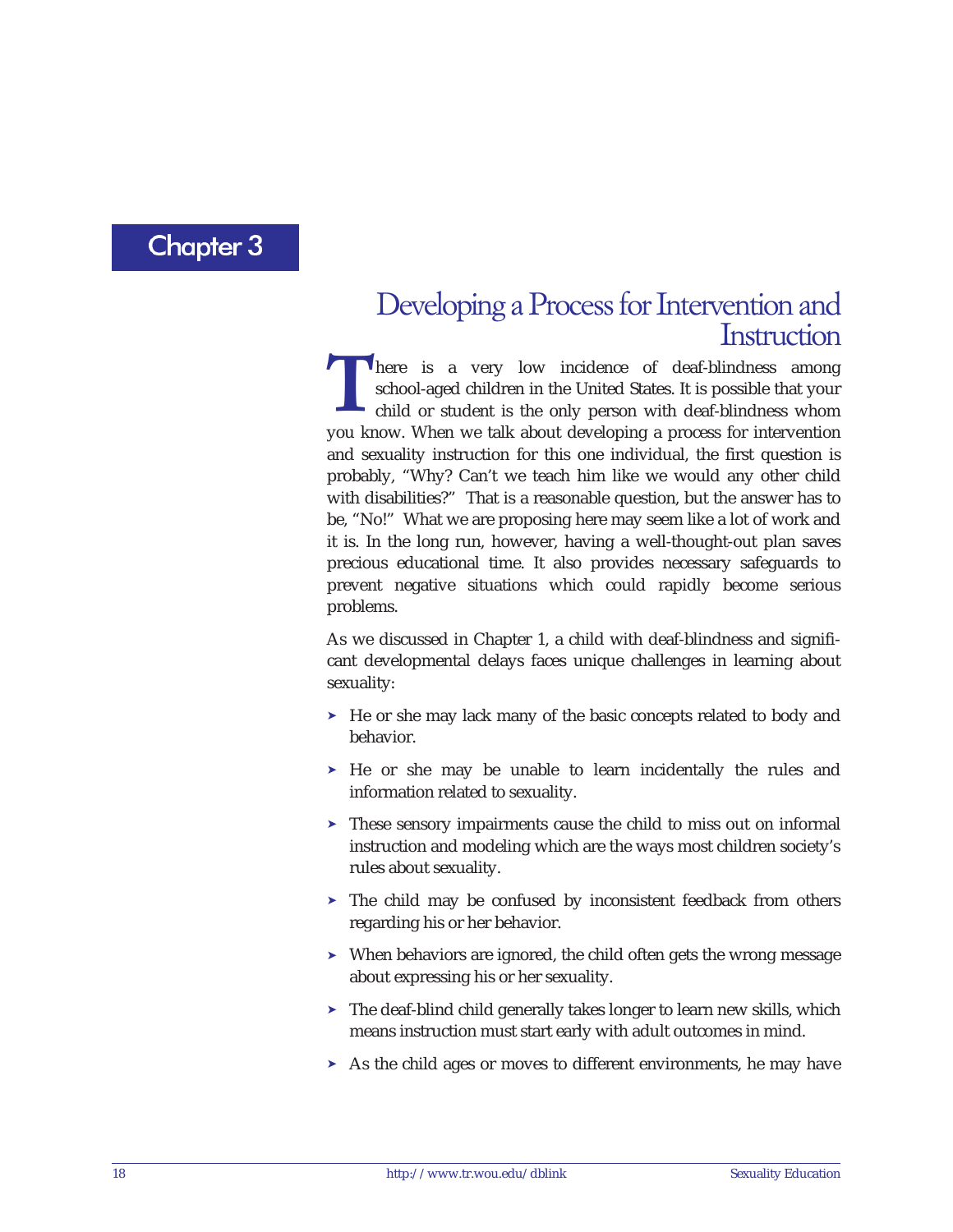### *Developing a Process for Intervention and Instruction*

There is a very low incidence of deaf-blindness among school-aged children in the United States. It is possible that your child or student is the only person with deaf-blindness whom you know. When we talk about developing a process for intervention and sexuality instruction for this one individual, the first question is probably, "Why? Can't we teach him like we would any other child with disabilities?" That is a reasonable question, but the answer has to be, "No!" What we are proposing here may seem like a lot of work and it is. In the long run, however, having a well-thought-out plan saves precious educational time. It also provides necessary safeguards to prevent negative situations which could rapidly become serious problems.

As we discussed in Chapter 1, a child with deaf-blindness and significant developmental delays faces unique challenges in learning about sexuality:

- ➤ He or she may lack many of the basic concepts related to body and behavior.
- ➤ He or she may be unable to learn incidentally the rules and information related to sexuality.
- ➤ These sensory impairments cause the child to miss out on informal instruction and modeling which are the ways most children society's rules about sexuality.
- ➤ The child may be confused by inconsistent feedback from others regarding his or her behavior.
- ➤ When behaviors are ignored, the child often gets the wrong message about expressing his or her sexuality.
- ➤ The deaf-blind child generally takes longer to learn new skills, which means instruction must start early with adult outcomes in mind.
- ➤ As the child ages or moves to different environments, he may have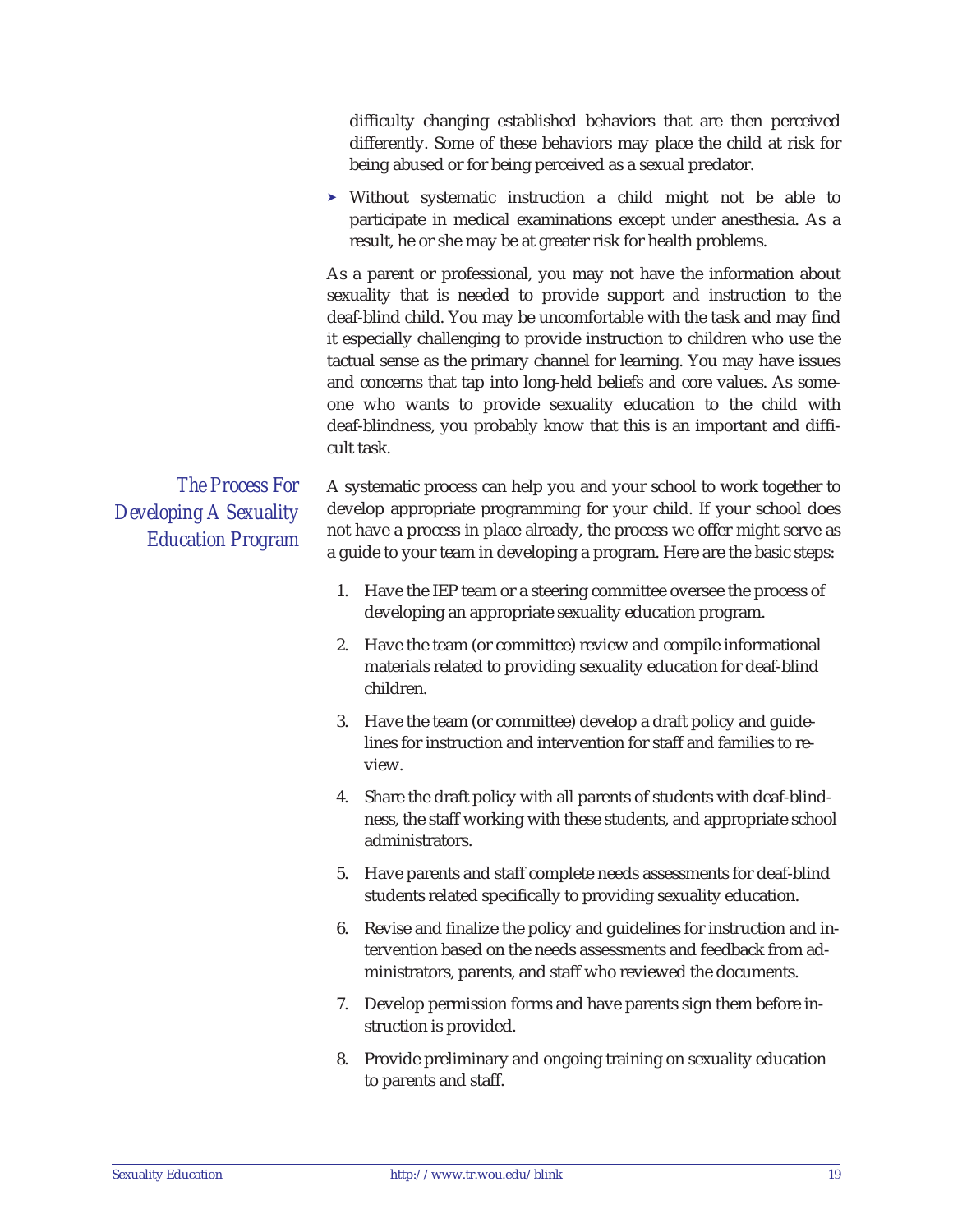difficulty changing established behaviors that are then perceived differently. Some of these behaviors may place the child at risk for being abused or for being perceived as a sexual predator.

➤ Without systematic instruction a child might not be able to participate in medical examinations except under anesthesia. As a result, he or she may be at greater risk for health problems.

As a parent or professional, you may not have the information about sexuality that is needed to provide support and instruction to the deaf-blind child. You may be uncomfortable with the task and may find it especially challenging to provide instruction to children who use the tactual sense as the primary channel for learning. You may have issues and concerns that tap into long-held beliefs and core values. As someone who wants to provide sexuality education to the child with deaf-blindness, you probably know that this is an important and difficult task.

*The Process For Developing A Sexuality Education Program*

A systematic process can help you and your school to work together to develop appropriate programming for your child. If your school does not have a process in place already, the process we offer might serve as a guide to your team in developing a program. Here are the basic steps:

- 1. Have the IEP team or a steering committee oversee the process of developing an appropriate sexuality education program.
- 2. Have the team (or committee) review and compile informational materials related to providing sexuality education for deaf-blind children.
- 3. Have the team (or committee) develop a draft policy and guidelines for instruction and intervention for staff and families to review.
- 4. Share the draft policy with all parents of students with deaf-blindness, the staff working with these students, and appropriate school administrators.
- 5. Have parents and staff complete needs assessments for deaf-blind students related specifically to providing sexuality education.
- 6. Revise and finalize the policy and guidelines for instruction and intervention based on the needs assessments and feedback from administrators, parents, and staff who reviewed the documents.
- 7. Develop permission forms and have parents sign them before instruction is provided.
- 8. Provide preliminary and ongoing training on sexuality education to parents and staff.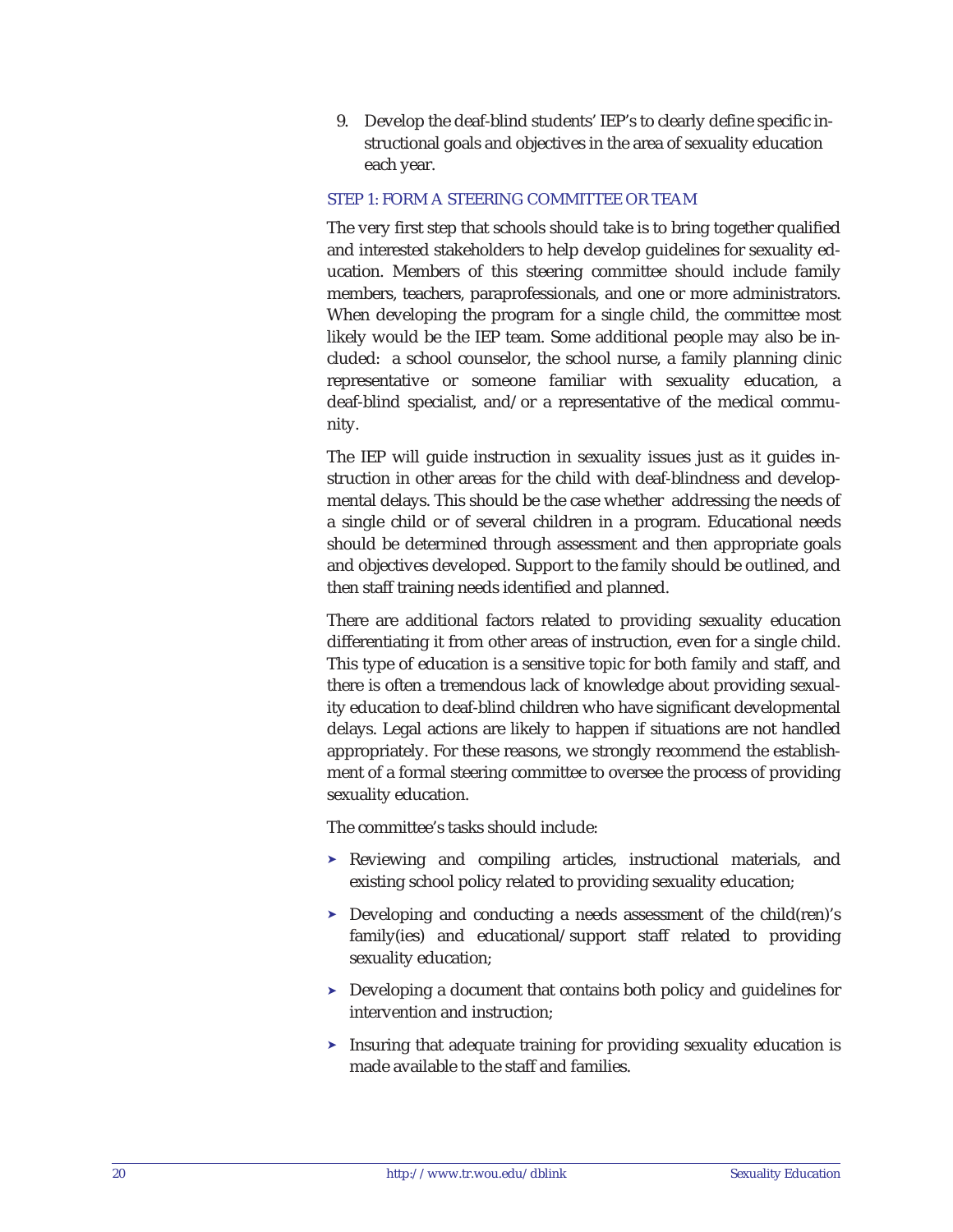9. Develop the deaf-blind students' IEP's to clearly define specific instructional goals and objectives in the area of sexuality education each year.

#### STEP 1: FORM A STEERING COMMITTEE OR TEAM

The very first step that schools should take is to bring together qualified and interested stakeholders to help develop guidelines for sexuality education. Members of this steering committee should include family members, teachers, paraprofessionals, and one or more administrators. When developing the program for a single child, the committee most likely would be the IEP team. Some additional people may also be included: a school counselor, the school nurse, a family planning clinic representative or someone familiar with sexuality education, a deaf-blind specialist, and/or a representative of the medical community.

The IEP will guide instruction in sexuality issues just as it guides instruction in other areas for the child with deaf-blindness and developmental delays. This should be the case whether addressing the needs of a single child or of several children in a program. Educational needs should be determined through assessment and then appropriate goals and objectives developed. Support to the family should be outlined, and then staff training needs identified and planned.

There are additional factors related to providing sexuality education differentiating it from other areas of instruction, even for a single child. This type of education is a sensitive topic for both family and staff, and there is often a tremendous lack of knowledge about providing sexuality education to deaf-blind children who have significant developmental delays. Legal actions are likely to happen if situations are not handled appropriately. For these reasons, we strongly recommend the establishment of a formal steering committee to oversee the process of providing sexuality education.

The committee's tasks should include:

- ➤ Reviewing and compiling articles, instructional materials, and existing school policy related to providing sexuality education;
- ➤ Developing and conducting a needs assessment of the child(ren)'s family(ies) and educational/support staff related to providing sexuality education;
- ➤ Developing a document that contains both policy and guidelines for intervention and instruction;
- ➤ Insuring that adequate training for providing sexuality education is made available to the staff and families.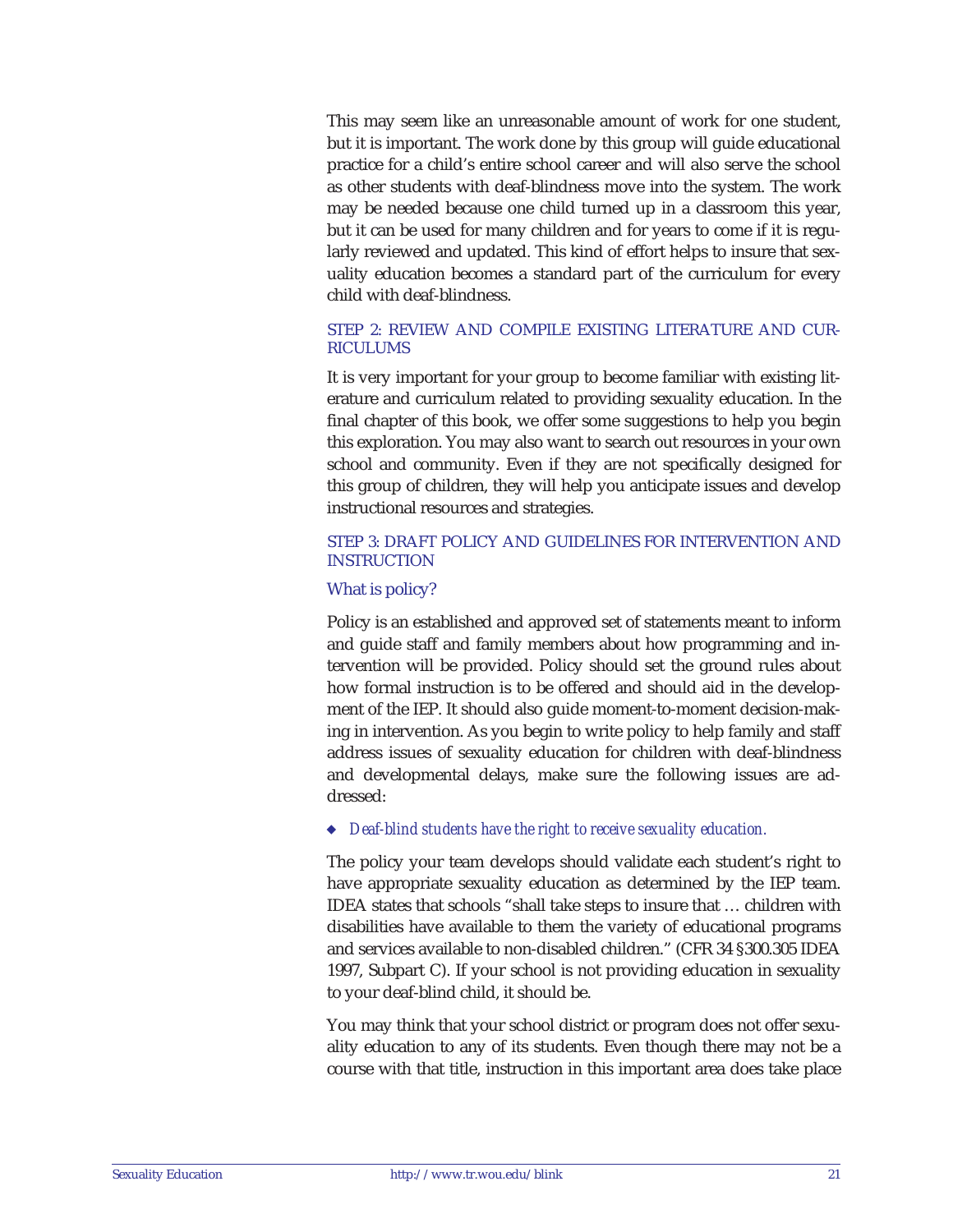This may seem like an unreasonable amount of work for one student, but it is important. The work done by this group will guide educational practice for a child's entire school career and will also serve the school as other students with deaf-blindness move into the system. The work may be needed because one child turned up in a classroom this year, but it can be used for many children and for years to come if it is regularly reviewed and updated. This kind of effort helps to insure that sexuality education becomes a standard part of the curriculum for every child with deaf-blindness.

#### STEP 2: REVIEW AND COMPILE EXISTING LITERATURE AND CUR-RICULUMS

It is very important for your group to become familiar with existing literature and curriculum related to providing sexuality education. In the final chapter of this book, we offer some suggestions to help you begin this exploration. You may also want to search out resources in your own school and community. Even if they are not specifically designed for this group of children, they will help you anticipate issues and develop instructional resources and strategies.

#### STEP 3: DRAFT POLICY AND GUIDELINES FOR INTERVENTION AND **INSTRUCTION**

#### What is policy?

Policy is an established and approved set of statements meant to inform and guide staff and family members about how programming and intervention will be provided. Policy should set the ground rules about how formal instruction is to be offered and should aid in the development of the IEP. It should also guide moment-to-moment decision-making in intervention. As you begin to write policy to help family and staff address issues of sexuality education for children with deaf-blindness and developmental delays, make sure the following issues are addressed:

#### ◆ *Deaf-blind students have the right to receive sexuality education.*

The policy your team develops should validate each student's right to have appropriate sexuality education as determined by the IEP team. IDEA states that schools "shall take steps to insure that … children with disabilities have available to them the variety of educational programs and services available to non-disabled children." (CFR 34 §300.305 IDEA 1997, Subpart C). If your school is not providing education in sexuality to your deaf-blind child, it should be.

You may think that your school district or program does not offer sexuality education to any of its students. Even though there may not be a course with that title, instruction in this important area does take place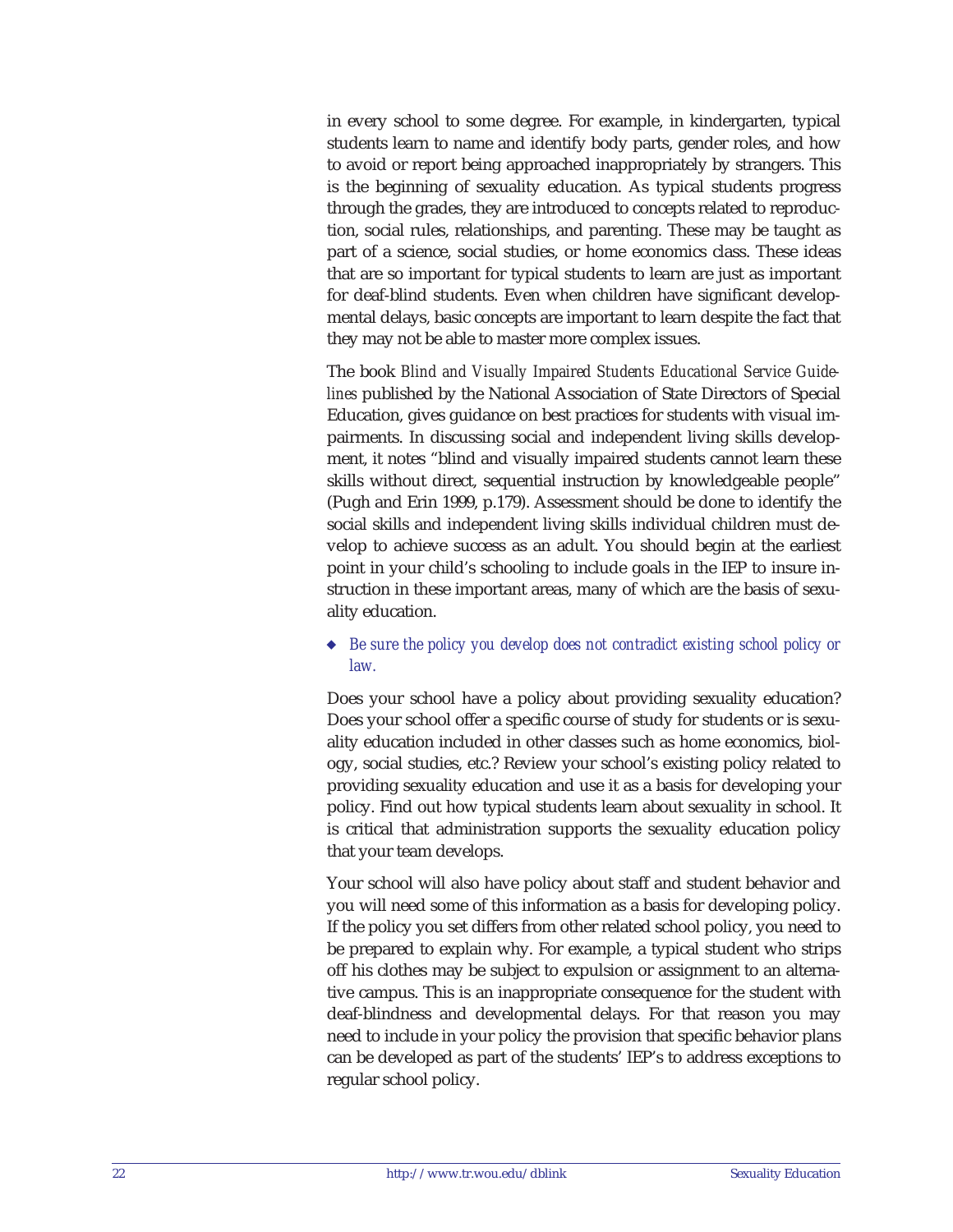in every school to some degree. For example, in kindergarten, typical students learn to name and identify body parts, gender roles, and how to avoid or report being approached inappropriately by strangers. This is the beginning of sexuality education. As typical students progress through the grades, they are introduced to concepts related to reproduction, social rules, relationships, and parenting. These may be taught as part of a science, social studies, or home economics class. These ideas that are so important for typical students to learn are just as important for deaf-blind students. Even when children have significant developmental delays, basic concepts are important to learn despite the fact that they may not be able to master more complex issues.

The book *Blind and Visually Impaired Students Educational Service Guidelines* published by the National Association of State Directors of Special Education, gives guidance on best practices for students with visual impairments. In discussing social and independent living skills development, it notes "blind and visually impaired students cannot learn these skills without direct, sequential instruction by knowledgeable people" (Pugh and Erin 1999, p.179). Assessment should be done to identify the social skills and independent living skills individual children must develop to achieve success as an adult. You should begin at the earliest point in your child's schooling to include goals in the IEP to insure instruction in these important areas, many of which are the basis of sexuality education.

◆ *Be sure the policy you develop does not contradict existing school policy or law.*

Does your school have a policy about providing sexuality education? Does your school offer a specific course of study for students or is sexuality education included in other classes such as home economics, biology, social studies, etc.? Review your school's existing policy related to providing sexuality education and use it as a basis for developing your policy. Find out how typical students learn about sexuality in school. It is critical that administration supports the sexuality education policy that your team develops.

Your school will also have policy about staff and student behavior and you will need some of this information as a basis for developing policy. If the policy you set differs from other related school policy, you need to be prepared to explain why. For example, a typical student who strips off his clothes may be subject to expulsion or assignment to an alternative campus. This is an inappropriate consequence for the student with deaf-blindness and developmental delays. For that reason you may need to include in your policy the provision that specific behavior plans can be developed as part of the students' IEP's to address exceptions to regular school policy.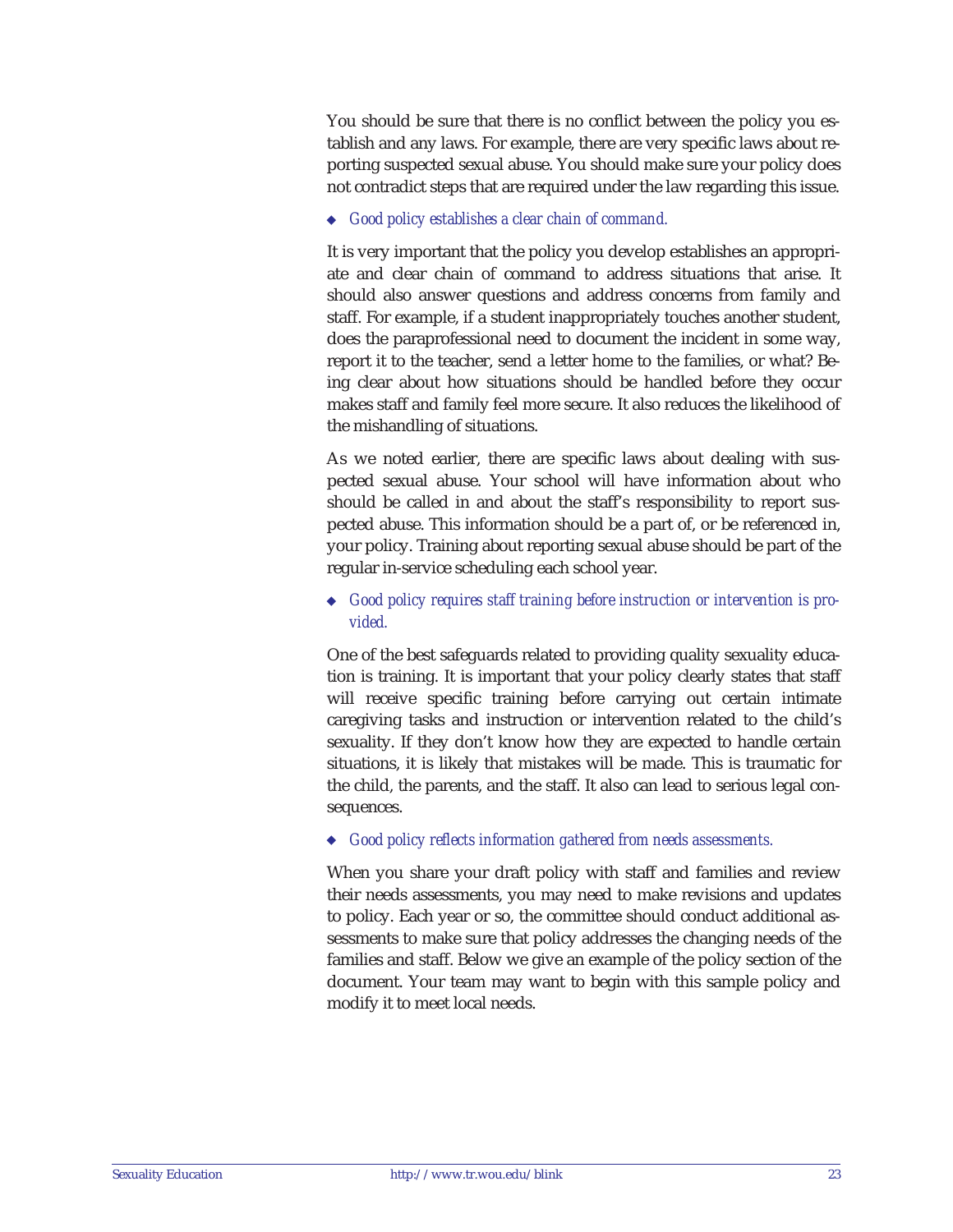You should be sure that there is no conflict between the policy you establish and any laws. For example, there are very specific laws about reporting suspected sexual abuse. You should make sure your policy does not contradict steps that are required under the law regarding this issue.

◆ *Good policy establishes a clear chain of command.*

It is very important that the policy you develop establishes an appropriate and clear chain of command to address situations that arise. It should also answer questions and address concerns from family and staff. For example, if a student inappropriately touches another student, does the paraprofessional need to document the incident in some way, report it to the teacher, send a letter home to the families, or what? Being clear about how situations should be handled before they occur makes staff and family feel more secure. It also reduces the likelihood of the mishandling of situations.

As we noted earlier, there are specific laws about dealing with suspected sexual abuse. Your school will have information about who should be called in and about the staff's responsibility to report suspected abuse. This information should be a part of, or be referenced in, your policy. Training about reporting sexual abuse should be part of the regular in-service scheduling each school year.

◆ *Good policy requires staff training before instruction or intervention is provided.*

One of the best safeguards related to providing quality sexuality education is training. It is important that your policy clearly states that staff will receive specific training before carrying out certain intimate caregiving tasks and instruction or intervention related to the child's sexuality. If they don't know how they are expected to handle certain situations, it is likely that mistakes will be made. This is traumatic for the child, the parents, and the staff. It also can lead to serious legal consequences.

#### ◆ *Good policy reflects information gathered from needs assessments.*

When you share your draft policy with staff and families and review their needs assessments, you may need to make revisions and updates to policy. Each year or so, the committee should conduct additional assessments to make sure that policy addresses the changing needs of the families and staff. Below we give an example of the policy section of the document. Your team may want to begin with this sample policy and modify it to meet local needs.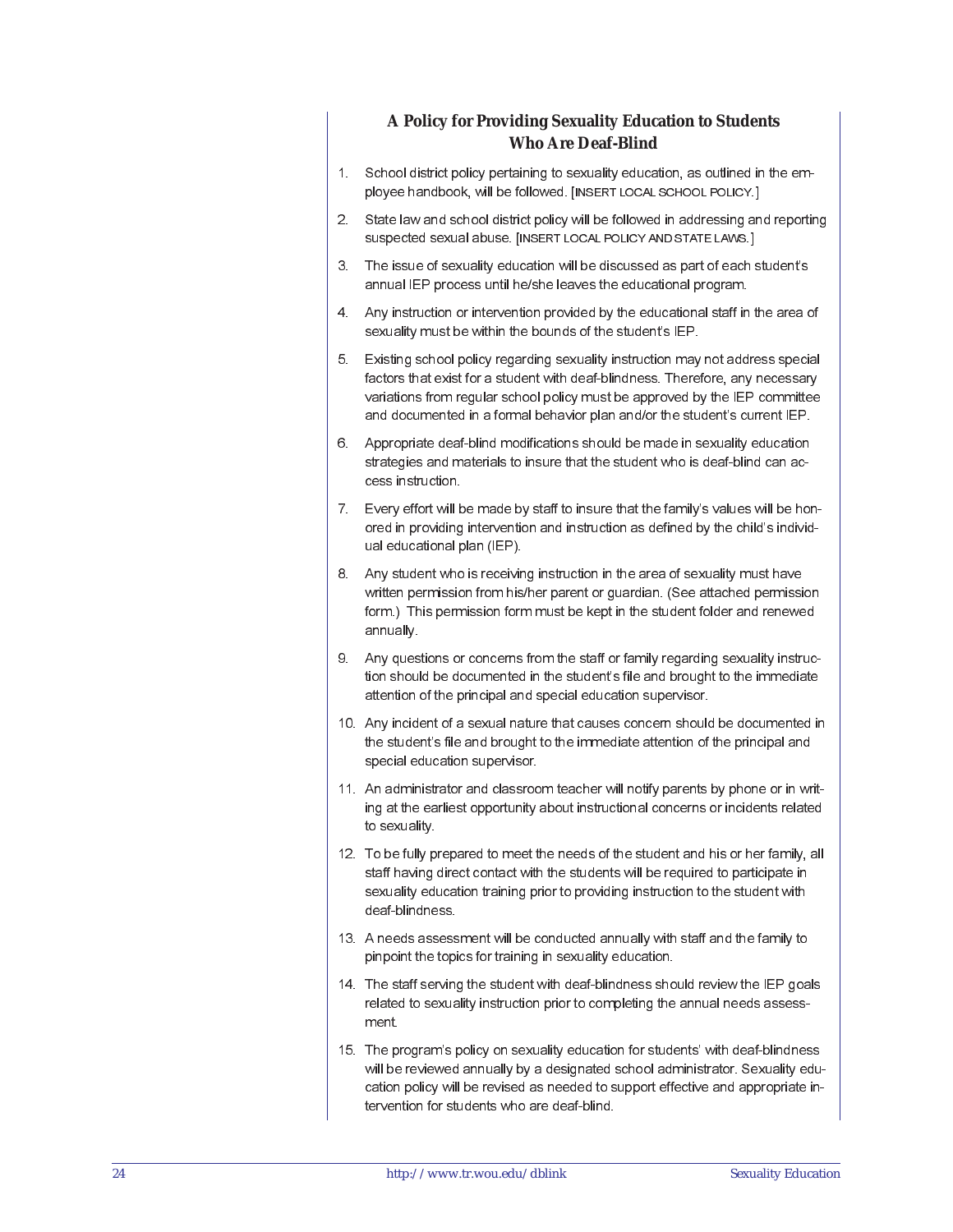#### **A Policy for Providing Sexuality Education to Students Who Are Deaf-Blind**

- 1. School district policy pertaining to sexuality education, as outlined in the employee handbook, will be followed. [INSERT LOCAL SCHOOL POLICY.]
- 2. State law and school district policy will be followed in addressing and reporting suspected sexual abuse. [INSERT LOCAL POLICY AND STATE LAWS.]
- 3. The issue of sexuality education will be discussed as part of each students annual IEP process until he/she leaves the educational program.
- 4. Any instruction or intervention provided by the educational staff in the area of sexuality must be within the bounds of the student's IEP.
- 5. Existing school policy regarding sexuality instruction may not address special factors that exist for a student with deaf-blindness. Therefore, any necessary variations from regular school policy must be approved by the IEP committee and documented in a formal behavior plan and/or the student's current IEP.
- 6. Appropriate deaf-blind modifications should be made in sexuality education strategies and materials to insure that the student who is deaf-blind can access instruction.
- 7. Every effort will be made by staff to insure that the familys values will be honored in providing intervention and instruction as defined by the child's individual educational plan (IEP).
- 8. Any student who is receiving instruction in the area of sexuality must have written permission from his/her parent or guardian. (See attached permission form.) This permission form must be kept in the student folder and renewed annually.
- 9. Any questions or concerns from the staff or family regarding sexuality instruction should be documented in the student's file and brought to the immediate attention of the principal and special education supervisor.
- 10. Any incident of a sexual nature that causes concern should be documented in the student's file and brought to the immediate attention of the principal and special education supervisor.
- 11. An administrator and classroom teacher will notify parents by phone or in writing at the earliest opportunity about instructional concerns or incidents related to sexuality.
- 12. To be fully prepared to meet the needs of the student and his or her family, all staff having direct contact with the students will be required to participate in sexuality education training prior to providing instruction to the student with deaf-blindness.
- 13. A needs assessment will be conducted annually with staff and the family to pinpoint the topics for training in sexuality education.
- 14. The staff serving the student with deaf-blindness should review the IEP goals related to sexuality instruction prior to completing the annual needs assessment.
- 15. The program's policy on sexuality education for students' with deaf-blindness will be reviewed annually by a designated school administrator. Sexuality education policy will be revised as needed to support effective and appropriate intervention for students who are deaf-blind.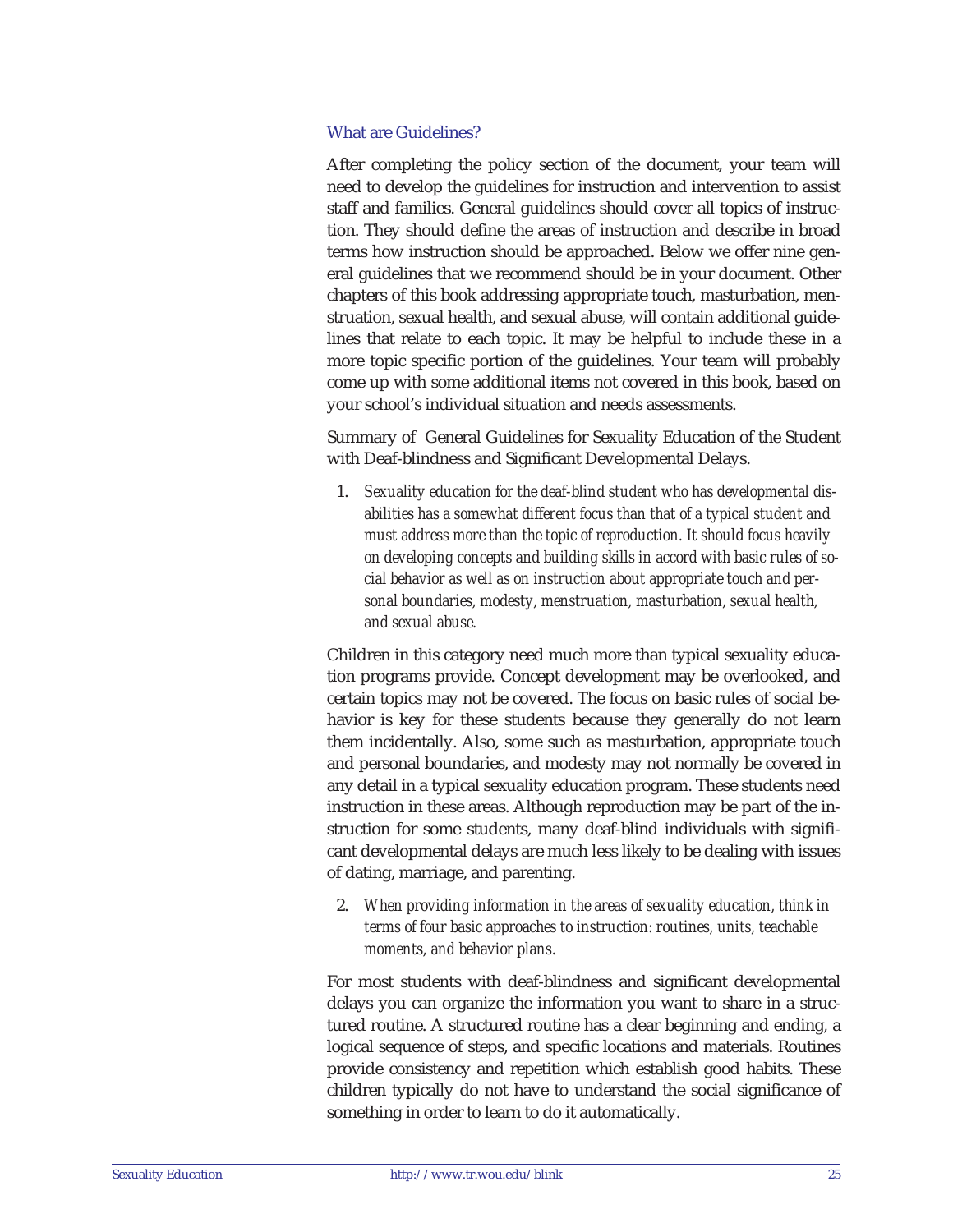#### What are Guidelines?

After completing the policy section of the document, your team will need to develop the guidelines for instruction and intervention to assist staff and families. General guidelines should cover all topics of instruction. They should define the areas of instruction and describe in broad terms how instruction should be approached. Below we offer nine general guidelines that we recommend should be in your document. Other chapters of this book addressing appropriate touch, masturbation, menstruation, sexual health, and sexual abuse, will contain additional guidelines that relate to each topic. It may be helpful to include these in a more topic specific portion of the guidelines. Your team will probably come up with some additional items not covered in this book, based on your school's individual situation and needs assessments.

Summary of General Guidelines for Sexuality Education of the Student with Deaf-blindness and Significant Developmental Delays.

1. *Sexuality education for the deaf-blind student who has developmental disabilities has a somewhat different focus than that of a typical student and must address more than the topic of reproduction. It should focus heavily on developing concepts and building skills in accord with basic rules of social behavior as well as on instruction about appropriate touch and personal boundaries, modesty, menstruation, masturbation, sexual health, and sexual abuse.*

Children in this category need much more than typical sexuality education programs provide. Concept development may be overlooked, and certain topics may not be covered. The focus on basic rules of social behavior is key for these students because they generally do not learn them incidentally. Also, some such as masturbation, appropriate touch and personal boundaries, and modesty may not normally be covered in any detail in a typical sexuality education program. These students need instruction in these areas. Although reproduction may be part of the instruction for some students, many deaf-blind individuals with significant developmental delays are much less likely to be dealing with issues of dating, marriage, and parenting.

2. *When providing information in the areas of sexuality education, think in terms of four basic approaches to instruction: routines, units, teachable moments, and behavior plans*.

For most students with deaf-blindness and significant developmental delays you can organize the information you want to share in a structured routine. A structured routine has a clear beginning and ending, a logical sequence of steps, and specific locations and materials. Routines provide consistency and repetition which establish good habits. These children typically do not have to understand the social significance of something in order to learn to do it automatically.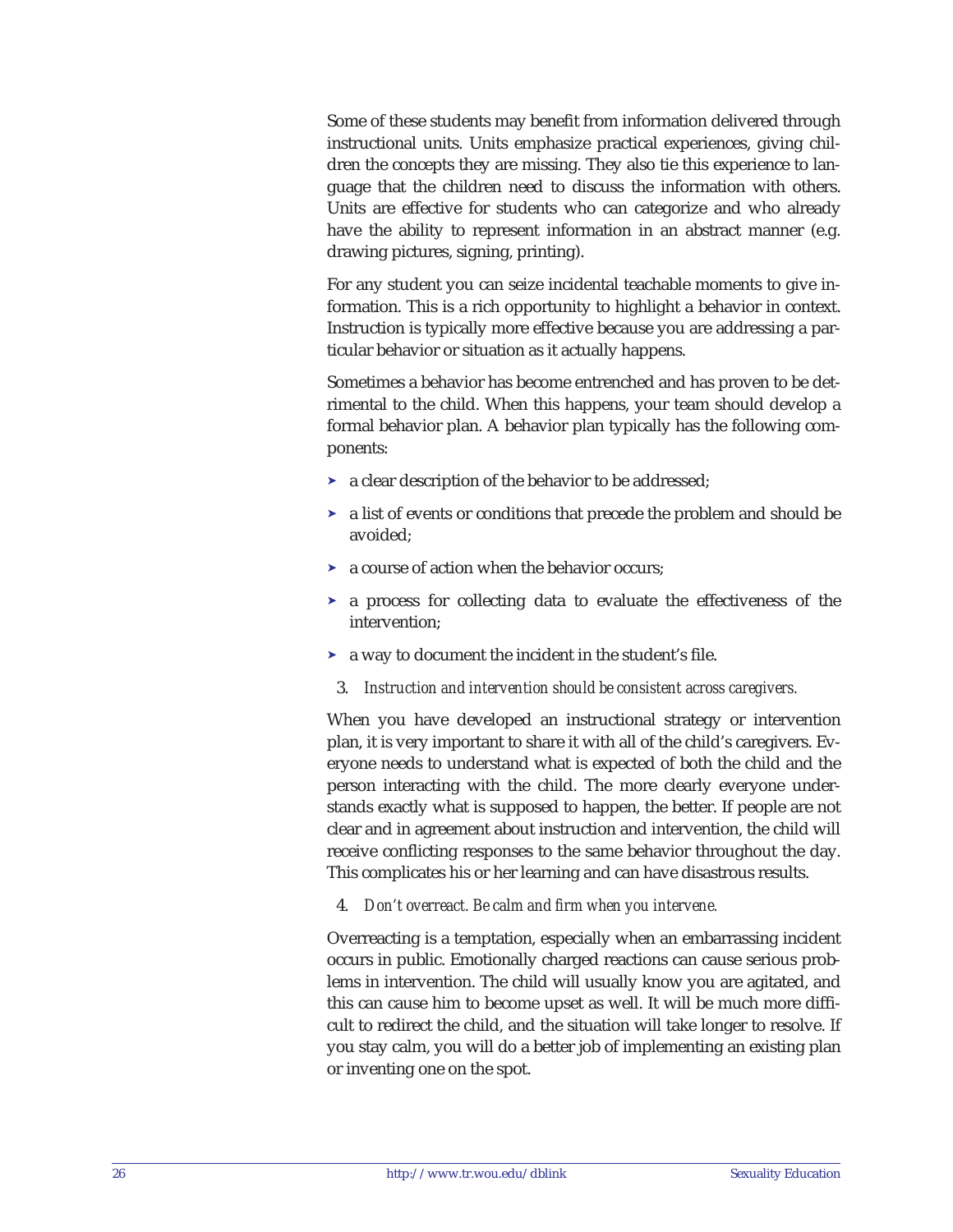Some of these students may benefit from information delivered through instructional units. Units emphasize practical experiences, giving children the concepts they are missing. They also tie this experience to language that the children need to discuss the information with others. Units are effective for students who can categorize and who already have the ability to represent information in an abstract manner (e.g. drawing pictures, signing, printing).

For any student you can seize incidental teachable moments to give information. This is a rich opportunity to highlight a behavior in context. Instruction is typically more effective because you are addressing a particular behavior or situation as it actually happens.

Sometimes a behavior has become entrenched and has proven to be detrimental to the child. When this happens, your team should develop a formal behavior plan. A behavior plan typically has the following components:

- ➤ a clear description of the behavior to be addressed;
- ➤ a list of events or conditions that precede the problem and should be avoided;
- $\triangleright$  a course of action when the behavior occurs:
- ➤ a process for collecting data to evaluate the effectiveness of the intervention;
- ➤ a way to document the incident in the student's file.
- 3. *Instruction and intervention should be consistent across caregivers.*

When you have developed an instructional strategy or intervention plan, it is very important to share it with all of the child's caregivers. Everyone needs to understand what is expected of both the child and the person interacting with the child. The more clearly everyone understands exactly what is supposed to happen, the better. If people are not clear and in agreement about instruction and intervention, the child will receive conflicting responses to the same behavior throughout the day. This complicates his or her learning and can have disastrous results.

4. *Don't overreact. Be calm and firm when you intervene.*

Overreacting is a temptation, especially when an embarrassing incident occurs in public. Emotionally charged reactions can cause serious problems in intervention. The child will usually know you are agitated, and this can cause him to become upset as well. It will be much more difficult to redirect the child, and the situation will take longer to resolve. If you stay calm, you will do a better job of implementing an existing plan or inventing one on the spot.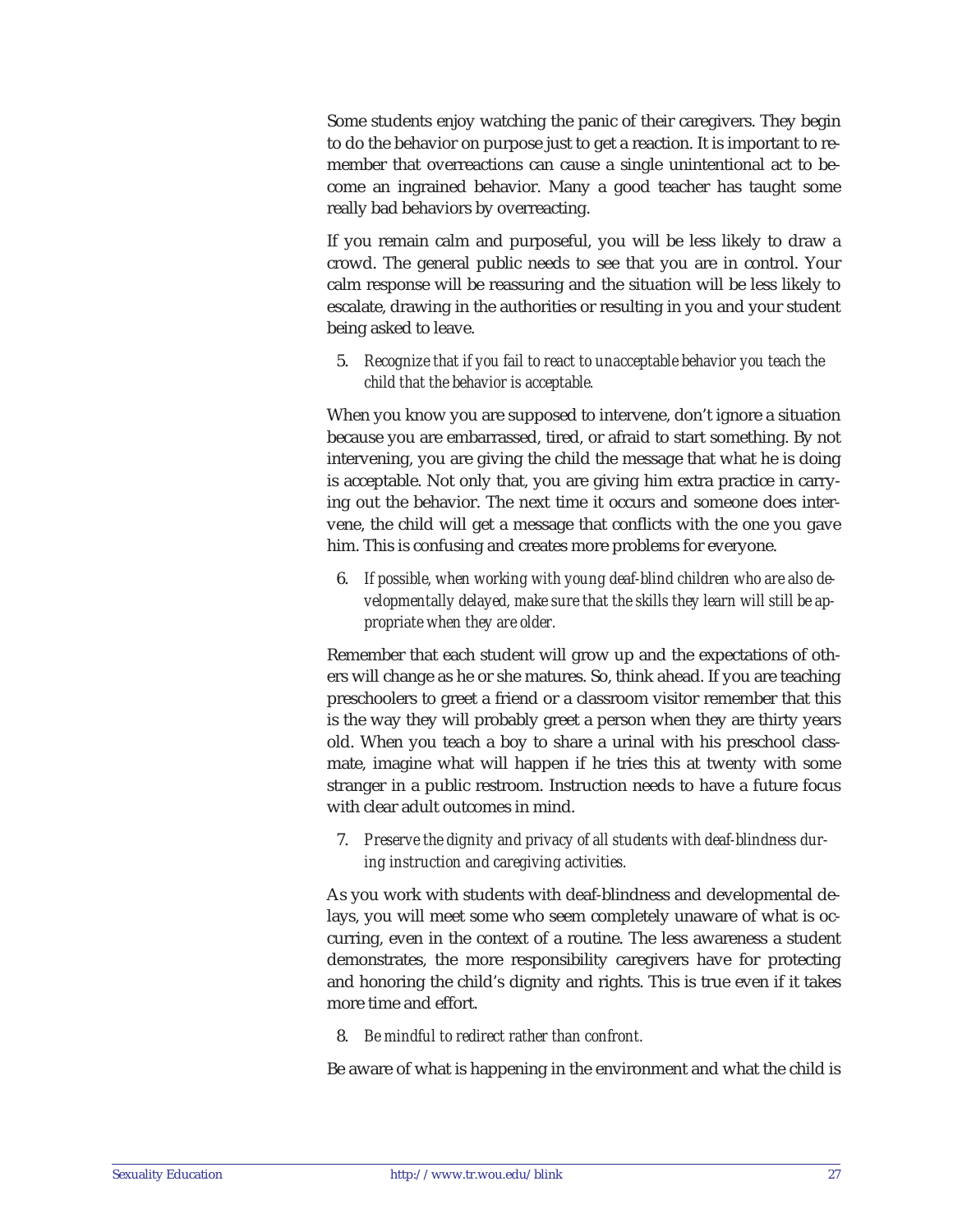Some students enjoy watching the panic of their caregivers. They begin to do the behavior on purpose just to get a reaction. It is important to remember that overreactions can cause a single unintentional act to become an ingrained behavior. Many a good teacher has taught some really bad behaviors by overreacting.

If you remain calm and purposeful, you will be less likely to draw a crowd. The general public needs to see that you are in control. Your calm response will be reassuring and the situation will be less likely to escalate, drawing in the authorities or resulting in you and your student being asked to leave.

#### 5. *Recognize that if you fail to react to unacceptable behavior you teach the child that the behavior is acceptable.*

When you know you are supposed to intervene, don't ignore a situation because you are embarrassed, tired, or afraid to start something. By not intervening, you are giving the child the message that what he is doing is acceptable. Not only that, you are giving him extra practice in carrying out the behavior. The next time it occurs and someone does intervene, the child will get a message that conflicts with the one you gave him. This is confusing and creates more problems for everyone.

6. *If possible, when working with young deaf-blind children who are also developmentally delayed, make sure that the skills they learn will still be appropriate when they are older.*

Remember that each student will grow up and the expectations of others will change as he or she matures. So, think ahead. If you are teaching preschoolers to greet a friend or a classroom visitor remember that this is the way they will probably greet a person when they are thirty years old. When you teach a boy to share a urinal with his preschool classmate, imagine what will happen if he tries this at twenty with some stranger in a public restroom. Instruction needs to have a future focus with clear adult outcomes in mind.

7. *Preserve the dignity and privacy of all students with deaf-blindness during instruction and caregiving activities.*

As you work with students with deaf-blindness and developmental delays, you will meet some who seem completely unaware of what is occurring, even in the context of a routine. The less awareness a student demonstrates, the more responsibility caregivers have for protecting and honoring the child's dignity and rights. This is true even if it takes more time and effort.

8. *Be mindful to redirect rather than confront.*

Be aware of what is happening in the environment and what the child is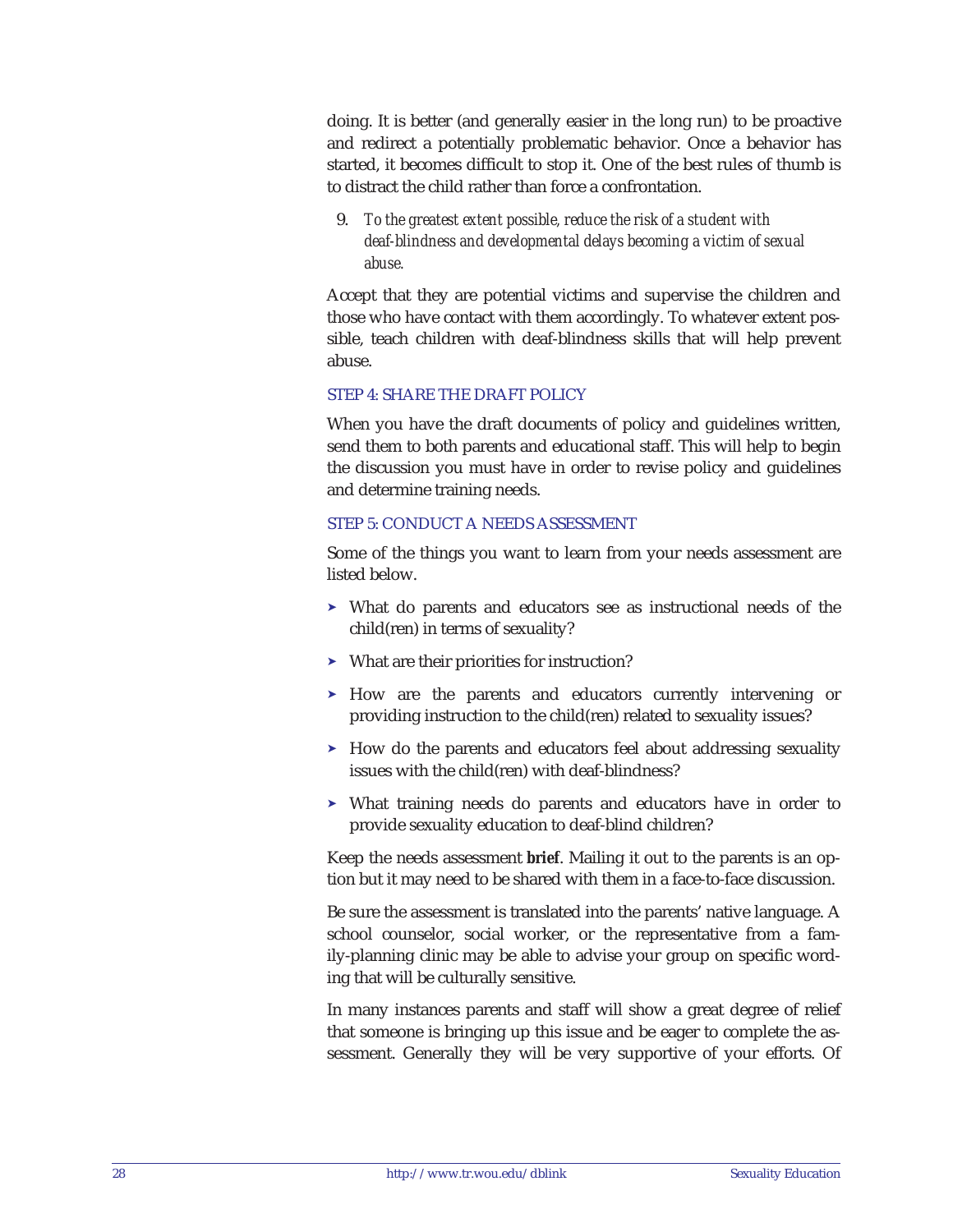doing. It is better (and generally easier in the long run) to be proactive and redirect a potentially problematic behavior. Once a behavior has started, it becomes difficult to stop it. One of the best rules of thumb is to distract the child rather than force a confrontation.

9. *To the greatest extent possible, reduce the risk of a student with deaf-blindness and developmental delays becoming a victim of sexual abuse.*

Accept that they are potential victims and supervise the children and those who have contact with them accordingly. To whatever extent possible, teach children with deaf-blindness skills that will help prevent abuse.

#### STEP 4: SHARE THE DRAFT POLICY

When you have the draft documents of policy and guidelines written, send them to both parents and educational staff. This will help to begin the discussion you must have in order to revise policy and guidelines and determine training needs.

#### STEP 5: CONDUCT A NEEDS ASSESSMENT

Some of the things you want to learn from your needs assessment are listed below.

- ➤ What do parents and educators see as instructional needs of the child(ren) in terms of sexuality?
- ➤ What are their priorities for instruction?
- ➤ How are the parents and educators currently intervening or providing instruction to the child(ren) related to sexuality issues?
- ➤ How do the parents and educators feel about addressing sexuality issues with the child(ren) with deaf-blindness?
- ➤ What training needs do parents and educators have in order to provide sexuality education to deaf-blind children?

Keep the needs assessment *brief*. Mailing it out to the parents is an option but it may need to be shared with them in a face-to-face discussion.

Be sure the assessment is translated into the parents' native language. A school counselor, social worker, or the representative from a family-planning clinic may be able to advise your group on specific wording that will be culturally sensitive.

In many instances parents and staff will show a great degree of relief that someone is bringing up this issue and be eager to complete the assessment. Generally they will be very supportive of your efforts. Of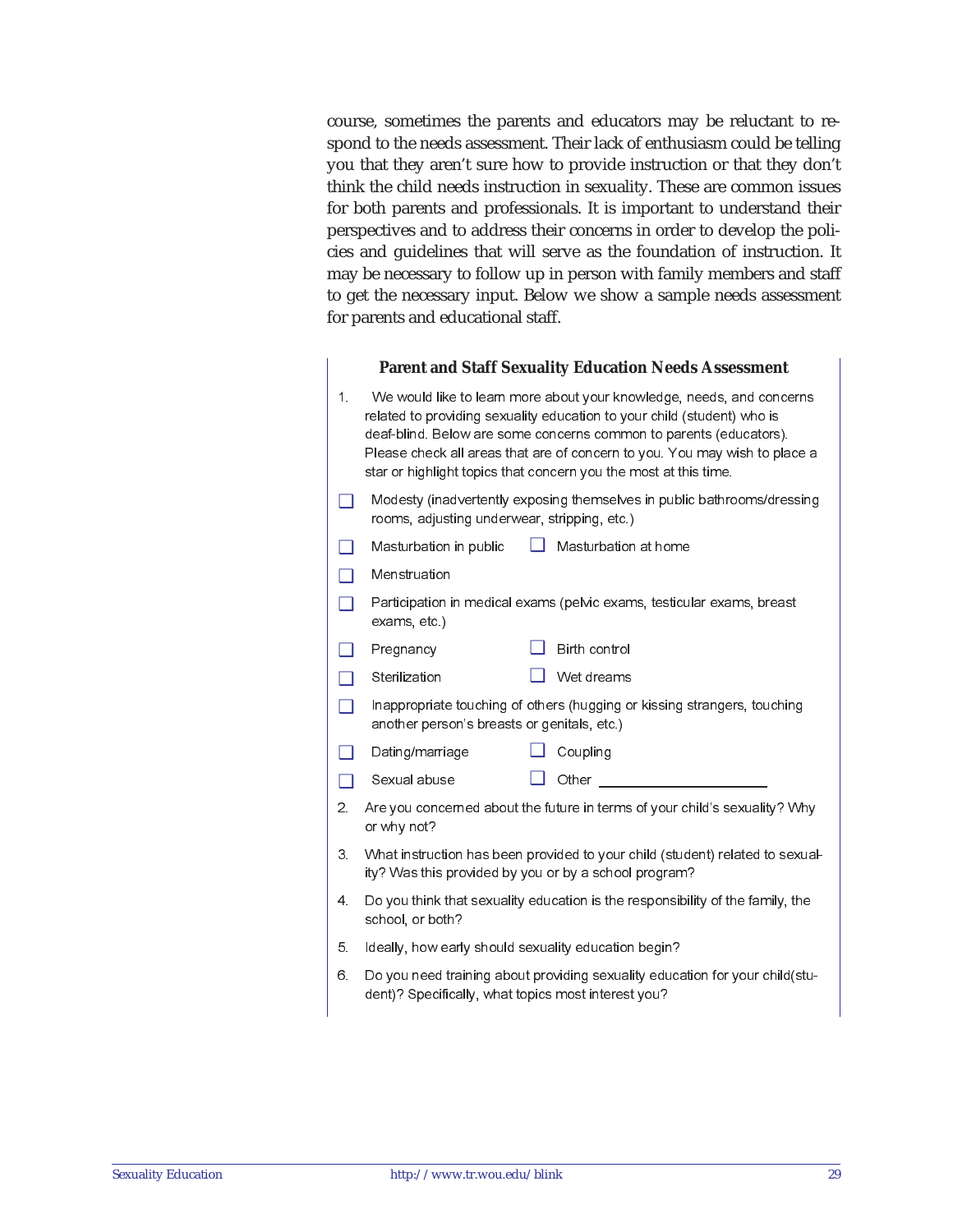course, sometimes the parents and educators may be reluctant to respond to the needs assessment. Their lack of enthusiasm could be telling you that they aren't sure how to provide instruction or that they don't think the child needs instruction in sexuality. These are common issues for both parents and professionals. It is important to understand their perspectives and to address their concerns in order to develop the policies and guidelines that will serve as the foundation of instruction. It may be necessary to follow up in person with family members and staff to get the necessary input. Below we show a sample needs assessment for parents and educational staff.

#### **Parent and Staff Sexuality Education Needs Assessment**

| 1.     |                                                                                                                                        |   | We would like to learn more about your knowledge, needs, and concerns<br>related to providing sexuality education to your child (student) who is<br>deaf-blind. Below are some concerns common to parents (educators).<br>Please check all areas that are of concern to you. You may wish to place a<br>star or highlight topics that concern you the most at this time. |  |  |  |
|--------|----------------------------------------------------------------------------------------------------------------------------------------|---|--------------------------------------------------------------------------------------------------------------------------------------------------------------------------------------------------------------------------------------------------------------------------------------------------------------------------------------------------------------------------|--|--|--|
| $\Box$ | rooms, adjusting underwear, stripping, etc.)                                                                                           |   | Modesty (inadvertently exposing themselves in public bathrooms/dressing                                                                                                                                                                                                                                                                                                  |  |  |  |
| $\Box$ | Masturbation in public                                                                                                                 | ப | Masturbation at home                                                                                                                                                                                                                                                                                                                                                     |  |  |  |
| $\Box$ | Menstruation                                                                                                                           |   |                                                                                                                                                                                                                                                                                                                                                                          |  |  |  |
| $\Box$ | exams, etc.)                                                                                                                           |   | Participation in medical exams (pelvic exams, testicular exams, breast                                                                                                                                                                                                                                                                                                   |  |  |  |
| $\Box$ | Pregnancy                                                                                                                              | ப | Birth control                                                                                                                                                                                                                                                                                                                                                            |  |  |  |
| $\Box$ | Sterilization                                                                                                                          |   | Wet dreams                                                                                                                                                                                                                                                                                                                                                               |  |  |  |
| $\Box$ | another person's breasts or genitals, etc.)                                                                                            |   | Inappropriate touching of others (hugging or kissing strangers, touching                                                                                                                                                                                                                                                                                                 |  |  |  |
| $\Box$ | Dating/marriage                                                                                                                        | u | Coupling                                                                                                                                                                                                                                                                                                                                                                 |  |  |  |
| $\Box$ | Sexual abuse                                                                                                                           |   | Other the control of the control of the control of the control of the control of the control of the control of                                                                                                                                                                                                                                                           |  |  |  |
| 2.     | or why not?                                                                                                                            |   | Are you concerned about the future in terms of your child's sexuality? Why                                                                                                                                                                                                                                                                                               |  |  |  |
| 3.     | What instruction has been provided to your child (student) related to sexual-<br>ity? Was this provided by you or by a school program? |   |                                                                                                                                                                                                                                                                                                                                                                          |  |  |  |
| 4.     | Do you think that sexuality education is the responsibility of the family, the<br>school, or both?                                     |   |                                                                                                                                                                                                                                                                                                                                                                          |  |  |  |
| 5.     | Ideally, how early should sexuality education begin?                                                                                   |   |                                                                                                                                                                                                                                                                                                                                                                          |  |  |  |
| 6.     | dent)? Specifically, what topics most interest you?                                                                                    |   | Do you need training about providing sexuality education for your child (stu-                                                                                                                                                                                                                                                                                            |  |  |  |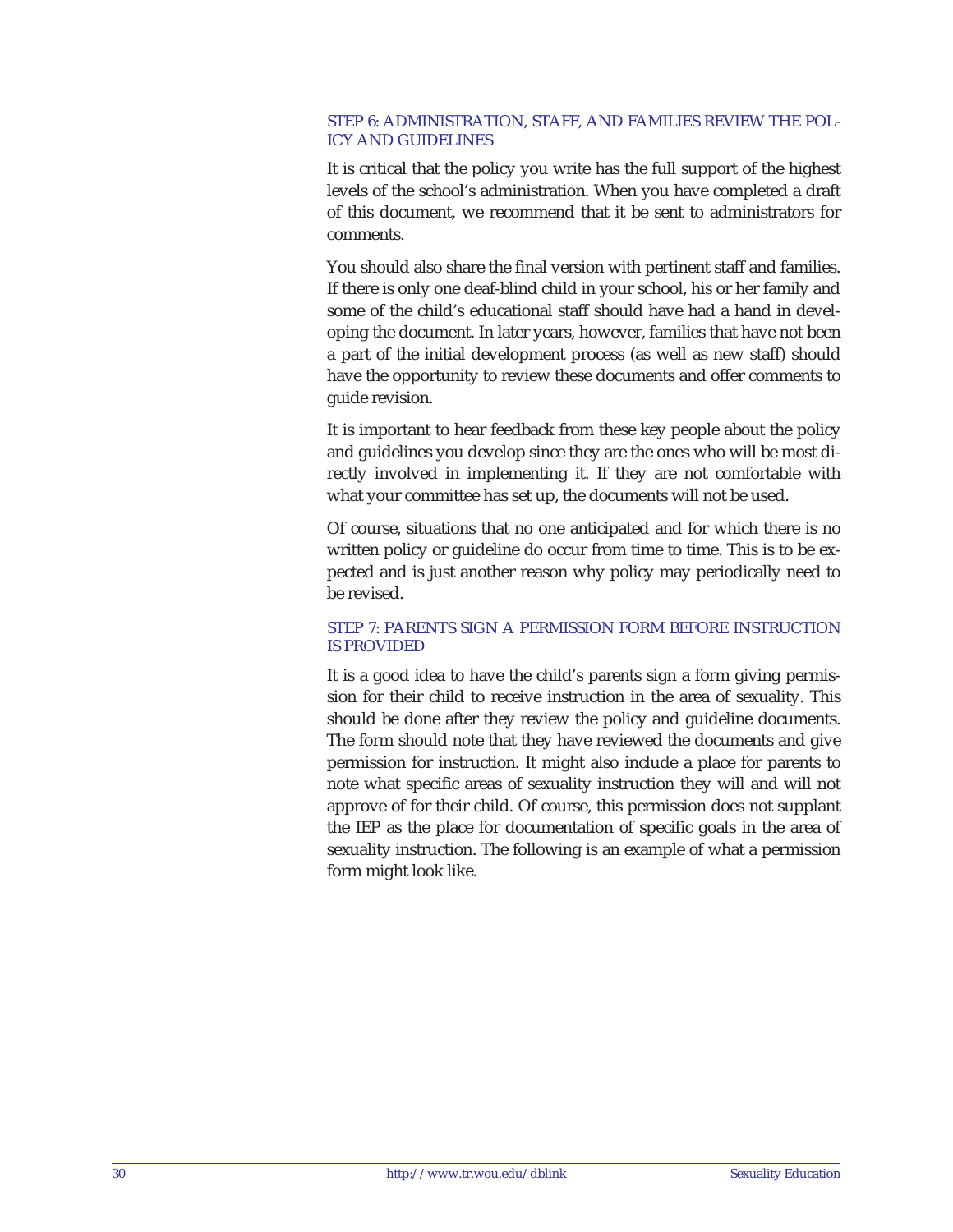#### STEP 6: ADMINISTRATION, STAFF, AND FAMILIES REVIEW THE POL-ICY AND GUIDELINES

It is critical that the policy you write has the full support of the highest levels of the school's administration. When you have completed a draft of this document, we recommend that it be sent to administrators for comments.

You should also share the final version with pertinent staff and families. If there is only one deaf-blind child in your school, his or her family and some of the child's educational staff should have had a hand in developing the document. In later years, however, families that have not been a part of the initial development process (as well as new staff) should have the opportunity to review these documents and offer comments to guide revision.

It is important to hear feedback from these key people about the policy and guidelines you develop since they are the ones who will be most directly involved in implementing it. If they are not comfortable with what your committee has set up, the documents will not be used.

Of course, situations that no one anticipated and for which there is no written policy or guideline do occur from time to time. This is to be expected and is just another reason why policy may periodically need to be revised.

#### STEP 7: PARENTS SIGN A PERMISSION FORM BEFORE INSTRUCTION IS PROVIDED

It is a good idea to have the child's parents sign a form giving permission for their child to receive instruction in the area of sexuality. This should be done after they review the policy and guideline documents. The form should note that they have reviewed the documents and give permission for instruction. It might also include a place for parents to note what specific areas of sexuality instruction they will and will not approve of for their child. Of course, this permission does not supplant the IEP as the place for documentation of specific goals in the area of sexuality instruction. The following is an example of what a permission form might look like.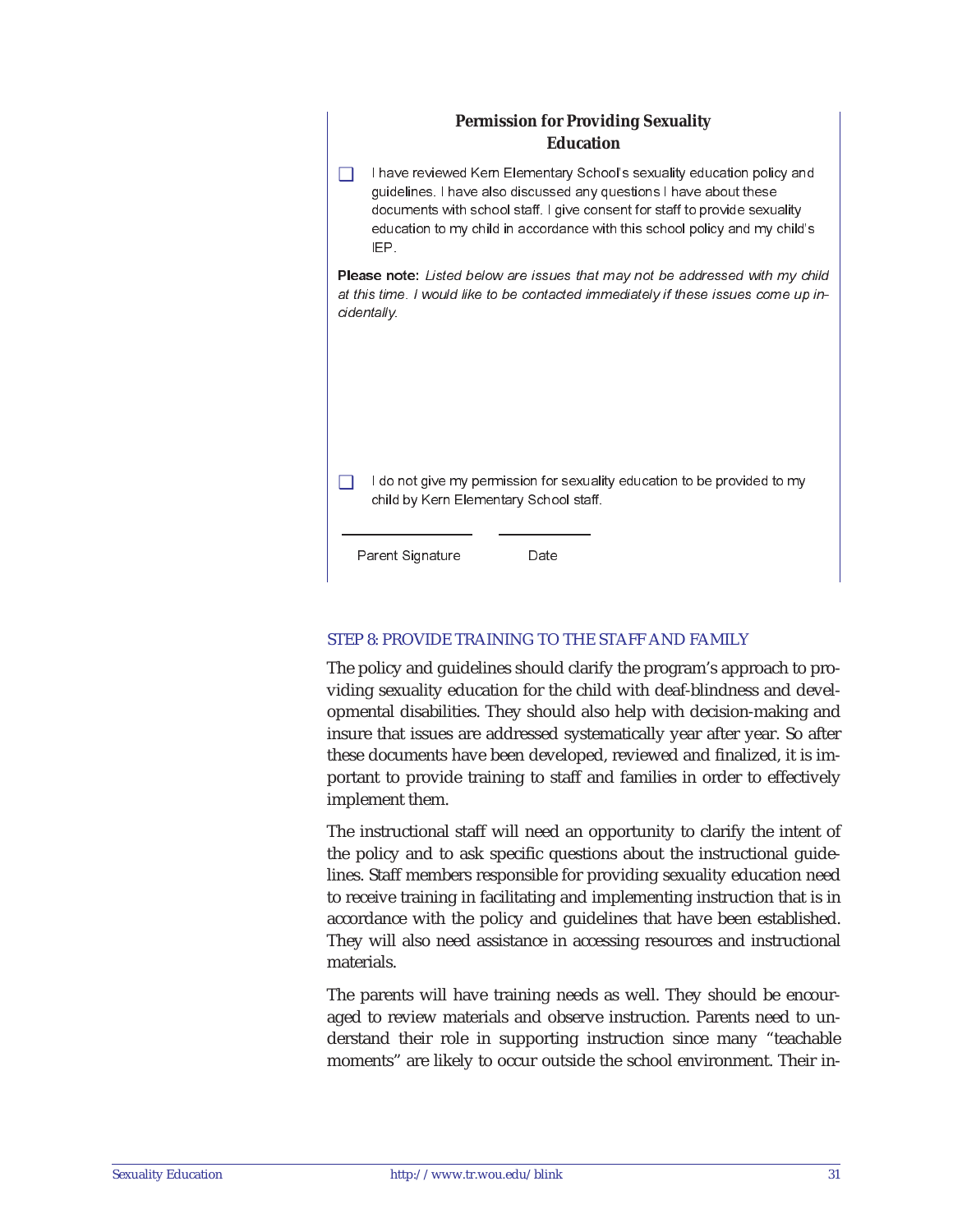| <b>Permission for Providing Sexuality</b><br><b>Education</b>                                                                                                                           |                                                                                                                                                                                                                                                                                                                   |  |  |  |  |
|-----------------------------------------------------------------------------------------------------------------------------------------------------------------------------------------|-------------------------------------------------------------------------------------------------------------------------------------------------------------------------------------------------------------------------------------------------------------------------------------------------------------------|--|--|--|--|
|                                                                                                                                                                                         | I have reviewed Kern Elementary School's sexuality education policy and<br>guidelines. I have also discussed any questions I have about these<br>documents with school staff. I give consent for staff to provide sexuality<br>education to my child in accordance with this school policy and my child's<br>IEP. |  |  |  |  |
| <b>Please note:</b> Listed below are issues that may not be addressed with my child<br>at this time. I would like to be contacted immediately if these issues come up in-<br>cidentally |                                                                                                                                                                                                                                                                                                                   |  |  |  |  |
|                                                                                                                                                                                         | I do not give my permission for sexuality education to be provided to my<br>child by Kern Elementary School staff.                                                                                                                                                                                                |  |  |  |  |
|                                                                                                                                                                                         | Parent Signature<br>Date                                                                                                                                                                                                                                                                                          |  |  |  |  |

#### STEP 8: PROVIDE TRAINING TO THE STAFF AND FAMILY

The policy and guidelines should clarify the program's approach to providing sexuality education for the child with deaf-blindness and developmental disabilities. They should also help with decision-making and insure that issues are addressed systematically year after year. So after these documents have been developed, reviewed and finalized, it is important to provide training to staff and families in order to effectively implement them.

The instructional staff will need an opportunity to clarify the intent of the policy and to ask specific questions about the instructional guidelines. Staff members responsible for providing sexuality education need to receive training in facilitating and implementing instruction that is in accordance with the policy and guidelines that have been established. They will also need assistance in accessing resources and instructional materials.

The parents will have training needs as well. They should be encouraged to review materials and observe instruction. Parents need to understand their role in supporting instruction since many "teachable moments" are likely to occur outside the school environment. Their in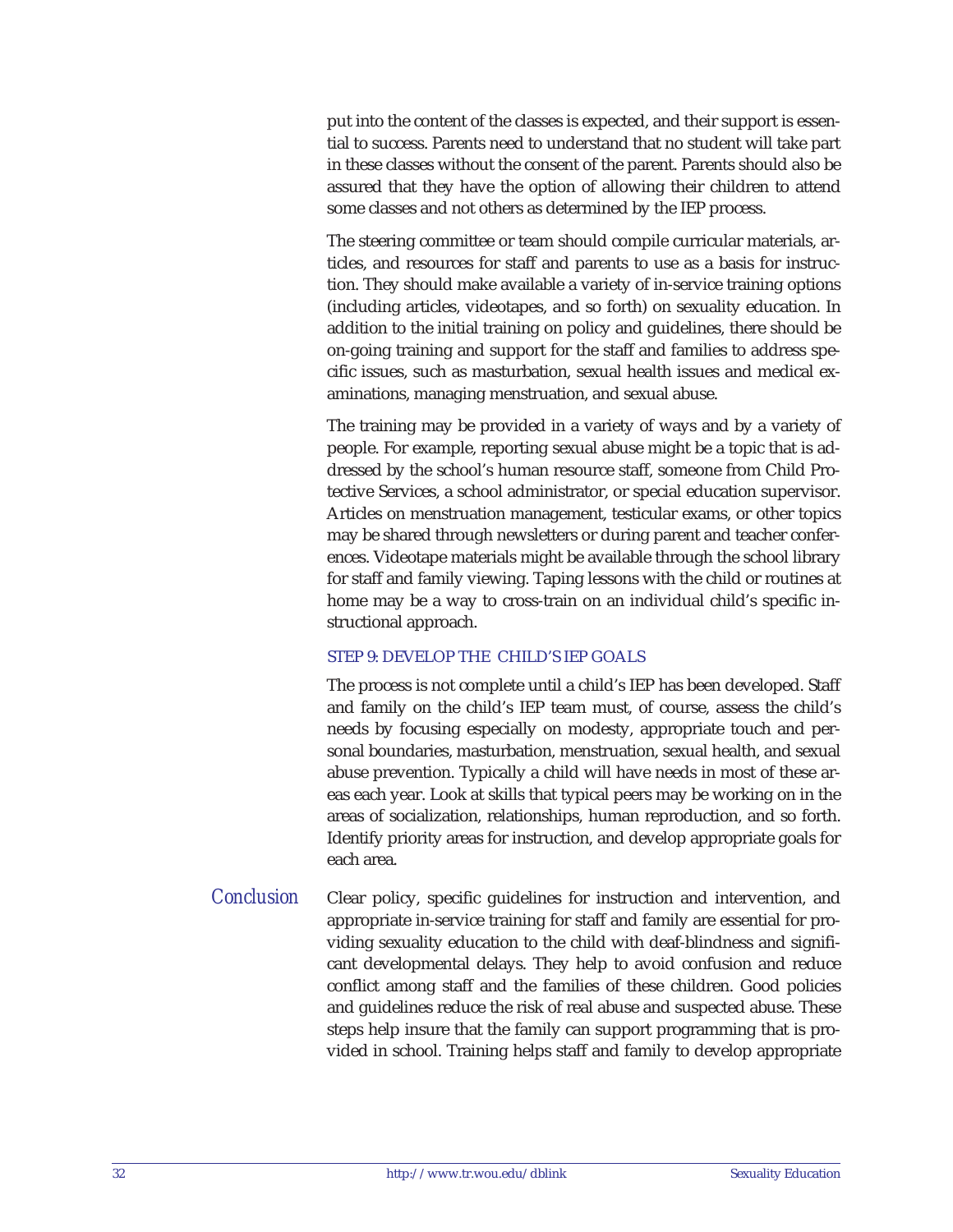put into the content of the classes is expected, and their support is essential to success. Parents need to understand that no student will take part in these classes without the consent of the parent. Parents should also be assured that they have the option of allowing their children to attend some classes and not others as determined by the IEP process.

The steering committee or team should compile curricular materials, articles, and resources for staff and parents to use as a basis for instruction. They should make available a variety of in-service training options (including articles, videotapes, and so forth) on sexuality education. In addition to the initial training on policy and guidelines, there should be on-going training and support for the staff and families to address specific issues, such as masturbation, sexual health issues and medical examinations, managing menstruation, and sexual abuse.

The training may be provided in a variety of ways and by a variety of people. For example, reporting sexual abuse might be a topic that is addressed by the school's human resource staff, someone from Child Protective Services, a school administrator, or special education supervisor. Articles on menstruation management, testicular exams, or other topics may be shared through newsletters or during parent and teacher conferences. Videotape materials might be available through the school library for staff and family viewing. Taping lessons with the child or routines at home may be a way to cross-train on an individual child's specific instructional approach.

#### STEP 9: DEVELOP THE CHILD'S IEP GOALS

The process is not complete until a child's IEP has been developed. Staff and family on the child's IEP team must, of course, assess the child's needs by focusing especially on modesty, appropriate touch and personal boundaries, masturbation, menstruation, sexual health, and sexual abuse prevention. Typically a child will have needs in most of these areas each year. Look at skills that typical peers may be working on in the areas of socialization, relationships, human reproduction, and so forth. Identify priority areas for instruction, and develop appropriate goals for each area.

*Conclusion* Clear policy, specific guidelines for instruction and intervention, and appropriate in-service training for staff and family are essential for providing sexuality education to the child with deaf-blindness and significant developmental delays. They help to avoid confusion and reduce conflict among staff and the families of these children. Good policies and guidelines reduce the risk of real abuse and suspected abuse. These steps help insure that the family can support programming that is provided in school. Training helps staff and family to develop appropriate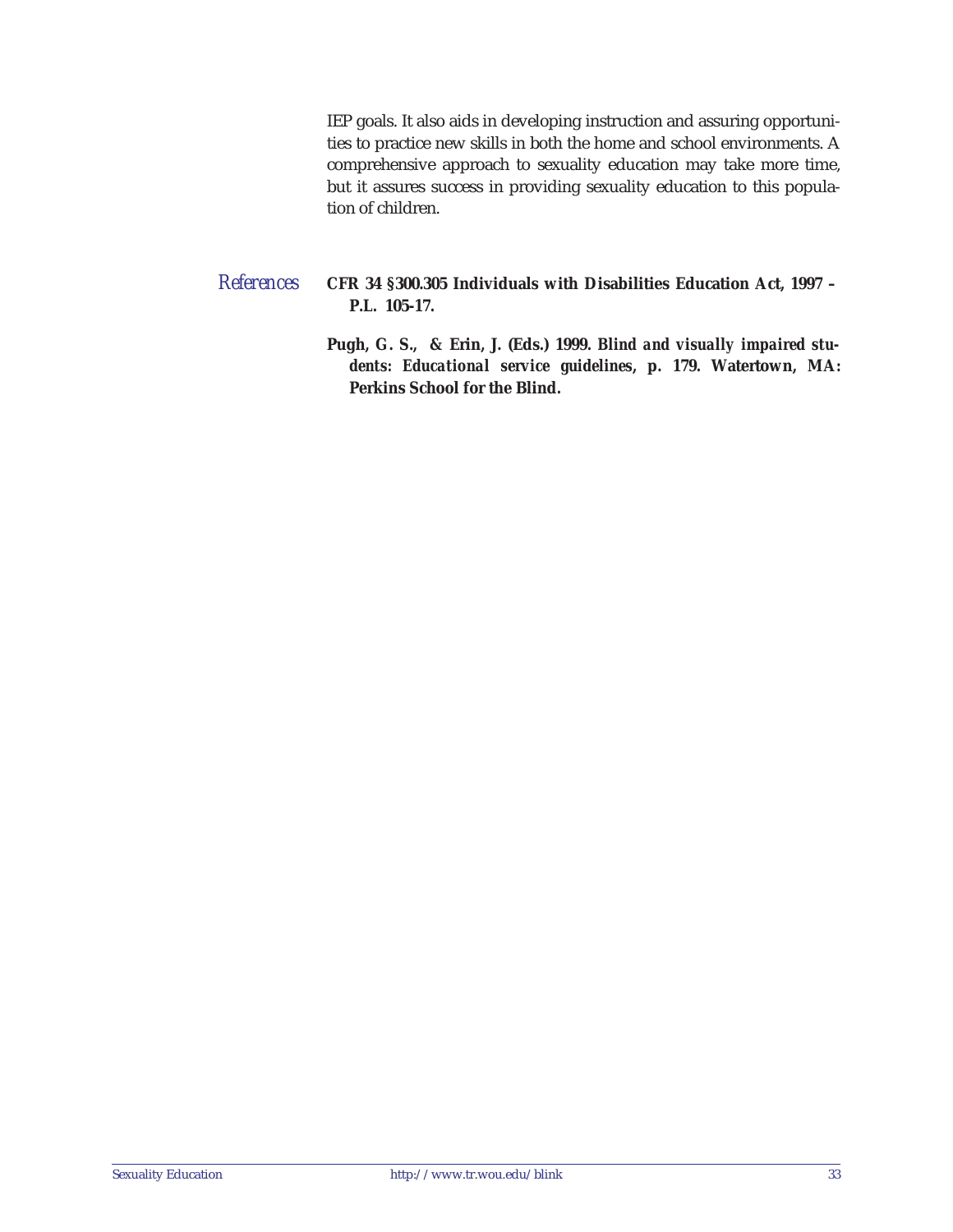IEP goals. It also aids in developing instruction and assuring opportunities to practice new skills in both the home and school environments. A comprehensive approach to sexuality education may take more time, but it assures success in providing sexuality education to this population of children.

- *References* **CFR 34 §300.305 Individuals with Disabilities Education Act, 1997 – P.L. 105-17.**
	- **Pugh, G. S., & Erin, J. (Eds.) 1999.** *Blind and visually impaired students: Educational service guidelines***, p. 179. Watertown, MA: Perkins School for the Blind.**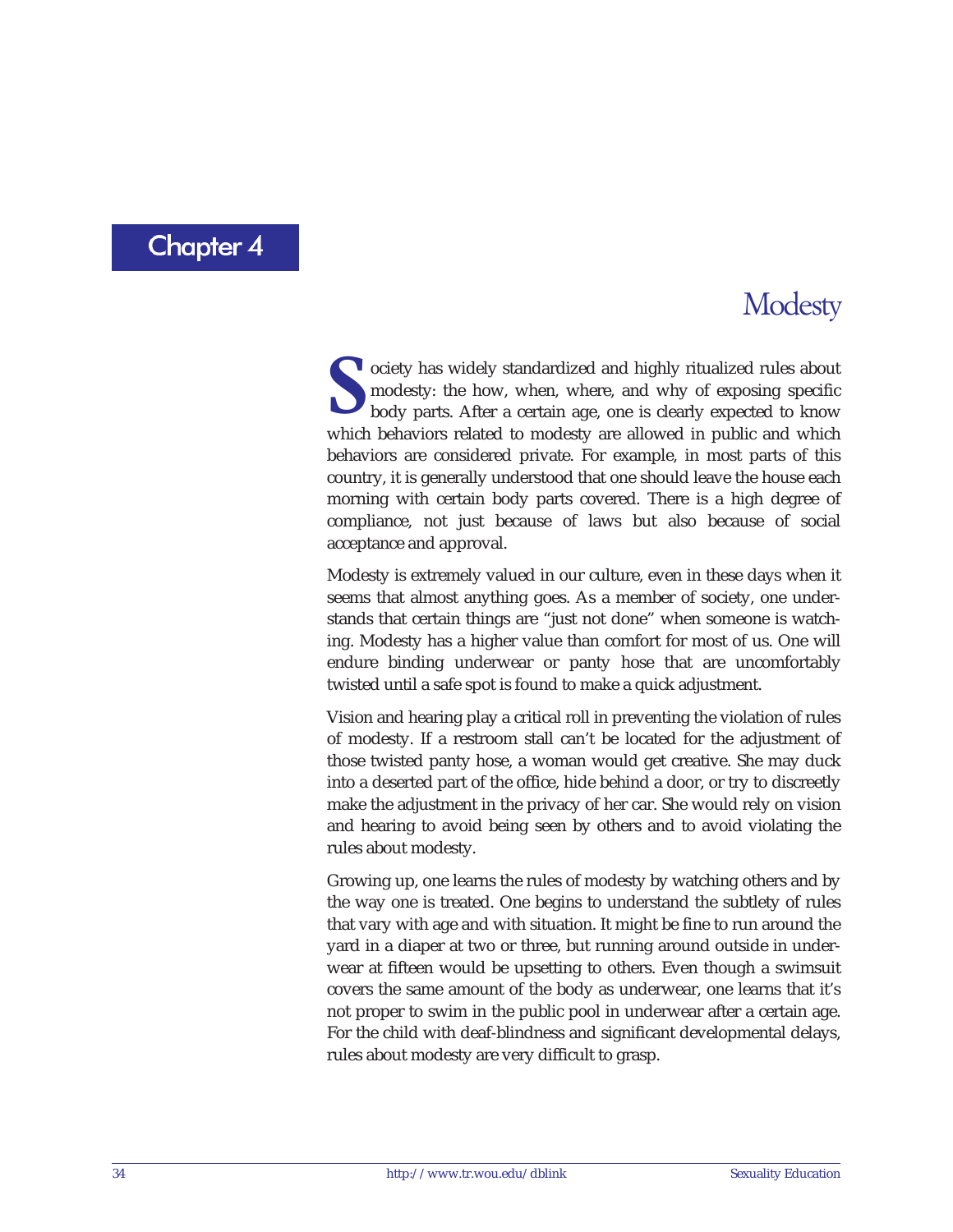## Chapter 4

# *Modesty*

**V** ociety has widely standardized and highly ritualized rules about modesty: the how, when, where, and why of exposing specific body parts. After a certain age, one is clearly expected to know which behaviors related to modesty are allowed in public and which behaviors are considered private. For example, in most parts of this country, it is generally understood that one should leave the house each morning with certain body parts covered. There is a high degree of compliance, not just because of laws but also because of social acceptance and approval.

Modesty is extremely valued in our culture, even in these days when it seems that almost anything goes. As a member of society, one understands that certain things are "just not done" when someone is watching. Modesty has a higher value than comfort for most of us. One will endure binding underwear or panty hose that are uncomfortably twisted until a safe spot is found to make a quick adjustment.

Vision and hearing play a critical roll in preventing the violation of rules of modesty. If a restroom stall can't be located for the adjustment of those twisted panty hose, a woman would get creative. She may duck into a deserted part of the office, hide behind a door, or try to discreetly make the adjustment in the privacy of her car. She would rely on vision and hearing to avoid being seen by others and to avoid violating the rules about modesty.

Growing up, one learns the rules of modesty by watching others and by the way one is treated. One begins to understand the subtlety of rules that vary with age and with situation. It might be fine to run around the yard in a diaper at two or three, but running around outside in underwear at fifteen would be upsetting to others. Even though a swimsuit covers the same amount of the body as underwear, one learns that it's not proper to swim in the public pool in underwear after a certain age. For the child with deaf-blindness and significant developmental delays, rules about modesty are very difficult to grasp.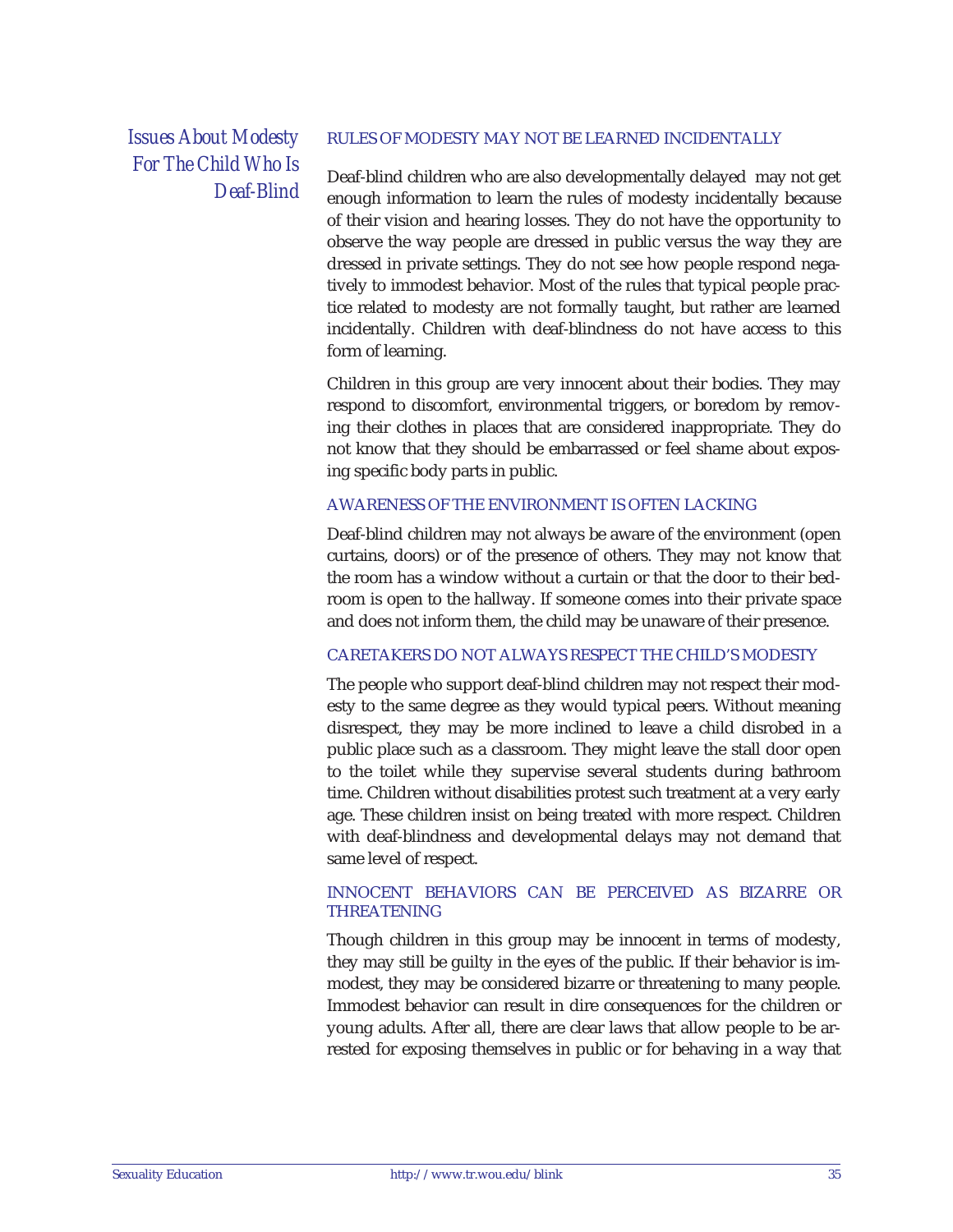### *Issues About Modesty For The Child Who Is Deaf-Blind*

#### RULES OF MODESTY MAY NOT BE LEARNED INCIDENTALLY

Deaf-blind children who are also developmentally delayed may not get enough information to learn the rules of modesty incidentally because of their vision and hearing losses. They do not have the opportunity to observe the way people are dressed in public versus the way they are dressed in private settings. They do not see how people respond negatively to immodest behavior. Most of the rules that typical people practice related to modesty are not formally taught, but rather are learned incidentally. Children with deaf-blindness do not have access to this form of learning.

Children in this group are very innocent about their bodies. They may respond to discomfort, environmental triggers, or boredom by removing their clothes in places that are considered inappropriate. They do not know that they should be embarrassed or feel shame about exposing specific body parts in public.

#### AWARENESS OF THE ENVIRONMENT IS OFTEN LACKING

Deaf-blind children may not always be aware of the environment (open curtains, doors) or of the presence of others. They may not know that the room has a window without a curtain or that the door to their bedroom is open to the hallway. If someone comes into their private space and does not inform them, the child may be unaware of their presence.

#### CARETAKERS DO NOT ALWAYS RESPECT THE CHILD'S MODESTY

The people who support deaf-blind children may not respect their modesty to the same degree as they would typical peers. Without meaning disrespect, they may be more inclined to leave a child disrobed in a public place such as a classroom. They might leave the stall door open to the toilet while they supervise several students during bathroom time. Children without disabilities protest such treatment at a very early age. These children insist on being treated with more respect. Children with deaf-blindness and developmental delays may not demand that same level of respect.

#### INNOCENT BEHAVIORS CAN BE PERCEIVED AS BIZARRE OR THREATENING

Though children in this group may be innocent in terms of modesty, they may still be guilty in the eyes of the public. If their behavior is immodest, they may be considered bizarre or threatening to many people. Immodest behavior can result in dire consequences for the children or young adults. After all, there are clear laws that allow people to be arrested for exposing themselves in public or for behaving in a way that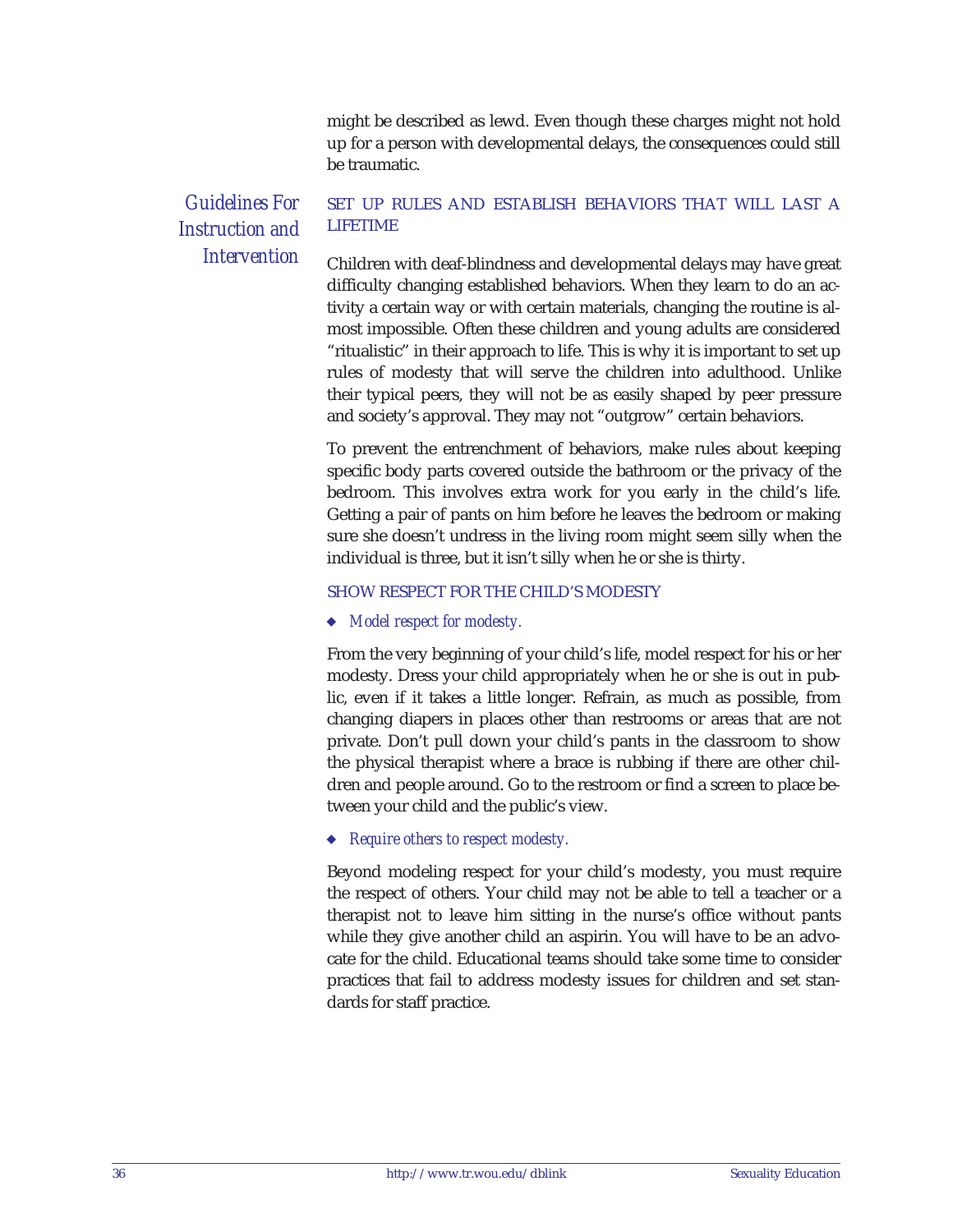might be described as lewd. Even though these charges might not hold up for a person with developmental delays, the consequences could still be traumatic.

### *Guidelines For Instruction and Intervention*

#### SET UP RULES AND ESTABLISH BEHAVIORS THAT WILL LAST A LIFETIME

Children with deaf-blindness and developmental delays may have great difficulty changing established behaviors. When they learn to do an activity a certain way or with certain materials, changing the routine is almost impossible. Often these children and young adults are considered "ritualistic" in their approach to life. This is why it is important to set up rules of modesty that will serve the children into adulthood. Unlike their typical peers, they will not be as easily shaped by peer pressure and society's approval. They may not "outgrow" certain behaviors.

To prevent the entrenchment of behaviors, make rules about keeping specific body parts covered outside the bathroom or the privacy of the bedroom. This involves extra work for you early in the child's life. Getting a pair of pants on him before he leaves the bedroom or making sure she doesn't undress in the living room might seem silly when the individual is three, but it isn't silly when he or she is thirty.

#### SHOW RESPECT FOR THE CHILD'S MODESTY

#### ◆ *Model respect for modesty.*

From the very beginning of your child's life, model respect for his or her modesty. Dress your child appropriately when he or she is out in public, even if it takes a little longer. Refrain, as much as possible, from changing diapers in places other than restrooms or areas that are not private. Don't pull down your child's pants in the classroom to show the physical therapist where a brace is rubbing if there are other children and people around. Go to the restroom or find a screen to place between your child and the public's view.

#### ◆ *Require others to respect modesty.*

Beyond modeling respect for your child's modesty, you must require the respect of others. Your child may not be able to tell a teacher or a therapist not to leave him sitting in the nurse's office without pants while they give another child an aspirin. You will have to be an advocate for the child. Educational teams should take some time to consider practices that fail to address modesty issues for children and set standards for staff practice.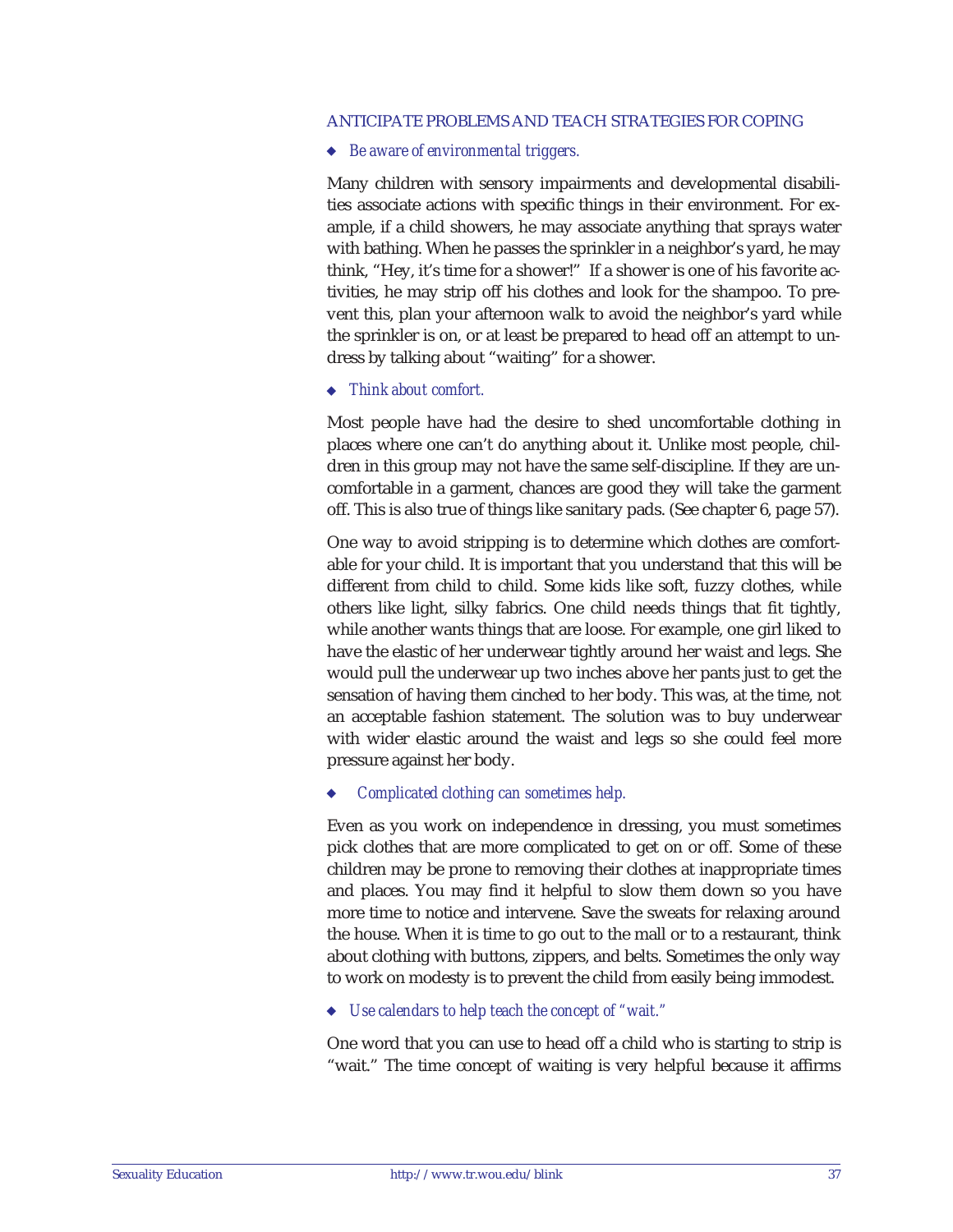#### ANTICIPATE PROBLEMS AND TEACH STRATEGIES FOR COPING

#### ◆ *Be aware of environmental triggers.*

Many children with sensory impairments and developmental disabilities associate actions with specific things in their environment. For example, if a child showers, he may associate anything that sprays water with bathing. When he passes the sprinkler in a neighbor's yard, he may think, "Hey, it's time for a shower!" If a shower is one of his favorite activities, he may strip off his clothes and look for the shampoo. To prevent this, plan your afternoon walk to avoid the neighbor's yard while the sprinkler is on, or at least be prepared to head off an attempt to undress by talking about "waiting" for a shower.

#### ◆ *Think about comfort.*

Most people have had the desire to shed uncomfortable clothing in places where one can't do anything about it. Unlike most people, children in this group may not have the same self-discipline. If they are uncomfortable in a garment, chances are good they will take the garment off. This is also true of things like sanitary pads. (See chapter 6, page [57](#page-62-0)).

One way to avoid stripping is to determine which clothes are comfortable for your child. It is important that you understand that this will be different from child to child. Some kids like soft, fuzzy clothes, while others like light, silky fabrics. One child needs things that fit tightly, while another wants things that are loose. For example, one girl liked to have the elastic of her underwear tightly around her waist and legs. She would pull the underwear up two inches above her pants just to get the sensation of having them cinched to her body. This was, at the time, not an acceptable fashion statement. The solution was to buy underwear with wider elastic around the waist and legs so she could feel more pressure against her body.

#### ◆ *Complicated clothing can sometimes help.*

Even as you work on independence in dressing, you must sometimes pick clothes that are more complicated to get on or off. Some of these children may be prone to removing their clothes at inappropriate times and places. You may find it helpful to slow them down so you have more time to notice and intervene. Save the sweats for relaxing around the house. When it is time to go out to the mall or to a restaurant, think about clothing with buttons, zippers, and belts. Sometimes the only way to work on modesty is to prevent the child from easily being immodest.

◆ *Use calendars to help teach the concept of "wait."*

One word that you can use to head off a child who is starting to strip is "wait." The time concept of waiting is very helpful because it affirms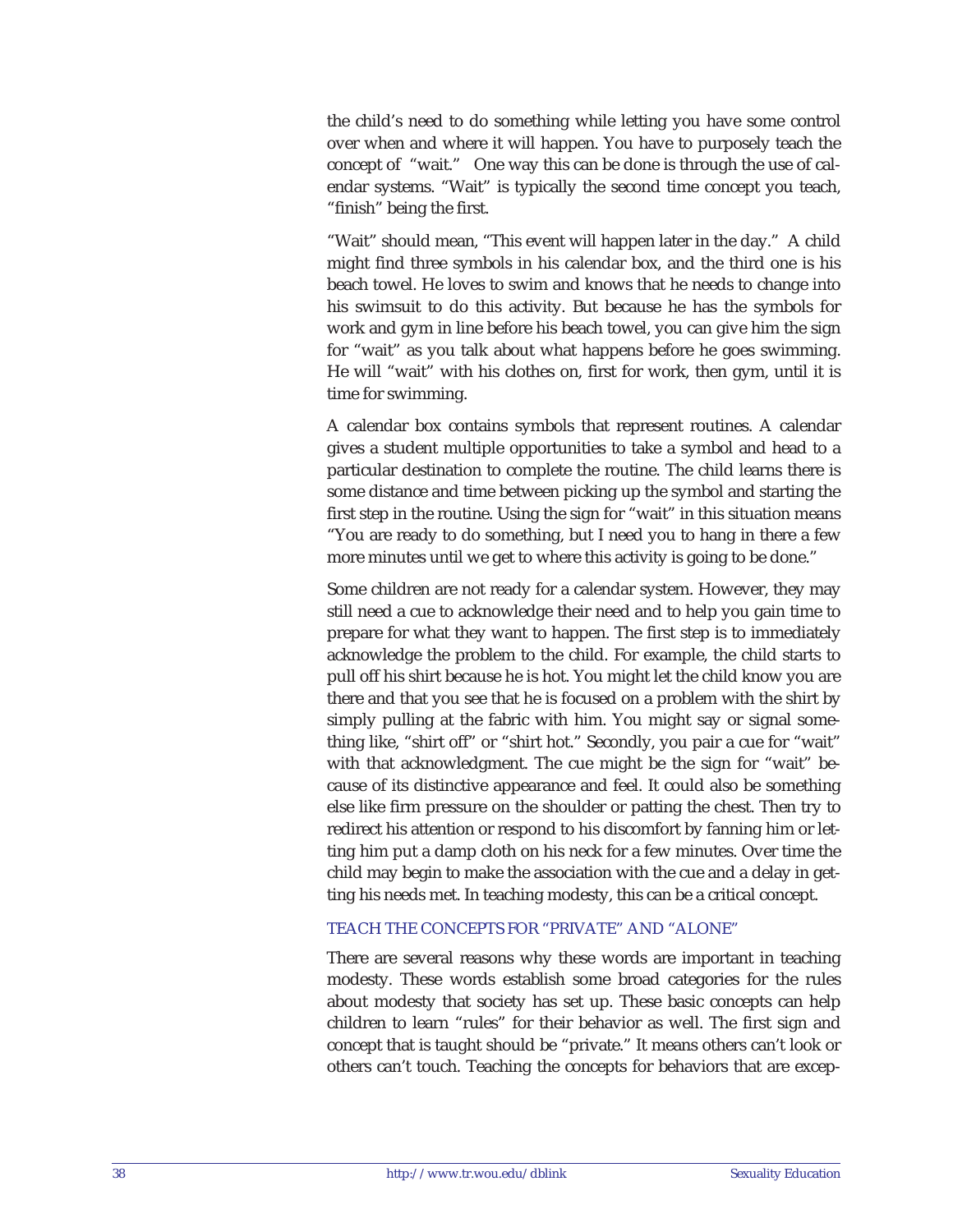the child's need to do something while letting you have some control over when and where it will happen. You have to purposely teach the concept of "wait." One way this can be done is through the use of calendar systems. "Wait" is typically the second time concept you teach, "finish" being the first.

"Wait" should mean, "This event will happen later in the day." A child might find three symbols in his calendar box, and the third one is his beach towel. He loves to swim and knows that he needs to change into his swimsuit to do this activity. But because he has the symbols for work and gym in line before his beach towel, you can give him the sign for "wait" as you talk about what happens before he goes swimming. He will "wait" with his clothes on, first for work, then gym, until it is time for swimming.

A calendar box contains symbols that represent routines. A calendar gives a student multiple opportunities to take a symbol and head to a particular destination to complete the routine. The child learns there is some distance and time between picking up the symbol and starting the first step in the routine. Using the sign for "wait" in this situation means "You are ready to do something, but I need you to hang in there a few more minutes until we get to where this activity is going to be done."

Some children are not ready for a calendar system. However, they may still need a cue to acknowledge their need and to help you gain time to prepare for what they want to happen. The first step is to immediately acknowledge the problem to the child. For example, the child starts to pull off his shirt because he is hot. You might let the child know you are there and that you see that he is focused on a problem with the shirt by simply pulling at the fabric with him. You might say or signal something like, "shirt off" or "shirt hot." Secondly, you pair a cue for "wait" with that acknowledgment. The cue might be the sign for "wait" because of its distinctive appearance and feel. It could also be something else like firm pressure on the shoulder or patting the chest. Then try to redirect his attention or respond to his discomfort by fanning him or letting him put a damp cloth on his neck for a few minutes. Over time the child may begin to make the association with the cue and a delay in getting his needs met. In teaching modesty, this can be a critical concept.

#### TEACH THE CONCEPTS FOR "PRIVATE" AND "ALONE"

There are several reasons why these words are important in teaching modesty. These words establish some broad categories for the rules about modesty that society has set up. These basic concepts can help children to learn "rules" for their behavior as well. The first sign and concept that is taught should be "private." It means others can't look or others can't touch. Teaching the concepts for behaviors that are excep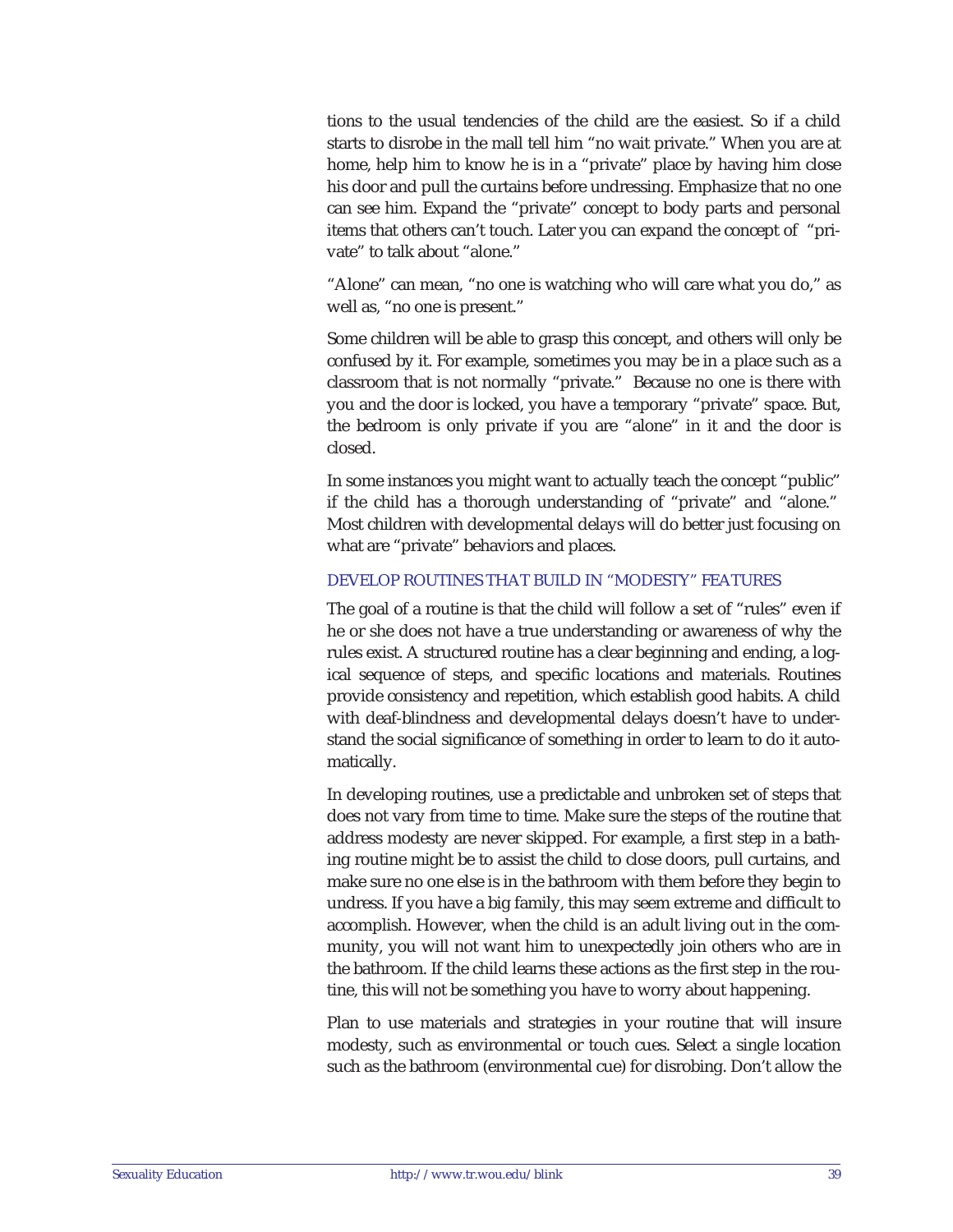tions to the usual tendencies of the child are the easiest. So if a child starts to disrobe in the mall tell him "no wait private." When you are at home, help him to know he is in a "private" place by having him close his door and pull the curtains before undressing. Emphasize that no one can see him. Expand the "private" concept to body parts and personal items that others can't touch. Later you can expand the concept of "private" to talk about "alone."

"Alone" can mean, "no one is watching who will care what you do," as well as, "no one is present."

Some children will be able to grasp this concept, and others will only be confused by it. For example, sometimes you may be in a place such as a classroom that is not normally "private." Because no one is there with you and the door is locked, you have a temporary "private" space. But, the bedroom is only private if you are "alone" in it and the door is closed.

In some instances you might want to actually teach the concept "public" if the child has a thorough understanding of "private" and "alone." Most children with developmental delays will do better just focusing on what are "private" behaviors and places.

#### DEVELOP ROUTINES THAT BUILD IN "MODESTY" FEATURES

The goal of a routine is that the child will follow a set of "rules" even if he or she does not have a true understanding or awareness of why the rules exist. A structured routine has a clear beginning and ending, a logical sequence of steps, and specific locations and materials. Routines provide consistency and repetition, which establish good habits. A child with deaf-blindness and developmental delays doesn't have to understand the social significance of something in order to learn to do it automatically.

In developing routines, use a predictable and unbroken set of steps that does not vary from time to time. Make sure the steps of the routine that address modesty are never skipped. For example, a first step in a bathing routine might be to assist the child to close doors, pull curtains, and make sure no one else is in the bathroom with them before they begin to undress. If you have a big family, this may seem extreme and difficult to accomplish. However, when the child is an adult living out in the community, you will not want him to unexpectedly join others who are in the bathroom. If the child learns these actions as the first step in the routine, this will not be something you have to worry about happening.

Plan to use materials and strategies in your routine that will insure modesty, such as environmental or touch cues. Select a single location such as the bathroom (environmental cue) for disrobing. Don't allow the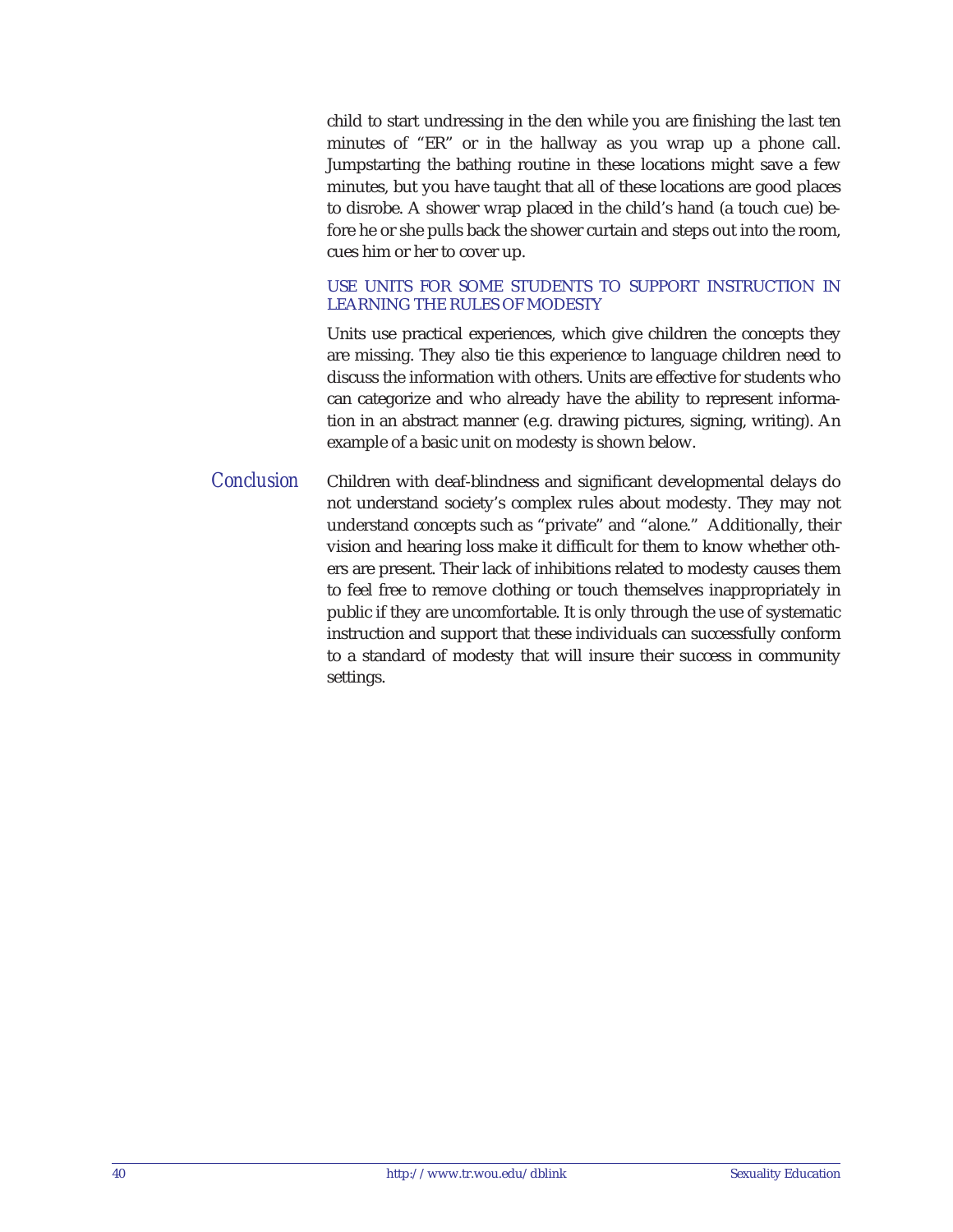child to start undressing in the den while you are finishing the last ten minutes of "ER" or in the hallway as you wrap up a phone call. Jumpstarting the bathing routine in these locations might save a few minutes, but you have taught that all of these locations are good places to disrobe. A shower wrap placed in the child's hand (a touch cue) before he or she pulls back the shower curtain and steps out into the room, cues him or her to cover up.

#### USE UNITS FOR SOME STUDENTS TO SUPPORT INSTRUCTION IN LEARNING THE RULES OF MODESTY

Units use practical experiences, which give children the concepts they are missing. They also tie this experience to language children need to discuss the information with others. Units are effective for students who can categorize and who already have the ability to represent information in an abstract manner (e.g. drawing pictures, signing, writing). An example of a basic unit on modesty is shown below.

*Conclusion* Children with deaf-blindness and significant developmental delays do not understand society's complex rules about modesty. They may not understand concepts such as "private" and "alone." Additionally, their vision and hearing loss make it difficult for them to know whether others are present. Their lack of inhibitions related to modesty causes them to feel free to remove clothing or touch themselves inappropriately in public if they are uncomfortable. It is only through the use of systematic instruction and support that these individuals can successfully conform to a standard of modesty that will insure their success in community settings.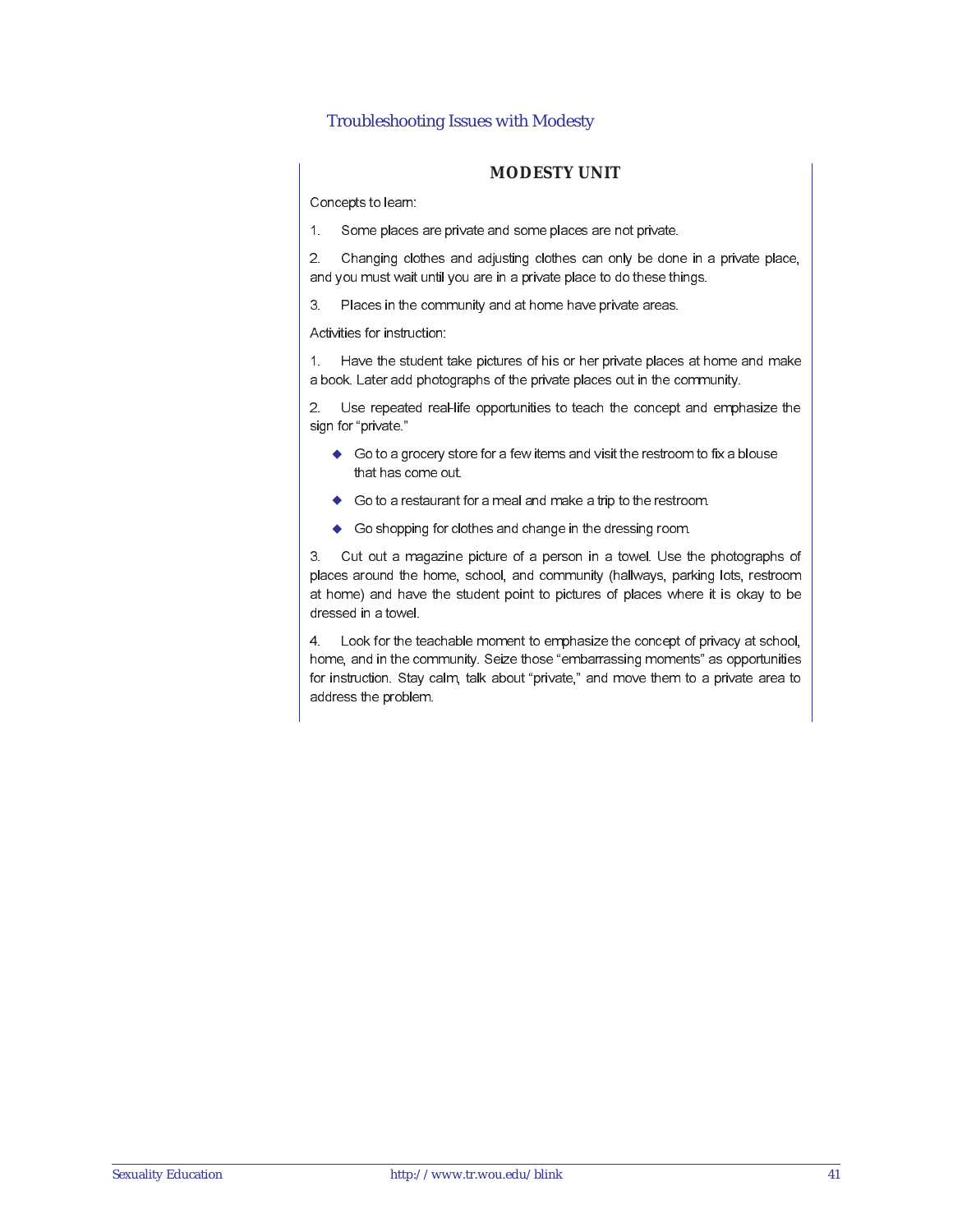#### Troubleshooting Issues with Modesty

#### **MODESTY UNIT**

Concepts to learn:

1. Some places are private and some places are not private.

2. Changing clothes and adjusting clothes can only be done in a private place, and you must wait until you are in a private place to do these things.

3. Places in the community and at home have private areas.

Activities for instruction:

1. Have the student take pictures of his or her private places at home and make a book. Later add photographs of the private places out in the community.

2. Use repeated real-life opportunities to teach the concept and emphasize the sign for "private."

- ◆ Go to a grocery store for a few items and visit the restroom to fix a blouse that has come out.
- ◆ Go to a restaurant for a meal and make a trip to the restroom.
- ◆ Go shopping for clothes and change in the dressing room.

3. Cut out a magazine picture of a person in a towel. Use the photographs of places around the home, school, and community (hallways, parking lots, restroom at home) and have the student point to pictures of places where it is okay to be dressed in a towel.

4. Look for the teachable moment to emphasize the concept of privacy at school, home, and in the community. Seize those "embarrassing moments" as opportunities for instruction. Stay calm, talk about "private," and move them to a private area to address the problem.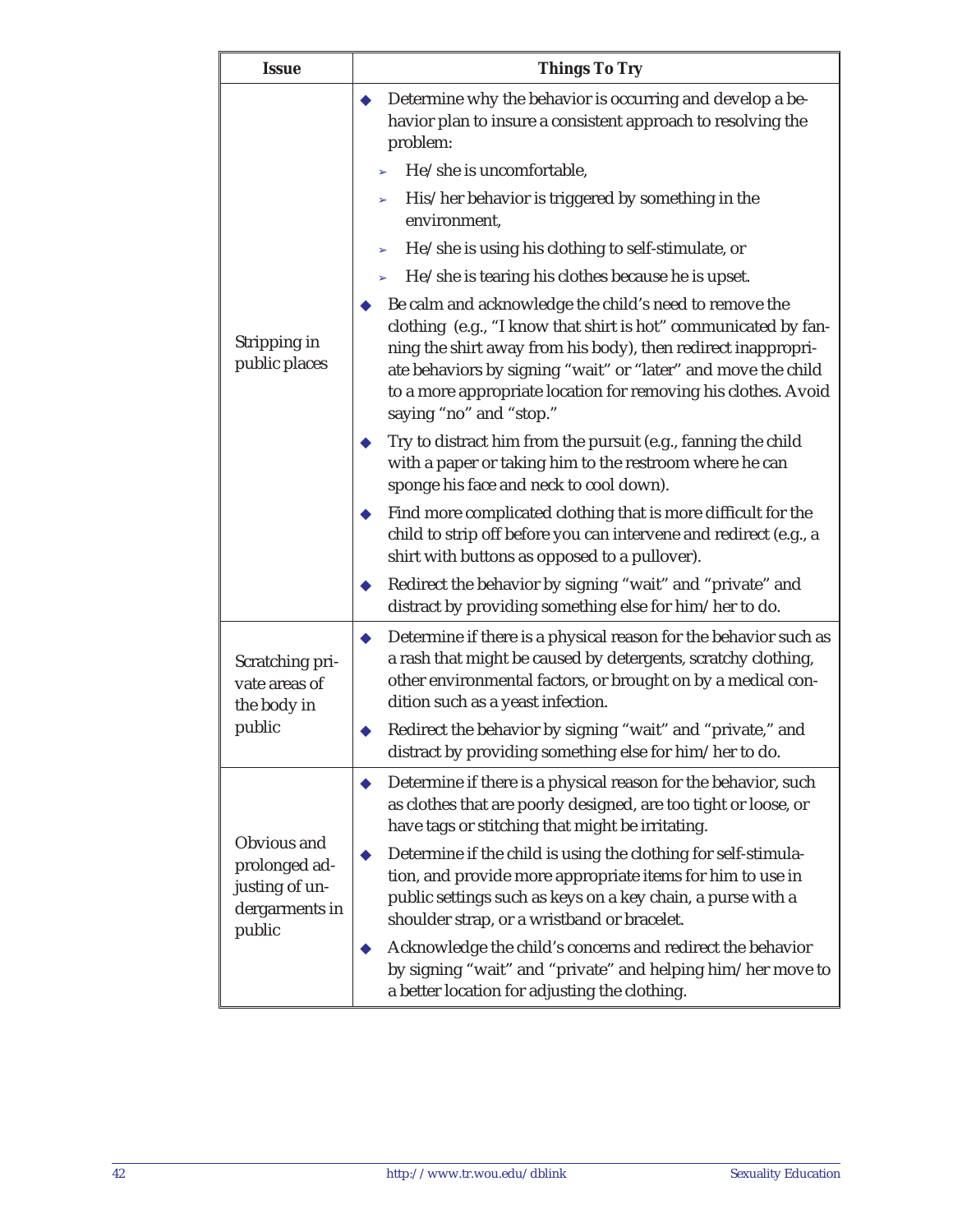| <b>Issue</b>                                                               | <b>Things To Try</b>                                                                                                                                                                                                                                                                                                                                     |
|----------------------------------------------------------------------------|----------------------------------------------------------------------------------------------------------------------------------------------------------------------------------------------------------------------------------------------------------------------------------------------------------------------------------------------------------|
|                                                                            | Determine why the behavior is occurring and develop a be-<br>٠<br>havior plan to insure a consistent approach to resolving the<br>problem:                                                                                                                                                                                                               |
|                                                                            | He/she is uncomfortable,                                                                                                                                                                                                                                                                                                                                 |
|                                                                            | $>$ His/her behavior is triggered by something in the<br>environment,                                                                                                                                                                                                                                                                                    |
|                                                                            | He/she is using his clothing to self-stimulate, or                                                                                                                                                                                                                                                                                                       |
|                                                                            | He/she is tearing his clothes because he is upset.<br>$\blacktriangleright$                                                                                                                                                                                                                                                                              |
| Stripping in<br>public places                                              | Be calm and acknowledge the child's need to remove the<br>clothing (e.g., "I know that shirt is hot" communicated by fan-<br>ning the shirt away from his body), then redirect inappropri-<br>ate behaviors by signing "wait" or "later" and move the child<br>to a more appropriate location for removing his clothes. Avoid<br>saying "no" and "stop." |
|                                                                            | Try to distract him from the pursuit (e.g., fanning the child<br>with a paper or taking him to the restroom where he can<br>sponge his face and neck to cool down).                                                                                                                                                                                      |
|                                                                            | Find more complicated clothing that is more difficult for the<br>child to strip off before you can intervene and redirect (e.g., a<br>shirt with buttons as opposed to a pullover).                                                                                                                                                                      |
|                                                                            | Redirect the behavior by signing "wait" and "private" and<br>distract by providing something else for him/her to do.                                                                                                                                                                                                                                     |
| Scratching pri-<br>vate areas of<br>the body in                            | Determine if there is a physical reason for the behavior such as<br>$\bullet$<br>a rash that might be caused by detergents, scratchy clothing,<br>other environmental factors, or brought on by a medical con-<br>dition such as a yeast infection.                                                                                                      |
| public                                                                     | Redirect the behavior by signing "wait" and "private," and<br>distract by providing something else for him/her to do.                                                                                                                                                                                                                                    |
|                                                                            | Determine if there is a physical reason for the behavior, such<br>٠<br>as clothes that are poorly designed, are too tight or loose, or<br>have tags or stitching that might be irritating.                                                                                                                                                               |
| Obvious and<br>prolonged ad-<br>justing of un-<br>dergarments in<br>public | Determine if the child is using the clothing for self-stimula-<br>tion, and provide more appropriate items for him to use in<br>public settings such as keys on a key chain, a purse with a<br>shoulder strap, or a wristband or bracelet.                                                                                                               |
|                                                                            | Acknowledge the child's concerns and redirect the behavior<br>by signing "wait" and "private" and helping him/her move to<br>a better location for adjusting the clothing.                                                                                                                                                                               |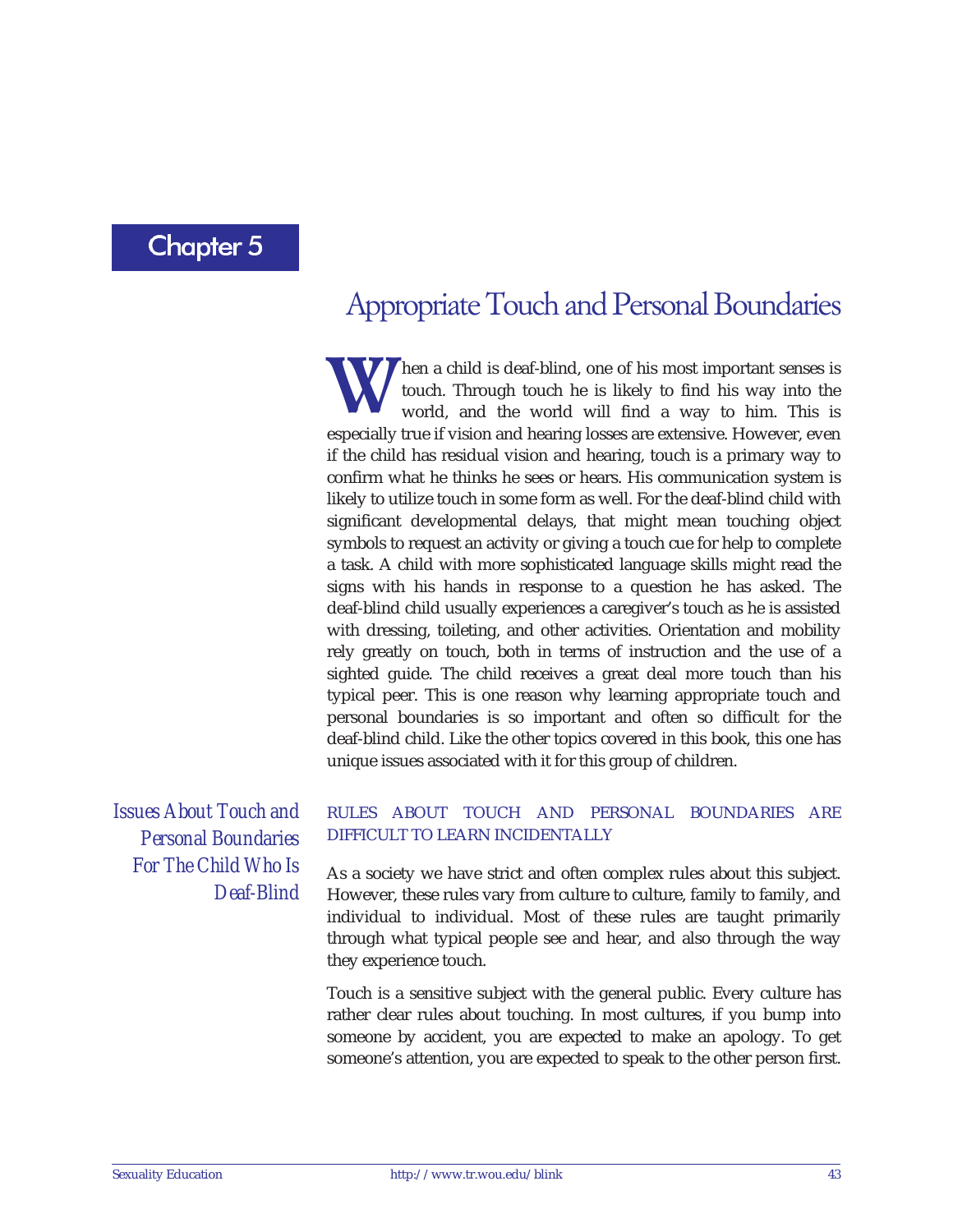## Chapter 5

# *Appropriate Touch and Personal Boundaries*

**hen a child is deaf-blind, one of his most important senses is** touch. Through touch he is likely to find his way into the world, and the world will find a way to him. This is especially true if vision and hearing losses are extensive. However, even if the child has residual vision and hearing, touch is a primary way to confirm what he thinks he sees or hears. His communication system is likely to utilize touch in some form as well. For the deaf-blind child with significant developmental delays, that might mean touching object symbols to request an activity or giving a touch cue for help to complete a task. A child with more sophisticated language skills might read the signs with his hands in response to a question he has asked. The deaf-blind child usually experiences a caregiver's touch as he is assisted with dressing, toileting, and other activities. Orientation and mobility rely greatly on touch, both in terms of instruction and the use of a sighted guide. The child receives a great deal more touch than his typical peer. This is one reason why learning appropriate touch and personal boundaries is so important and often so difficult for the deaf-blind child. Like the other topics covered in this book, this one has unique issues associated with it for this group of children.

*Issues About Touch and Personal Boundaries For The Child Who Is Deaf-Blind*

#### RULES ABOUT TOUCH AND PERSONAL BOUNDARIES ARE DIFFICULT TO LEARN INCIDENTALLY

As a society we have strict and often complex rules about this subject. However, these rules vary from culture to culture, family to family, and individual to individual. Most of these rules are taught primarily through what typical people see and hear, and also through the way they experience touch.

Touch is a sensitive subject with the general public. Every culture has rather clear rules about touching. In most cultures, if you bump into someone by accident, you are expected to make an apology. To get someone's attention, you are expected to speak to the other person first.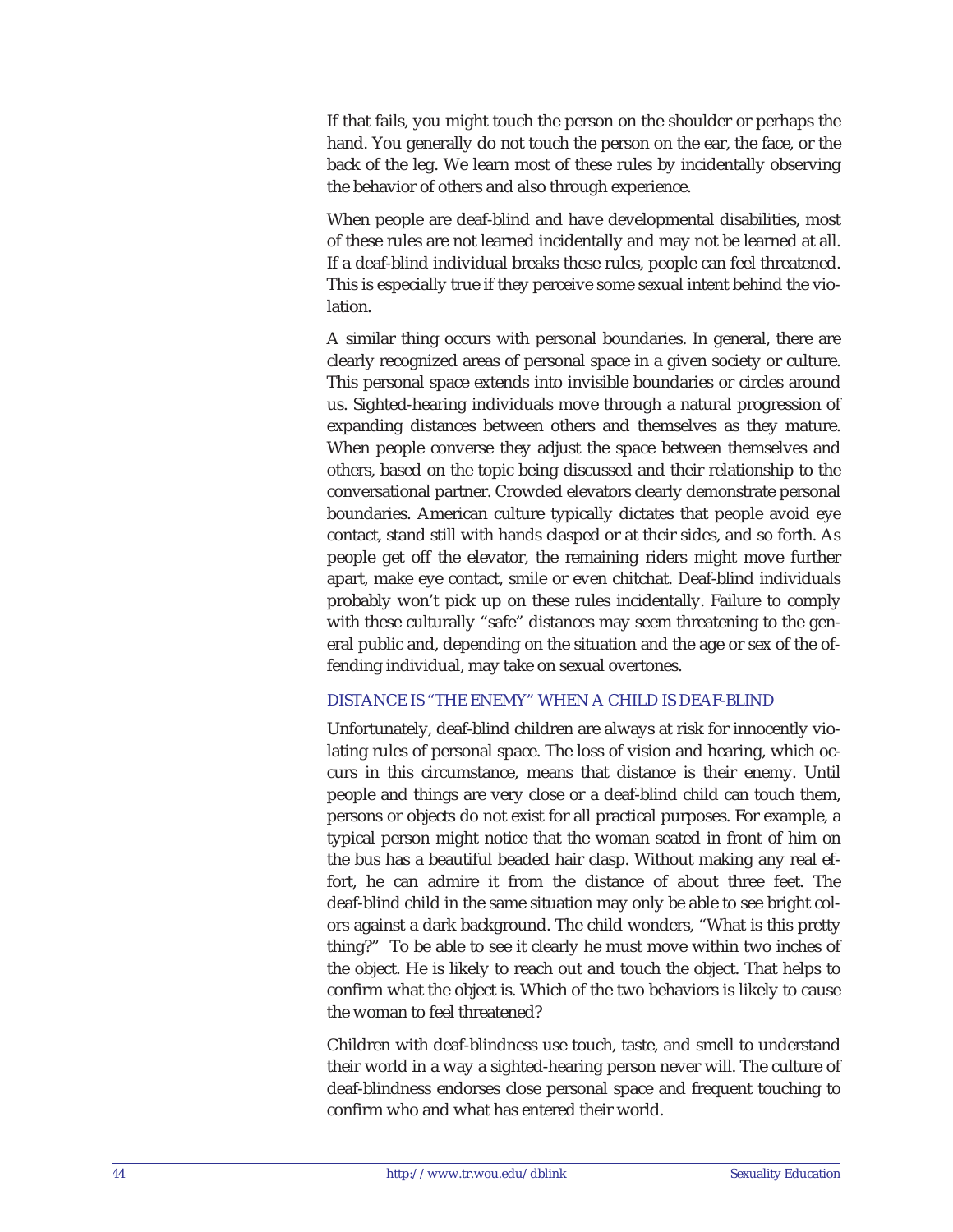If that fails, you might touch the person on the shoulder or perhaps the hand. You generally do not touch the person on the ear, the face, or the back of the leg. We learn most of these rules by incidentally observing the behavior of others and also through experience.

When people are deaf-blind and have developmental disabilities, most of these rules are not learned incidentally and may not be learned at all. If a deaf-blind individual breaks these rules, people can feel threatened. This is especially true if they perceive some sexual intent behind the violation.

A similar thing occurs with personal boundaries. In general, there are clearly recognized areas of personal space in a given society or culture. This personal space extends into invisible boundaries or circles around us. Sighted-hearing individuals move through a natural progression of expanding distances between others and themselves as they mature. When people converse they adjust the space between themselves and others, based on the topic being discussed and their relationship to the conversational partner. Crowded elevators clearly demonstrate personal boundaries. American culture typically dictates that people avoid eye contact, stand still with hands clasped or at their sides, and so forth. As people get off the elevator, the remaining riders might move further apart, make eye contact, smile or even chitchat. Deaf-blind individuals probably won't pick up on these rules incidentally. Failure to comply with these culturally "safe" distances may seem threatening to the general public and, depending on the situation and the age or sex of the offending individual, may take on sexual overtones.

#### DISTANCE IS "THE ENEMY" WHEN A CHILD IS DEAF-BLIND

Unfortunately, deaf-blind children are always at risk for innocently violating rules of personal space. The loss of vision and hearing, which occurs in this circumstance, means that distance is their enemy. Until people and things are very close or a deaf-blind child can touch them, persons or objects do not exist for all practical purposes. For example, a typical person might notice that the woman seated in front of him on the bus has a beautiful beaded hair clasp. Without making any real effort, he can admire it from the distance of about three feet. The deaf-blind child in the same situation may only be able to see bright colors against a dark background. The child wonders, "What is this pretty thing?" To be able to see it clearly he must move within two inches of the object. He is likely to reach out and touch the object. That helps to confirm what the object is. Which of the two behaviors is likely to cause the woman to feel threatened?

Children with deaf-blindness use touch, taste, and smell to understand their world in a way a sighted-hearing person never will. The culture of deaf-blindness endorses close personal space and frequent touching to confirm who and what has entered their world.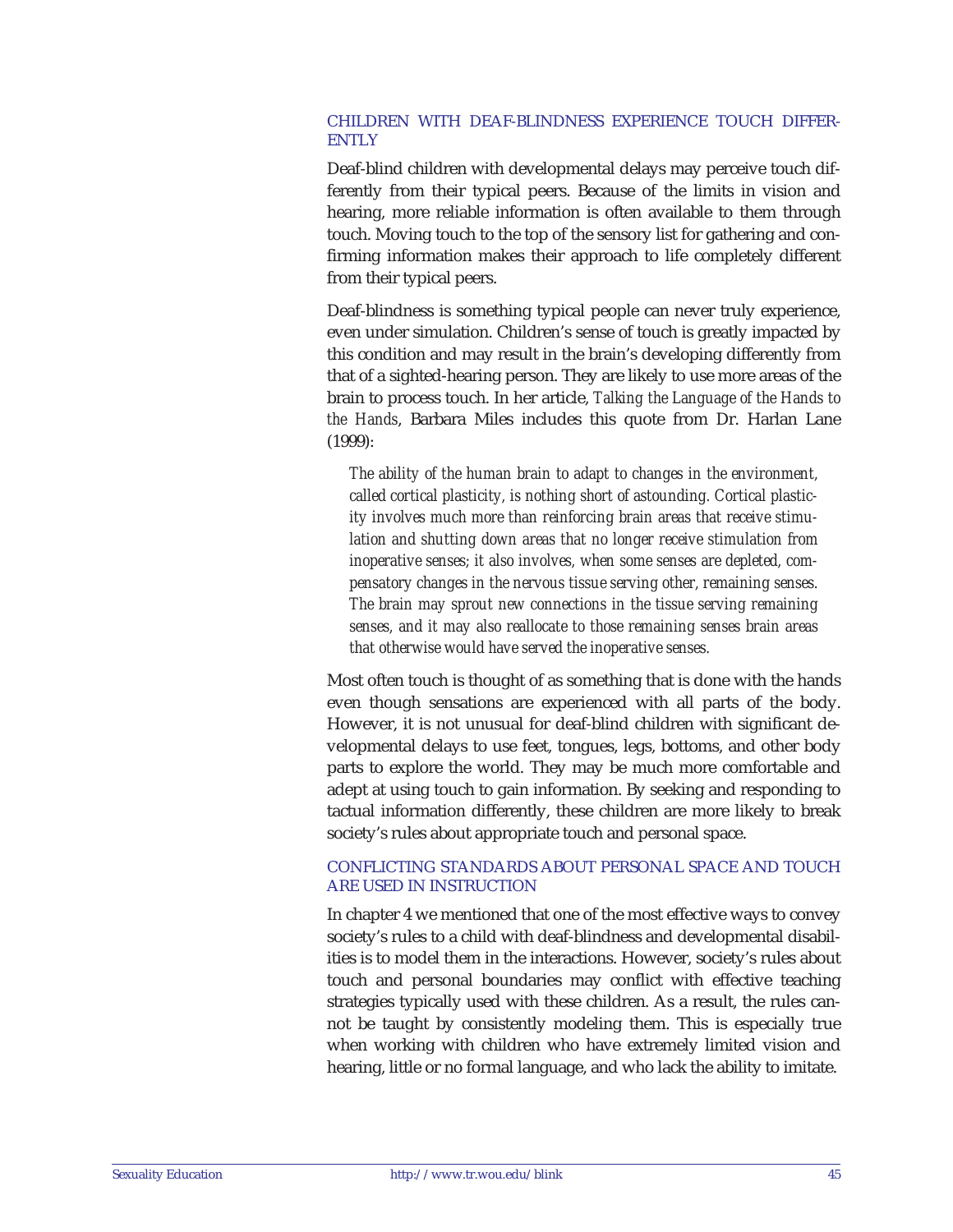#### CHILDREN WITH DEAF-BLINDNESS EXPERIENCE TOUCH DIFFER-**ENTLY**

Deaf-blind children with developmental delays may perceive touch differently from their typical peers. Because of the limits in vision and hearing, more reliable information is often available to them through touch. Moving touch to the top of the sensory list for gathering and confirming information makes their approach to life completely different from their typical peers.

Deaf-blindness is something typical people can never truly experience, even under simulation. Children's sense of touch is greatly impacted by this condition and may result in the brain's developing differently from that of a sighted-hearing person. They are likely to use more areas of the brain to process touch. In her article, *Talking the Language of the Hands to the Hands*, Barbara Miles includes this quote from Dr. Harlan Lane (1999):

*The ability of the human brain to adapt to changes in the environment, called cortical plasticity, is nothing short of astounding. Cortical plasticity involves much more than reinforcing brain areas that receive stimulation and shutting down areas that no longer receive stimulation from inoperative senses; it also involves, when some senses are depleted, compensatory changes in the nervous tissue serving other, remaining senses. The brain may sprout new connections in the tissue serving remaining senses, and it may also reallocate to those remaining senses brain areas that otherwise would have served the inoperative senses.*

Most often touch is thought of as something that is done with the hands even though sensations are experienced with all parts of the body. However, it is not unusual for deaf-blind children with significant developmental delays to use feet, tongues, legs, bottoms, and other body parts to explore the world. They may be much more comfortable and adept at using touch to gain information. By seeking and responding to tactual information differently, these children are more likely to break society's rules about appropriate touch and personal space.

#### CONFLICTING STANDARDS ABOUT PERSONAL SPACE AND TOUCH ARE USED IN INSTRUCTION

In chapter 4 we mentioned that one of the most effective ways to convey society's rules to a child with deaf-blindness and developmental disabilities is to model them in the interactions. However, society's rules about touch and personal boundaries may conflict with effective teaching strategies typically used with these children. As a result, the rules cannot be taught by consistently modeling them. This is especially true when working with children who have extremely limited vision and hearing, little or no formal language, and who lack the ability to imitate.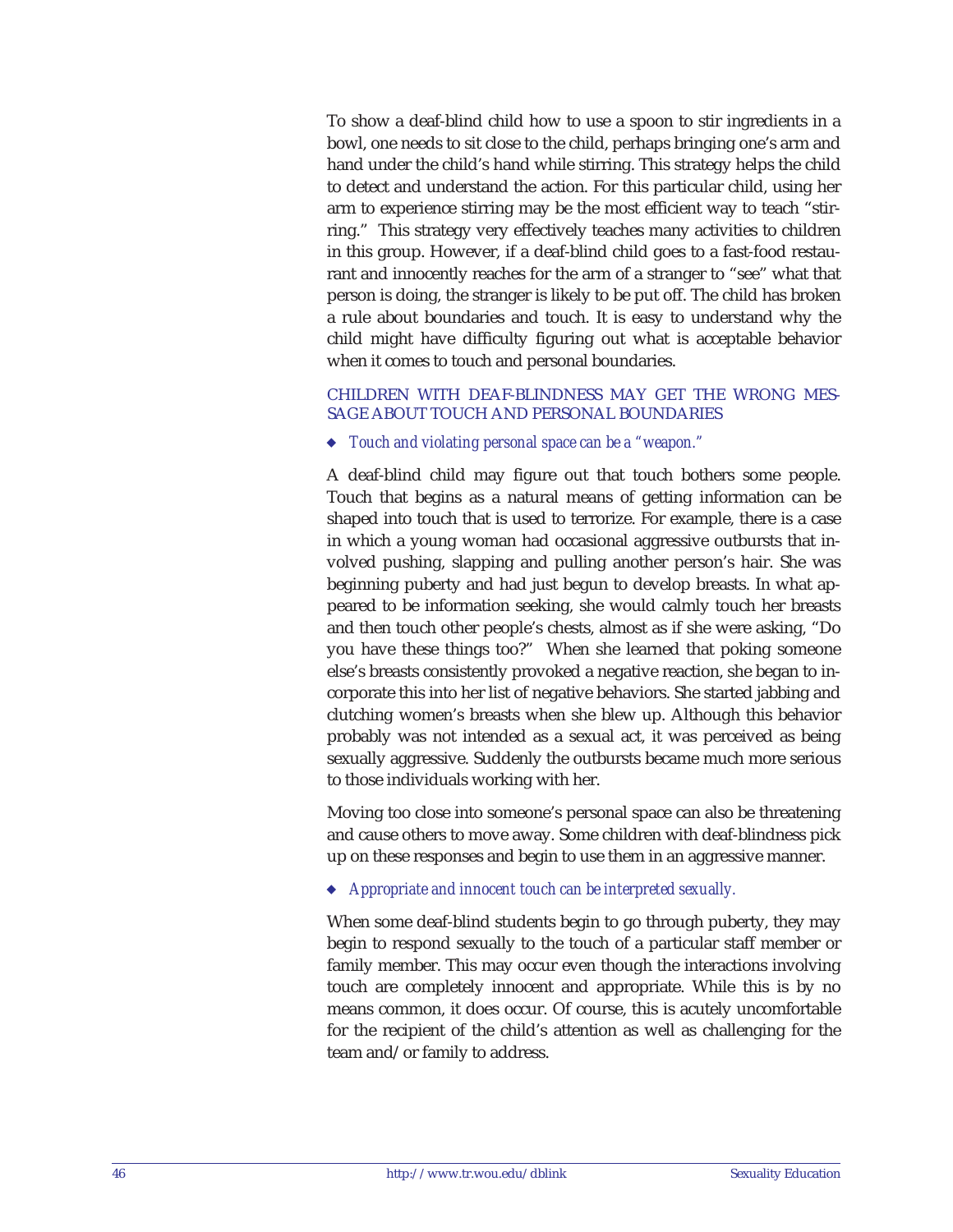To show a deaf-blind child how to use a spoon to stir ingredients in a bowl, one needs to sit close to the child, perhaps bringing one's arm and hand under the child's hand while stirring. This strategy helps the child to detect and understand the action. For this particular child, using her arm to experience stirring may be the most efficient way to teach "stirring." This strategy very effectively teaches many activities to children in this group. However, if a deaf-blind child goes to a fast-food restaurant and innocently reaches for the arm of a stranger to "see" what that person is doing, the stranger is likely to be put off. The child has broken a rule about boundaries and touch. It is easy to understand why the child might have difficulty figuring out what is acceptable behavior when it comes to touch and personal boundaries.

#### CHILDREN WITH DEAF-BLINDNESS MAY GET THE WRONG MES-SAGE ABOUT TOUCH AND PERSONAL BOUNDARIES

#### ◆ *Touch and violating personal space can be a "weapon."*

A deaf-blind child may figure out that touch bothers some people. Touch that begins as a natural means of getting information can be shaped into touch that is used to terrorize. For example, there is a case in which a young woman had occasional aggressive outbursts that involved pushing, slapping and pulling another person's hair. She was beginning puberty and had just begun to develop breasts. In what appeared to be information seeking, she would calmly touch her breasts and then touch other people's chests, almost as if she were asking, "Do you have these things too?" When she learned that poking someone else's breasts consistently provoked a negative reaction, she began to incorporate this into her list of negative behaviors. She started jabbing and clutching women's breasts when she blew up. Although this behavior probably was not intended as a sexual act, it was perceived as being sexually aggressive. Suddenly the outbursts became much more serious to those individuals working with her.

Moving too close into someone's personal space can also be threatening and cause others to move away. Some children with deaf-blindness pick up on these responses and begin to use them in an aggressive manner.

#### ◆ *Appropriate and innocent touch can be interpreted sexually.*

When some deaf-blind students begin to go through puberty, they may begin to respond sexually to the touch of a particular staff member or family member. This may occur even though the interactions involving touch are completely innocent and appropriate. While this is by no means common, it does occur. Of course, this is acutely uncomfortable for the recipient of the child's attention as well as challenging for the team and/or family to address.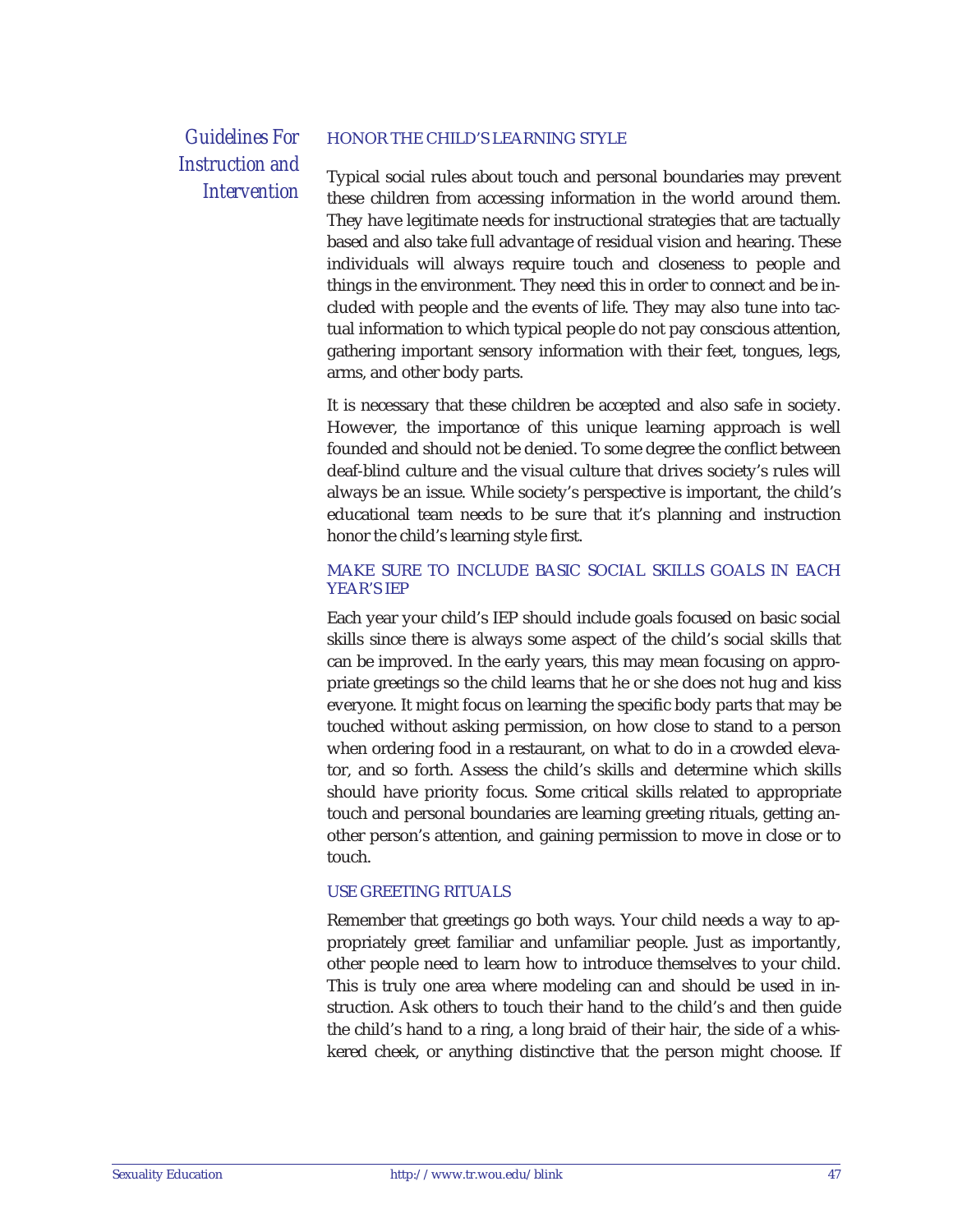### *Guidelines For Instruction and Intervention*

#### HONOR THE CHILD'S LEARNING STYLE

Typical social rules about touch and personal boundaries may prevent these children from accessing information in the world around them. They have legitimate needs for instructional strategies that are tactually based and also take full advantage of residual vision and hearing. These individuals will always require touch and closeness to people and things in the environment. They need this in order to connect and be included with people and the events of life. They may also tune into tactual information to which typical people do not pay conscious attention, gathering important sensory information with their feet, tongues, legs, arms, and other body parts.

It is necessary that these children be accepted and also safe in society. However, the importance of this unique learning approach is well founded and should not be denied. To some degree the conflict between deaf-blind culture and the visual culture that drives society's rules will always be an issue. While society's perspective is important, the child's educational team needs to be sure that it's planning and instruction honor the child's learning style first.

#### MAKE SURE TO INCLUDE BASIC SOCIAL SKILLS GOALS IN EACH YEAR'S IEP

Each year your child's IEP should include goals focused on basic social skills since there is always some aspect of the child's social skills that can be improved. In the early years, this may mean focusing on appropriate greetings so the child learns that he or she does not hug and kiss everyone. It might focus on learning the specific body parts that may be touched without asking permission, on how close to stand to a person when ordering food in a restaurant, on what to do in a crowded elevator, and so forth. Assess the child's skills and determine which skills should have priority focus. Some critical skills related to appropriate touch and personal boundaries are learning greeting rituals, getting another person's attention, and gaining permission to move in close or to touch.

#### USE GREETING RITUALS

Remember that greetings go both ways. Your child needs a way to appropriately greet familiar and unfamiliar people. Just as importantly, other people need to learn how to introduce themselves to your child. This is truly one area where modeling can and should be used in instruction. Ask others to touch their hand to the child's and then guide the child's hand to a ring, a long braid of their hair, the side of a whiskered cheek, or anything distinctive that the person might choose. If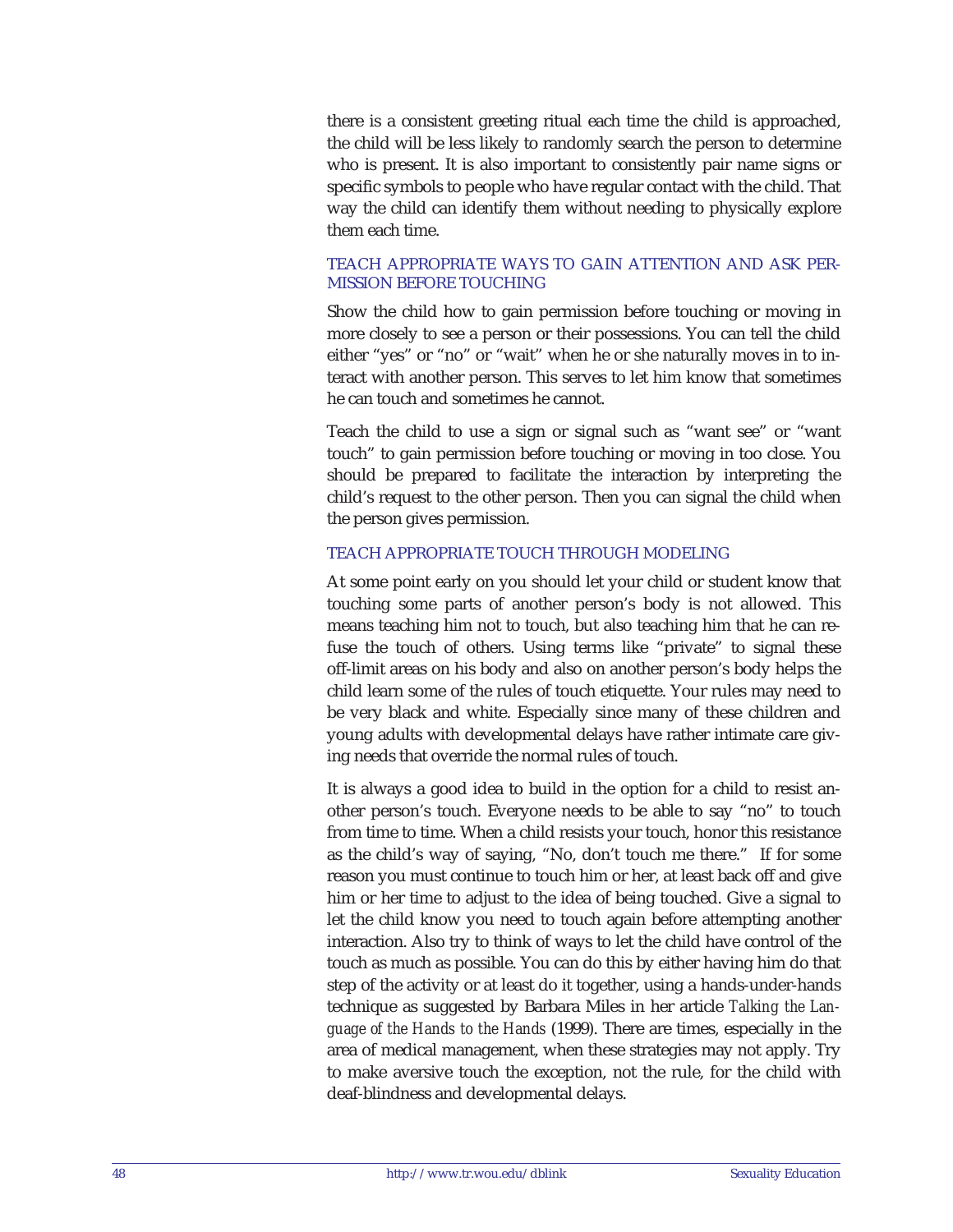there is a consistent greeting ritual each time the child is approached, the child will be less likely to randomly search the person to determine who is present. It is also important to consistently pair name signs or specific symbols to people who have regular contact with the child. That way the child can identify them without needing to physically explore them each time.

#### TEACH APPROPRIATE WAYS TO GAIN ATTENTION AND ASK PER-MISSION BEFORE TOUCHING

Show the child how to gain permission before touching or moving in more closely to see a person or their possessions. You can tell the child either "yes" or "no" or "wait" when he or she naturally moves in to interact with another person. This serves to let him know that sometimes he can touch and sometimes he cannot.

Teach the child to use a sign or signal such as "want see" or "want touch" to gain permission before touching or moving in too close. You should be prepared to facilitate the interaction by interpreting the child's request to the other person. Then you can signal the child when the person gives permission.

#### TEACH APPROPRIATE TOUCH THROUGH MODELING

At some point early on you should let your child or student know that touching some parts of another person's body is not allowed. This means teaching him not to touch, but also teaching him that he can refuse the touch of others. Using terms like "private" to signal these off-limit areas on his body and also on another person's body helps the child learn some of the rules of touch etiquette. Your rules may need to be very black and white. Especially since many of these children and young adults with developmental delays have rather intimate care giving needs that override the normal rules of touch.

It is always a good idea to build in the option for a child to resist another person's touch. Everyone needs to be able to say "no" to touch from time to time. When a child resists your touch, honor this resistance as the child's way of saying, "No, don't touch me there." If for some reason you must continue to touch him or her, at least back off and give him or her time to adjust to the idea of being touched. Give a signal to let the child know you need to touch again before attempting another interaction. Also try to think of ways to let the child have control of the touch as much as possible. You can do this by either having him do that step of the activity or at least do it together, using a hands-under-hands technique as suggested by Barbara Miles in her article *Talking the Language of the Hands to the Hands* (1999). There are times, especially in the area of medical management, when these strategies may not apply. Try to make aversive touch the exception, not the rule, for the child with deaf-blindness and developmental delays.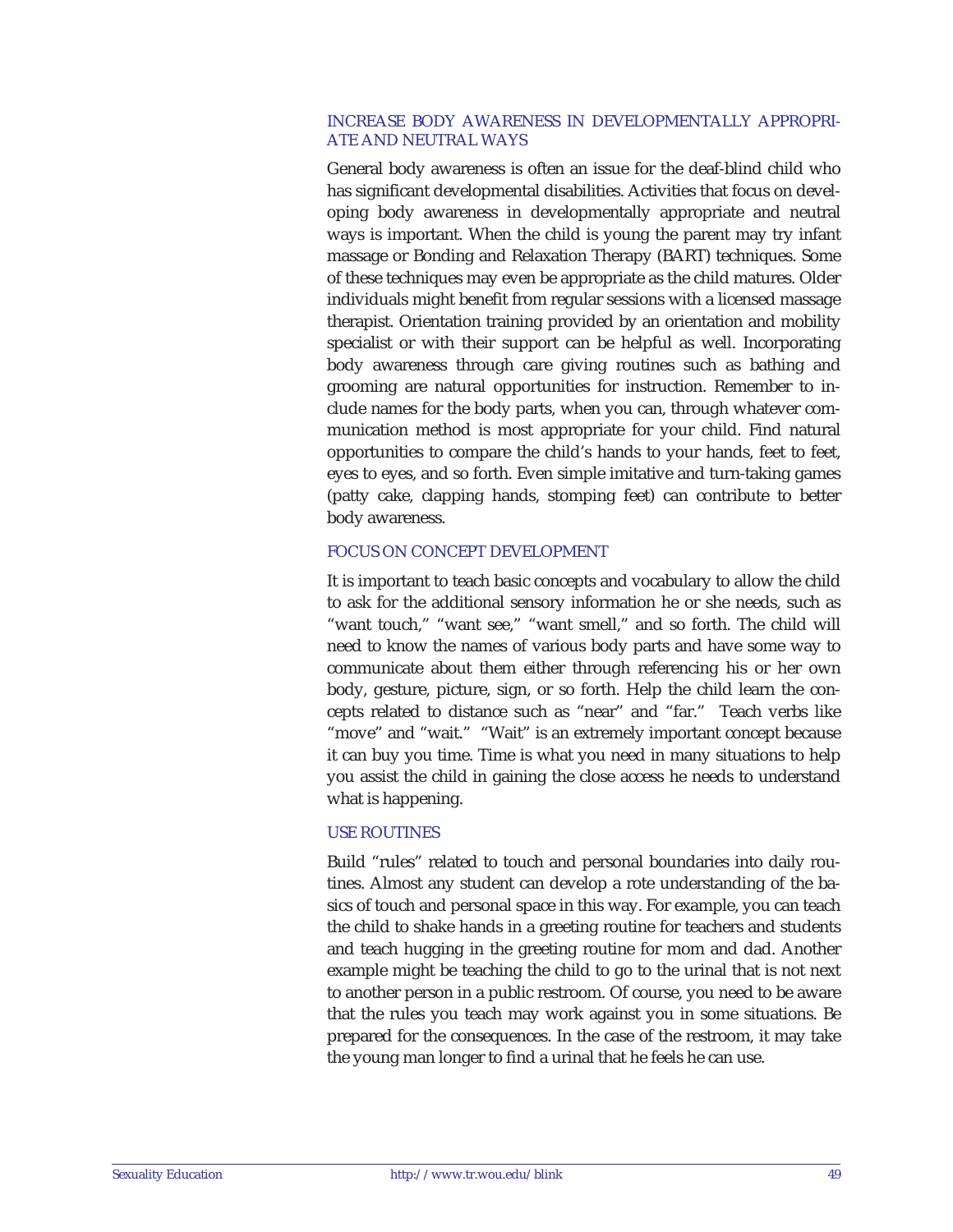#### INCREASE BODY AWARENESS IN DEVELOPMENTALLY APPROPRI-ATE AND NEUTRAL WAYS

General body awareness is often an issue for the deaf-blind child who has significant developmental disabilities. Activities that focus on developing body awareness in developmentally appropriate and neutral ways is important. When the child is young the parent may try infant massage or Bonding and Relaxation Therapy (BART) techniques. Some of these techniques may even be appropriate as the child matures. Older individuals might benefit from regular sessions with a licensed massage therapist. Orientation training provided by an orientation and mobility specialist or with their support can be helpful as well. Incorporating body awareness through care giving routines such as bathing and grooming are natural opportunities for instruction. Remember to include names for the body parts, when you can, through whatever communication method is most appropriate for your child. Find natural opportunities to compare the child's hands to your hands, feet to feet, eyes to eyes, and so forth. Even simple imitative and turn-taking games (patty cake, clapping hands, stomping feet) can contribute to better body awareness.

#### FOCUS ON CONCEPT DEVELOPMENT

It is important to teach basic concepts and vocabulary to allow the child to ask for the additional sensory information he or she needs, such as "want touch," "want see," "want smell," and so forth. The child will need to know the names of various body parts and have some way to communicate about them either through referencing his or her own body, gesture, picture, sign, or so forth. Help the child learn the concepts related to distance such as "near" and "far." Teach verbs like "move" and "wait." "Wait" is an extremely important concept because it can buy you time. Time is what you need in many situations to help you assist the child in gaining the close access he needs to understand what is happening.

#### USE ROUTINES

Build "rules" related to touch and personal boundaries into daily routines. Almost any student can develop a rote understanding of the basics of touch and personal space in this way. For example, you can teach the child to shake hands in a greeting routine for teachers and students and teach hugging in the greeting routine for mom and dad. Another example might be teaching the child to go to the urinal that is not next to another person in a public restroom. Of course, you need to be aware that the rules you teach may work against you in some situations. Be prepared for the consequences. In the case of the restroom, it may take the young man longer to find a urinal that he feels he can use.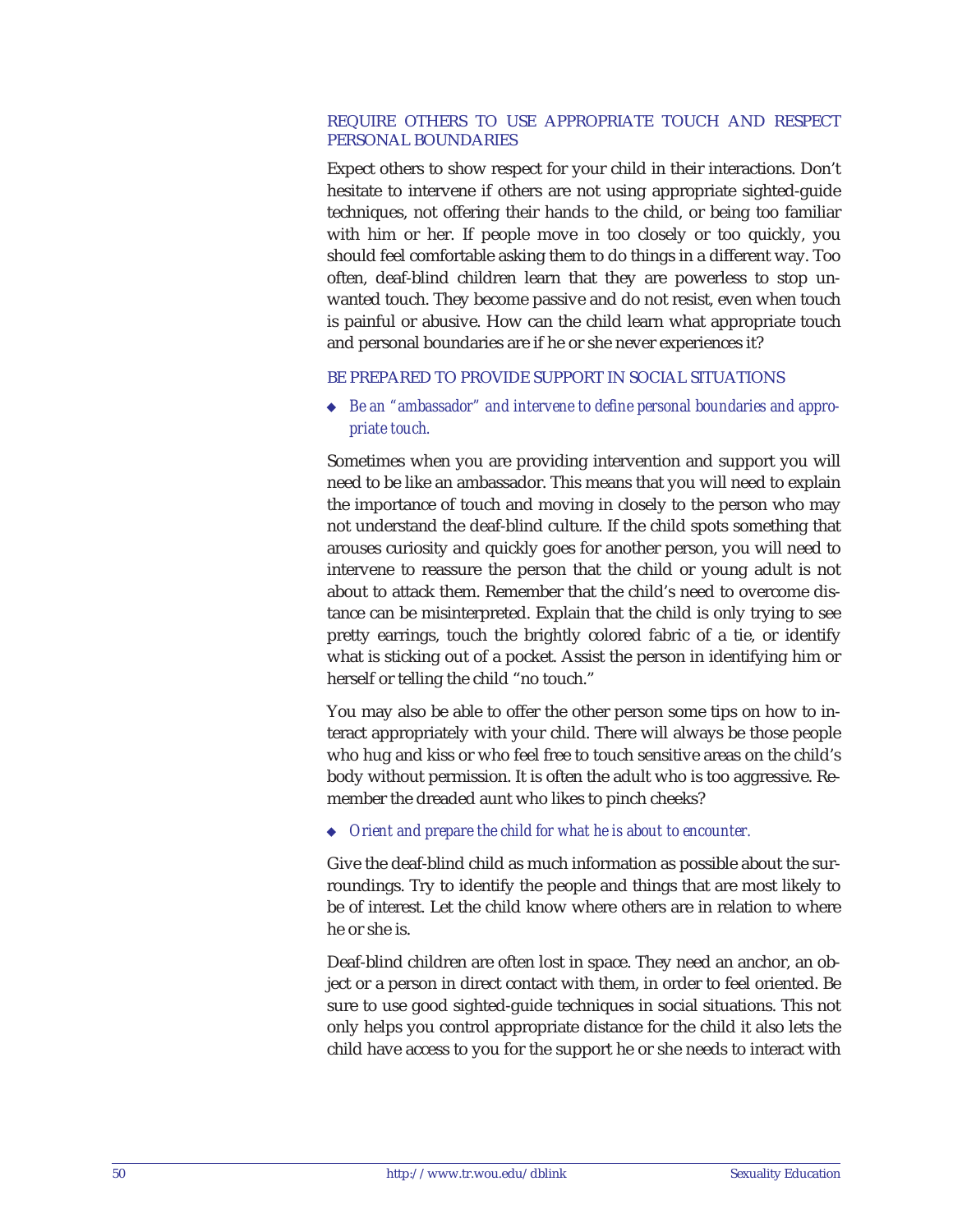#### REQUIRE OTHERS TO USE APPROPRIATE TOUCH AND RESPECT PERSONAL BOUNDARIES

Expect others to show respect for your child in their interactions. Don't hesitate to intervene if others are not using appropriate sighted-guide techniques, not offering their hands to the child, or being too familiar with him or her. If people move in too closely or too quickly, you should feel comfortable asking them to do things in a different way. Too often, deaf-blind children learn that they are powerless to stop unwanted touch. They become passive and do not resist, even when touch is painful or abusive. How can the child learn what appropriate touch and personal boundaries are if he or she never experiences it?

#### BE PREPARED TO PROVIDE SUPPORT IN SOCIAL SITUATIONS

◆ Be an "ambassador" and intervene to define personal boundaries and appro*priate touch.*

Sometimes when you are providing intervention and support you will need to be like an ambassador. This means that you will need to explain the importance of touch and moving in closely to the person who may not understand the deaf-blind culture. If the child spots something that arouses curiosity and quickly goes for another person, you will need to intervene to reassure the person that the child or young adult is not about to attack them. Remember that the child's need to overcome distance can be misinterpreted. Explain that the child is only trying to see pretty earrings, touch the brightly colored fabric of a tie, or identify what is sticking out of a pocket. Assist the person in identifying him or herself or telling the child "no touch."

You may also be able to offer the other person some tips on how to interact appropriately with your child. There will always be those people who hug and kiss or who feel free to touch sensitive areas on the child's body without permission. It is often the adult who is too aggressive. Remember the dreaded aunt who likes to pinch cheeks?

#### ◆ *Orient and prepare the child for what he is about to encounter.*

Give the deaf-blind child as much information as possible about the surroundings. Try to identify the people and things that are most likely to be of interest. Let the child know where others are in relation to where he or she is.

Deaf-blind children are often lost in space. They need an anchor, an object or a person in direct contact with them, in order to feel oriented. Be sure to use good sighted-guide techniques in social situations. This not only helps you control appropriate distance for the child it also lets the child have access to you for the support he or she needs to interact with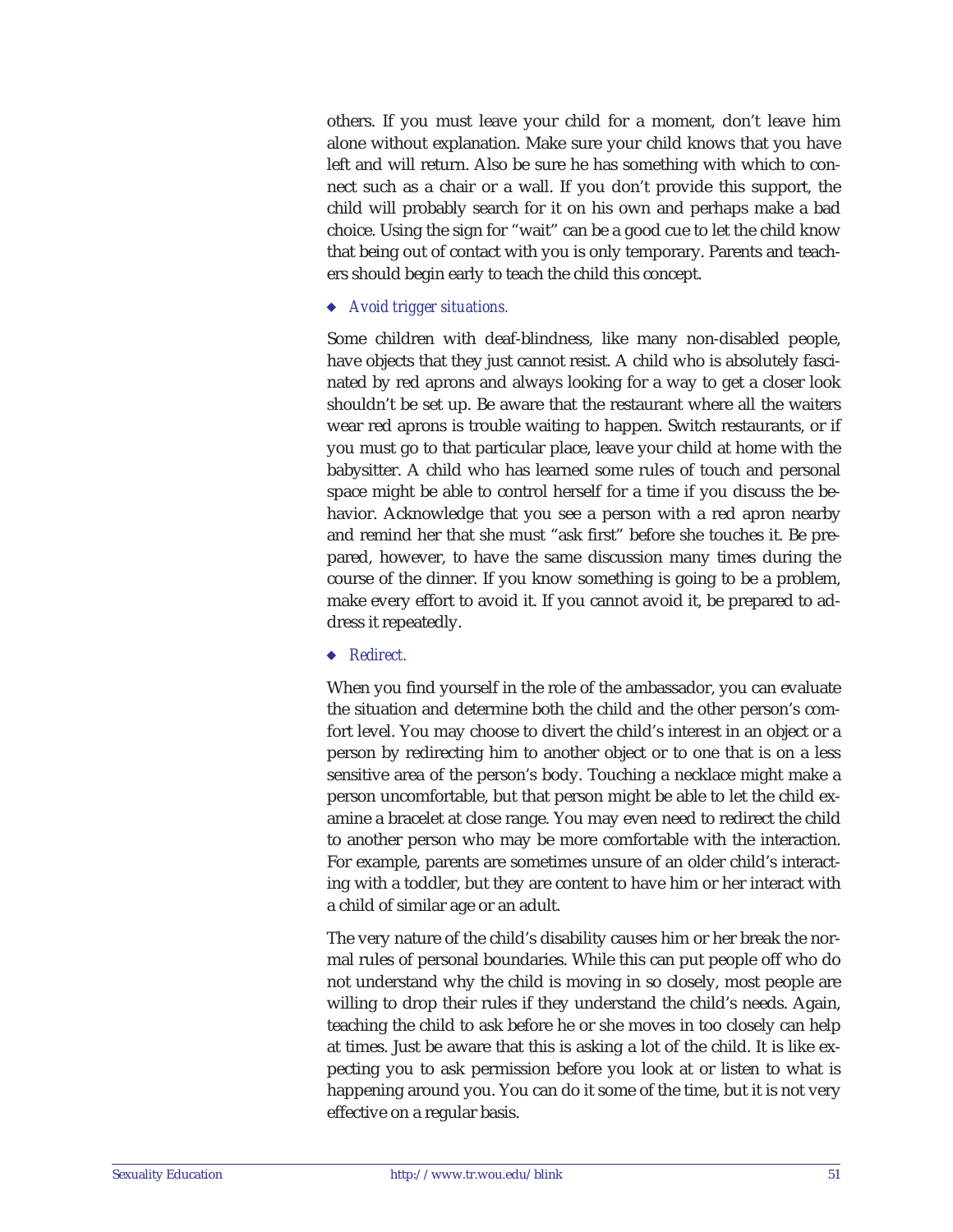others. If you must leave your child for a moment, don't leave him alone without explanation. Make sure your child knows that you have left and will return. Also be sure he has something with which to connect such as a chair or a wall. If you don't provide this support, the child will probably search for it on his own and perhaps make a bad choice. Using the sign for "wait" can be a good cue to let the child know that being out of contact with you is only temporary. Parents and teachers should begin early to teach the child this concept.

#### ◆ *Avoid trigger situations.*

Some children with deaf-blindness, like many non-disabled people, have objects that they just cannot resist. A child who is absolutely fascinated by red aprons and always looking for a way to get a closer look shouldn't be set up. Be aware that the restaurant where all the waiters wear red aprons is trouble waiting to happen. Switch restaurants, or if you must go to that particular place, leave your child at home with the babysitter. A child who has learned some rules of touch and personal space might be able to control herself for a time if you discuss the behavior. Acknowledge that you see a person with a red apron nearby and remind her that she must "ask first" before she touches it. Be prepared, however, to have the same discussion many times during the course of the dinner. If you know something is going to be a problem, make every effort to avoid it. If you cannot avoid it, be prepared to address it repeatedly.

#### ◆ *Redirect.*

When you find yourself in the role of the ambassador, you can evaluate the situation and determine both the child and the other person's comfort level. You may choose to divert the child's interest in an object or a person by redirecting him to another object or to one that is on a less sensitive area of the person's body. Touching a necklace might make a person uncomfortable, but that person might be able to let the child examine a bracelet at close range. You may even need to redirect the child to another person who may be more comfortable with the interaction. For example, parents are sometimes unsure of an older child's interacting with a toddler, but they are content to have him or her interact with a child of similar age or an adult.

The very nature of the child's disability causes him or her break the normal rules of personal boundaries. While this can put people off who do not understand why the child is moving in so closely, most people are willing to drop their rules if they understand the child's needs. Again, teaching the child to ask before he or she moves in too closely can help at times. Just be aware that this is asking a lot of the child. It is like expecting you to ask permission before you look at or listen to what is happening around you. You can do it some of the time, but it is not very effective on a regular basis.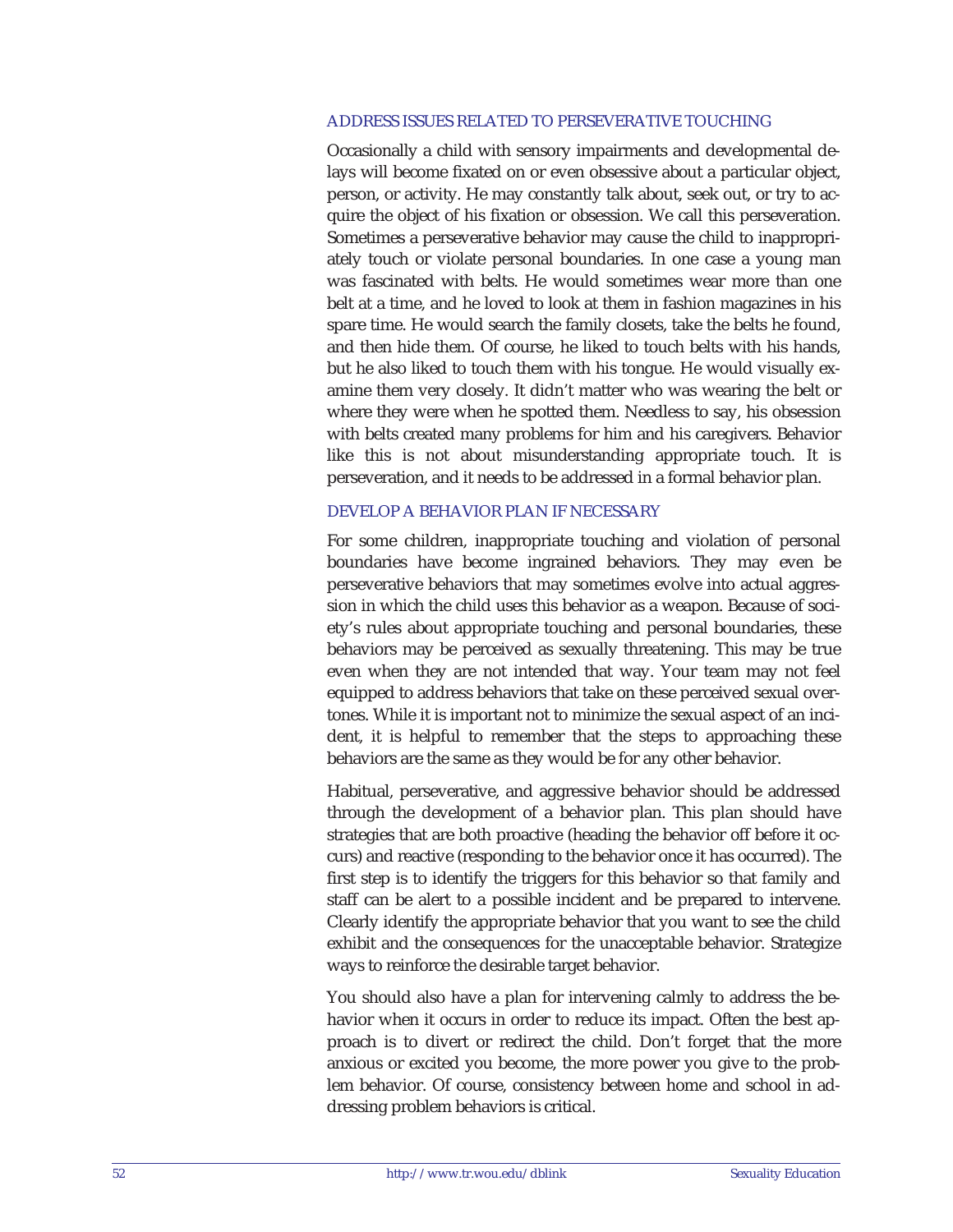#### ADDRESS ISSUES RELATED TO PERSEVERATIVE TOUCHING

Occasionally a child with sensory impairments and developmental delays will become fixated on or even obsessive about a particular object, person, or activity. He may constantly talk about, seek out, or try to acquire the object of his fixation or obsession. We call this perseveration. Sometimes a perseverative behavior may cause the child to inappropriately touch or violate personal boundaries. In one case a young man was fascinated with belts. He would sometimes wear more than one belt at a time, and he loved to look at them in fashion magazines in his spare time. He would search the family closets, take the belts he found, and then hide them. Of course, he liked to touch belts with his hands, but he also liked to touch them with his tongue. He would visually examine them very closely. It didn't matter who was wearing the belt or where they were when he spotted them. Needless to say, his obsession with belts created many problems for him and his caregivers. Behavior like this is not about misunderstanding appropriate touch. It is perseveration, and it needs to be addressed in a formal behavior plan.

#### DEVELOP A BEHAVIOR PLAN IF NECESSARY

For some children, inappropriate touching and violation of personal boundaries have become ingrained behaviors. They may even be perseverative behaviors that may sometimes evolve into actual aggression in which the child uses this behavior as a weapon. Because of society's rules about appropriate touching and personal boundaries, these behaviors may be perceived as sexually threatening. This may be true even when they are not intended that way. Your team may not feel equipped to address behaviors that take on these perceived sexual overtones. While it is important not to minimize the sexual aspect of an incident, it is helpful to remember that the steps to approaching these behaviors are the same as they would be for any other behavior.

Habitual, perseverative, and aggressive behavior should be addressed through the development of a behavior plan. This plan should have strategies that are both proactive (heading the behavior off before it occurs) and reactive (responding to the behavior once it has occurred). The first step is to identify the triggers for this behavior so that family and staff can be alert to a possible incident and be prepared to intervene. Clearly identify the appropriate behavior that you want to see the child exhibit and the consequences for the unacceptable behavior. Strategize ways to reinforce the desirable target behavior.

You should also have a plan for intervening calmly to address the behavior when it occurs in order to reduce its impact. Often the best approach is to divert or redirect the child. Don't forget that the more anxious or excited you become, the more power you give to the problem behavior. Of course, consistency between home and school in addressing problem behaviors is critical.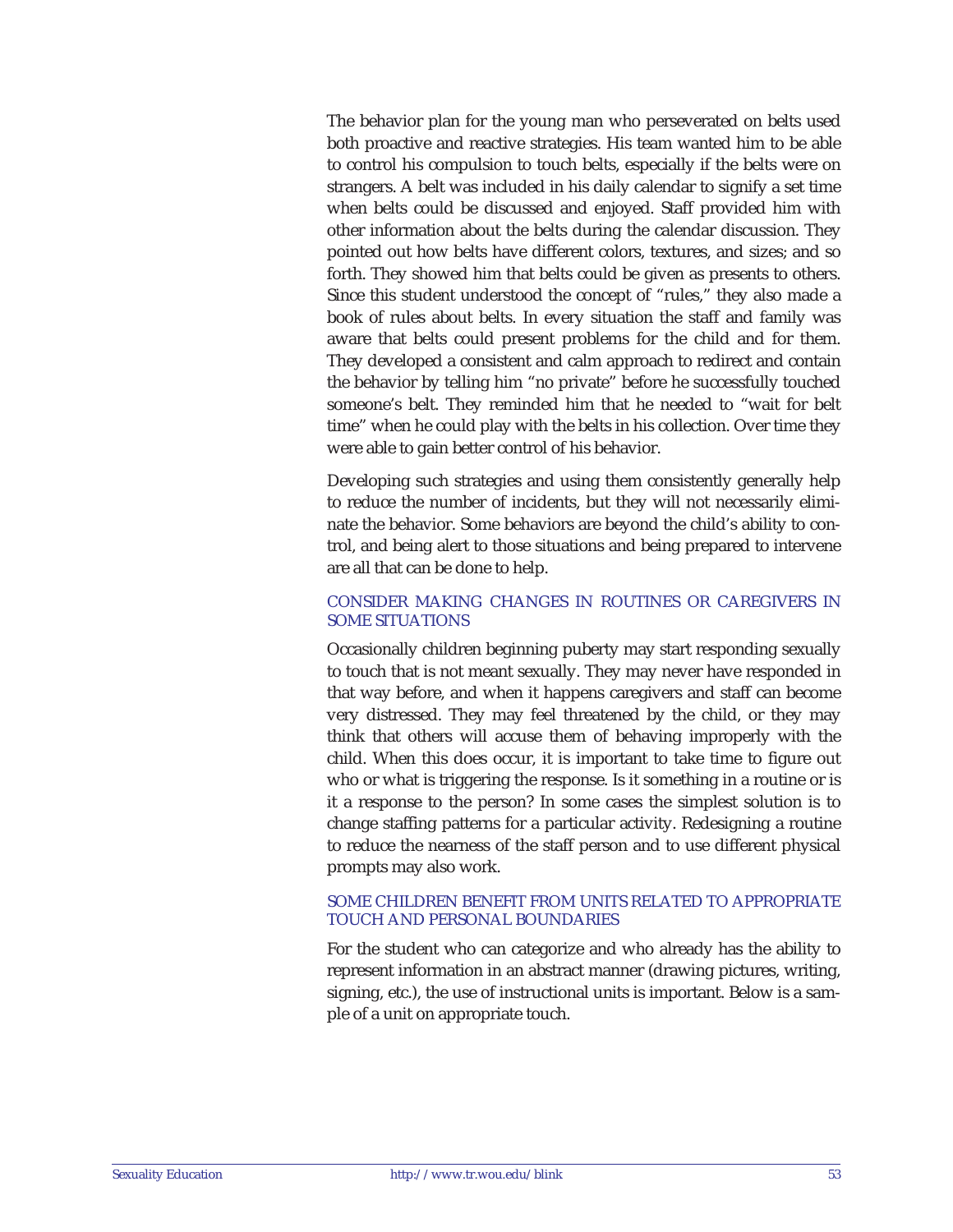The behavior plan for the young man who perseverated on belts used both proactive and reactive strategies. His team wanted him to be able to control his compulsion to touch belts, especially if the belts were on strangers. A belt was included in his daily calendar to signify a set time when belts could be discussed and enjoyed. Staff provided him with other information about the belts during the calendar discussion. They pointed out how belts have different colors, textures, and sizes; and so forth. They showed him that belts could be given as presents to others. Since this student understood the concept of "rules," they also made a book of rules about belts. In every situation the staff and family was aware that belts could present problems for the child and for them. They developed a consistent and calm approach to redirect and contain the behavior by telling him "no private" before he successfully touched someone's belt. They reminded him that he needed to "wait for belt time" when he could play with the belts in his collection. Over time they were able to gain better control of his behavior.

Developing such strategies and using them consistently generally help to reduce the number of incidents, but they will not necessarily eliminate the behavior. Some behaviors are beyond the child's ability to control, and being alert to those situations and being prepared to intervene are all that can be done to help.

#### CONSIDER MAKING CHANGES IN ROUTINES OR CAREGIVERS IN SOME SITUATIONS

Occasionally children beginning puberty may start responding sexually to touch that is not meant sexually. They may never have responded in that way before, and when it happens caregivers and staff can become very distressed. They may feel threatened by the child, or they may think that others will accuse them of behaving improperly with the child. When this does occur, it is important to take time to figure out who or what is triggering the response. Is it something in a routine or is it a response to the person? In some cases the simplest solution is to change staffing patterns for a particular activity. Redesigning a routine to reduce the nearness of the staff person and to use different physical prompts may also work.

#### SOME CHILDREN BENEFIT FROM UNITS RELATED TO APPROPRIATE TOUCH AND PERSONAL BOUNDARIES

For the student who can categorize and who already has the ability to represent information in an abstract manner (drawing pictures, writing, signing, etc.), the use of instructional units is important. Below is a sample of a unit on appropriate touch.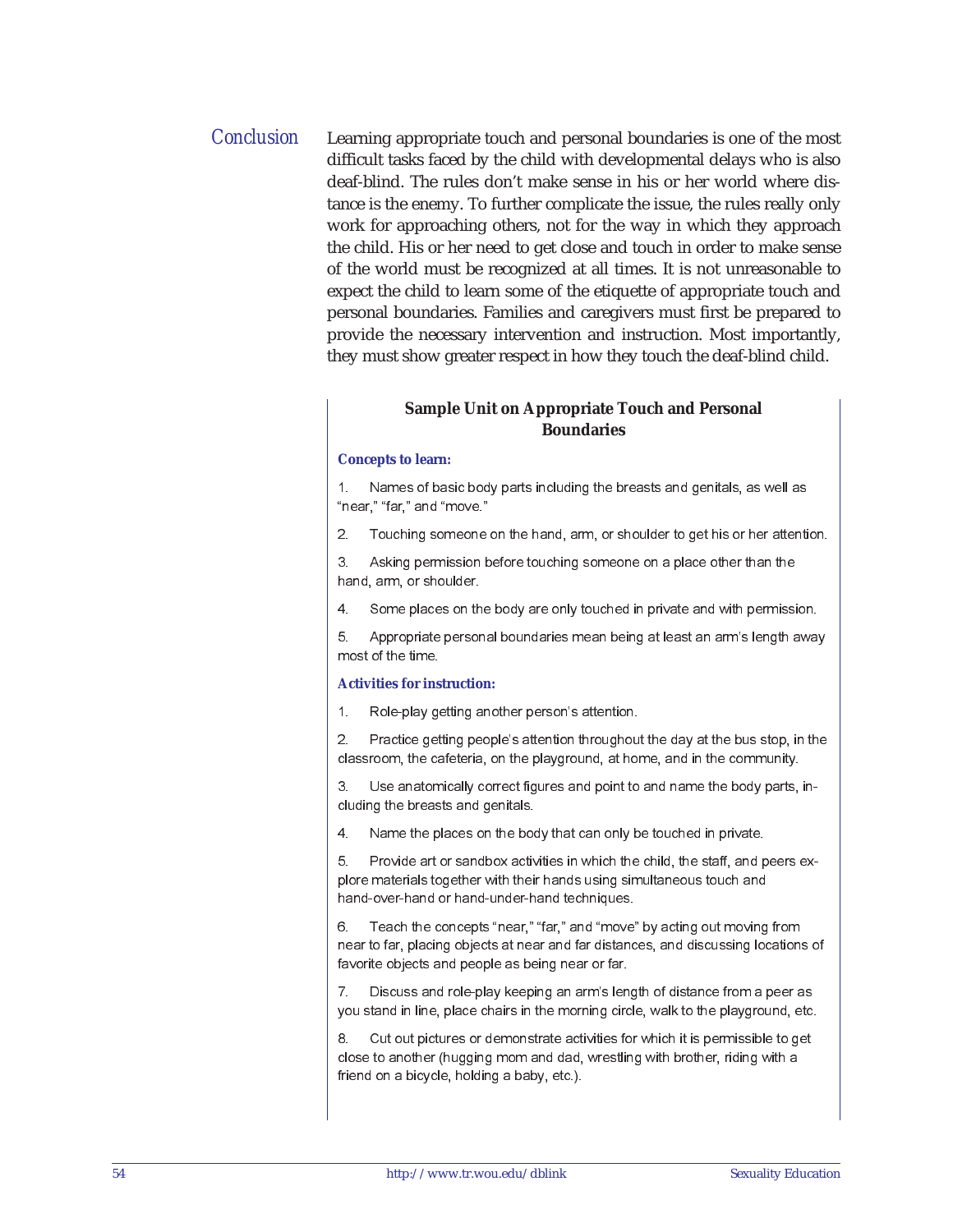*Conclusion* Learning appropriate touch and personal boundaries is one of the most difficult tasks faced by the child with developmental delays who is also deaf-blind. The rules don't make sense in his or her world where distance is the enemy. To further complicate the issue, the rules really only work for approaching others, not for the way in which they approach the child. His or her need to get close and touch in order to make sense of the world must be recognized at all times. It is not unreasonable to expect the child to learn some of the etiquette of appropriate touch and personal boundaries. Families and caregivers must first be prepared to provide the necessary intervention and instruction. Most importantly, they must show greater respect in how they touch the deaf-blind child.

#### **Sample Unit on Appropriate Touch and Personal Boundaries**

#### **Concepts to learn:**

1. Names of basic body parts including the breasts and genitals, as well as "near," "far," and "move."

2. Touching someone on the hand, arm, or shoulder to get his or her attention.

3. Asking permission before touching someone on a place other than the hand, arm, or shoulder.

4. Some places on the body are only touched in private and with permission.

5. Appropriate personal boundaries mean being at least an arm's length away most of the time.

#### **Activities for instruction:**

1. Role-play getting another person's attention.

2. Practice getting people's attention throughout the day at the bus stop, in the classroom, the cafeteria, on the playground, at home, and in the community.

3. Use anatomically correct figures and point to and name the body parts, including the breasts and genitals.

4. Name the places on the body that can only be touched in private.

5. Provide art or sandbox activities in which the child, the staff, and peers explore materials together with their hands using simultaneous touch and hand-over-hand or hand-under-hand techniques.

6. Teach the concepts "near," "far," and "move" by acting out moving from near to far, placing objects at near and far distances, and discussing locations of favorite objects and people as being near or far.

7. Discuss and role-play keeping an arm's length of distance from a peer as you stand in line, place chairs in the morning circle, walk to the playground, etc.

8. Cut out pictures or demonstrate activities for which it is permissible to get close to another (hugging mom and dad, wrestling with brother, riding with a friend on a bicycle, holding a baby, etc.).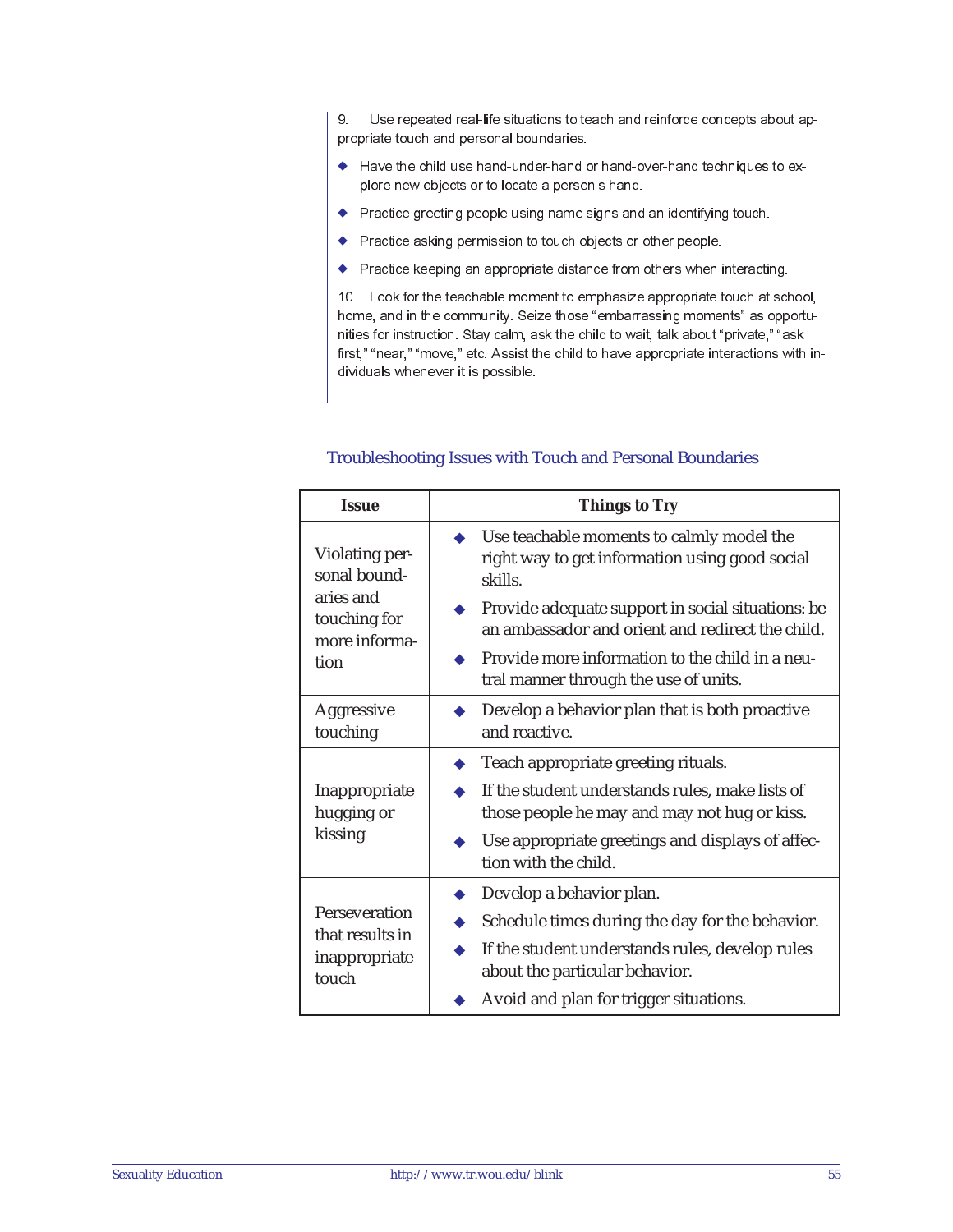9. Use repeated real-life situations to teach and reinforce concepts about appropriate touch and personal boundaries.

- ◆ Have the child use hand-under-hand or hand-over-hand techniques to explore new objects or to locate a person's hand.
- ◆ Practice greeting people using name signs and an identifying touch.
- ◆ Practice asking permission to touch objects or other people.
- ◆ Practice keeping an appropriate distance from others when interacting.

10. Look for the teachable moment to emphasize appropriate touch at school, home, and in the community. Seize those "embarrassing moments" as opportunities for instruction. Stay calm, ask the child to wait, talk about "private," "ask first," "near," "move," etc. Assist the child to have appropriate interactions with individuals whenever it is possible.

#### Troubleshooting Issues with Touch and Personal Boundaries

| <b>Issue</b>                                                                         | <b>Things to Try</b>                                                                                                                                                                                                                                                                                        |  |  |
|--------------------------------------------------------------------------------------|-------------------------------------------------------------------------------------------------------------------------------------------------------------------------------------------------------------------------------------------------------------------------------------------------------------|--|--|
| Violating per-<br>sonal bound-<br>aries and<br>touching for<br>more informa-<br>tion | Use teachable moments to calmly model the<br>right way to get information using good social<br>skills.<br>Provide adequate support in social situations: be<br>an ambassador and orient and redirect the child.<br>Provide more information to the child in a neu-<br>tral manner through the use of units. |  |  |
| Aggressive<br>touching                                                               | Develop a behavior plan that is both proactive<br>and reactive.                                                                                                                                                                                                                                             |  |  |
| Inappropriate<br>hugging or<br>kissing                                               | Teach appropriate greeting rituals.<br>If the student understands rules, make lists of<br>those people he may and may not hug or kiss.<br>Use appropriate greetings and displays of affec-<br>tion with the child.                                                                                          |  |  |
| Perseveration<br>that results in<br>inappropriate<br>touch                           | Develop a behavior plan.<br>Schedule times during the day for the behavior.<br>If the student understands rules, develop rules<br>about the particular behavior.<br>Avoid and plan for trigger situations.                                                                                                  |  |  |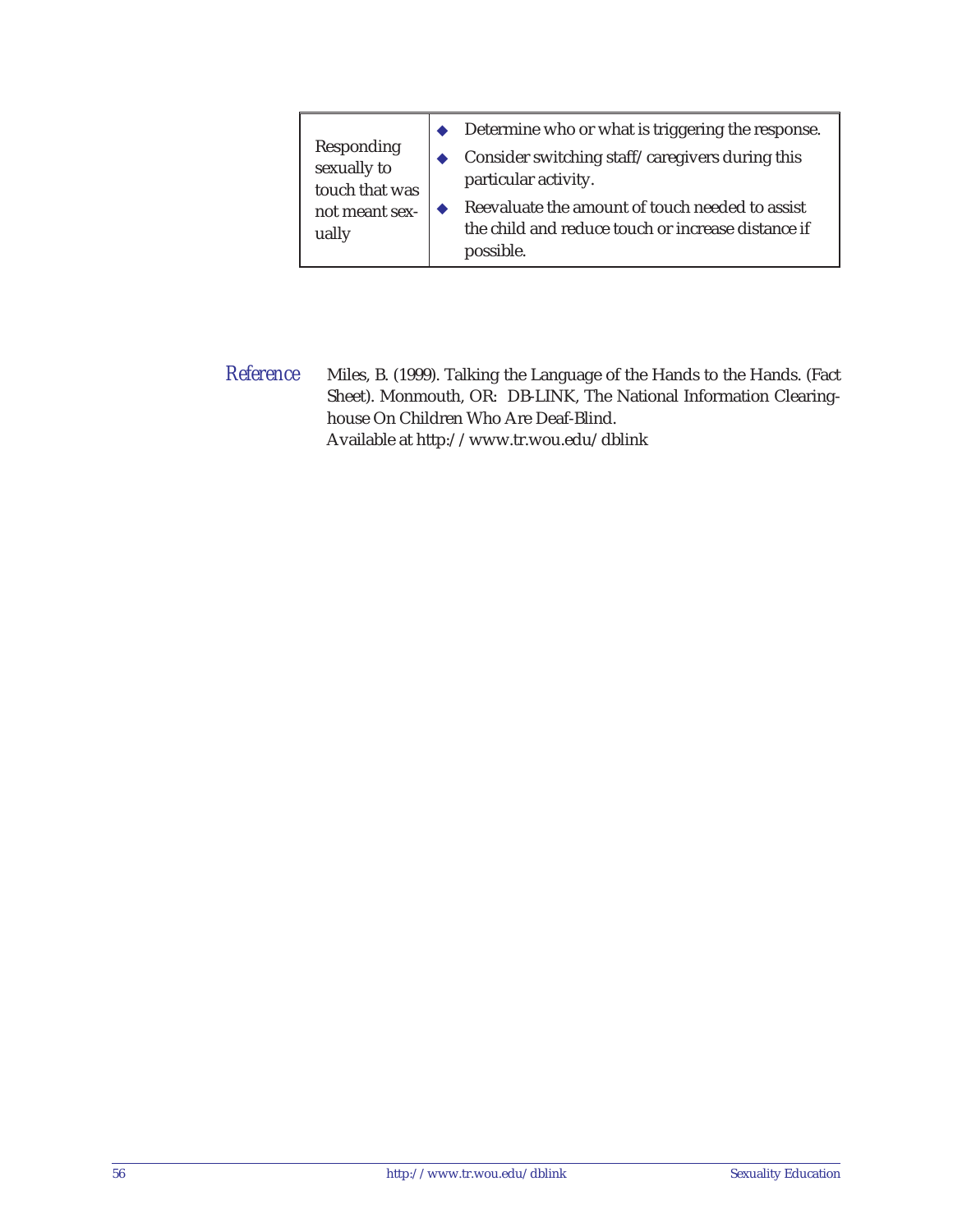|                                             | • Determine who or what is triggering the response.                                                                |
|---------------------------------------------|--------------------------------------------------------------------------------------------------------------------|
| Responding<br>sexually to<br>touch that was | Consider switching staff/caregivers during this<br>particular activity.                                            |
| not meant sex-<br>ually                     | Reevaluate the amount of touch needed to assist<br>the child and reduce touch or increase distance if<br>possible. |

*Reference* Miles, B. (1999). Talking the Language of the Hands to the Hands. (Fact Sheet). Monmouth, OR: DB-LINK, The National Information Clearinghouse On Children Who Are Deaf-Blind. Available at http://www.tr.wou.edu/dblink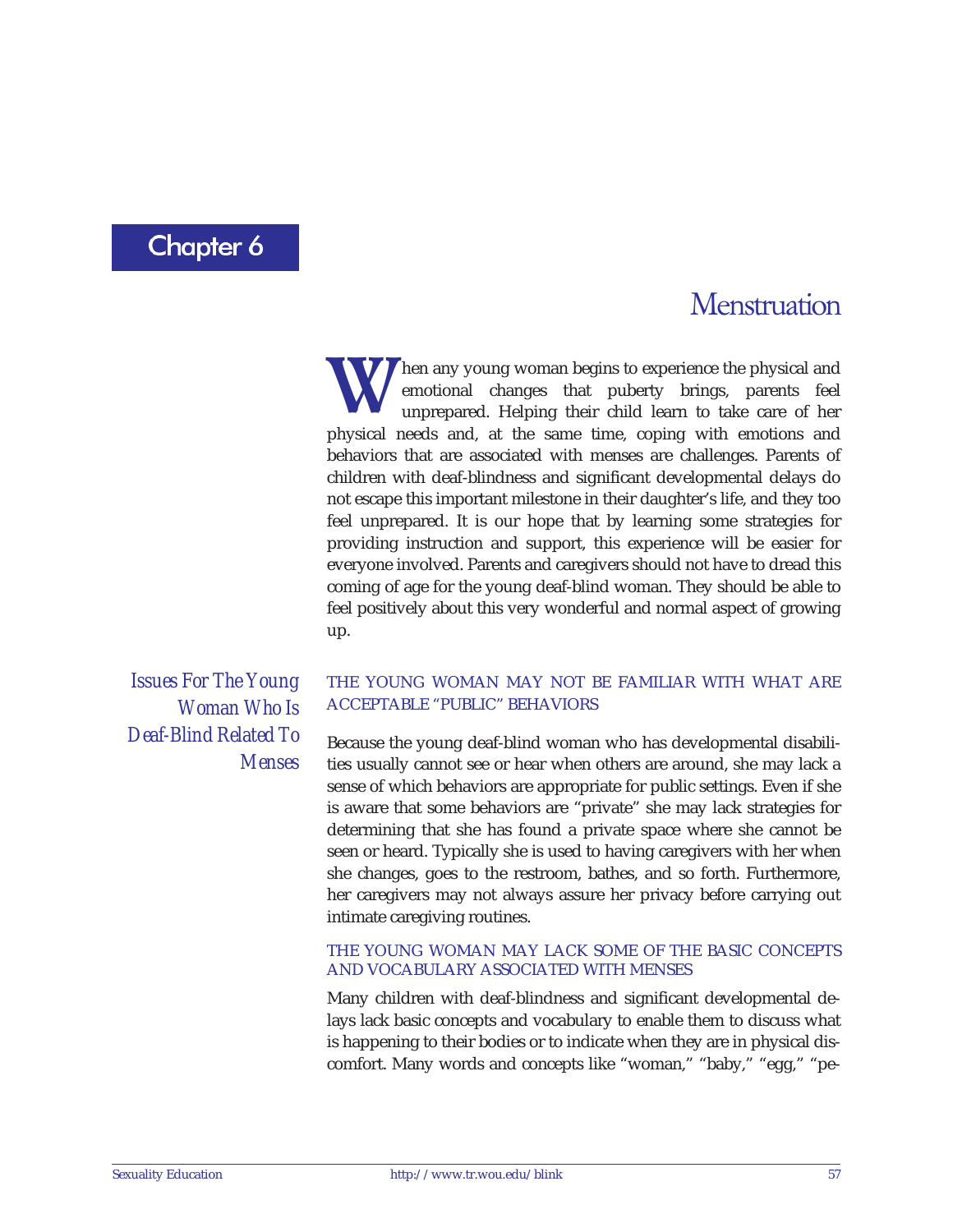## <span id="page-62-0"></span>Chapter 6

## *Menstruation*

**W** hen any young woman begins to experience the physical and emotional changes that puberty brings, parents feel emotional changes that puberty brings, parents feel unprepared. Helping their child learn to take care of her physical needs and, at the same time, coping with emotions and behaviors that are associated with menses are challenges. Parents of children with deaf-blindness and significant developmental delays do not escape this important milestone in their daughter's life, and they too feel unprepared. It is our hope that by learning some strategies for providing instruction and support, this experience will be easier for everyone involved. Parents and caregivers should not have to dread this coming of age for the young deaf-blind woman. They should be able to feel positively about this very wonderful and normal aspect of growing up.

*Issues For The Young Woman Who Is Deaf-Blind Related To Menses*

#### THE YOUNG WOMAN MAY NOT BE FAMILIAR WITH WHAT ARE ACCEPTABLE "PUBLIC" BEHAVIORS

Because the young deaf-blind woman who has developmental disabilities usually cannot see or hear when others are around, she may lack a sense of which behaviors are appropriate for public settings. Even if she is aware that some behaviors are "private" she may lack strategies for determining that she has found a private space where she cannot be seen or heard. Typically she is used to having caregivers with her when she changes, goes to the restroom, bathes, and so forth. Furthermore, her caregivers may not always assure her privacy before carrying out intimate caregiving routines.

#### THE YOUNG WOMAN MAY LACK SOME OF THE BASIC CONCEPTS AND VOCABULARY ASSOCIATED WITH MENSES

Many children with deaf-blindness and significant developmental delays lack basic concepts and vocabulary to enable them to discuss what is happening to their bodies or to indicate when they are in physical discomfort. Many words and concepts like "woman," "baby," "egg," "pe-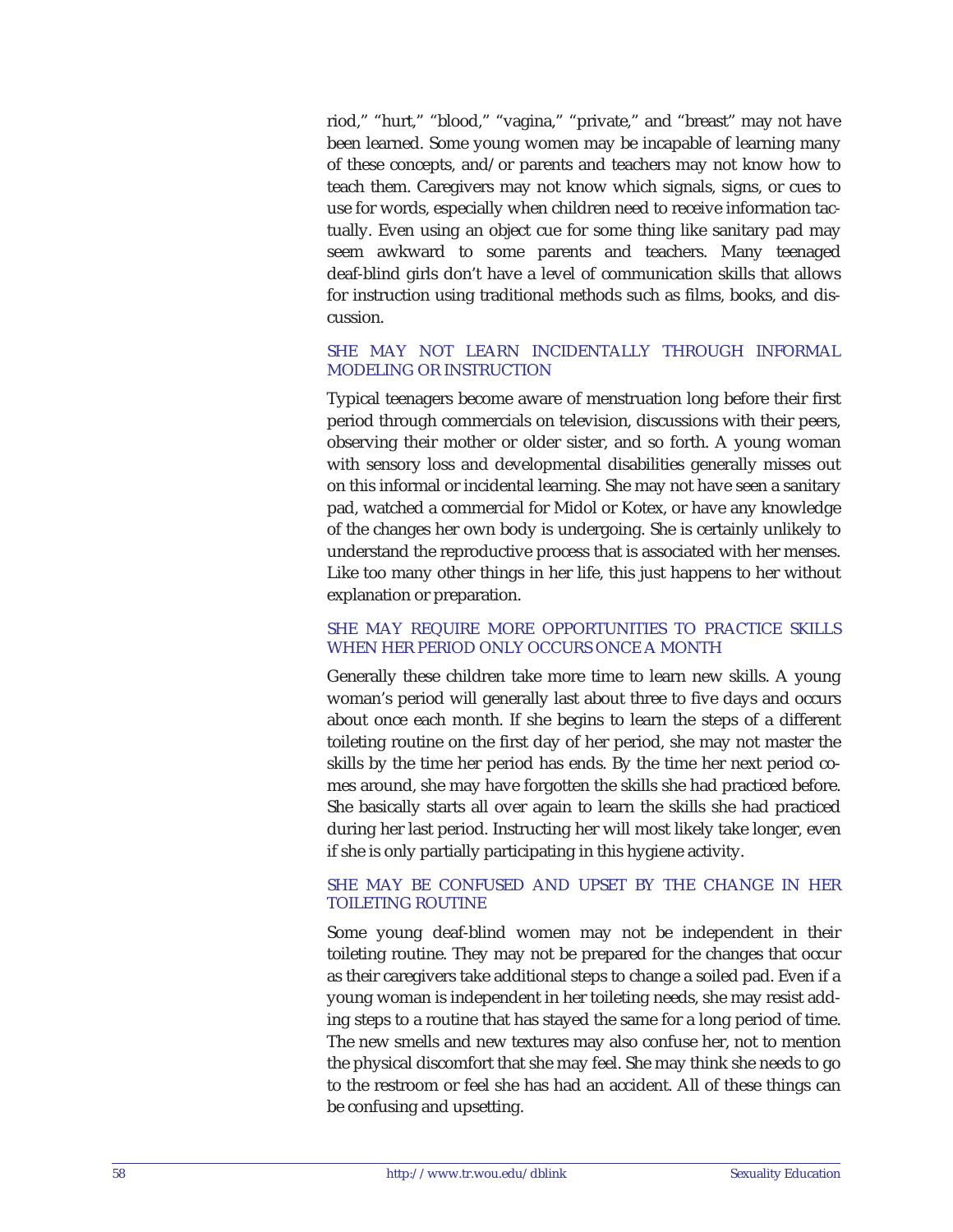riod," "hurt," "blood," "vagina," "private," and "breast" may not have been learned. Some young women may be incapable of learning many of these concepts, and/or parents and teachers may not know how to teach them. Caregivers may not know which signals, signs, or cues to use for words, especially when children need to receive information tactually. Even using an object cue for some thing like sanitary pad may seem awkward to some parents and teachers. Many teenaged deaf-blind girls don't have a level of communication skills that allows for instruction using traditional methods such as films, books, and discussion.

#### SHE MAY NOT LEARN INCIDENTALLY THROUGH INFORMAL MODELING OR INSTRUCTION

Typical teenagers become aware of menstruation long before their first period through commercials on television, discussions with their peers, observing their mother or older sister, and so forth. A young woman with sensory loss and developmental disabilities generally misses out on this informal or incidental learning. She may not have seen a sanitary pad, watched a commercial for Midol or Kotex, or have any knowledge of the changes her own body is undergoing. She is certainly unlikely to understand the reproductive process that is associated with her menses. Like too many other things in her life, this just happens to her without explanation or preparation.

#### SHE MAY REQUIRE MORE OPPORTUNITIES TO PRACTICE SKILLS WHEN HER PERIOD ONLY OCCURS ONCE A MONTH

Generally these children take more time to learn new skills. A young woman's period will generally last about three to five days and occurs about once each month. If she begins to learn the steps of a different toileting routine on the first day of her period, she may not master the skills by the time her period has ends. By the time her next period comes around, she may have forgotten the skills she had practiced before. She basically starts all over again to learn the skills she had practiced during her last period. Instructing her will most likely take longer, even if she is only partially participating in this hygiene activity.

#### SHE MAY BE CONFUSED AND UPSET BY THE CHANGE IN HER TOILETING ROUTINE

Some young deaf-blind women may not be independent in their toileting routine. They may not be prepared for the changes that occur as their caregivers take additional steps to change a soiled pad. Even if a young woman is independent in her toileting needs, she may resist adding steps to a routine that has stayed the same for a long period of time. The new smells and new textures may also confuse her, not to mention the physical discomfort that she may feel. She may think she needs to go to the restroom or feel she has had an accident. All of these things can be confusing and upsetting.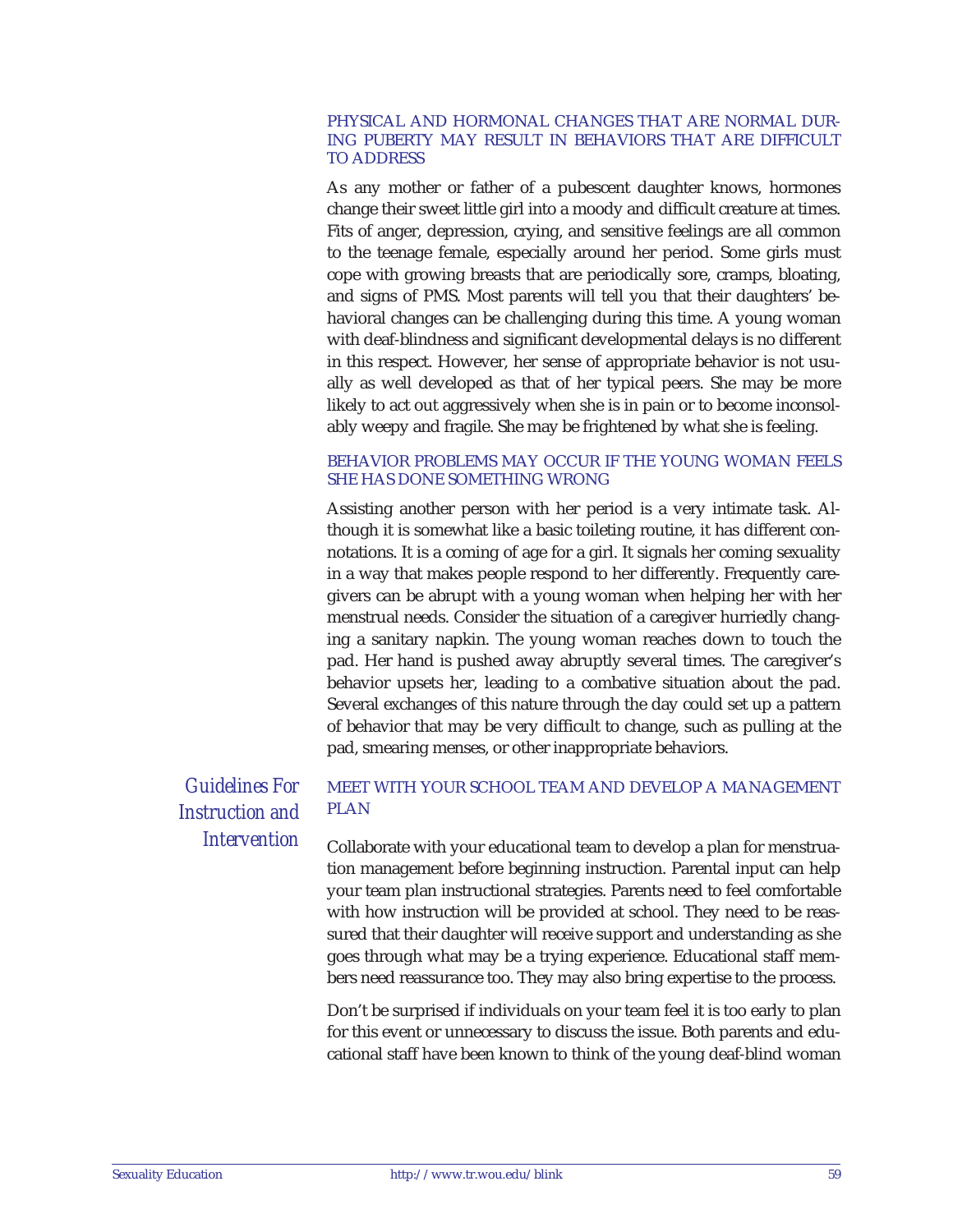#### PHYSICAL AND HORMONAL CHANGES THAT ARE NORMAL DUR-ING PUBERTY MAY RESULT IN BEHAVIORS THAT ARE DIFFICULT TO ADDRESS

As any mother or father of a pubescent daughter knows, hormones change their sweet little girl into a moody and difficult creature at times. Fits of anger, depression, crying, and sensitive feelings are all common to the teenage female, especially around her period. Some girls must cope with growing breasts that are periodically sore, cramps, bloating, and signs of PMS. Most parents will tell you that their daughters' behavioral changes can be challenging during this time. A young woman with deaf-blindness and significant developmental delays is no different in this respect. However, her sense of appropriate behavior is not usually as well developed as that of her typical peers. She may be more likely to act out aggressively when she is in pain or to become inconsolably weepy and fragile. She may be frightened by what she is feeling.

#### BEHAVIOR PROBLEMS MAY OCCUR IF THE YOUNG WOMAN FEELS SHE HAS DONE SOMETHING WRONG

Assisting another person with her period is a very intimate task. Although it is somewhat like a basic toileting routine, it has different connotations. It is a coming of age for a girl. It signals her coming sexuality in a way that makes people respond to her differently. Frequently caregivers can be abrupt with a young woman when helping her with her menstrual needs. Consider the situation of a caregiver hurriedly changing a sanitary napkin. The young woman reaches down to touch the pad. Her hand is pushed away abruptly several times. The caregiver's behavior upsets her, leading to a combative situation about the pad. Several exchanges of this nature through the day could set up a pattern of behavior that may be very difficult to change, such as pulling at the pad, smearing menses, or other inappropriate behaviors.

### *Guidelines For Instruction and Intervention*

#### MEET WITH YOUR SCHOOL TEAM AND DEVELOP A MANAGEMENT PLAN

Collaborate with your educational team to develop a plan for menstruation management before beginning instruction. Parental input can help your team plan instructional strategies. Parents need to feel comfortable with how instruction will be provided at school. They need to be reassured that their daughter will receive support and understanding as she goes through what may be a trying experience. Educational staff members need reassurance too. They may also bring expertise to the process.

Don't be surprised if individuals on your team feel it is too early to plan for this event or unnecessary to discuss the issue. Both parents and educational staff have been known to think of the young deaf-blind woman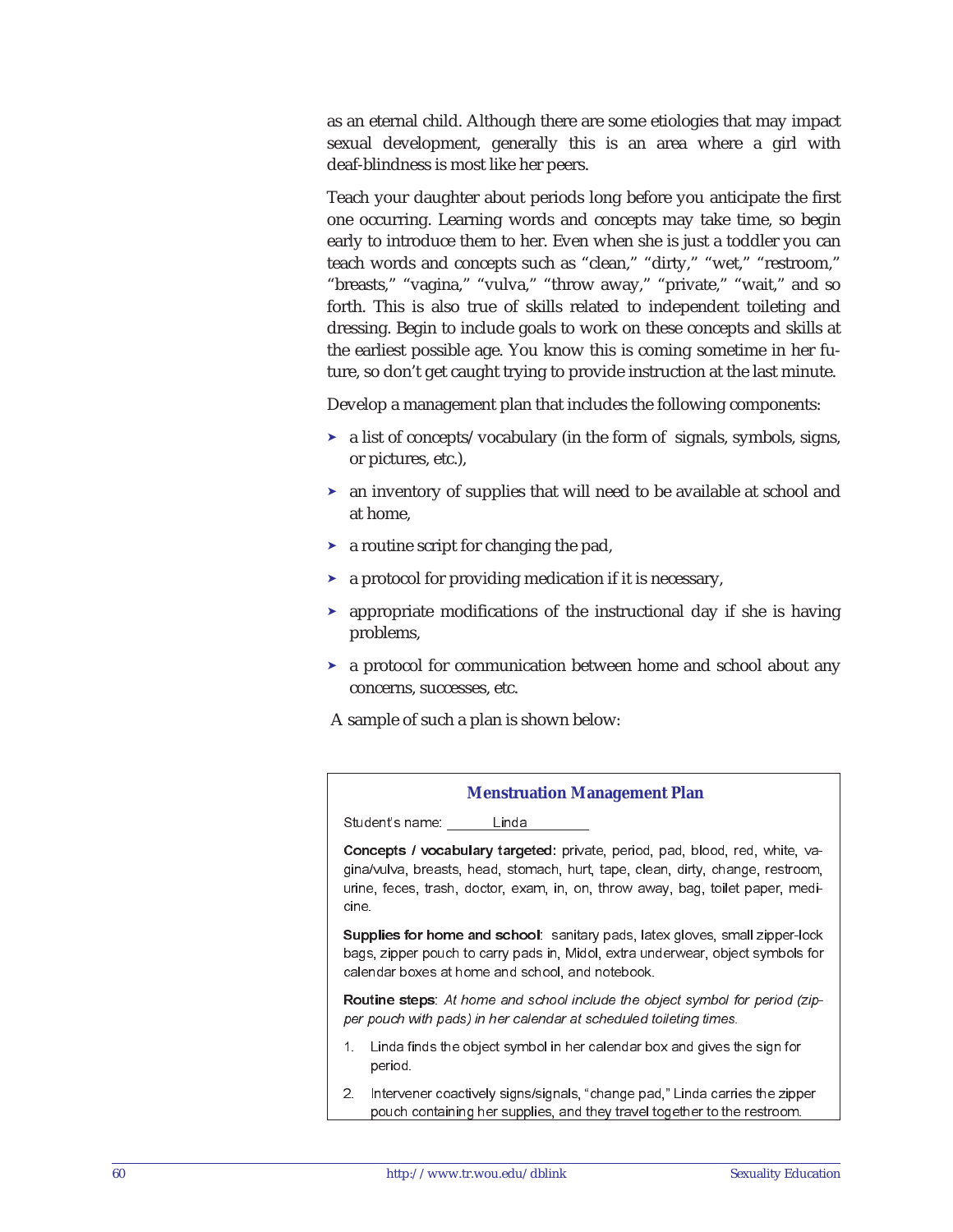as an eternal child. Although there are some etiologies that may impact sexual development, generally this is an area where a girl with deaf-blindness is most like her peers.

Teach your daughter about periods long before you anticipate the first one occurring. Learning words and concepts may take time, so begin early to introduce them to her. Even when she is just a toddler you can teach words and concepts such as "clean," "dirty," "wet," "restroom," "breasts," "vagina," "vulva," "throw away," "private," "wait," and so forth. This is also true of skills related to independent toileting and dressing. Begin to include goals to work on these concepts and skills at the earliest possible age. You know this is coming sometime in her future, so don't get caught trying to provide instruction at the last minute.

Develop a management plan that includes the following components:

- ➤ a list of concepts/vocabulary (in the form of signals, symbols, signs, or pictures, etc.),
- ➤ an inventory of supplies that will need to be available at school and at home,
- ➤ a routine script for changing the pad,
- ➤ a protocol for providing medication if it is necessary,
- ➤ appropriate modifications of the instructional day if she is having problems,
- ▶ a protocol for communication between home and school about any concerns, successes, etc.

A sample of such a plan is shown below:

| <b>Menstruation Management Plan</b>                                                                                                                                                                                                                                |                                                                                                                                                         |  |  |  |
|--------------------------------------------------------------------------------------------------------------------------------------------------------------------------------------------------------------------------------------------------------------------|---------------------------------------------------------------------------------------------------------------------------------------------------------|--|--|--|
| Student's name Linda                                                                                                                                                                                                                                               |                                                                                                                                                         |  |  |  |
| <b>Concepts / vocabulary targeted:</b> private, period, pad, blood, red, white, va-<br>gina/vulva, breasts, head, stomach, hurt, tape, clean, dirty, change, restroom,<br>urine, feces, trash, doctor, exam, in, on, throw away, bag, toilet paper, medi-<br>cine. |                                                                                                                                                         |  |  |  |
| <b>Supplies for home and school:</b> sanitary pads, latex gloves, small zipper-lock<br>bags, zipper pouch to carry pads in, Midol, extra underwear, object symbols for<br>calendar boxes at home and school, and notebook.                                         |                                                                                                                                                         |  |  |  |
| <b>Routine steps</b> : At home and school include the object symbol for period (zip-<br>per pouch with pads) in her calendar at scheduled toileting times.                                                                                                         |                                                                                                                                                         |  |  |  |
| 1.<br>period.                                                                                                                                                                                                                                                      | Linda finds the object symbol in her calendar box and gives the sign for                                                                                |  |  |  |
| 2 <sub>1</sub>                                                                                                                                                                                                                                                     | Intervener coactively signs/signals, "change pad," Linda carries the zipper<br>pouch containing her supplies, and they travel together to the restroom. |  |  |  |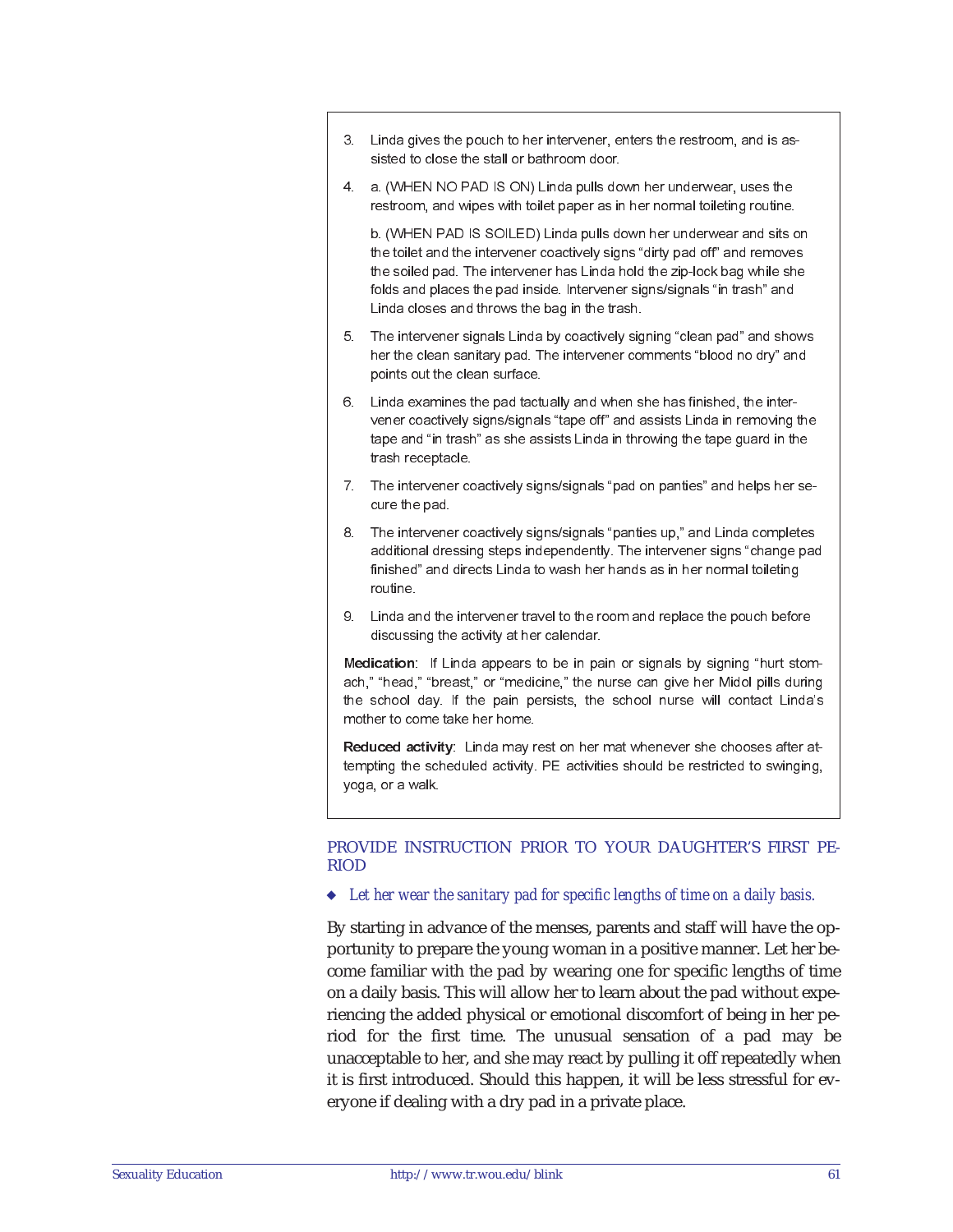3. Linda gives the pouch to her intervener, enters the restroom, and is assisted to close the stall or bathroom door. 4. a. (WHEN NO PAD IS ON) Linda pulls down her underwear, uses the restroom, and wipes with toilet paper as in her normal toileting routine. b. (WHEN PAD IS SOILED) Linda pulls down her underwear and sits on the toilet and the intervener coactively signs "dirty pad off" and removes the soiled pad. The intervener has Linda hold the zip-lock bag while she folds and places the pad inside. Intervener signs/signals "in trash" and Linda closes and throws the bag in the trash. 5. The intervener signals Linda by coactively signing "clean pad" and shows her the clean sanitary pad. The intervener comments "blood no dry" and points out the clean surface. 6. Linda examines the pad tactually and when she has finished, the intervener coactively signs/signals "tape off" and assists Linda in removing the tape and "in trash" as she assists Linda in throwing the tape guard in the trash receptacle. 7. The intervener coactively signs/signals "pad on panties" and helps her secure the pad. 8. The intervener coactively signs/signals "panties up," and Linda completes additional dressing steps independently. The intervener signs "change pad finished" and directs Linda to wash her hands as in her normal toileting routine. 9. Linda and the intervener travel to the room and replace the pouch before discussing the activity at her calendar. Medication: If Linda appears to be in pain or signals by signing "hurt stomach," "head," "breast," or "medicine," the nurse can give her Midol pills during the school day. If the pain persists, the school nurse will contact Linda's mother to come take her home. Reduced activity: Linda may rest on her mat whenever she chooses after attempting the scheduled activity. PE activities should be restricted to swinging, yoga, or a walk.

#### PROVIDE INSTRUCTION PRIOR TO YOUR DAUGHTER'S FIRST PE-RIOD

◆ *Let her wear the sanitary pad for specific lengths of time on a daily basis.*

By starting in advance of the menses, parents and staff will have the opportunity to prepare the young woman in a positive manner. Let her become familiar with the pad by wearing one for specific lengths of time on a daily basis. This will allow her to learn about the pad without experiencing the added physical or emotional discomfort of being in her period for the first time. The unusual sensation of a pad may be unacceptable to her, and she may react by pulling it off repeatedly when it is first introduced. Should this happen, it will be less stressful for everyone if dealing with a dry pad in a private place.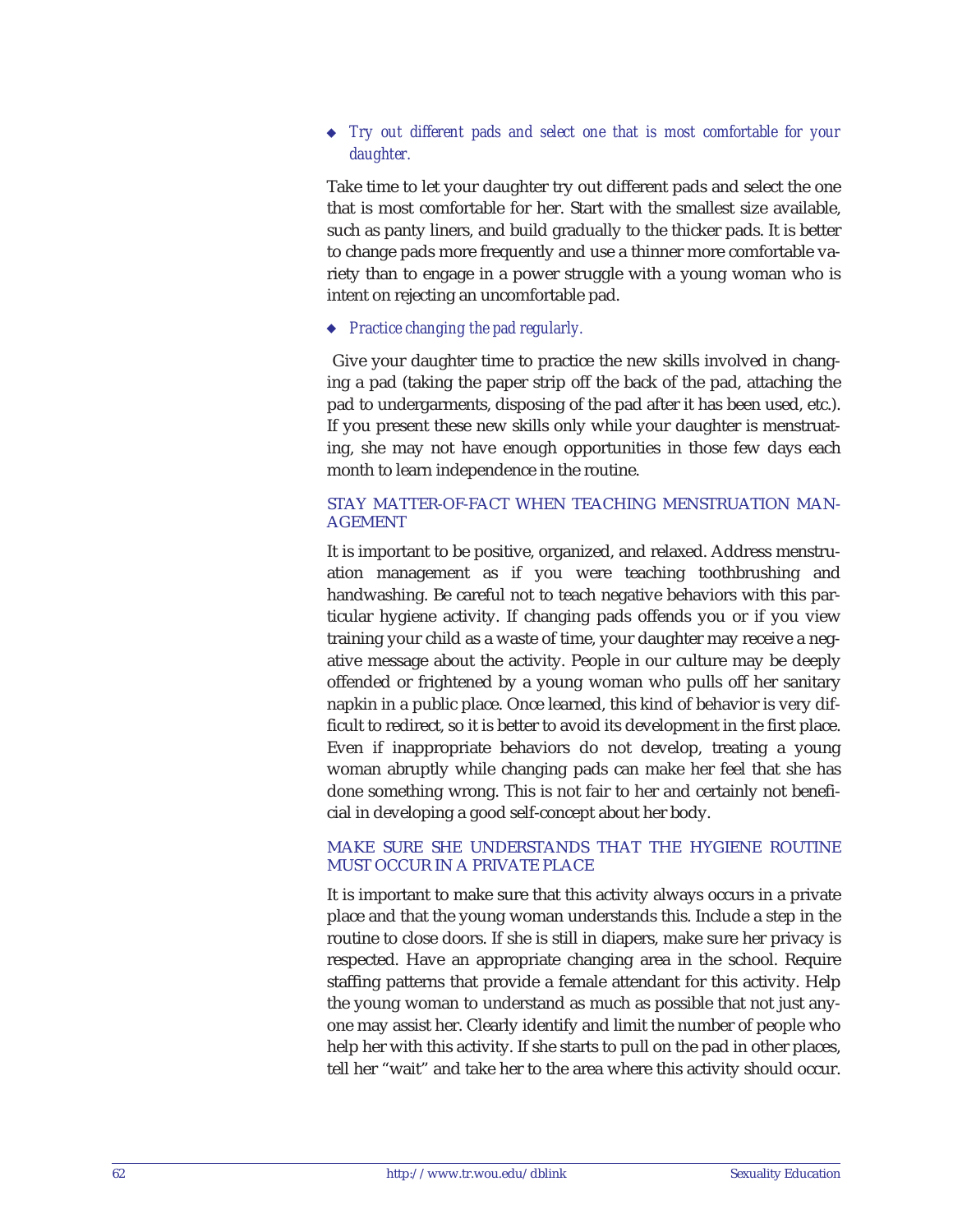#### ◆ *Try out different pads and select one that is most comfortable for your daughter.*

Take time to let your daughter try out different pads and select the one that is most comfortable for her. Start with the smallest size available, such as panty liners, and build gradually to the thicker pads. It is better to change pads more frequently and use a thinner more comfortable variety than to engage in a power struggle with a young woman who is intent on rejecting an uncomfortable pad.

#### ◆ *Practice changing the pad regularly.*

Give your daughter time to practice the new skills involved in changing a pad (taking the paper strip off the back of the pad, attaching the pad to undergarments, disposing of the pad after it has been used, etc.). If you present these new skills only while your daughter is menstruating, she may not have enough opportunities in those few days each month to learn independence in the routine.

#### STAY MATTER-OF-FACT WHEN TEACHING MENSTRUATION MAN-AGEMENT

It is important to be positive, organized, and relaxed. Address menstruation management as if you were teaching toothbrushing and handwashing. Be careful not to teach negative behaviors with this particular hygiene activity. If changing pads offends you or if you view training your child as a waste of time, your daughter may receive a negative message about the activity. People in our culture may be deeply offended or frightened by a young woman who pulls off her sanitary napkin in a public place. Once learned, this kind of behavior is very difficult to redirect, so it is better to avoid its development in the first place. Even if inappropriate behaviors do not develop, treating a young woman abruptly while changing pads can make her feel that she has done something wrong. This is not fair to her and certainly not beneficial in developing a good self-concept about her body.

#### MAKE SURE SHE UNDERSTANDS THAT THE HYGIENE ROUTINE MUST OCCUR IN A PRIVATE PLACE

It is important to make sure that this activity always occurs in a private place and that the young woman understands this. Include a step in the routine to close doors. If she is still in diapers, make sure her privacy is respected. Have an appropriate changing area in the school. Require staffing patterns that provide a female attendant for this activity. Help the young woman to understand as much as possible that not just anyone may assist her. Clearly identify and limit the number of people who help her with this activity. If she starts to pull on the pad in other places, tell her "wait" and take her to the area where this activity should occur.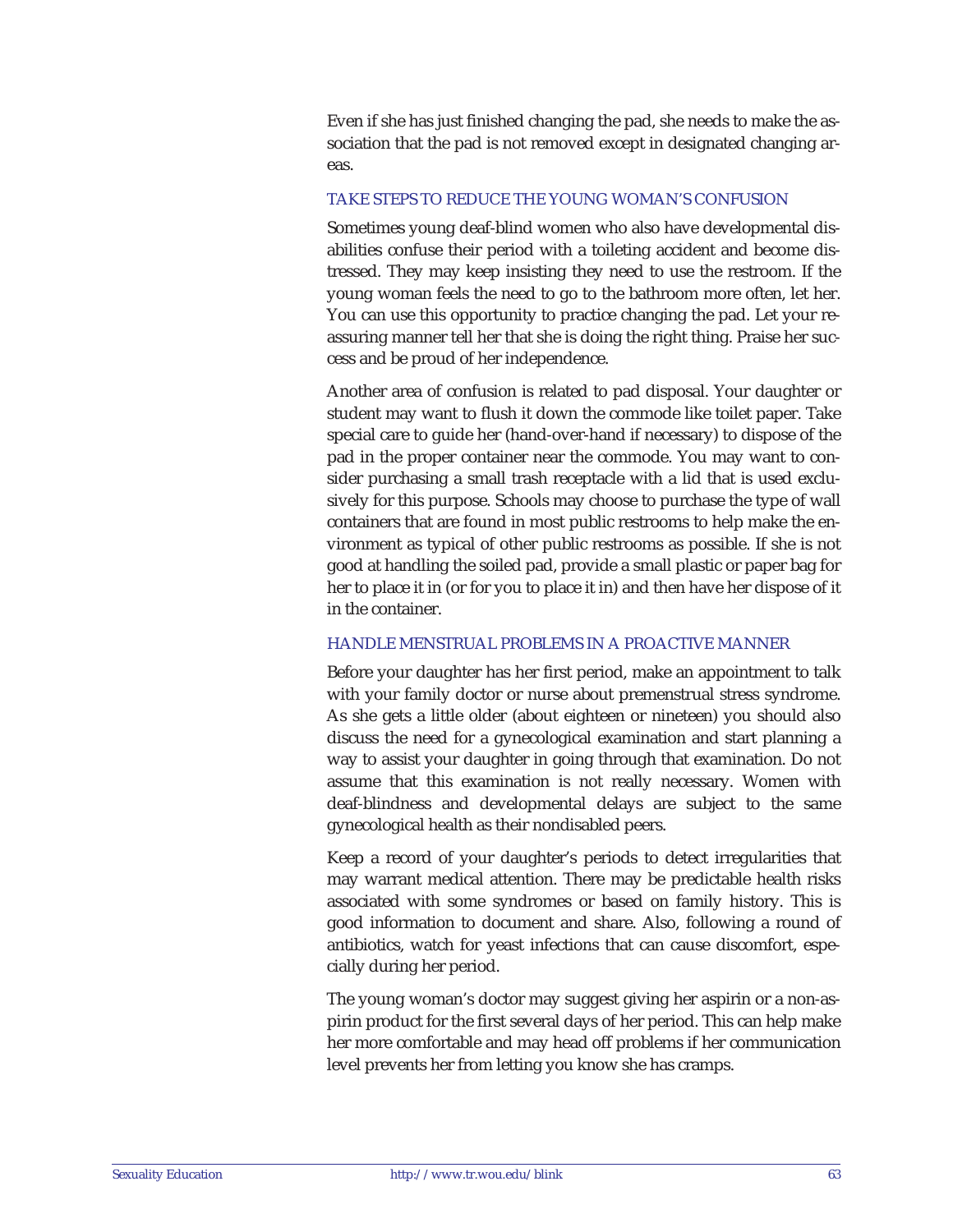Even if she has just finished changing the pad, she needs to make the association that the pad is not removed except in designated changing areas.

#### TAKE STEPS TO REDUCE THE YOUNG WOMAN'S CONFUSION

Sometimes young deaf-blind women who also have developmental disabilities confuse their period with a toileting accident and become distressed. They may keep insisting they need to use the restroom. If the young woman feels the need to go to the bathroom more often, let her. You can use this opportunity to practice changing the pad. Let your reassuring manner tell her that she is doing the right thing. Praise her success and be proud of her independence.

Another area of confusion is related to pad disposal. Your daughter or student may want to flush it down the commode like toilet paper. Take special care to guide her (hand-over-hand if necessary) to dispose of the pad in the proper container near the commode. You may want to consider purchasing a small trash receptacle with a lid that is used exclusively for this purpose. Schools may choose to purchase the type of wall containers that are found in most public restrooms to help make the environment as typical of other public restrooms as possible. If she is not good at handling the soiled pad, provide a small plastic or paper bag for her to place it in (or for you to place it in) and then have her dispose of it in the container.

#### HANDLE MENSTRUAL PROBLEMS IN A PROACTIVE MANNER

Before your daughter has her first period, make an appointment to talk with your family doctor or nurse about premenstrual stress syndrome. As she gets a little older (about eighteen or nineteen) you should also discuss the need for a gynecological examination and start planning a way to assist your daughter in going through that examination. Do not assume that this examination is not really necessary. Women with deaf-blindness and developmental delays are subject to the same gynecological health as their nondisabled peers.

Keep a record of your daughter's periods to detect irregularities that may warrant medical attention. There may be predictable health risks associated with some syndromes or based on family history. This is good information to document and share. Also, following a round of antibiotics, watch for yeast infections that can cause discomfort, especially during her period.

The young woman's doctor may suggest giving her aspirin or a non-aspirin product for the first several days of her period. This can help make her more comfortable and may head off problems if her communication level prevents her from letting you know she has cramps.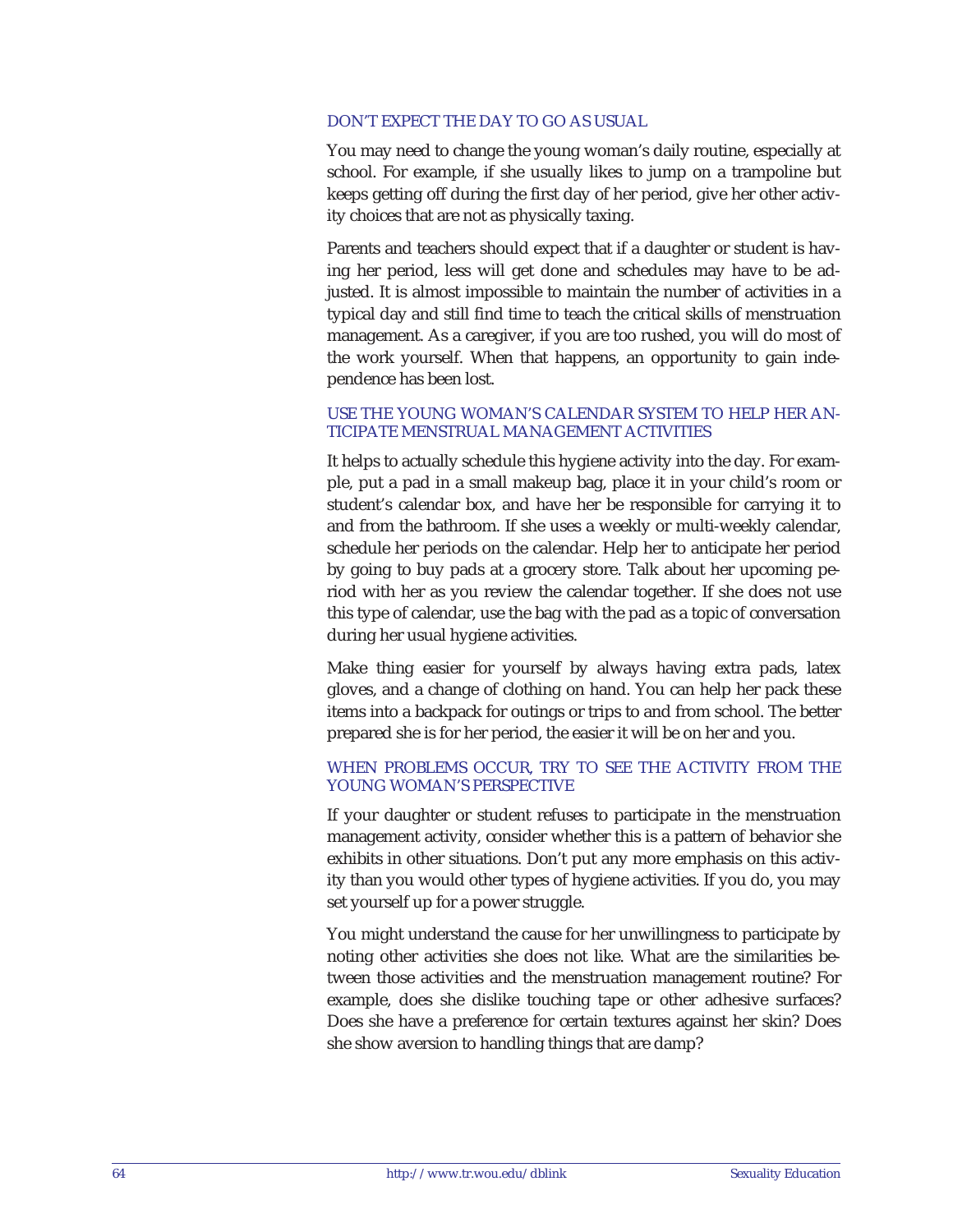#### DON'T EXPECT THE DAY TO GO AS USUAL

You may need to change the young woman's daily routine, especially at school. For example, if she usually likes to jump on a trampoline but keeps getting off during the first day of her period, give her other activity choices that are not as physically taxing.

Parents and teachers should expect that if a daughter or student is having her period, less will get done and schedules may have to be adjusted. It is almost impossible to maintain the number of activities in a typical day and still find time to teach the critical skills of menstruation management. As a caregiver, if you are too rushed, you will do most of the work yourself. When that happens, an opportunity to gain independence has been lost.

#### USE THE YOUNG WOMAN'S CALENDAR SYSTEM TO HELP HER AN-TICIPATE MENSTRUAL MANAGEMENT ACTIVITIES

It helps to actually schedule this hygiene activity into the day. For example, put a pad in a small makeup bag, place it in your child's room or student's calendar box, and have her be responsible for carrying it to and from the bathroom. If she uses a weekly or multi-weekly calendar, schedule her periods on the calendar. Help her to anticipate her period by going to buy pads at a grocery store. Talk about her upcoming period with her as you review the calendar together. If she does not use this type of calendar, use the bag with the pad as a topic of conversation during her usual hygiene activities.

Make thing easier for yourself by always having extra pads, latex gloves, and a change of clothing on hand. You can help her pack these items into a backpack for outings or trips to and from school. The better prepared she is for her period, the easier it will be on her and you.

#### WHEN PROBLEMS OCCUR, TRY TO SEE THE ACTIVITY FROM THE YOUNG WOMAN'S PERSPECTIVE

If your daughter or student refuses to participate in the menstruation management activity, consider whether this is a pattern of behavior she exhibits in other situations. Don't put any more emphasis on this activity than you would other types of hygiene activities. If you do, you may set yourself up for a power struggle.

You might understand the cause for her unwillingness to participate by noting other activities she does not like. What are the similarities between those activities and the menstruation management routine? For example, does she dislike touching tape or other adhesive surfaces? Does she have a preference for certain textures against her skin? Does she show aversion to handling things that are damp?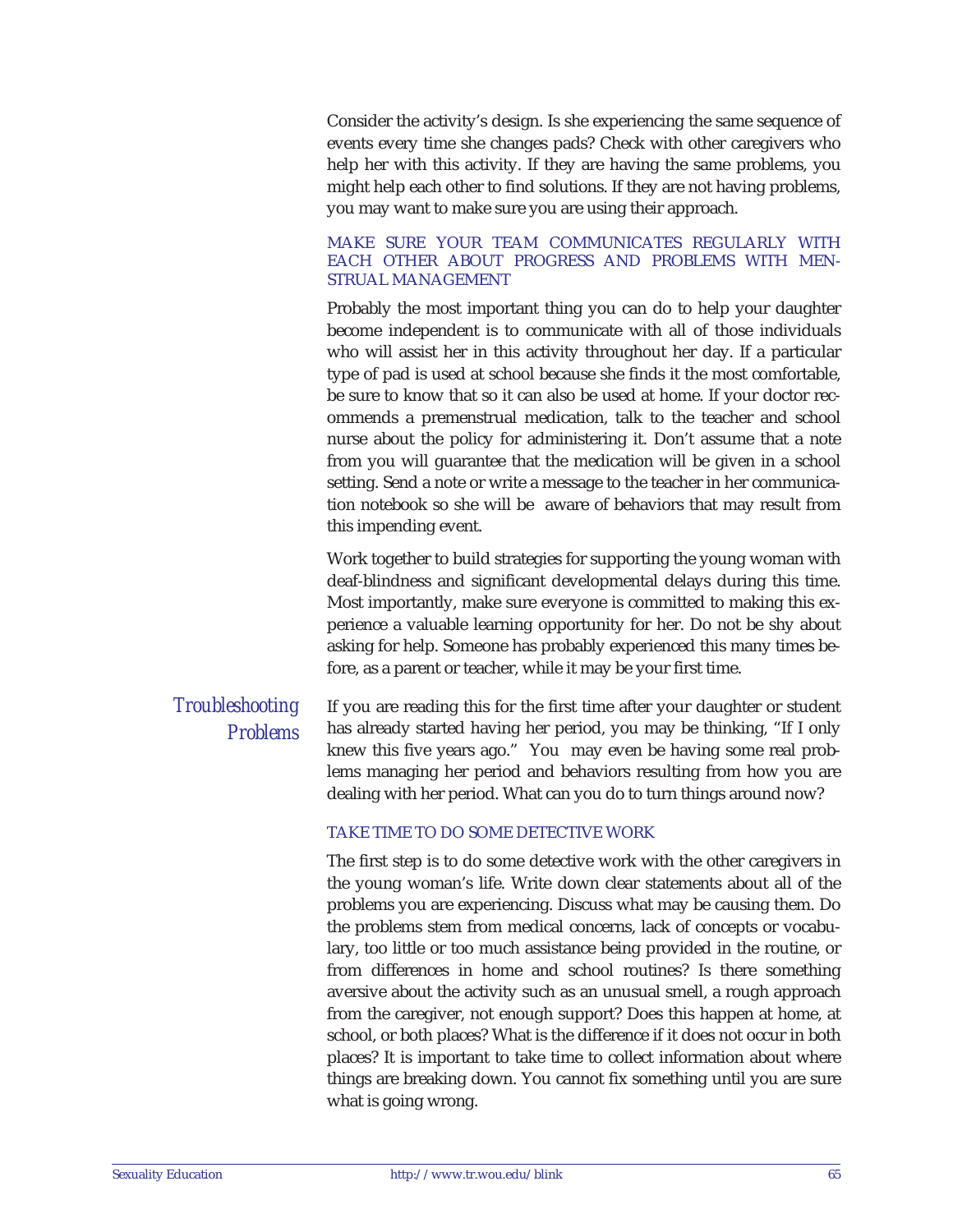Consider the activity's design. Is she experiencing the same sequence of events every time she changes pads? Check with other caregivers who help her with this activity. If they are having the same problems, you might help each other to find solutions. If they are not having problems, you may want to make sure you are using their approach.

#### MAKE SURE YOUR TEAM COMMUNICATES REGULARLY WITH EACH OTHER ABOUT PROGRESS AND PROBLEMS WITH MEN-STRUAL MANAGEMENT

Probably the most important thing you can do to help your daughter become independent is to communicate with all of those individuals who will assist her in this activity throughout her day. If a particular type of pad is used at school because she finds it the most comfortable, be sure to know that so it can also be used at home. If your doctor recommends a premenstrual medication, talk to the teacher and school nurse about the policy for administering it. Don't assume that a note from you will guarantee that the medication will be given in a school setting. Send a note or write a message to the teacher in her communication notebook so she will be aware of behaviors that may result from this impending event.

Work together to build strategies for supporting the young woman with deaf-blindness and significant developmental delays during this time. Most importantly, make sure everyone is committed to making this experience a valuable learning opportunity for her. Do not be shy about asking for help. Someone has probably experienced this many times before, as a parent or teacher, while it may be your first time.

#### *Troubleshooting Problems* If you are reading this for the first time after your daughter or student has already started having her period, you may be thinking, "If I only knew this five years ago." You may even be having some real problems managing her period and behaviors resulting from how you are dealing with her period. What can you do to turn things around now?

#### TAKE TIME TO DO SOME DETECTIVE WORK

The first step is to do some detective work with the other caregivers in the young woman's life. Write down clear statements about all of the problems you are experiencing. Discuss what may be causing them. Do the problems stem from medical concerns, lack of concepts or vocabulary, too little or too much assistance being provided in the routine, or from differences in home and school routines? Is there something aversive about the activity such as an unusual smell, a rough approach from the caregiver, not enough support? Does this happen at home, at school, or both places? What is the difference if it does not occur in both places? It is important to take time to collect information about where things are breaking down. You cannot fix something until you are sure what is going wrong.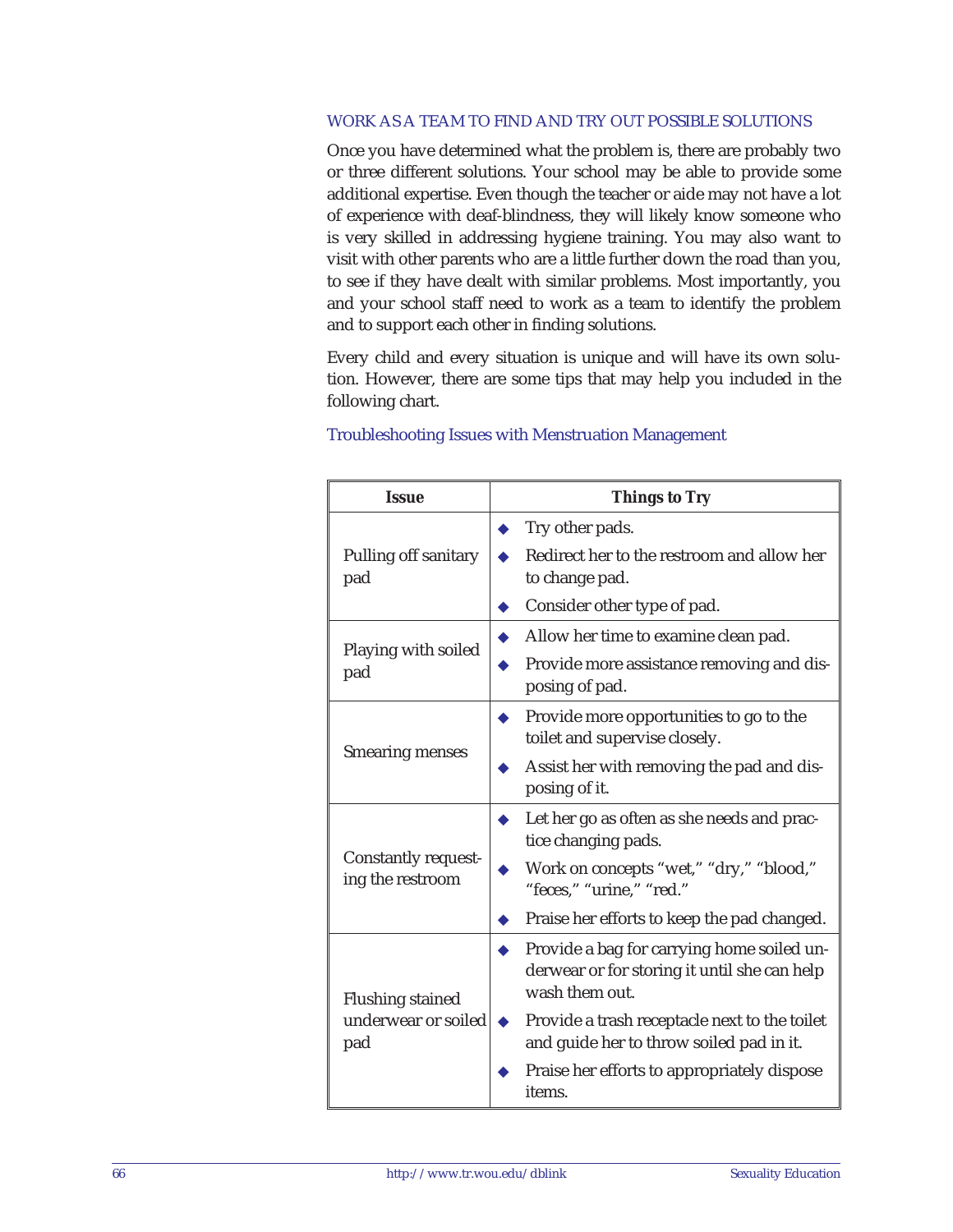#### WORK AS A TEAM TO FIND AND TRY OUT POSSIBLE SOLUTIONS

Once you have determined what the problem is, there are probably two or three different solutions. Your school may be able to provide some additional expertise. Even though the teacher or aide may not have a lot of experience with deaf-blindness, they will likely know someone who is very skilled in addressing hygiene training. You may also want to visit with other parents who are a little further down the road than you, to see if they have dealt with similar problems. Most importantly, you and your school staff need to work as a team to identify the problem and to support each other in finding solutions.

Every child and every situation is unique and will have its own solution. However, there are some tips that may help you included in the following chart.

| <b>Issue</b>                                   | <b>Things to Try</b>                                                                                         |  |  |
|------------------------------------------------|--------------------------------------------------------------------------------------------------------------|--|--|
|                                                | Try other pads.                                                                                              |  |  |
| Pulling off sanitary<br>pad                    | Redirect her to the restroom and allow her<br>to change pad.                                                 |  |  |
|                                                | Consider other type of pad.                                                                                  |  |  |
|                                                | Allow her time to examine clean pad.                                                                         |  |  |
| Playing with soiled<br>pad                     | Provide more assistance removing and dis-<br>posing of pad.                                                  |  |  |
|                                                | Provide more opportunities to go to the<br>toilet and supervise closely.                                     |  |  |
| <b>Smearing menses</b>                         | Assist her with removing the pad and dis-<br>posing of it.                                                   |  |  |
|                                                | Let her go as often as she needs and prac-<br>tice changing pads.                                            |  |  |
| <b>Constantly request-</b><br>ing the restroom | Work on concepts "wet," "dry," "blood,"<br>"feces," "urine," "red."                                          |  |  |
|                                                | Praise her efforts to keep the pad changed.                                                                  |  |  |
| <b>Flushing stained</b>                        | Provide a bag for carrying home soiled un-<br>derwear or for storing it until she can help<br>wash them out. |  |  |
| underwear or soiled<br>pad                     | Provide a trash receptacle next to the toilet<br>and guide her to throw soiled pad in it.                    |  |  |
|                                                | Praise her efforts to appropriately dispose<br>items.                                                        |  |  |

#### Troubleshooting Issues with Menstruation Management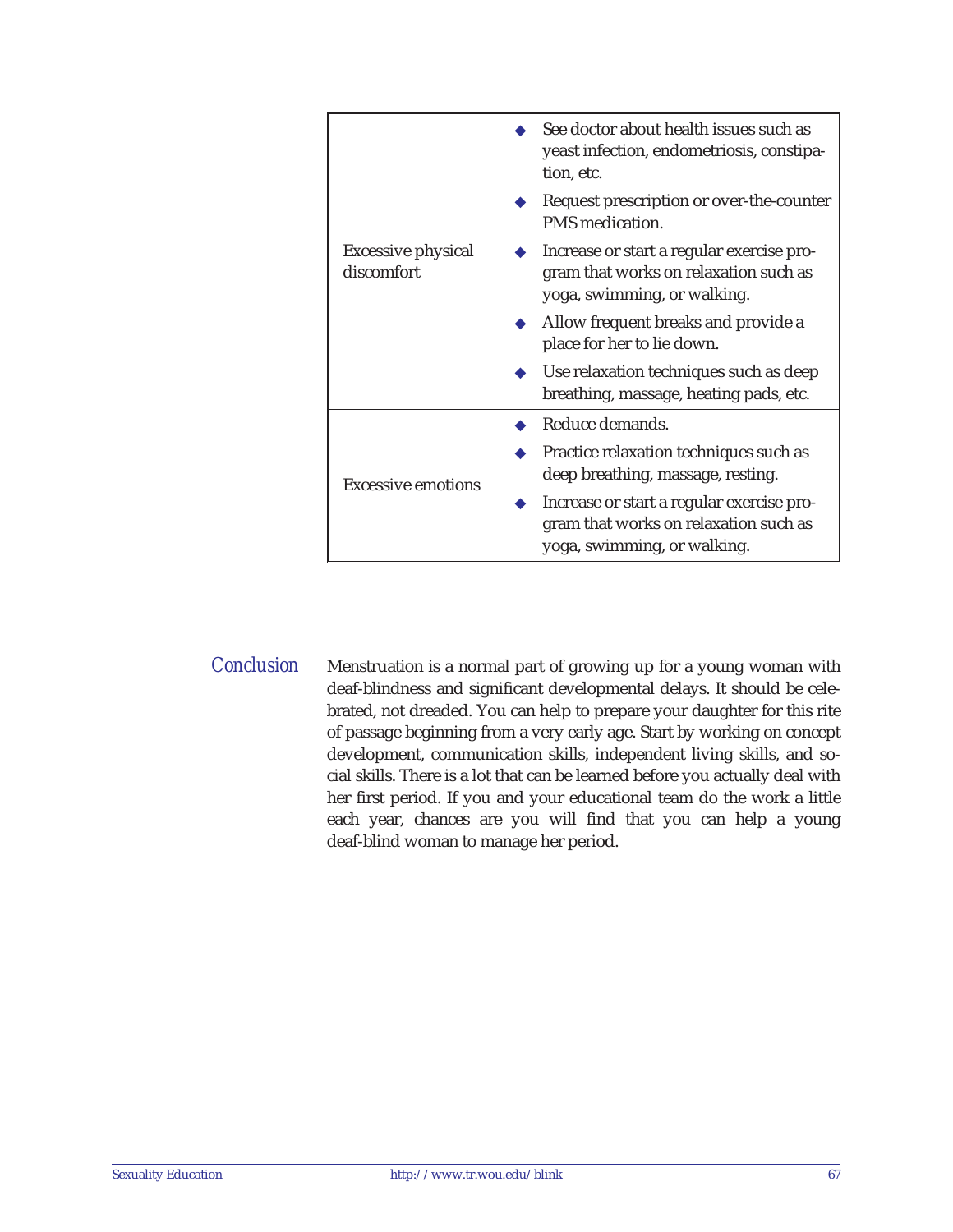| Excessive physical<br>discomfort | See doctor about health issues such as<br>yeast infection, endometriosis, constipa-<br>tion, etc.                 |
|----------------------------------|-------------------------------------------------------------------------------------------------------------------|
|                                  | Request prescription or over-the-counter<br>PMS medication.                                                       |
|                                  | Increase or start a regular exercise pro-<br>gram that works on relaxation such as<br>yoga, swimming, or walking. |
|                                  | Allow frequent breaks and provide a<br>place for her to lie down.                                                 |
|                                  | Use relaxation techniques such as deep<br>breathing, massage, heating pads, etc.                                  |
| <b>Excessive emotions</b>        | Reduce demands.                                                                                                   |
|                                  | Practice relaxation techniques such as<br>deep breathing, massage, resting.                                       |
|                                  | Increase or start a regular exercise pro-<br>gram that works on relaxation such as<br>yoga, swimming, or walking. |

*Conclusion* Menstruation is a normal part of growing up for a young woman with deaf-blindness and significant developmental delays. It should be celebrated, not dreaded. You can help to prepare your daughter for this rite of passage beginning from a very early age. Start by working on concept development, communication skills, independent living skills, and social skills. There is a lot that can be learned before you actually deal with her first period. If you and your educational team do the work a little each year, chances are you will find that you can help a young deaf-blind woman to manage her period.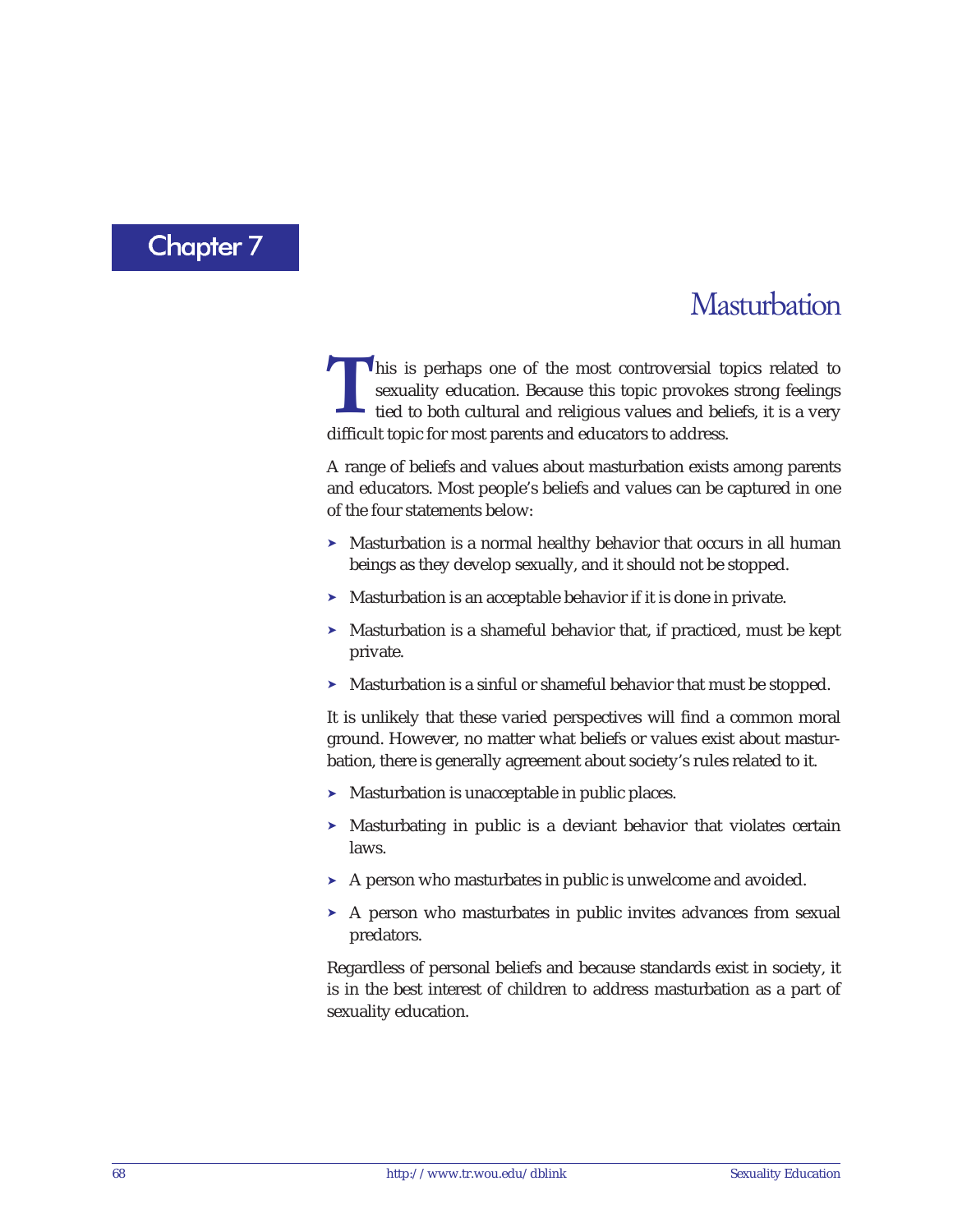# Chapter 7

# *Masturbation*

This is perhaps one of the most controversial topics related to sexuality education. Because this topic provokes strong feelings tied to both cultural and religious values and beliefs it is a very sexuality education. Because this topic provokes strong feelings tied to both cultural and religious values and beliefs, it is a very difficult topic for most parents and educators to address.

A range of beliefs and values about masturbation exists among parents and educators. Most people's beliefs and values can be captured in one of the four statements below:

- ➤ Masturbation is a normal healthy behavior that occurs in all human beings as they develop sexually, and it should not be stopped.
- ➤ Masturbation is an acceptable behavior if it is done in private.
- ➤ Masturbation is a shameful behavior that, if practiced, must be kept private.
- ➤ Masturbation is a sinful or shameful behavior that must be stopped.

It is unlikely that these varied perspectives will find a common moral ground. However, no matter what beliefs or values exist about masturbation, there is generally agreement about society's rules related to it.

- ➤ Masturbation is unacceptable in public places.
- ➤ Masturbating in public is a deviant behavior that violates certain laws.
- ▶ A person who masturbates in public is unwelcome and avoided.
- ▶ A person who masturbates in public invites advances from sexual predators.

Regardless of personal beliefs and because standards exist in society, it is in the best interest of children to address masturbation as a part of sexuality education.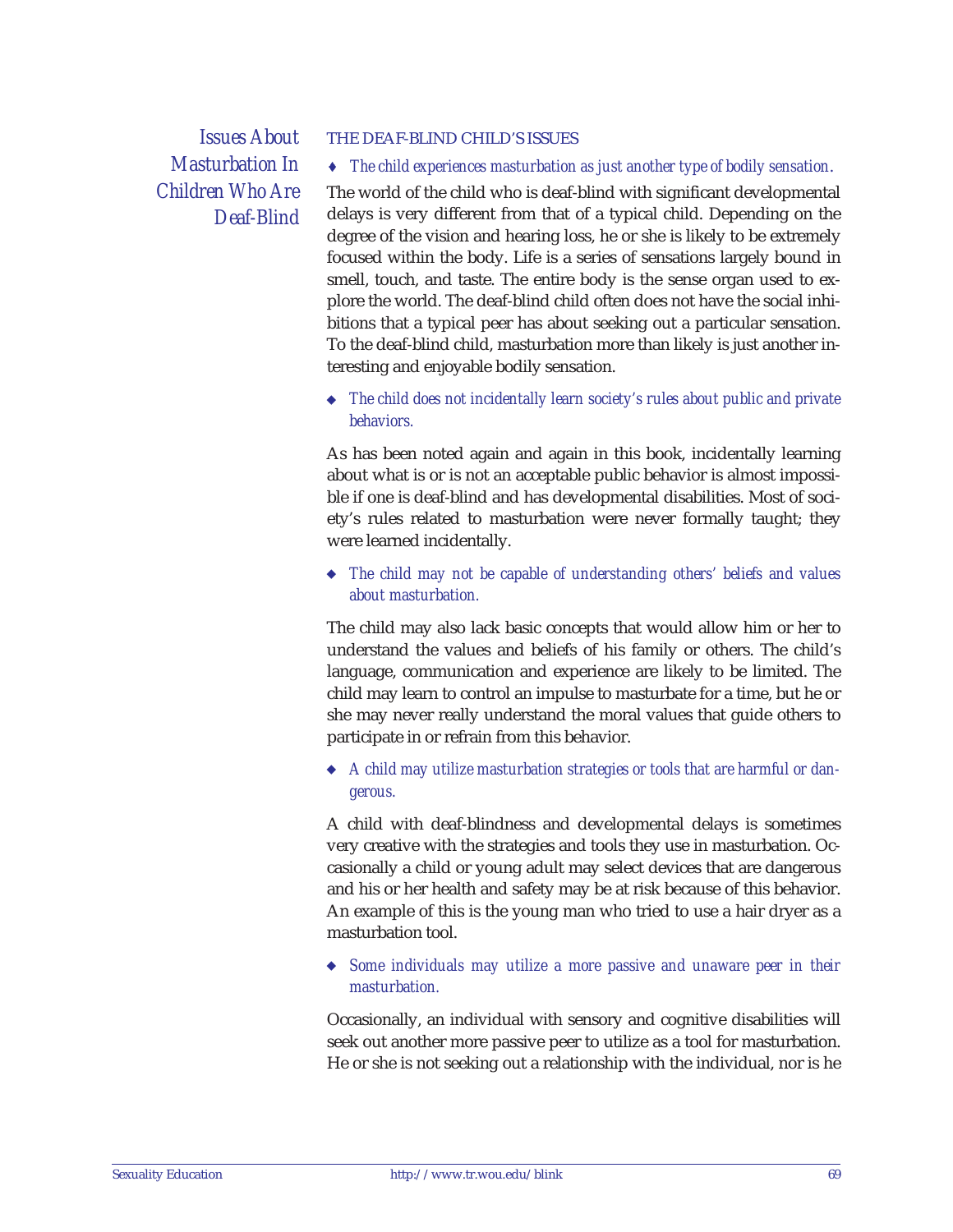*Issues About Masturbation In Children Who Are Deaf-Blind*

#### THE DEAF-BLIND CHILD'S ISSUES

¨ *The child experiences masturbation as just another type of bodily sensation*. The world of the child who is deaf-blind with significant developmental delays is very different from that of a typical child. Depending on the degree of the vision and hearing loss, he or she is likely to be extremely focused within the body. Life is a series of sensations largely bound in smell, touch, and taste. The entire body is the sense organ used to explore the world. The deaf-blind child often does not have the social inhibitions that a typical peer has about seeking out a particular sensation. To the deaf-blind child, masturbation more than likely is just another interesting and enjoyable bodily sensation.

◆ *The child does not incidentally learn society's rules about public and private behaviors.*

As has been noted again and again in this book, incidentally learning about what is or is not an acceptable public behavior is almost impossible if one is deaf-blind and has developmental disabilities. Most of society's rules related to masturbation were never formally taught; they were learned incidentally.

◆ *The child may not be capable of understanding others' beliefs and values about masturbation.*

The child may also lack basic concepts that would allow him or her to understand the values and beliefs of his family or others. The child's language, communication and experience are likely to be limited. The child may learn to control an impulse to masturbate for a time, but he or she may never really understand the moral values that guide others to participate in or refrain from this behavior.

◆ *A child may utilize masturbation strategies or tools that are harmful or dangerous.*

A child with deaf-blindness and developmental delays is sometimes very creative with the strategies and tools they use in masturbation. Occasionally a child or young adult may select devices that are dangerous and his or her health and safety may be at risk because of this behavior. An example of this is the young man who tried to use a hair dryer as a masturbation tool.

## ◆ *Some individuals may utilize a more passive and unaware peer in their masturbation.*

Occasionally, an individual with sensory and cognitive disabilities will seek out another more passive peer to utilize as a tool for masturbation. He or she is not seeking out a relationship with the individual, nor is he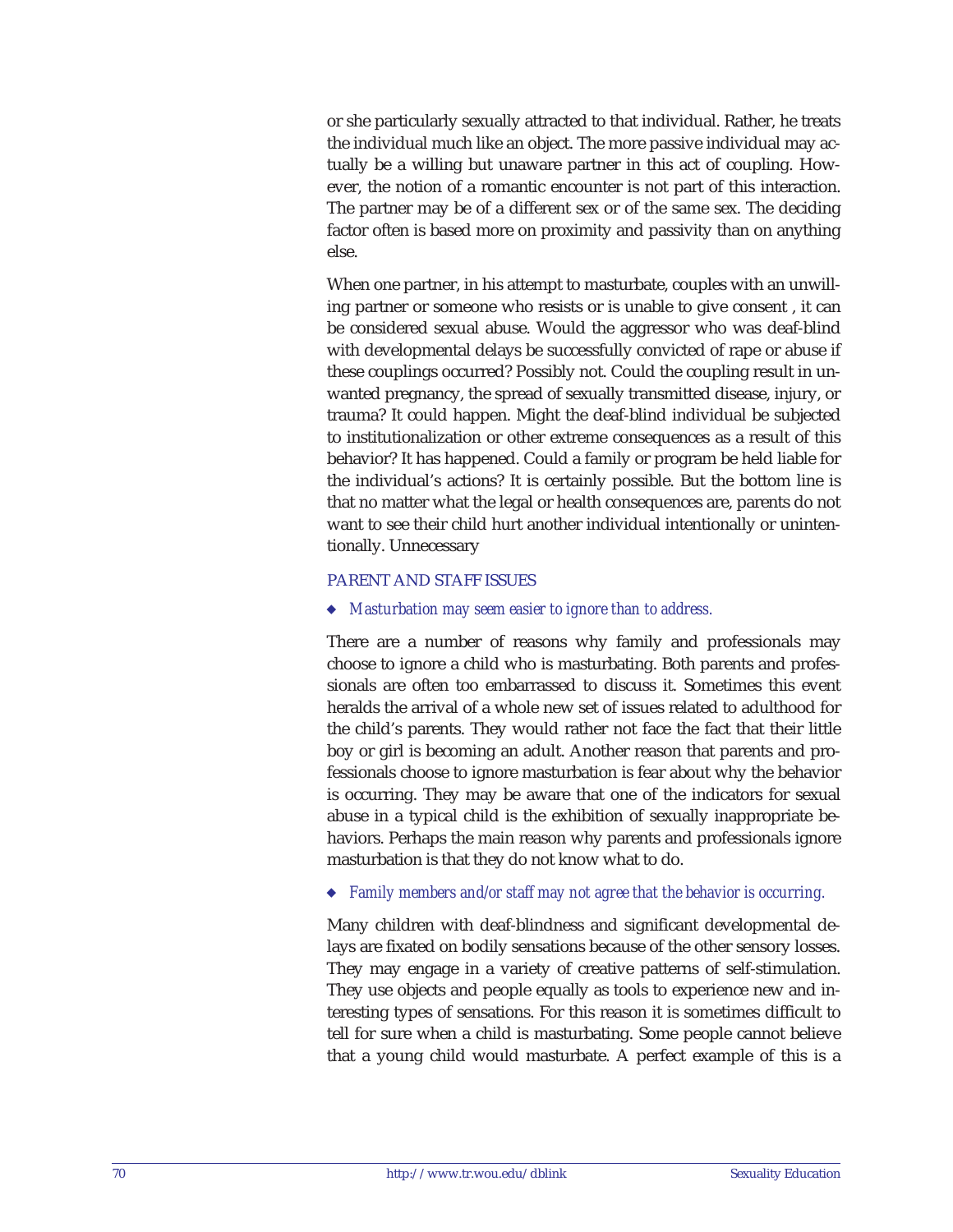or she particularly sexually attracted to that individual. Rather, he treats the individual much like an object. The more passive individual may actually be a willing but unaware partner in this act of coupling. However, the notion of a romantic encounter is not part of this interaction. The partner may be of a different sex or of the same sex. The deciding factor often is based more on proximity and passivity than on anything else.

When one partner, in his attempt to masturbate, couples with an unwilling partner or someone who resists or is unable to give consent , it can be considered sexual abuse. Would the aggressor who was deaf-blind with developmental delays be successfully convicted of rape or abuse if these couplings occurred? Possibly not. Could the coupling result in unwanted pregnancy, the spread of sexually transmitted disease, injury, or trauma? It could happen. Might the deaf-blind individual be subjected to institutionalization or other extreme consequences as a result of this behavior? It has happened. Could a family or program be held liable for the individual's actions? It is certainly possible. But the bottom line is that no matter what the legal or health consequences are, parents do not want to see their child hurt another individual intentionally or unintentionally. Unnecessary

#### PARENT AND STAFF ISSUES

#### ◆ *Masturbation may seem easier to ignore than to address.*

There are a number of reasons why family and professionals may choose to ignore a child who is masturbating. Both parents and professionals are often too embarrassed to discuss it. Sometimes this event heralds the arrival of a whole new set of issues related to adulthood for the child's parents. They would rather not face the fact that their little boy or girl is becoming an adult. Another reason that parents and professionals choose to ignore masturbation is fear about why the behavior is occurring. They may be aware that one of the indicators for sexual abuse in a typical child is the exhibition of sexually inappropriate behaviors. Perhaps the main reason why parents and professionals ignore masturbation is that they do not know what to do.

#### ◆ *Family members and/or staff may not agree that the behavior is occurring.*

Many children with deaf-blindness and significant developmental delays are fixated on bodily sensations because of the other sensory losses. They may engage in a variety of creative patterns of self-stimulation. They use objects and people equally as tools to experience new and interesting types of sensations. For this reason it is sometimes difficult to tell for sure when a child is masturbating. Some people cannot believe that a young child would masturbate. A perfect example of this is a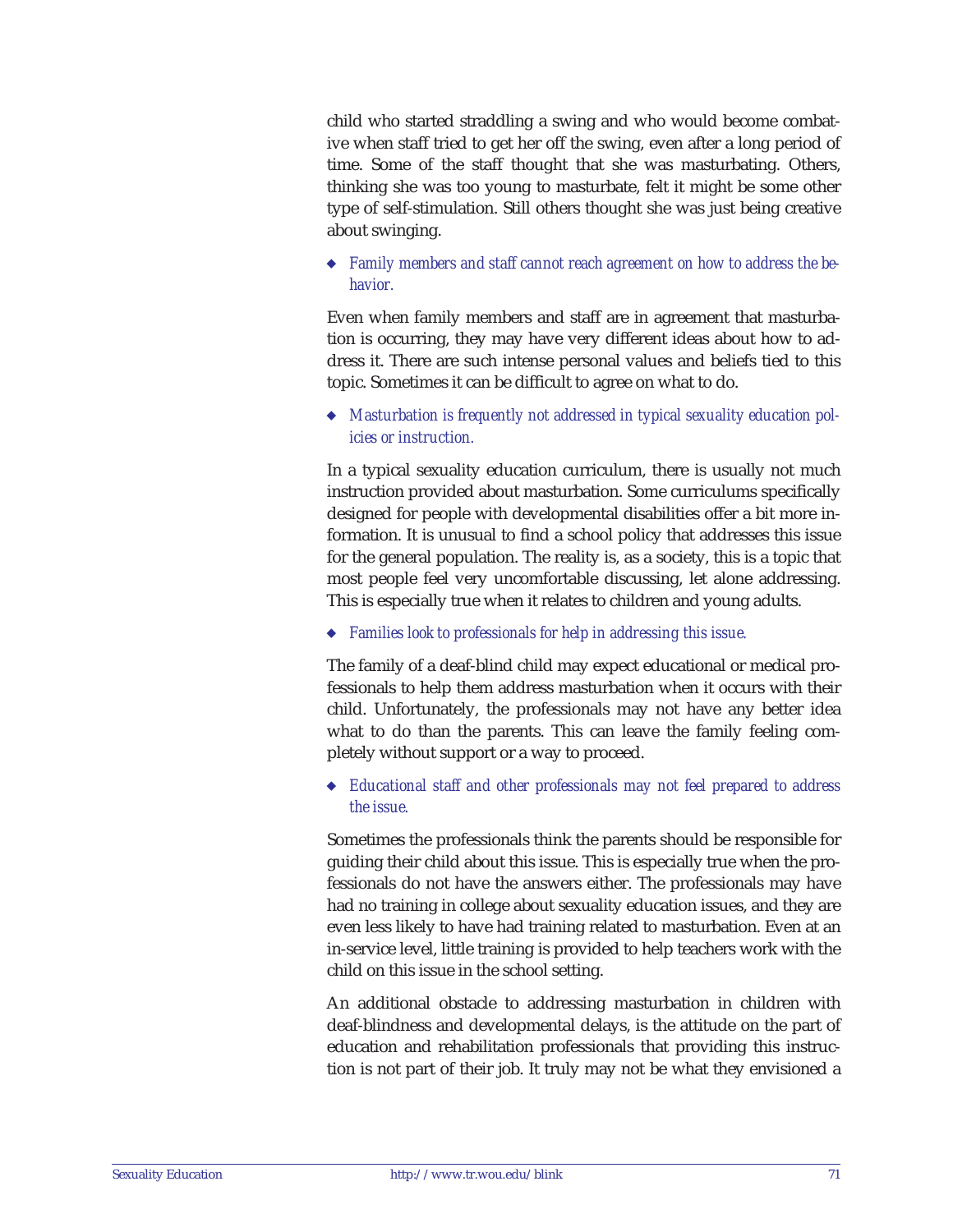child who started straddling a swing and who would become combative when staff tried to get her off the swing, even after a long period of time. Some of the staff thought that she was masturbating. Others, thinking she was too young to masturbate, felt it might be some other type of self-stimulation. Still others thought she was just being creative about swinging.

◆ *Family members and staff cannot reach agreement on how to address the behavior.*

Even when family members and staff are in agreement that masturbation is occurring, they may have very different ideas about how to address it. There are such intense personal values and beliefs tied to this topic. Sometimes it can be difficult to agree on what to do.

◆ *Masturbation is frequently not addressed in typical sexuality education policies or instruction.*

In a typical sexuality education curriculum, there is usually not much instruction provided about masturbation. Some curriculums specifically designed for people with developmental disabilities offer a bit more information. It is unusual to find a school policy that addresses this issue for the general population. The reality is, as a society, this is a topic that most people feel very uncomfortable discussing, let alone addressing. This is especially true when it relates to children and young adults.

◆ *Families look to professionals for help in addressing this issue.*

The family of a deaf-blind child may expect educational or medical professionals to help them address masturbation when it occurs with their child. Unfortunately, the professionals may not have any better idea what to do than the parents. This can leave the family feeling completely without support or a way to proceed.

◆ *Educational staff and other professionals may not feel prepared to address the issue.*

Sometimes the professionals think the parents should be responsible for guiding their child about this issue. This is especially true when the professionals do not have the answers either. The professionals may have had no training in college about sexuality education issues, and they are even less likely to have had training related to masturbation. Even at an in-service level, little training is provided to help teachers work with the child on this issue in the school setting.

An additional obstacle to addressing masturbation in children with deaf-blindness and developmental delays, is the attitude on the part of education and rehabilitation professionals that providing this instruction is not part of their job. It truly may not be what they envisioned a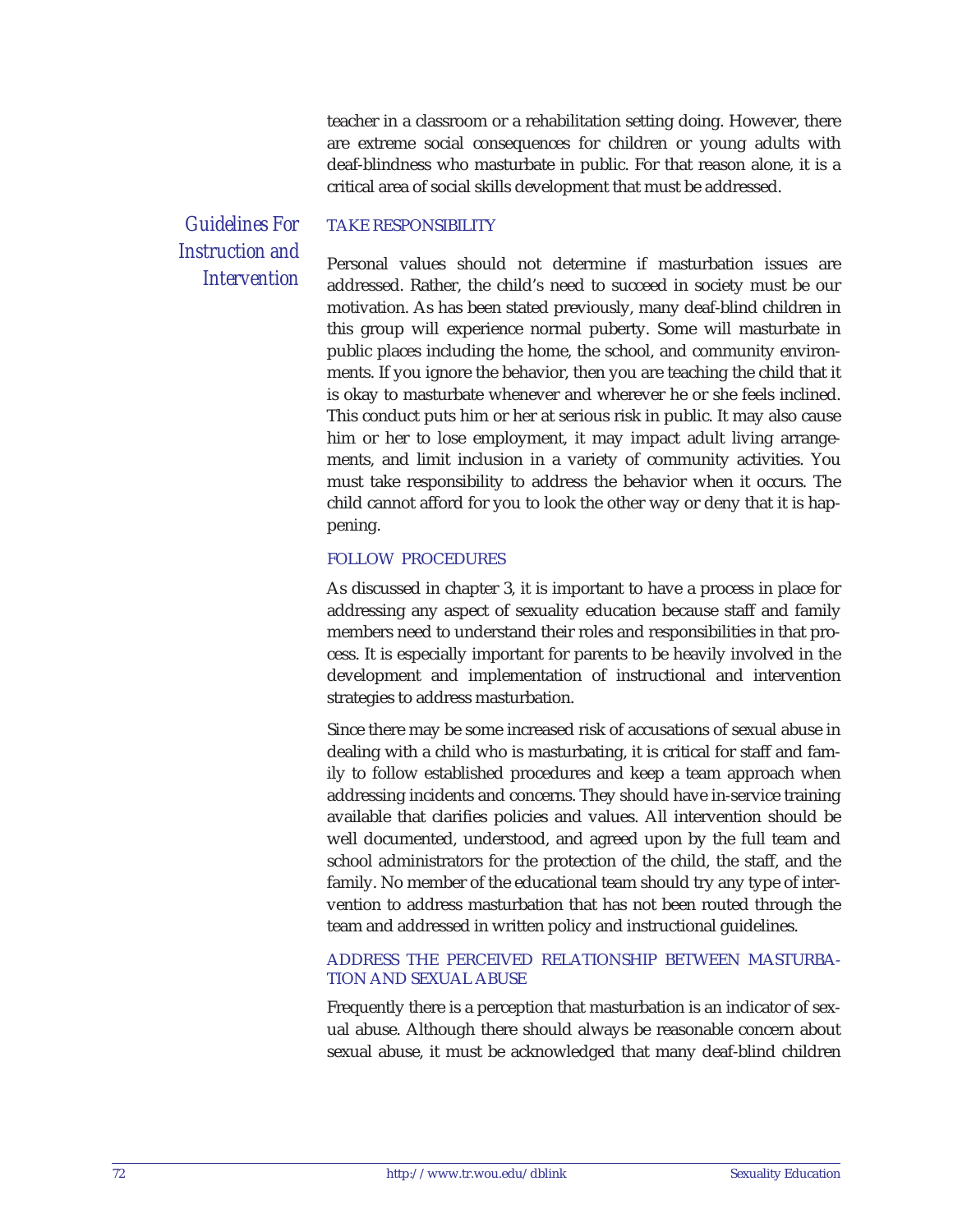teacher in a classroom or a rehabilitation setting doing. However, there are extreme social consequences for children or young adults with deaf-blindness who masturbate in public. For that reason alone, it is a critical area of social skills development that must be addressed.

*Guidelines For Instruction and Intervention*

#### TAKE RESPONSIBILITY

Personal values should not determine if masturbation issues are addressed. Rather, the child's need to succeed in society must be our motivation. As has been stated previously, many deaf-blind children in this group will experience normal puberty. Some will masturbate in public places including the home, the school, and community environments. If you ignore the behavior, then you are teaching the child that it is okay to masturbate whenever and wherever he or she feels inclined. This conduct puts him or her at serious risk in public. It may also cause him or her to lose employment, it may impact adult living arrangements, and limit inclusion in a variety of community activities. You must take responsibility to address the behavior when it occurs. The child cannot afford for you to look the other way or deny that it is happening.

#### FOLLOW PROCEDURES

As discussed in chapter 3, it is important to have a process in place for addressing any aspect of sexuality education because staff and family members need to understand their roles and responsibilities in that process. It is especially important for parents to be heavily involved in the development and implementation of instructional and intervention strategies to address masturbation.

Since there may be some increased risk of accusations of sexual abuse in dealing with a child who is masturbating, it is critical for staff and family to follow established procedures and keep a team approach when addressing incidents and concerns. They should have in-service training available that clarifies policies and values. All intervention should be well documented, understood, and agreed upon by the full team and school administrators for the protection of the child, the staff, and the family. No member of the educational team should try any type of intervention to address masturbation that has not been routed through the team and addressed in written policy and instructional guidelines.

### ADDRESS THE PERCEIVED RELATIONSHIP BETWEEN MASTURBA-TION AND SEXUAL ABUSE

Frequently there is a perception that masturbation is an indicator of sexual abuse. Although there should always be reasonable concern about sexual abuse, it must be acknowledged that many deaf-blind children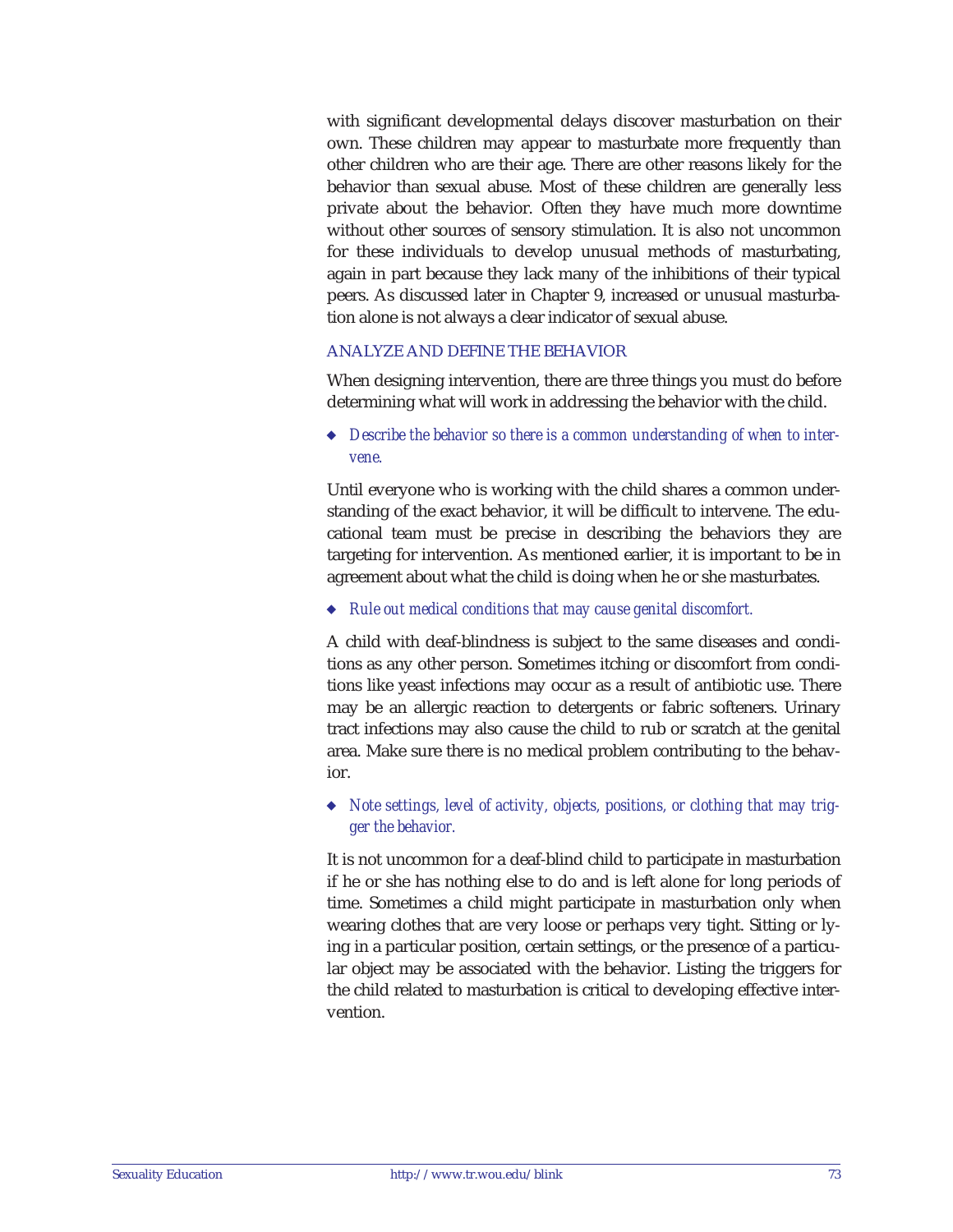with significant developmental delays discover masturbation on their own. These children may appear to masturbate more frequently than other children who are their age. There are other reasons likely for the behavior than sexual abuse. Most of these children are generally less private about the behavior. Often they have much more downtime without other sources of sensory stimulation. It is also not uncommon for these individuals to develop unusual methods of masturbating, again in part because they lack many of the inhibitions of their typical peers. As discussed later in Chapter 9, increased or unusual masturbation alone is not always a clear indicator of sexual abuse.

#### ANALYZE AND DEFINE THE BEHAVIOR

When designing intervention, there are three things you must do before determining what will work in addressing the behavior with the child.

◆ *Describe the behavior so there is a common understanding of when to intervene.*

Until everyone who is working with the child shares a common understanding of the exact behavior, it will be difficult to intervene. The educational team must be precise in describing the behaviors they are targeting for intervention. As mentioned earlier, it is important to be in agreement about what the child is doing when he or she masturbates.

◆ *Rule out medical conditions that may cause genital discomfort.*

A child with deaf-blindness is subject to the same diseases and conditions as any other person. Sometimes itching or discomfort from conditions like yeast infections may occur as a result of antibiotic use. There may be an allergic reaction to detergents or fabric softeners. Urinary tract infections may also cause the child to rub or scratch at the genital area. Make sure there is no medical problem contributing to the behavior.

◆ *Note settings, level of activity, objects, positions, or clothing that may trigger the behavior.*

It is not uncommon for a deaf-blind child to participate in masturbation if he or she has nothing else to do and is left alone for long periods of time. Sometimes a child might participate in masturbation only when wearing clothes that are very loose or perhaps very tight. Sitting or lying in a particular position, certain settings, or the presence of a particular object may be associated with the behavior. Listing the triggers for the child related to masturbation is critical to developing effective intervention.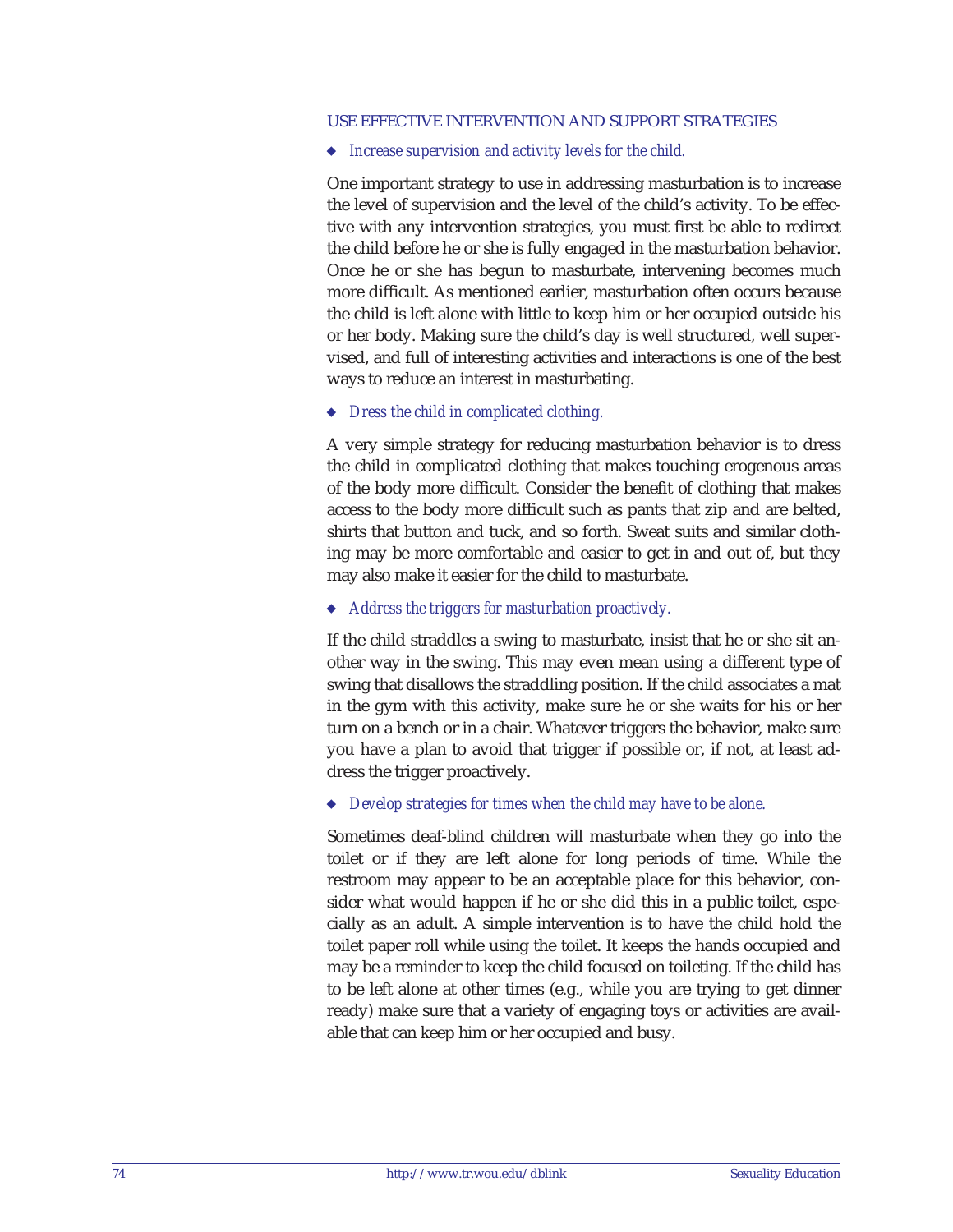### USE EFFECTIVE INTERVENTION AND SUPPORT STRATEGIES

#### ◆ *Increase supervision and activity levels for the child.*

One important strategy to use in addressing masturbation is to increase the level of supervision and the level of the child's activity. To be effective with any intervention strategies, you must first be able to redirect the child before he or she is fully engaged in the masturbation behavior. Once he or she has begun to masturbate, intervening becomes much more difficult. As mentioned earlier, masturbation often occurs because the child is left alone with little to keep him or her occupied outside his or her body. Making sure the child's day is well structured, well supervised, and full of interesting activities and interactions is one of the best ways to reduce an interest in masturbating.

#### ◆ *Dress the child in complicated clothing.*

A very simple strategy for reducing masturbation behavior is to dress the child in complicated clothing that makes touching erogenous areas of the body more difficult. Consider the benefit of clothing that makes access to the body more difficult such as pants that zip and are belted, shirts that button and tuck, and so forth. Sweat suits and similar clothing may be more comfortable and easier to get in and out of, but they may also make it easier for the child to masturbate.

◆ *Address the triggers for masturbation proactively.*

If the child straddles a swing to masturbate, insist that he or she sit another way in the swing. This may even mean using a different type of swing that disallows the straddling position. If the child associates a mat in the gym with this activity, make sure he or she waits for his or her turn on a bench or in a chair. Whatever triggers the behavior, make sure you have a plan to avoid that trigger if possible or, if not, at least address the trigger proactively.

◆ *Develop strategies for times when the child may have to be alone.*

Sometimes deaf-blind children will masturbate when they go into the toilet or if they are left alone for long periods of time. While the restroom may appear to be an acceptable place for this behavior, consider what would happen if he or she did this in a public toilet, especially as an adult. A simple intervention is to have the child hold the toilet paper roll while using the toilet. It keeps the hands occupied and may be a reminder to keep the child focused on toileting. If the child has to be left alone at other times (e.g., while you are trying to get dinner ready) make sure that a variety of engaging toys or activities are available that can keep him or her occupied and busy.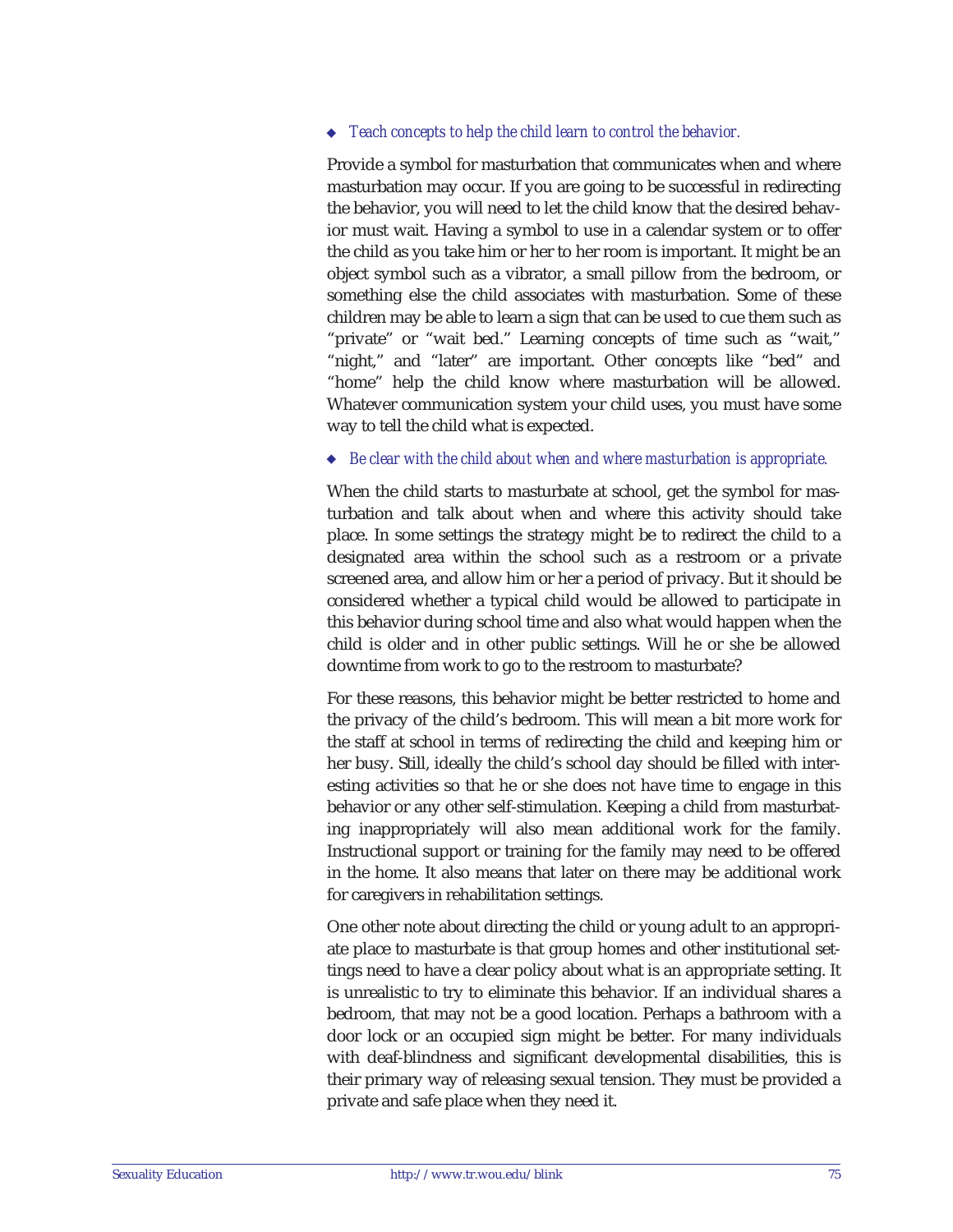#### ◆ *Teach concepts to help the child learn to control the behavior.*

Provide a symbol for masturbation that communicates when and where masturbation may occur. If you are going to be successful in redirecting the behavior, you will need to let the child know that the desired behavior must wait. Having a symbol to use in a calendar system or to offer the child as you take him or her to her room is important. It might be an object symbol such as a vibrator, a small pillow from the bedroom, or something else the child associates with masturbation. Some of these children may be able to learn a sign that can be used to cue them such as "private" or "wait bed." Learning concepts of time such as "wait," "night," and "later" are important. Other concepts like "bed" and "home" help the child know where masturbation will be allowed. Whatever communication system your child uses, you must have some way to tell the child what is expected.

#### ◆ *Be clear with the child about when and where masturbation is appropriate.*

When the child starts to masturbate at school, get the symbol for masturbation and talk about when and where this activity should take place. In some settings the strategy might be to redirect the child to a designated area within the school such as a restroom or a private screened area, and allow him or her a period of privacy. But it should be considered whether a typical child would be allowed to participate in this behavior during school time and also what would happen when the child is older and in other public settings. Will he or she be allowed downtime from work to go to the restroom to masturbate?

For these reasons, this behavior might be better restricted to home and the privacy of the child's bedroom. This will mean a bit more work for the staff at school in terms of redirecting the child and keeping him or her busy. Still, ideally the child's school day should be filled with interesting activities so that he or she does not have time to engage in this behavior or any other self-stimulation. Keeping a child from masturbating inappropriately will also mean additional work for the family. Instructional support or training for the family may need to be offered in the home. It also means that later on there may be additional work for caregivers in rehabilitation settings.

One other note about directing the child or young adult to an appropriate place to masturbate is that group homes and other institutional settings need to have a clear policy about what is an appropriate setting. It is unrealistic to try to eliminate this behavior. If an individual shares a bedroom, that may not be a good location. Perhaps a bathroom with a door lock or an occupied sign might be better. For many individuals with deaf-blindness and significant developmental disabilities, this is their primary way of releasing sexual tension. They must be provided a private and safe place when they need it.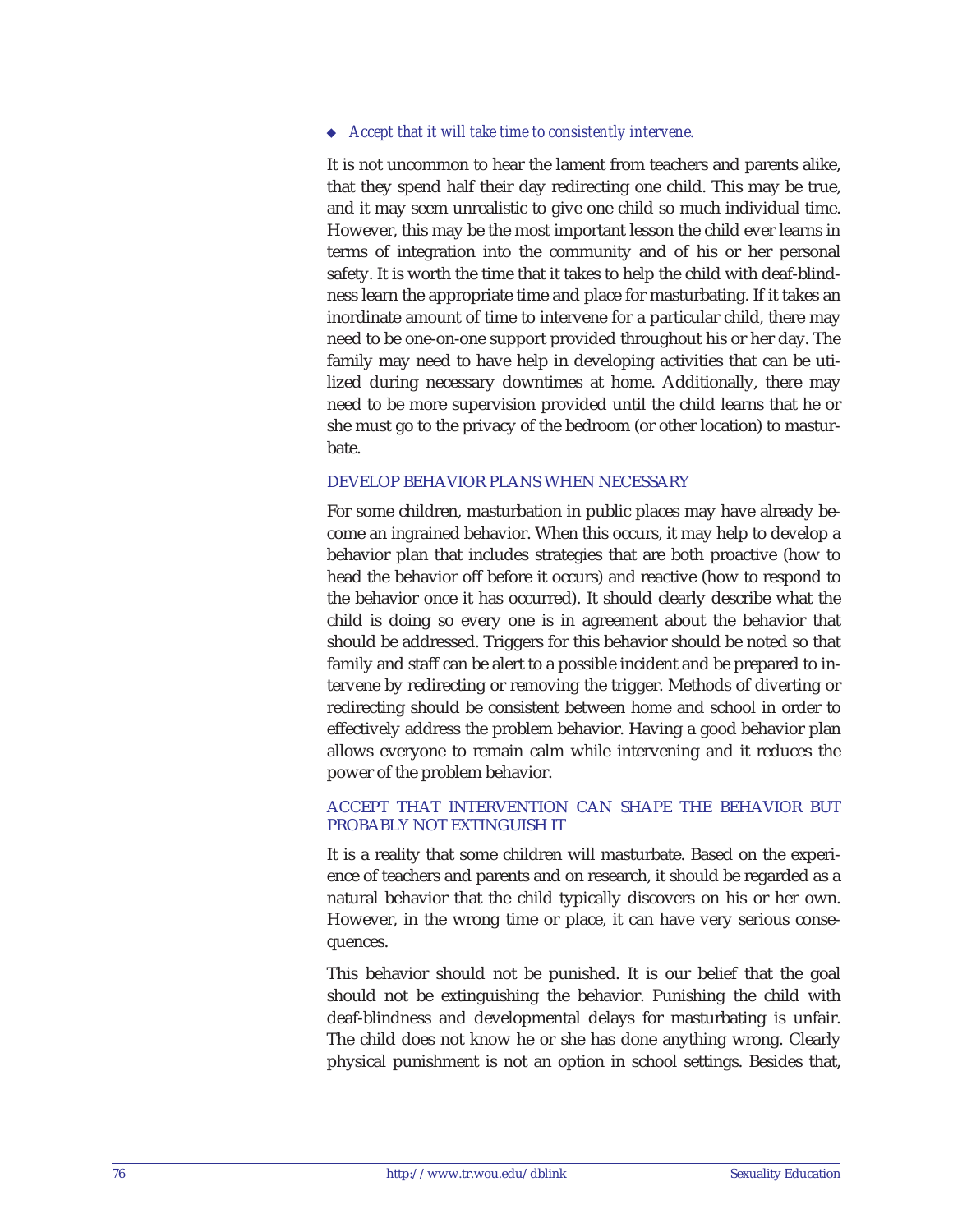#### ◆ *Accept that it will take time to consistently intervene.*

It is not uncommon to hear the lament from teachers and parents alike, that they spend half their day redirecting one child. This may be true, and it may seem unrealistic to give one child so much individual time. However, this may be the most important lesson the child ever learns in terms of integration into the community and of his or her personal safety. It is worth the time that it takes to help the child with deaf-blindness learn the appropriate time and place for masturbating. If it takes an inordinate amount of time to intervene for a particular child, there may need to be one-on-one support provided throughout his or her day. The family may need to have help in developing activities that can be utilized during necessary downtimes at home. Additionally, there may need to be more supervision provided until the child learns that he or she must go to the privacy of the bedroom (or other location) to masturbate.

#### DEVELOP BEHAVIOR PLANS WHEN NECESSARY

For some children, masturbation in public places may have already become an ingrained behavior. When this occurs, it may help to develop a behavior plan that includes strategies that are both proactive (how to head the behavior off before it occurs) and reactive (how to respond to the behavior once it has occurred). It should clearly describe what the child is doing so every one is in agreement about the behavior that should be addressed. Triggers for this behavior should be noted so that family and staff can be alert to a possible incident and be prepared to intervene by redirecting or removing the trigger. Methods of diverting or redirecting should be consistent between home and school in order to effectively address the problem behavior. Having a good behavior plan allows everyone to remain calm while intervening and it reduces the power of the problem behavior.

#### ACCEPT THAT INTERVENTION CAN SHAPE THE BEHAVIOR BUT PROBABLY NOT EXTINGUISH IT

It is a reality that some children will masturbate. Based on the experience of teachers and parents and on research, it should be regarded as a natural behavior that the child typically discovers on his or her own. However, in the wrong time or place, it can have very serious consequences.

This behavior should not be punished. It is our belief that the goal should not be extinguishing the behavior. Punishing the child with deaf-blindness and developmental delays for masturbating is unfair. The child does not know he or she has done anything wrong. Clearly physical punishment is not an option in school settings. Besides that,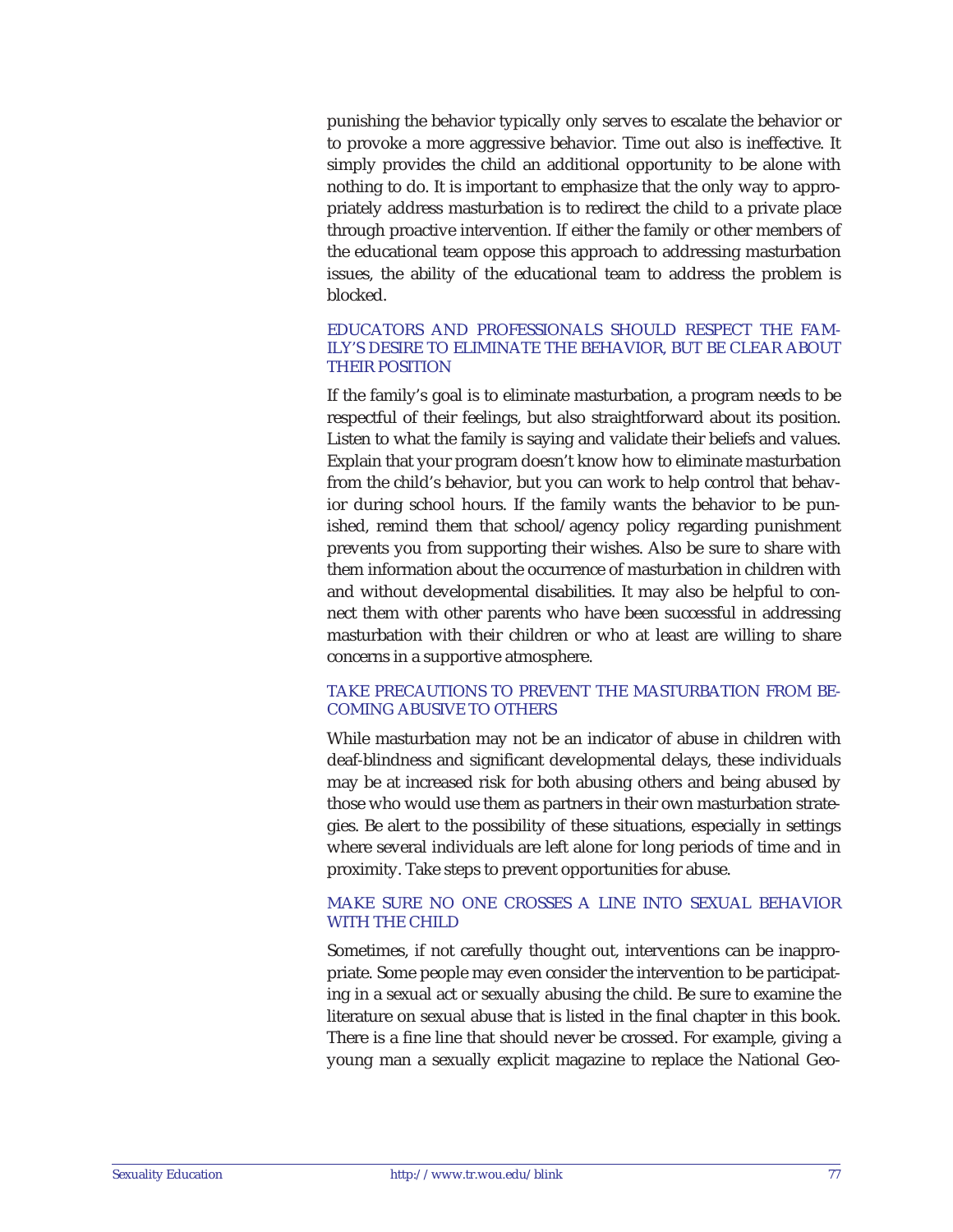punishing the behavior typically only serves to escalate the behavior or to provoke a more aggressive behavior. Time out also is ineffective. It simply provides the child an additional opportunity to be alone with nothing to do. It is important to emphasize that the only way to appropriately address masturbation is to redirect the child to a private place through proactive intervention. If either the family or other members of the educational team oppose this approach to addressing masturbation issues, the ability of the educational team to address the problem is blocked.

#### EDUCATORS AND PROFESSIONALS SHOULD RESPECT THE FAM-ILY'S DESIRE TO ELIMINATE THE BEHAVIOR, BUT BE CLEAR ABOUT THEIR POSITION

If the family's goal is to eliminate masturbation, a program needs to be respectful of their feelings, but also straightforward about its position. Listen to what the family is saying and validate their beliefs and values. Explain that your program doesn't know how to eliminate masturbation from the child's behavior, but you can work to help control that behavior during school hours. If the family wants the behavior to be punished, remind them that school/agency policy regarding punishment prevents you from supporting their wishes. Also be sure to share with them information about the occurrence of masturbation in children with and without developmental disabilities. It may also be helpful to connect them with other parents who have been successful in addressing masturbation with their children or who at least are willing to share concerns in a supportive atmosphere.

#### TAKE PRECAUTIONS TO PREVENT THE MASTURBATION FROM BE-COMING ABUSIVE TO OTHERS

While masturbation may not be an indicator of abuse in children with deaf-blindness and significant developmental delays, these individuals may be at increased risk for both abusing others and being abused by those who would use them as partners in their own masturbation strategies. Be alert to the possibility of these situations, especially in settings where several individuals are left alone for long periods of time and in proximity. Take steps to prevent opportunities for abuse.

#### MAKE SURE NO ONE CROSSES A LINE INTO SEXUAL BEHAVIOR WITH THE CHILD

Sometimes, if not carefully thought out, interventions can be inappropriate. Some people may even consider the intervention to be participating in a sexual act or sexually abusing the child. Be sure to examine the literature on sexual abuse that is listed in the final chapter in this book. There is a fine line that should never be crossed. For example, giving a young man a sexually explicit magazine to replace the National Geo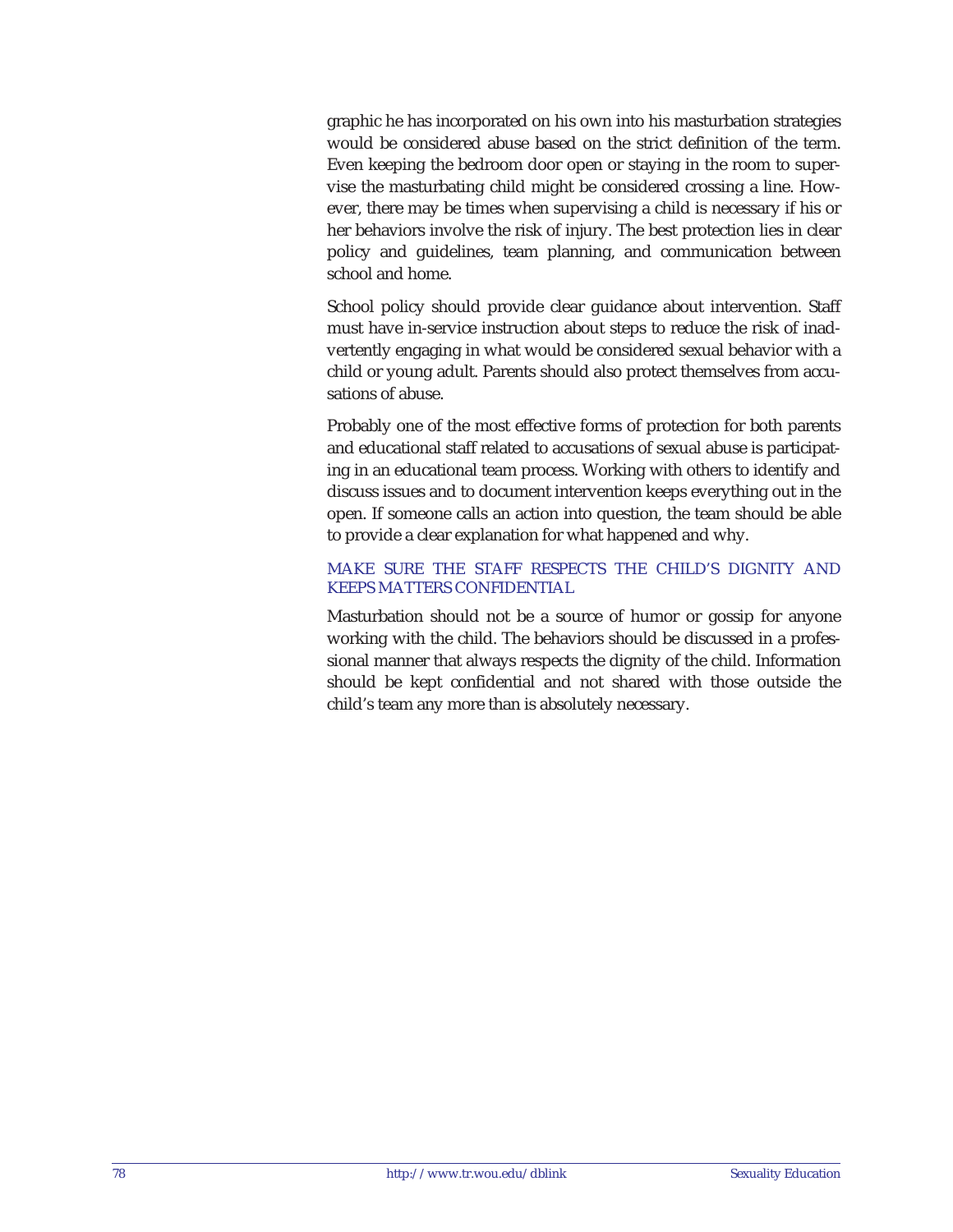graphic he has incorporated on his own into his masturbation strategies would be considered abuse based on the strict definition of the term. Even keeping the bedroom door open or staying in the room to supervise the masturbating child might be considered crossing a line. However, there may be times when supervising a child is necessary if his or her behaviors involve the risk of injury. The best protection lies in clear policy and guidelines, team planning, and communication between school and home.

School policy should provide clear guidance about intervention. Staff must have in-service instruction about steps to reduce the risk of inadvertently engaging in what would be considered sexual behavior with a child or young adult. Parents should also protect themselves from accusations of abuse.

Probably one of the most effective forms of protection for both parents and educational staff related to accusations of sexual abuse is participating in an educational team process. Working with others to identify and discuss issues and to document intervention keeps everything out in the open. If someone calls an action into question, the team should be able to provide a clear explanation for what happened and why.

#### MAKE SURE THE STAFF RESPECTS THE CHILD'S DIGNITY AND KEEPS MATTERS CONFIDENTIAL

Masturbation should not be a source of humor or gossip for anyone working with the child. The behaviors should be discussed in a professional manner that always respects the dignity of the child. Information should be kept confidential and not shared with those outside the child's team any more than is absolutely necessary.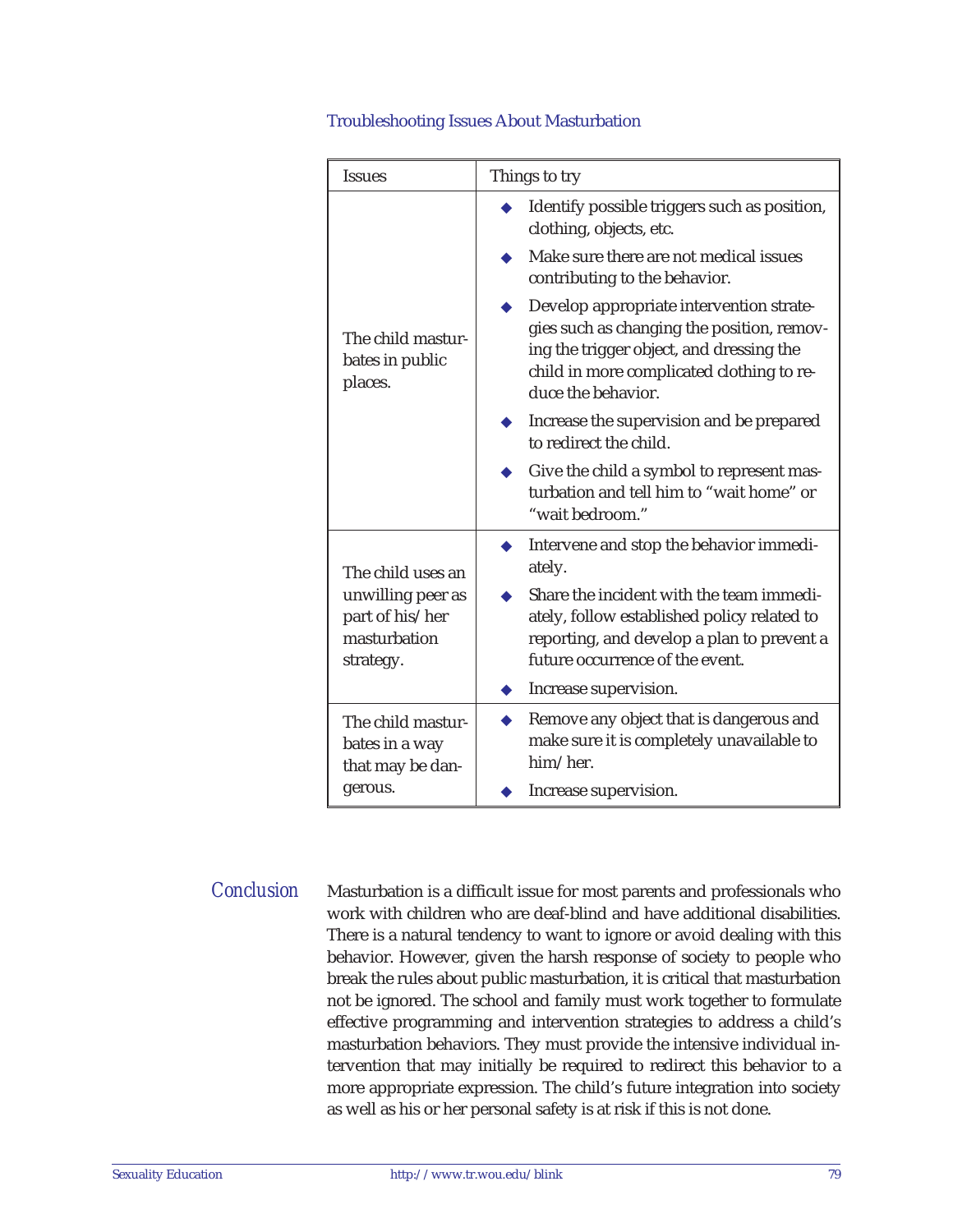| <b>Issues</b>                                                                          | Things to try                                                                                                                                                                                         |
|----------------------------------------------------------------------------------------|-------------------------------------------------------------------------------------------------------------------------------------------------------------------------------------------------------|
| The child mastur-<br>bates in public<br>places.                                        | Identify possible triggers such as position,<br>clothing, objects, etc.                                                                                                                               |
|                                                                                        | Make sure there are not medical issues<br>contributing to the behavior.                                                                                                                               |
|                                                                                        | Develop appropriate intervention strate-<br>gies such as changing the position, remov-<br>ing the trigger object, and dressing the<br>child in more complicated clothing to re-<br>duce the behavior. |
|                                                                                        | Increase the supervision and be prepared<br>to redirect the child.                                                                                                                                    |
|                                                                                        | Give the child a symbol to represent mas-<br>turbation and tell him to "wait home" or<br>"wait bedroom."                                                                                              |
| The child uses an<br>unwilling peer as<br>part of his/her<br>masturbation<br>strategy. | Intervene and stop the behavior immedi-<br>ately.                                                                                                                                                     |
|                                                                                        | Share the incident with the team immedi-<br>ately, follow established policy related to<br>reporting, and develop a plan to prevent a<br>future occurrence of the event.                              |
|                                                                                        | Increase supervision.                                                                                                                                                                                 |
| The child mastur-<br>bates in a way<br>that may be dan-<br>gerous.                     | Remove any object that is dangerous and<br>make sure it is completely unavailable to<br>him/her.                                                                                                      |
|                                                                                        | Increase supervision.                                                                                                                                                                                 |

### Troubleshooting Issues About Masturbation

*Conclusion* Masturbation is a difficult issue for most parents and professionals who work with children who are deaf-blind and have additional disabilities. There is a natural tendency to want to ignore or avoid dealing with this behavior. However, given the harsh response of society to people who break the rules about public masturbation, it is critical that masturbation not be ignored. The school and family must work together to formulate effective programming and intervention strategies to address a child's masturbation behaviors. They must provide the intensive individual intervention that may initially be required to redirect this behavior to a more appropriate expression. The child's future integration into society as well as his or her personal safety is at risk if this is not done.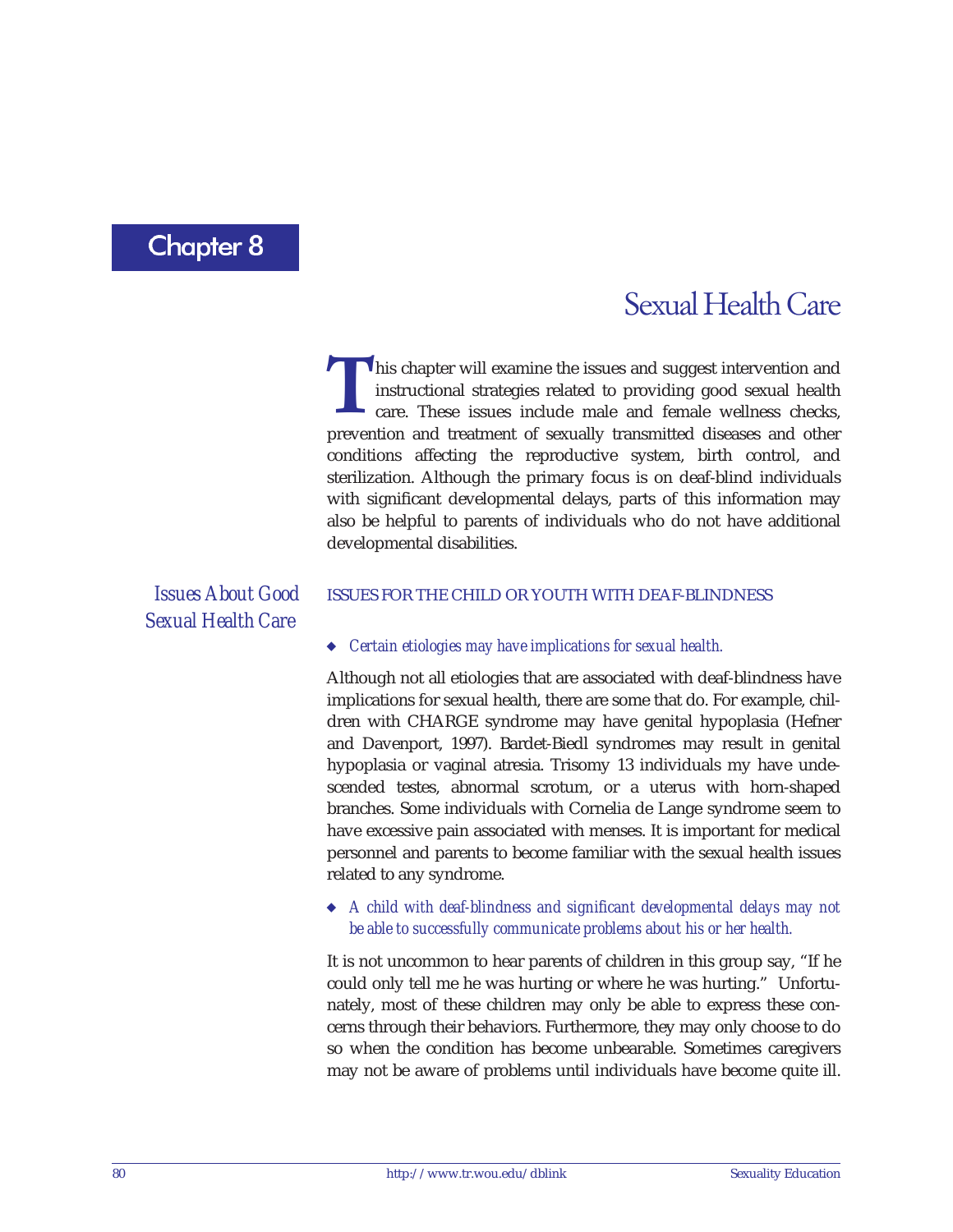# Chapter 8

# *Sexual Health Care*

This chapter will examine the issues and suggest intervention and instructional strategies related to providing good sexual health care. These issues include male and female wellness checks instructional strategies related to providing good sexual health care. These issues include male and female wellness checks, prevention and treatment of sexually transmitted diseases and other conditions affecting the reproductive system, birth control, and sterilization. Although the primary focus is on deaf-blind individuals with significant developmental delays, parts of this information may also be helpful to parents of individuals who do not have additional developmental disabilities.

# *Issues About Good Sexual Health Care*

# ISSUES FOR THE CHILD OR YOUTH WITH DEAF-BLINDNESS

◆ *Certain etiologies may have implications for sexual health.*

Although not all etiologies that are associated with deaf-blindness have implications for sexual health, there are some that do. For example, children with CHARGE syndrome may have genital hypoplasia (Hefner and Davenport, 1997). Bardet-Biedl syndromes may result in genital hypoplasia or vaginal atresia. Trisomy 13 individuals my have undescended testes, abnormal scrotum, or a uterus with horn-shaped branches. Some individuals with Cornelia de Lange syndrome seem to have excessive pain associated with menses. It is important for medical personnel and parents to become familiar with the sexual health issues related to any syndrome.

◆ *A child with deaf-blindness and significant developmental delays may not be able to successfully communicate problems about his or her health.*

It is not uncommon to hear parents of children in this group say, "If he could only tell me he was hurting or where he was hurting." Unfortunately, most of these children may only be able to express these concerns through their behaviors. Furthermore, they may only choose to do so when the condition has become unbearable. Sometimes caregivers may not be aware of problems until individuals have become quite ill.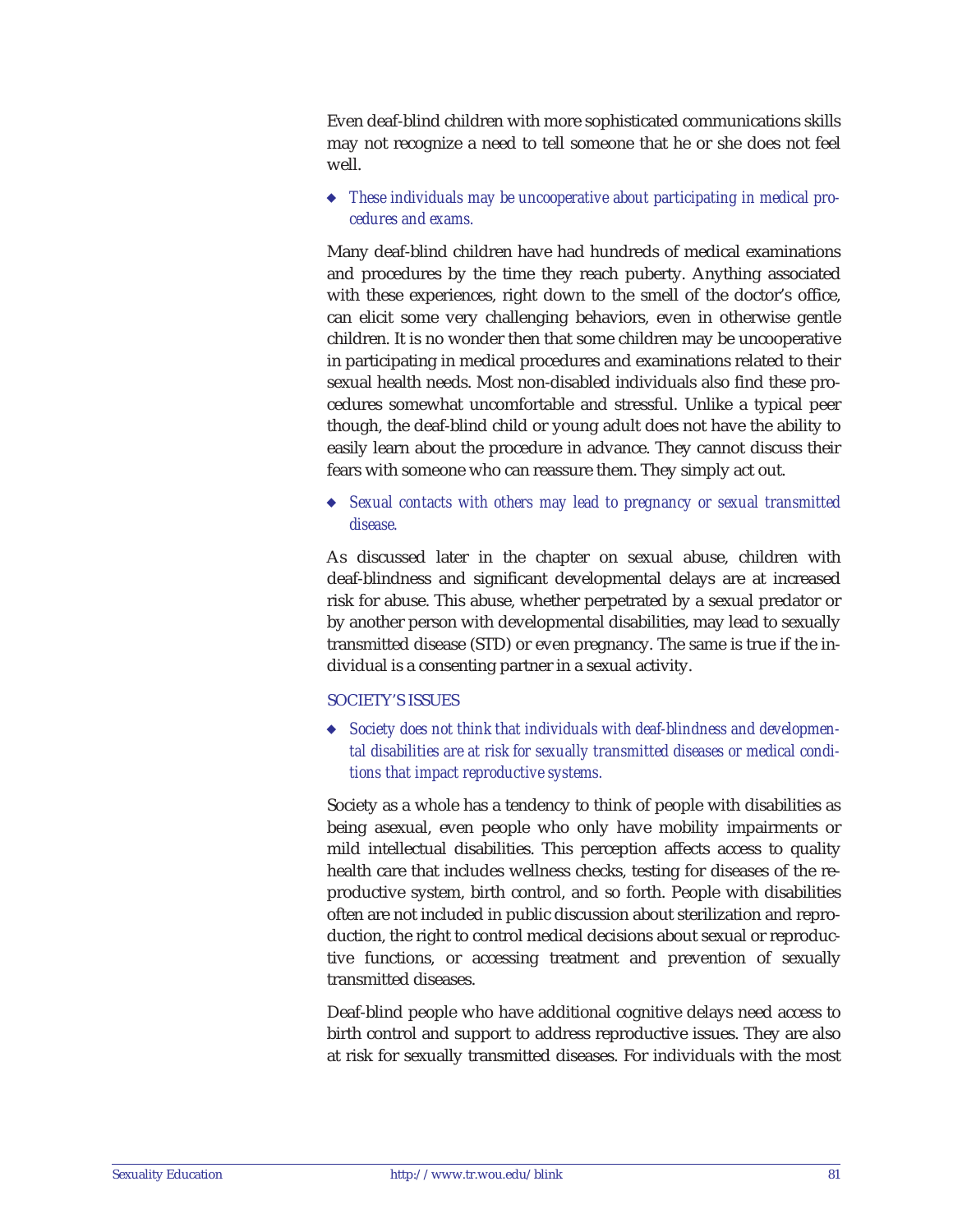Even deaf-blind children with more sophisticated communications skills may not recognize a need to tell someone that he or she does not feel well.

◆ *These individuals may be uncooperative about participating in medical procedures and exams.*

Many deaf-blind children have had hundreds of medical examinations and procedures by the time they reach puberty. Anything associated with these experiences, right down to the smell of the doctor's office, can elicit some very challenging behaviors, even in otherwise gentle children. It is no wonder then that some children may be uncooperative in participating in medical procedures and examinations related to their sexual health needs. Most non-disabled individuals also find these procedures somewhat uncomfortable and stressful. Unlike a typical peer though, the deaf-blind child or young adult does not have the ability to easily learn about the procedure in advance. They cannot discuss their fears with someone who can reassure them. They simply act out.

### ◆ *Sexual contacts with others may lead to pregnancy or sexual transmitted disease.*

As discussed later in the chapter on sexual abuse, children with deaf-blindness and significant developmental delays are at increased risk for abuse. This abuse, whether perpetrated by a sexual predator or by another person with developmental disabilities, may lead to sexually transmitted disease (STD) or even pregnancy. The same is true if the individual is a consenting partner in a sexual activity.

## SOCIETY'S ISSUES

◆ *Society does not think that individuals with deaf-blindness and developmental disabilities are at risk for sexually transmitted diseases or medical conditions that impact reproductive systems.*

Society as a whole has a tendency to think of people with disabilities as being asexual, even people who only have mobility impairments or mild intellectual disabilities. This perception affects access to quality health care that includes wellness checks, testing for diseases of the reproductive system, birth control, and so forth. People with disabilities often are not included in public discussion about sterilization and reproduction, the right to control medical decisions about sexual or reproductive functions, or accessing treatment and prevention of sexually transmitted diseases.

Deaf-blind people who have additional cognitive delays need access to birth control and support to address reproductive issues. They are also at risk for sexually transmitted diseases. For individuals with the most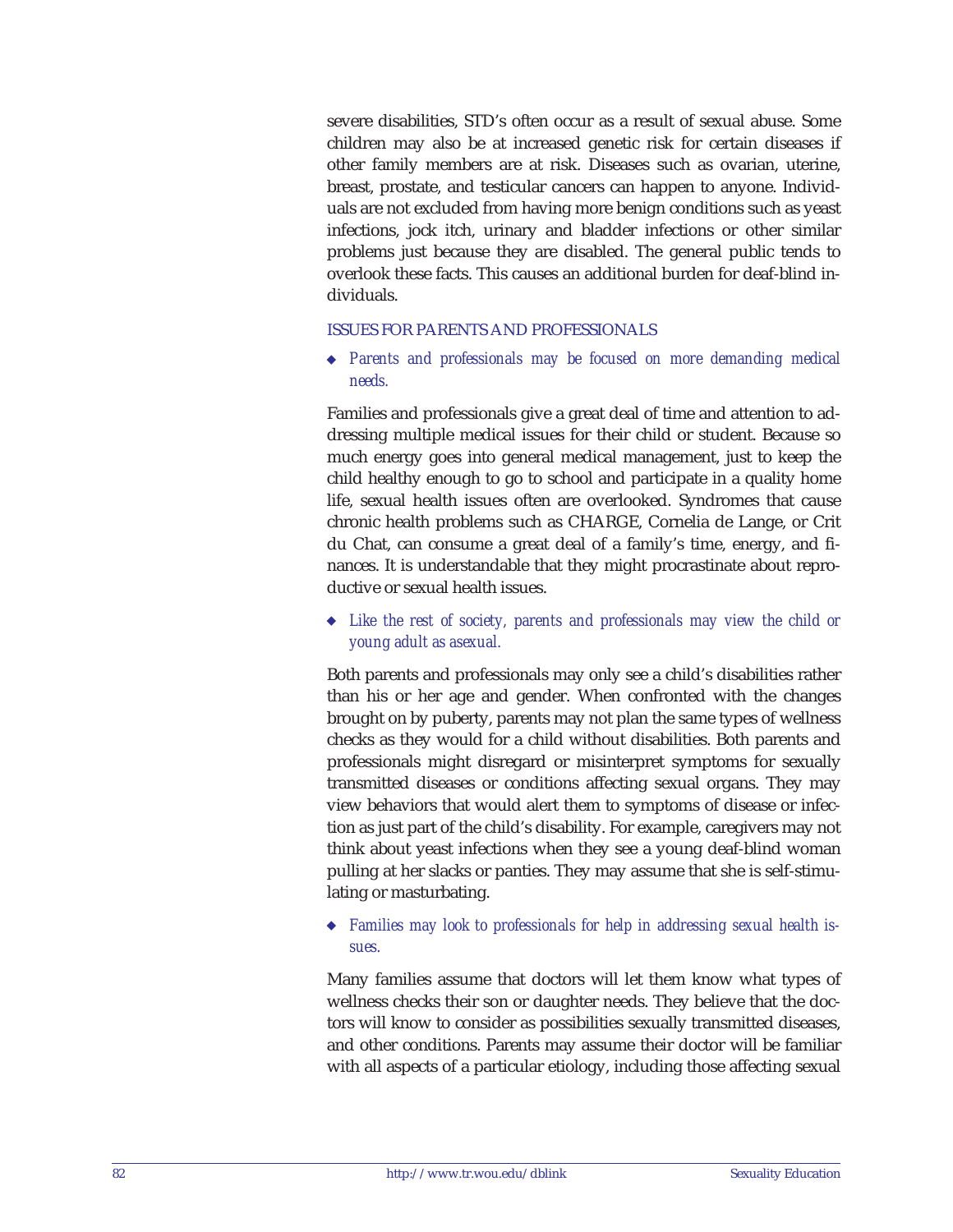severe disabilities, STD's often occur as a result of sexual abuse. Some children may also be at increased genetic risk for certain diseases if other family members are at risk. Diseases such as ovarian, uterine, breast, prostate, and testicular cancers can happen to anyone. Individuals are not excluded from having more benign conditions such as yeast infections, jock itch, urinary and bladder infections or other similar problems just because they are disabled. The general public tends to overlook these facts. This causes an additional burden for deaf-blind individuals.

#### ISSUES FOR PARENTS AND PROFESSIONALS

◆ *Parents and professionals may be focused on more demanding medical needs.*

Families and professionals give a great deal of time and attention to addressing multiple medical issues for their child or student. Because so much energy goes into general medical management, just to keep the child healthy enough to go to school and participate in a quality home life, sexual health issues often are overlooked. Syndromes that cause chronic health problems such as CHARGE, Cornelia de Lange, or Crit du Chat, can consume a great deal of a family's time, energy, and finances. It is understandable that they might procrastinate about reproductive or sexual health issues.

◆ *Like the rest of society, parents and professionals may view the child or young adult as asexual.*

Both parents and professionals may only see a child's disabilities rather than his or her age and gender. When confronted with the changes brought on by puberty, parents may not plan the same types of wellness checks as they would for a child without disabilities. Both parents and professionals might disregard or misinterpret symptoms for sexually transmitted diseases or conditions affecting sexual organs. They may view behaviors that would alert them to symptoms of disease or infection as just part of the child's disability. For example, caregivers may not think about yeast infections when they see a young deaf-blind woman pulling at her slacks or panties. They may assume that she is self-stimulating or masturbating.

## ◆ *Families may look to professionals for help in addressing sexual health issues.*

Many families assume that doctors will let them know what types of wellness checks their son or daughter needs. They believe that the doctors will know to consider as possibilities sexually transmitted diseases, and other conditions. Parents may assume their doctor will be familiar with all aspects of a particular etiology, including those affecting sexual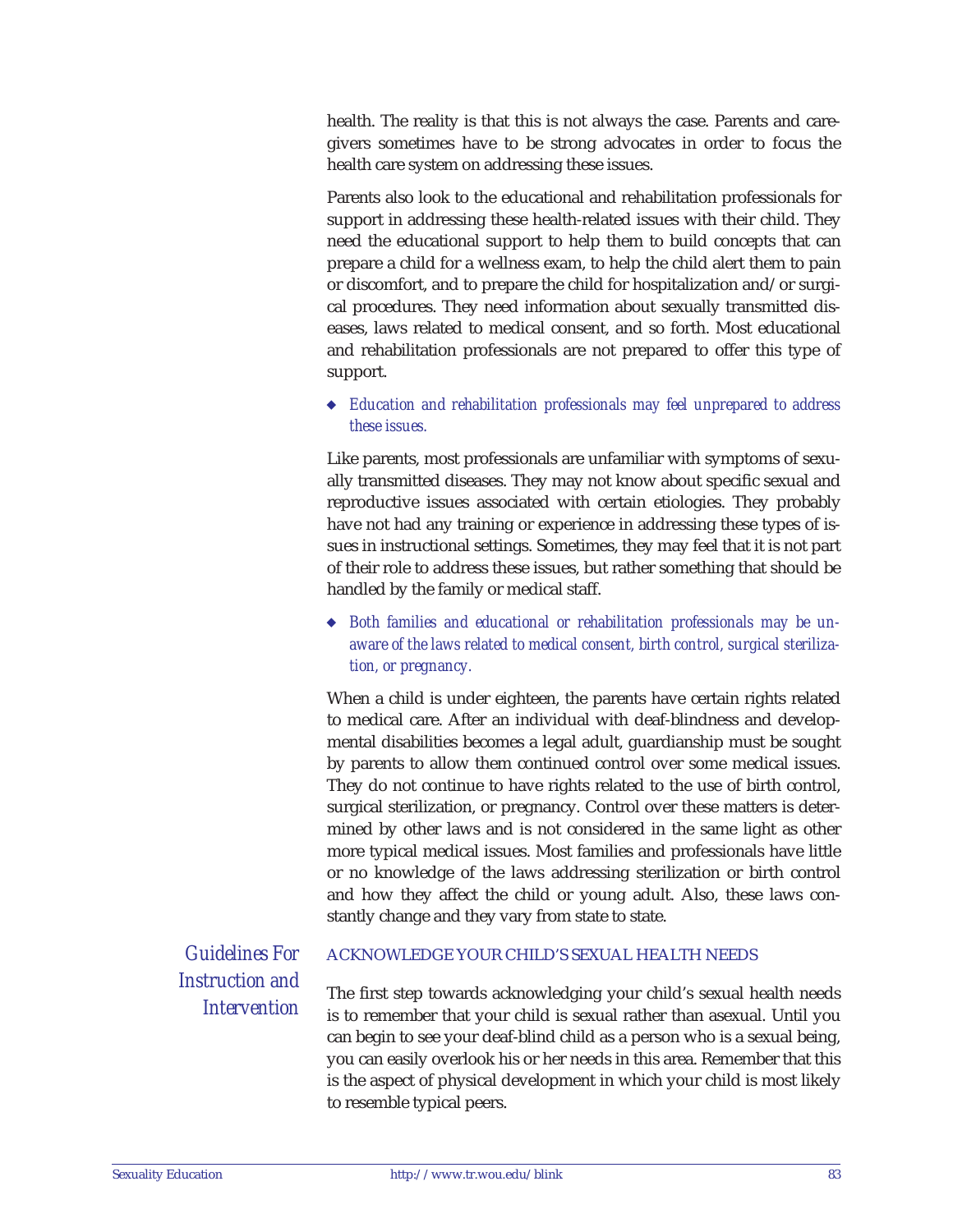health. The reality is that this is not always the case. Parents and caregivers sometimes have to be strong advocates in order to focus the health care system on addressing these issues.

Parents also look to the educational and rehabilitation professionals for support in addressing these health-related issues with their child. They need the educational support to help them to build concepts that can prepare a child for a wellness exam, to help the child alert them to pain or discomfort, and to prepare the child for hospitalization and/or surgical procedures. They need information about sexually transmitted diseases, laws related to medical consent, and so forth. Most educational and rehabilitation professionals are not prepared to offer this type of support.

◆ *Education and rehabilitation professionals may feel unprepared to address these issues.*

Like parents, most professionals are unfamiliar with symptoms of sexually transmitted diseases. They may not know about specific sexual and reproductive issues associated with certain etiologies. They probably have not had any training or experience in addressing these types of issues in instructional settings. Sometimes, they may feel that it is not part of their role to address these issues, but rather something that should be handled by the family or medical staff.

◆ *Both families and educational or rehabilitation professionals may be unaware of the laws related to medical consent, birth control, surgical sterilization, or pregnancy.*

When a child is under eighteen, the parents have certain rights related to medical care. After an individual with deaf-blindness and developmental disabilities becomes a legal adult, guardianship must be sought by parents to allow them continued control over some medical issues. They do not continue to have rights related to the use of birth control, surgical sterilization, or pregnancy. Control over these matters is determined by other laws and is not considered in the same light as other more typical medical issues. Most families and professionals have little or no knowledge of the laws addressing sterilization or birth control and how they affect the child or young adult. Also, these laws constantly change and they vary from state to state.

*Guidelines For Instruction and Intervention*

#### ACKNOWLEDGE YOUR CHILD'S SEXUAL HEALTH NEEDS

The first step towards acknowledging your child's sexual health needs is to remember that your child is sexual rather than asexual. Until you can begin to see your deaf-blind child as a person who is a sexual being, you can easily overlook his or her needs in this area. Remember that this is the aspect of physical development in which your child is most likely to resemble typical peers.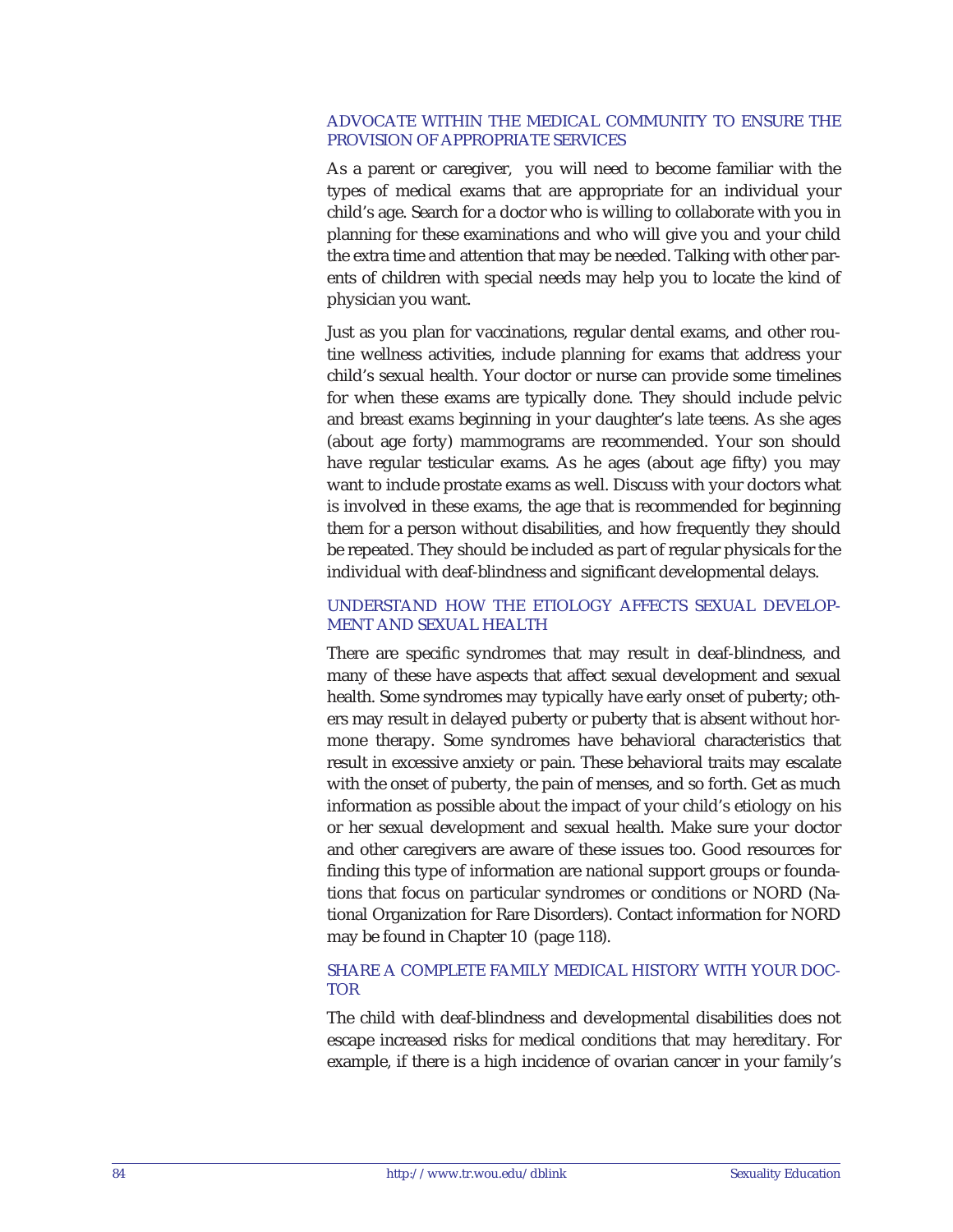#### ADVOCATE WITHIN THE MEDICAL COMMUNITY TO ENSURE THE PROVISION OF APPROPRIATE SERVICES

As a parent or caregiver, you will need to become familiar with the types of medical exams that are appropriate for an individual your child's age. Search for a doctor who is willing to collaborate with you in planning for these examinations and who will give you and your child the extra time and attention that may be needed. Talking with other parents of children with special needs may help you to locate the kind of physician you want.

Just as you plan for vaccinations, regular dental exams, and other routine wellness activities, include planning for exams that address your child's sexual health. Your doctor or nurse can provide some timelines for when these exams are typically done. They should include pelvic and breast exams beginning in your daughter's late teens. As she ages (about age forty) mammograms are recommended. Your son should have regular testicular exams. As he ages (about age fifty) you may want to include prostate exams as well. Discuss with your doctors what is involved in these exams, the age that is recommended for beginning them for a person without disabilities, and how frequently they should be repeated. They should be included as part of regular physicals for the individual with deaf-blindness and significant developmental delays.

#### UNDERSTAND HOW THE ETIOLOGY AFFECTS SEXUAL DEVELOP-MENT AND SEXUAL HEALTH

There are specific syndromes that may result in deaf-blindness, and many of these have aspects that affect sexual development and sexual health. Some syndromes may typically have early onset of puberty; others may result in delayed puberty or puberty that is absent without hormone therapy. Some syndromes have behavioral characteristics that result in excessive anxiety or pain. These behavioral traits may escalate with the onset of puberty, the pain of menses, and so forth. Get as much information as possible about the impact of your child's etiology on his or her sexual development and sexual health. Make sure your doctor and other caregivers are aware of these issues too. Good resources for finding this type of information are national support groups or foundations that focus on particular syndromes or conditions or NORD (National Organization for Rare Disorders). Contact information for NORD may be found in Chapter 10 (page [118](#page-123-0)).

### SHARE A COMPLETE FAMILY MEDICAL HISTORY WITH YOUR DOC-TOR

The child with deaf-blindness and developmental disabilities does not escape increased risks for medical conditions that may hereditary. For example, if there is a high incidence of ovarian cancer in your family's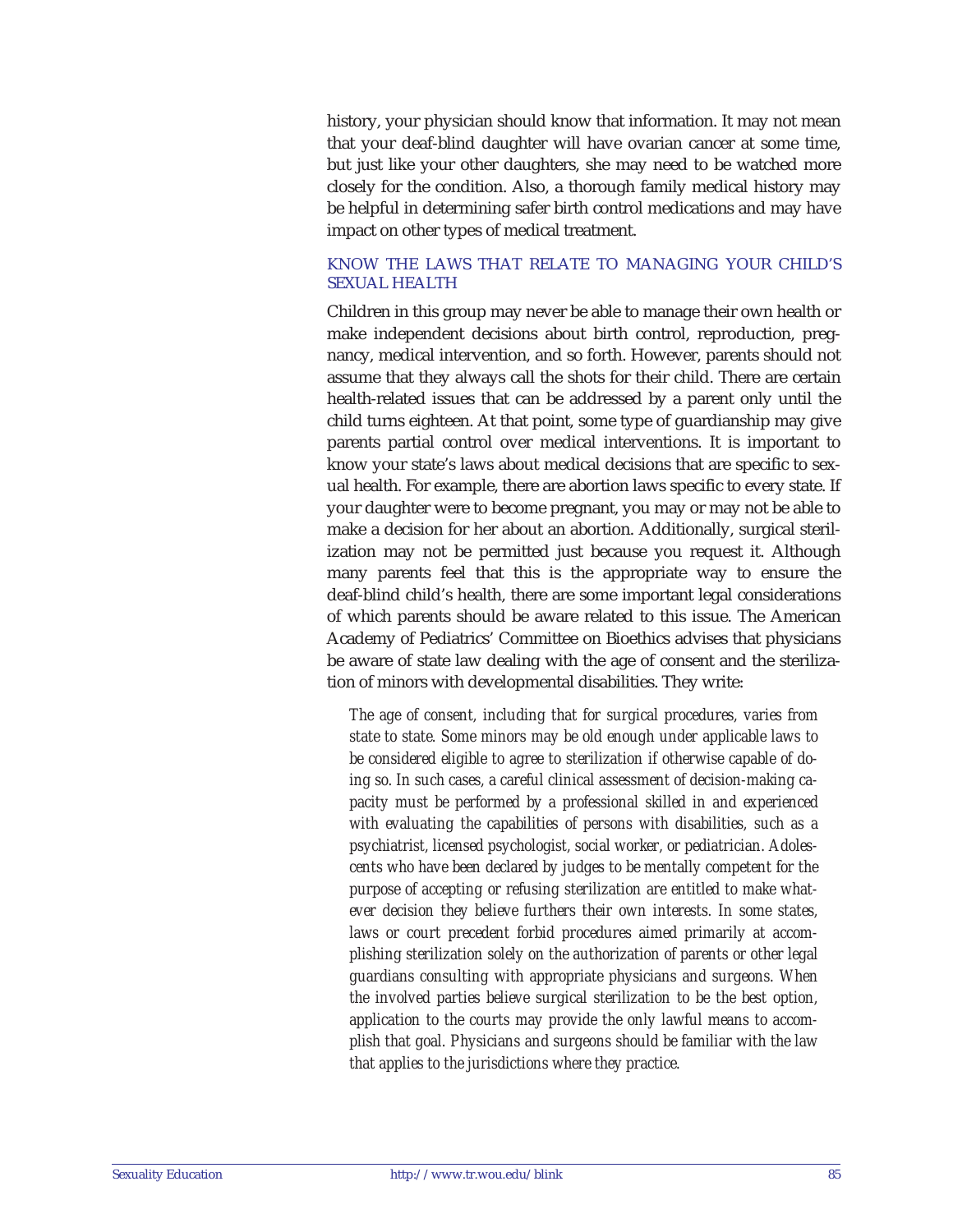history, your physician should know that information. It may not mean that your deaf-blind daughter will have ovarian cancer at some time, but just like your other daughters, she may need to be watched more closely for the condition. Also, a thorough family medical history may be helpful in determining safer birth control medications and may have impact on other types of medical treatment.

#### KNOW THE LAWS THAT RELATE TO MANAGING YOUR CHILD'S SEXUAL HEALTH

Children in this group may never be able to manage their own health or make independent decisions about birth control, reproduction, pregnancy, medical intervention, and so forth. However, parents should not assume that they always call the shots for their child. There are certain health-related issues that can be addressed by a parent only until the child turns eighteen. At that point, some type of guardianship may give parents partial control over medical interventions. It is important to know your state's laws about medical decisions that are specific to sexual health. For example, there are abortion laws specific to every state. If your daughter were to become pregnant, you may or may not be able to make a decision for her about an abortion. Additionally, surgical sterilization may not be permitted just because you request it. Although many parents feel that this is the appropriate way to ensure the deaf-blind child's health, there are some important legal considerations of which parents should be aware related to this issue. The American Academy of Pediatrics' Committee on Bioethics advises that physicians be aware of state law dealing with the age of consent and the sterilization of minors with developmental disabilities. They write:

*The age of consent, including that for surgical procedures, varies from state to state. Some minors may be old enough under applicable laws to be considered eligible to agree to sterilization if otherwise capable of doing so. In such cases, a careful clinical assessment of decision-making capacity must be performed by a professional skilled in and experienced with evaluating the capabilities of persons with disabilities, such as a psychiatrist, licensed psychologist, social worker, or pediatrician. Adolescents who have been declared by judges to be mentally competent for the purpose of accepting or refusing sterilization are entitled to make whatever decision they believe furthers their own interests. In some states, laws or court precedent forbid procedures aimed primarily at accomplishing sterilization solely on the authorization of parents or other legal guardians consulting with appropriate physicians and surgeons. When the involved parties believe surgical sterilization to be the best option, application to the courts may provide the only lawful means to accomplish that goal. Physicians and surgeons should be familiar with the law that applies to the jurisdictions where they practice.*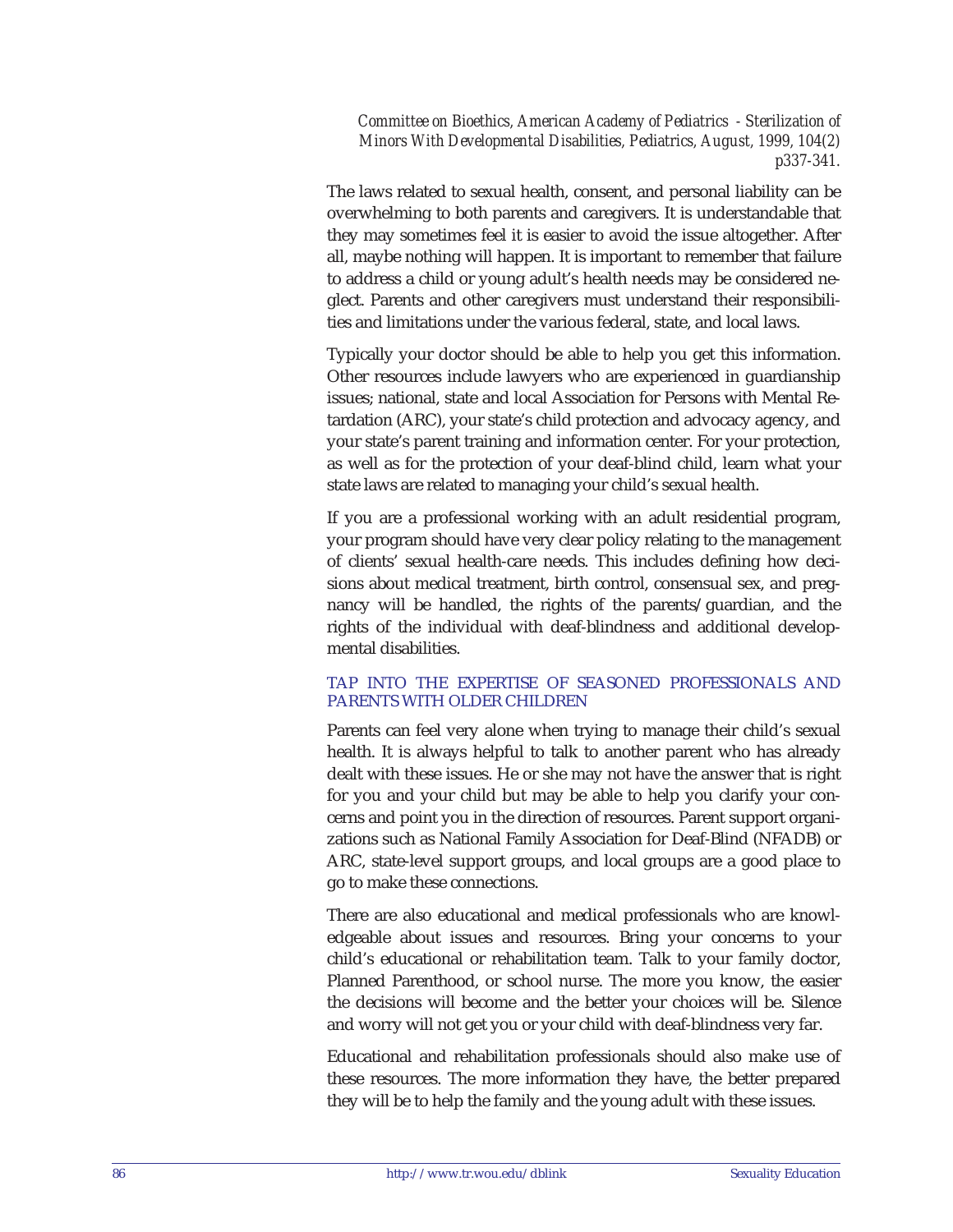*Committee on Bioethics, American Academy of Pediatrics - Sterilization of Minors With Developmental Disabilities, Pediatrics, August, 1999, 104(2) p337-341.*

The laws related to sexual health, consent, and personal liability can be overwhelming to both parents and caregivers. It is understandable that they may sometimes feel it is easier to avoid the issue altogether. After all, maybe nothing will happen. It is important to remember that failure to address a child or young adult's health needs may be considered neglect. Parents and other caregivers must understand their responsibilities and limitations under the various federal, state, and local laws.

Typically your doctor should be able to help you get this information. Other resources include lawyers who are experienced in guardianship issues; national, state and local Association for Persons with Mental Retardation (ARC), your state's child protection and advocacy agency, and your state's parent training and information center. For your protection, as well as for the protection of your deaf-blind child, learn what your state laws are related to managing your child's sexual health.

If you are a professional working with an adult residential program, your program should have very clear policy relating to the management of clients' sexual health-care needs. This includes defining how decisions about medical treatment, birth control, consensual sex, and pregnancy will be handled, the rights of the parents/guardian, and the rights of the individual with deaf-blindness and additional developmental disabilities.

#### TAP INTO THE EXPERTISE OF SEASONED PROFESSIONALS AND PARENTS WITH OLDER CHILDREN

Parents can feel very alone when trying to manage their child's sexual health. It is always helpful to talk to another parent who has already dealt with these issues. He or she may not have the answer that is right for you and your child but may be able to help you clarify your concerns and point you in the direction of resources. Parent support organizations such as National Family Association for Deaf-Blind (NFADB) or ARC, state-level support groups, and local groups are a good place to go to make these connections.

There are also educational and medical professionals who are knowledgeable about issues and resources. Bring your concerns to your child's educational or rehabilitation team. Talk to your family doctor, Planned Parenthood, or school nurse. The more you know, the easier the decisions will become and the better your choices will be. Silence and worry will not get you or your child with deaf-blindness very far.

Educational and rehabilitation professionals should also make use of these resources. The more information they have, the better prepared they will be to help the family and the young adult with these issues.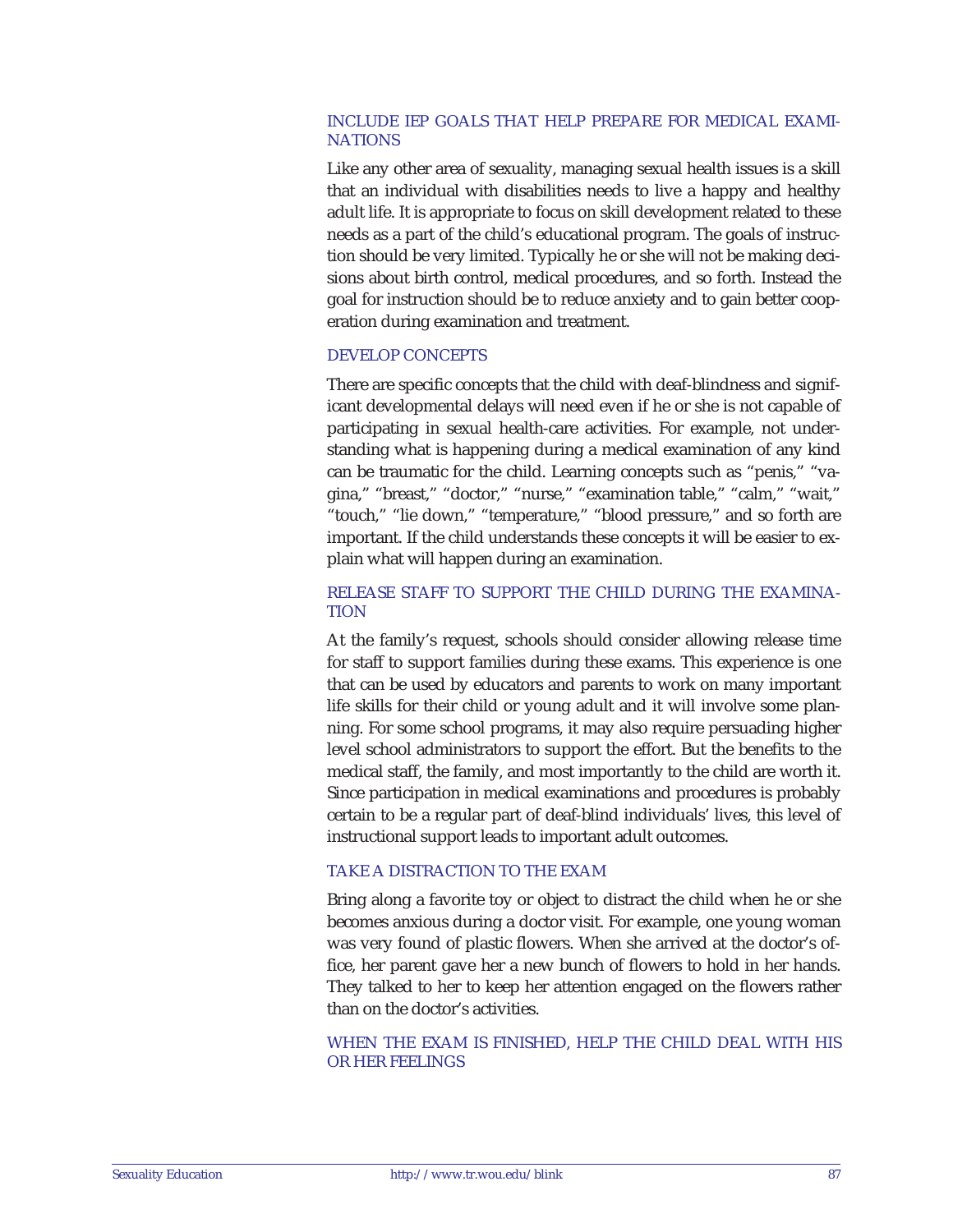#### INCLUDE IEP GOALS THAT HELP PREPARE FOR MEDICAL EXAMI-**NATIONS**

Like any other area of sexuality, managing sexual health issues is a skill that an individual with disabilities needs to live a happy and healthy adult life. It is appropriate to focus on skill development related to these needs as a part of the child's educational program. The goals of instruction should be very limited. Typically he or she will not be making decisions about birth control, medical procedures, and so forth. Instead the goal for instruction should be to reduce anxiety and to gain better cooperation during examination and treatment.

#### DEVELOP CONCEPTS

There are specific concepts that the child with deaf-blindness and significant developmental delays will need even if he or she is not capable of participating in sexual health-care activities. For example, not understanding what is happening during a medical examination of any kind can be traumatic for the child. Learning concepts such as "penis," "vagina," "breast," "doctor," "nurse," "examination table," "calm," "wait," "touch," "lie down," "temperature," "blood pressure," and so forth are important. If the child understands these concepts it will be easier to explain what will happen during an examination.

### RELEASE STAFF TO SUPPORT THE CHILD DURING THE EXAMINA-**TION**

At the family's request, schools should consider allowing release time for staff to support families during these exams. This experience is one that can be used by educators and parents to work on many important life skills for their child or young adult and it will involve some planning. For some school programs, it may also require persuading higher level school administrators to support the effort. But the benefits to the medical staff, the family, and most importantly to the child are worth it. Since participation in medical examinations and procedures is probably certain to be a regular part of deaf-blind individuals' lives, this level of instructional support leads to important adult outcomes.

#### TAKE A DISTRACTION TO THE EXAM

Bring along a favorite toy or object to distract the child when he or she becomes anxious during a doctor visit. For example, one young woman was very found of plastic flowers. When she arrived at the doctor's office, her parent gave her a new bunch of flowers to hold in her hands. They talked to her to keep her attention engaged on the flowers rather than on the doctor's activities.

#### WHEN THE EXAM IS FINISHED, HELP THE CHILD DEAL WITH HIS OR HER FEELINGS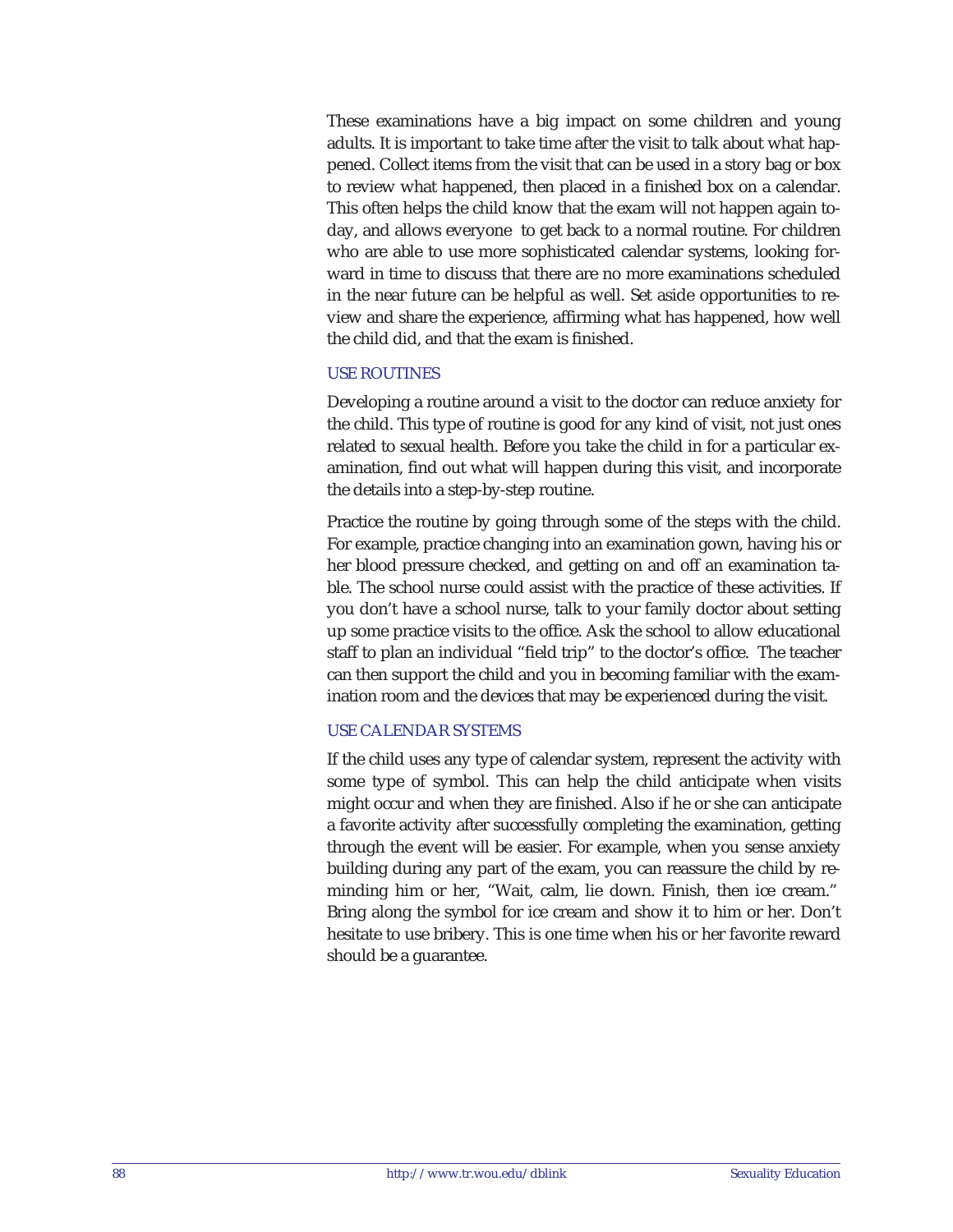These examinations have a big impact on some children and young adults. It is important to take time after the visit to talk about what happened. Collect items from the visit that can be used in a story bag or box to review what happened, then placed in a finished box on a calendar. This often helps the child know that the exam will not happen again today, and allows everyone to get back to a normal routine. For children who are able to use more sophisticated calendar systems, looking forward in time to discuss that there are no more examinations scheduled in the near future can be helpful as well. Set aside opportunities to review and share the experience, affirming what has happened, how well the child did, and that the exam is finished.

#### USE ROUTINES

Developing a routine around a visit to the doctor can reduce anxiety for the child. This type of routine is good for any kind of visit, not just ones related to sexual health. Before you take the child in for a particular examination, find out what will happen during this visit, and incorporate the details into a step-by-step routine.

Practice the routine by going through some of the steps with the child. For example, practice changing into an examination gown, having his or her blood pressure checked, and getting on and off an examination table. The school nurse could assist with the practice of these activities. If you don't have a school nurse, talk to your family doctor about setting up some practice visits to the office. Ask the school to allow educational staff to plan an individual "field trip" to the doctor's office. The teacher can then support the child and you in becoming familiar with the examination room and the devices that may be experienced during the visit.

## USE CALENDAR SYSTEMS

If the child uses any type of calendar system, represent the activity with some type of symbol. This can help the child anticipate when visits might occur and when they are finished. Also if he or she can anticipate a favorite activity after successfully completing the examination, getting through the event will be easier. For example, when you sense anxiety building during any part of the exam, you can reassure the child by reminding him or her, "Wait, calm, lie down. Finish, then ice cream." Bring along the symbol for ice cream and show it to him or her. Don't hesitate to use bribery. This is one time when his or her favorite reward should be a guarantee.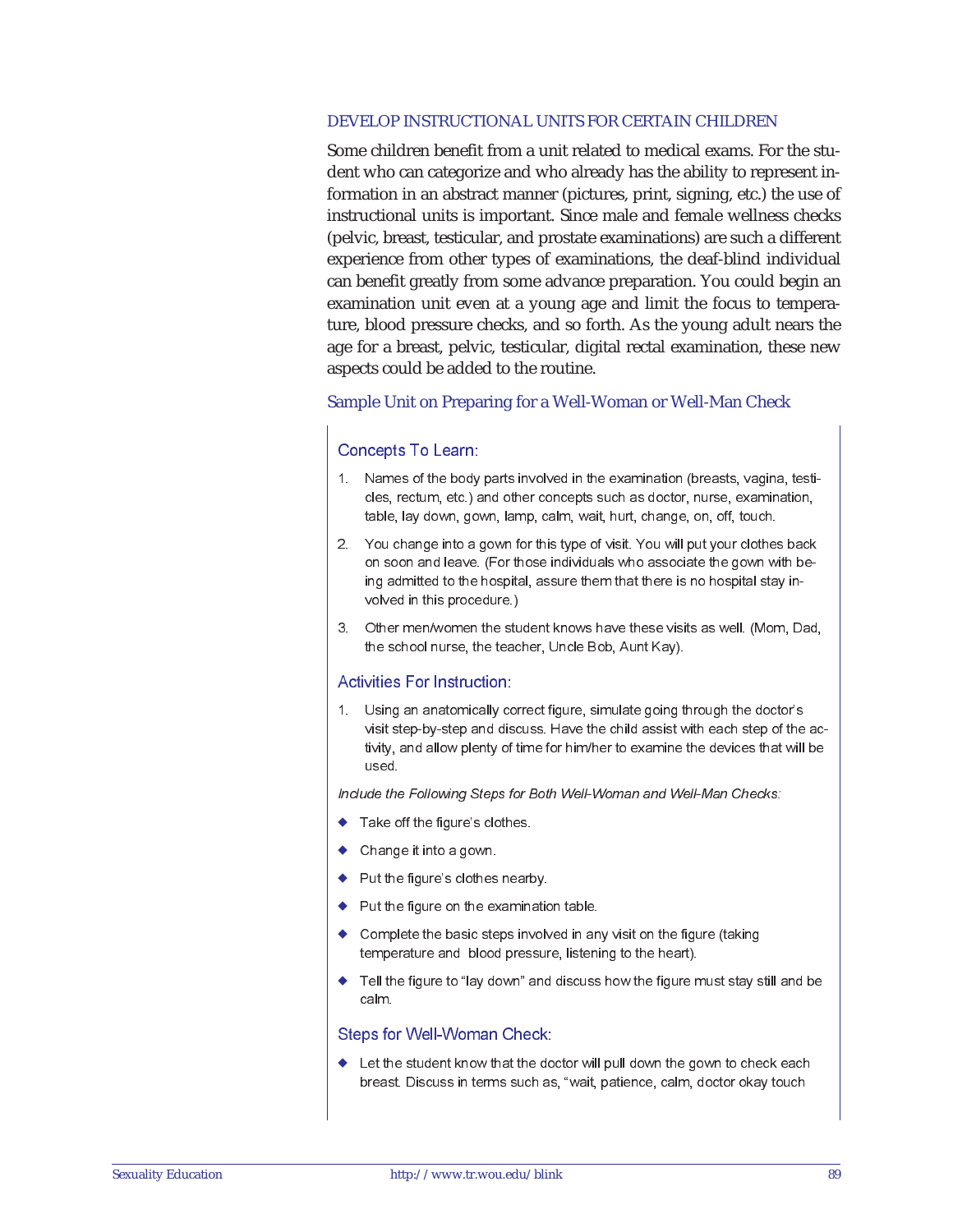#### DEVELOP INSTRUCTIONAL UNITS FOR CERTAIN CHILDREN

Some children benefit from a unit related to medical exams. For the student who can categorize and who already has the ability to represent information in an abstract manner (pictures, print, signing, etc.) the use of instructional units is important. Since male and female wellness checks (pelvic, breast, testicular, and prostate examinations) are such a different experience from other types of examinations, the deaf-blind individual can benefit greatly from some advance preparation. You could begin an examination unit even at a young age and limit the focus to temperature, blood pressure checks, and so forth. As the young adult nears the age for a breast, pelvic, testicular, digital rectal examination, these new aspects could be added to the routine.

#### Sample Unit on Preparing for a Well-Woman or Well-Man Check

#### Concepts To Learn:

- 1. Names of the body parts involved in the examination (breasts, vagina, testicles, rectum, etc.) and other concepts such as doctor, nurse, examination, table, lay down, gown, lamp, calm, wait, hurt, change, on, off, touch.
- 2. You change into a gown for this type of visit. You will put your clothes back on soon and leave. (For those individuals who associate the gown with being admitted to the hospital, assure them that there is no hospital stay involved in this procedure.)
- 3. Other men/women the student knows have these visits as well. (Mom, Dad, the school nurse, the teacher, Uncle Bob, Aunt Kay).

#### Activities For Instruction:

1. Using an anatomically correct figure, simulate going through the doctors visit step-by-step and discuss. Have the child assist with each step of the activity, and allow plenty of time for him/her to examine the devices that will be used.

Include the Following Steps for Both Well-Woman and Well-Man Checks:

- $\blacklozenge$  Take off the figure's clothes.
- Change it into a gown.
- Put the figure's clothes nearby.
- Put the figure on the examination table.
- Complete the basic steps involved in any visit on the figure (taking temperature and blood pressure, listening to the heart).
- $\bullet$  Tell the figure to "lay down" and discuss how the figure must stay still and be calm.

#### Steps for Well-Woman Check:

◆ Let the student know that the doctor will pull down the gown to check each breast. Discuss in terms such as, "wait, patience, calm, doctor okay touch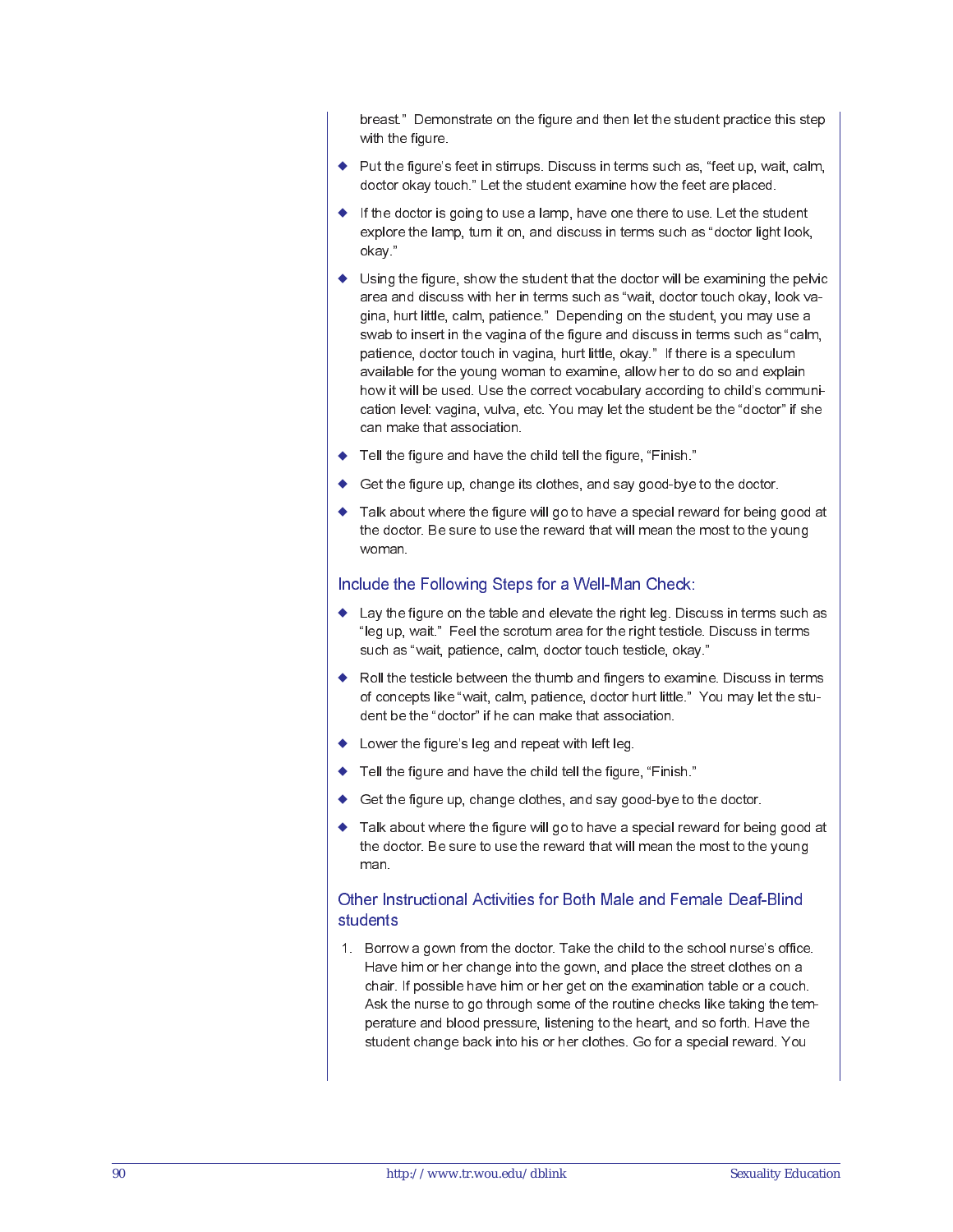breast." Demonstrate on the figure and then let the student practice this step with the figure.

- Put the figure's feet in stirrups. Discuss in terms such as, "feet up, wait, calm, doctor okay touch." Let the student examine how the feet are placed.
- If the doctor is going to use a lamp, have one there to use. Let the student explore the lamp, turn it on, and discuss in terms such as "doctor light look, okay.
- ◆ Using the figure, show the student that the doctor will be examining the pelvic area and discuss with her in terms such as "wait, doctor touch okay, look vagina, hurt little, calm, patience." Depending on the student, you may use a swab to insert in the vagina of the figure and discuss in terms such as "calm, patience, doctor touch in vagina, hurt little, okay." If there is a speculum available for the young woman to examine, allow her to do so and explain how it will be used. Use the correct vocabulary according to child's communication level: vagina, vulva, etc. You may let the student be the "doctor" if she can make that association.
- Tell the figure and have the child tell the figure, "Finish."
- Get the figure up, change its clothes, and say good-bye to the doctor.
- Talk about where the figure will go to have a special reward for being good at the doctor. Be sure to use the reward that will mean the most to the young woman.

#### Include the Following Steps for a Well-Man Check:

- Lay the figure on the table and elevate the right leg. Discuss in terms such as "leg up, wait." Feel the scrotum area for the right testicle. Discuss in terms such as "wait, patience, calm, doctor touch testicle, okay."
- Roll the testicle between the thumb and fingers to examine. Discuss in terms of concepts like "wait, calm, patience, doctor hurt little." You may let the student be the "doctor" if he can make that association.
- Lower the figure's leg and repeat with left leg.
- Tell the figure and have the child tell the figure, "Finish."
- Get the figure up, change clothes, and say good-bye to the doctor.
- Talk about where the figure will go to have a special reward for being good at the doctor. Be sure to use the reward that will mean the most to the young man.

#### Other Instructional Activities for Both Male and Female Deaf-Blind students

1. Borrow a gown from the doctor. Take the child to the school nurse's office. Have him or her change into the gown, and place the street clothes on a chair. If possible have him or her get on the examination table or a couch. Ask the nurse to go through some of the routine checks like taking the temperature and blood pressure, listening to the heart, and so forth. Have the student change back into his or her clothes. Go for a special reward. You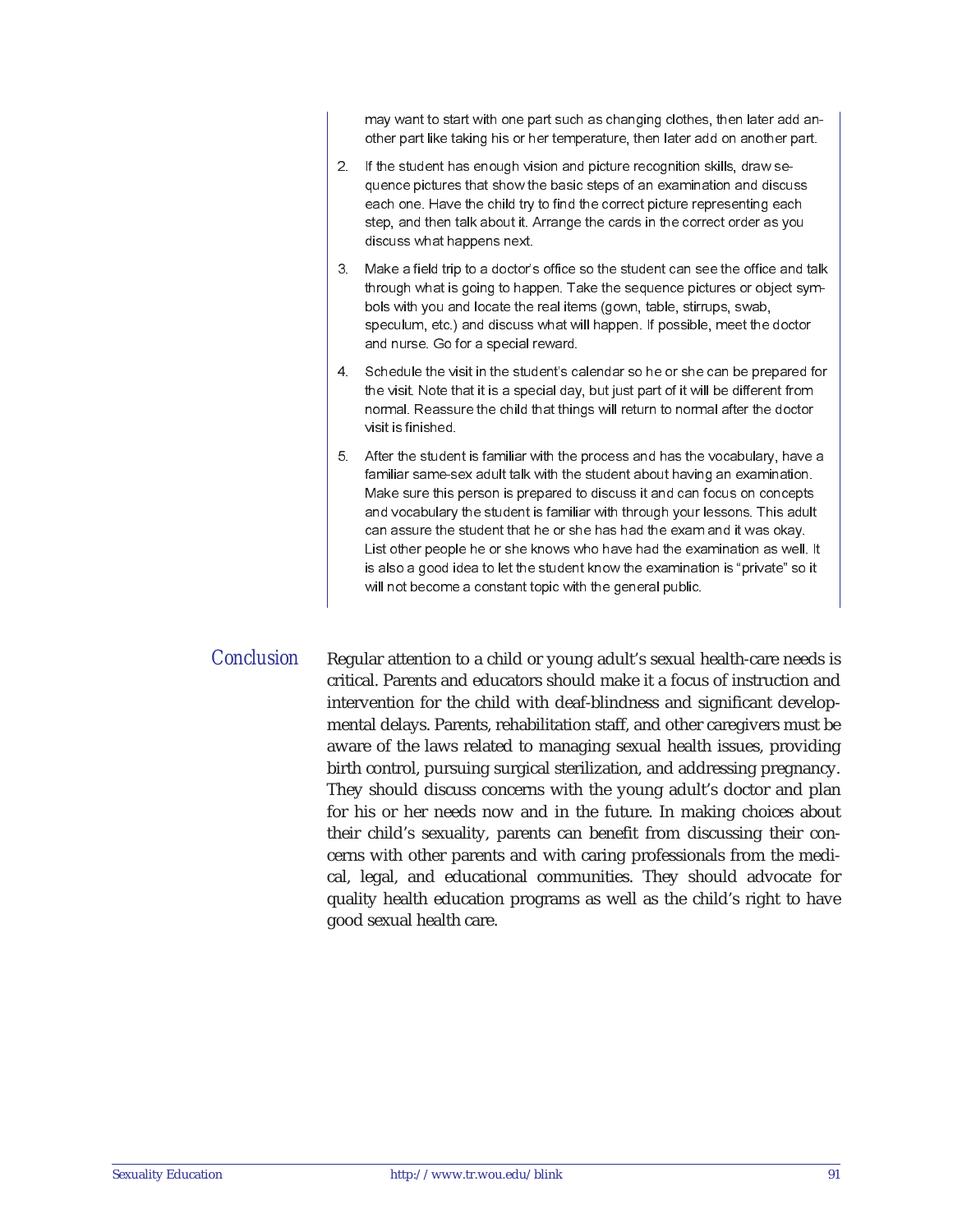| may want to start with one part such as changing clothes, then later add an-<br>other part like taking his or her temperature, then later add on another part.                                                                                                                                                                                                                                                                                                                                                                                                                                                                         |
|----------------------------------------------------------------------------------------------------------------------------------------------------------------------------------------------------------------------------------------------------------------------------------------------------------------------------------------------------------------------------------------------------------------------------------------------------------------------------------------------------------------------------------------------------------------------------------------------------------------------------------------|
| If the student has enough vision and picture recognition skills, draw se-<br>2.<br>quence pictures that show the basic steps of an examination and discuss<br>each one. Have the child try to find the correct picture representing each<br>step, and then talk about it. Arrange the cards in the correct order as you<br>discuss what happens next.                                                                                                                                                                                                                                                                                  |
| Make a field trip to a doctor's office so the student can see the office and talk<br>3.<br>through what is going to happen. Take the sequence pictures or object sym-<br>bols with you and locate the real items (gown, table, stirrups, swab,<br>speculum, etc.) and discuss what will happen. If possible, meet the doctor<br>and nurse. Go for a special reward.                                                                                                                                                                                                                                                                    |
| Schedule the visit in the student's calendar so he or she can be prepared for<br>4.<br>the visit. Note that it is a special day, but just part of it will be different from<br>normal. Reassure the child that things will return to normal after the doctor<br>visit is finished.                                                                                                                                                                                                                                                                                                                                                     |
| After the student is familiar with the process and has the vocabulary, have a<br>5.<br>familiar same-sex adult talk with the student about having an examination.<br>Make sure this person is prepared to discuss it and can focus on concepts<br>and vocabulary the student is familiar with through your lessons. This adult<br>can assure the student that he or she has had the exam and it was okay.<br>List other people he or she knows who have had the examination as well. It<br>is also a good idea to let the student know the examination is "private" so it<br>will not become a constant topic with the general public. |
| Regular attention to a child or young adult's sexual health-care needs is<br>critical. Parents and educators should make it a focus of instruction and<br>بمراجعها والمستحدث فالمستقوم المستحدث والمتحال والمتحدث والمستحدث المنافي والمستحدث والمستحدث والمستحدث                                                                                                                                                                                                                                                                                                                                                                      |
|                                                                                                                                                                                                                                                                                                                                                                                                                                                                                                                                                                                                                                        |

intervention for the child with deaf-blindness and significant developmental delays. Parents, rehabilitation staff, and other caregivers must be aware of the laws related to managing sexual health issues, providing birth control, pursuing surgical sterilization, and addressing pregnancy. They should discuss concerns with the young adult's doctor and plan for his or her needs now and in the future. In making choices about their child's sexuality, parents can benefit from discussing their concerns with other parents and with caring professionals from the medical, legal, and educational communities. They should advocate for quality health education programs as well as the child's right to have good sexual health care.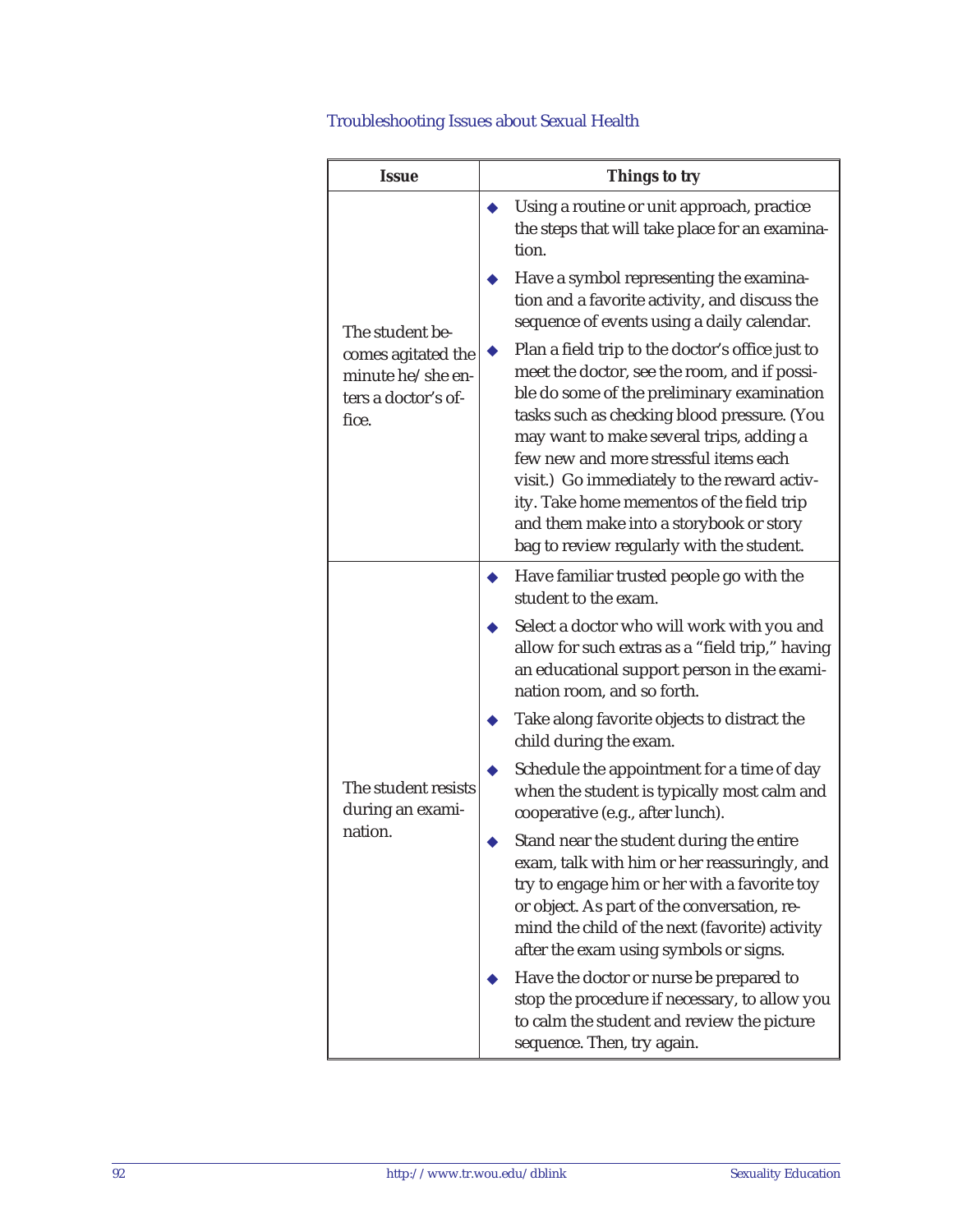# Troubleshooting Issues about Sexual Health

| <b>Issue</b>                                                                               | Things to try                                                                                                                                                                                                                                                                                                                                                                                                                                                          |
|--------------------------------------------------------------------------------------------|------------------------------------------------------------------------------------------------------------------------------------------------------------------------------------------------------------------------------------------------------------------------------------------------------------------------------------------------------------------------------------------------------------------------------------------------------------------------|
| The student be-<br>comes agitated the<br>minute he/she en-<br>ters a doctor's of-<br>fice. | Using a routine or unit approach, practice<br>the steps that will take place for an examina-<br>tion.                                                                                                                                                                                                                                                                                                                                                                  |
|                                                                                            | Have a symbol representing the examina-<br>tion and a favorite activity, and discuss the<br>sequence of events using a daily calendar.                                                                                                                                                                                                                                                                                                                                 |
|                                                                                            | Plan a field trip to the doctor's office just to<br>meet the doctor, see the room, and if possi-<br>ble do some of the preliminary examination<br>tasks such as checking blood pressure. (You<br>may want to make several trips, adding a<br>few new and more stressful items each<br>visit.) Go immediately to the reward activ-<br>ity. Take home mementos of the field trip<br>and them make into a storybook or story<br>bag to review regularly with the student. |
| The student resists<br>during an exami-<br>nation.                                         | Have familiar trusted people go with the<br>◆<br>student to the exam.                                                                                                                                                                                                                                                                                                                                                                                                  |
|                                                                                            | Select a doctor who will work with you and<br>allow for such extras as a "field trip," having<br>an educational support person in the exami-<br>nation room, and so forth.                                                                                                                                                                                                                                                                                             |
|                                                                                            | Take along favorite objects to distract the<br>child during the exam.                                                                                                                                                                                                                                                                                                                                                                                                  |
|                                                                                            | Schedule the appointment for a time of day<br>when the student is typically most calm and<br>cooperative (e.g., after lunch).                                                                                                                                                                                                                                                                                                                                          |
|                                                                                            | Stand near the student during the entire<br>exam, talk with him or her reassuringly, and<br>try to engage him or her with a favorite toy<br>or object. As part of the conversation, re-<br>mind the child of the next (favorite) activity<br>after the exam using symbols or signs.                                                                                                                                                                                    |
|                                                                                            | Have the doctor or nurse be prepared to<br>stop the procedure if necessary, to allow you<br>to calm the student and review the picture<br>sequence. Then, try again.                                                                                                                                                                                                                                                                                                   |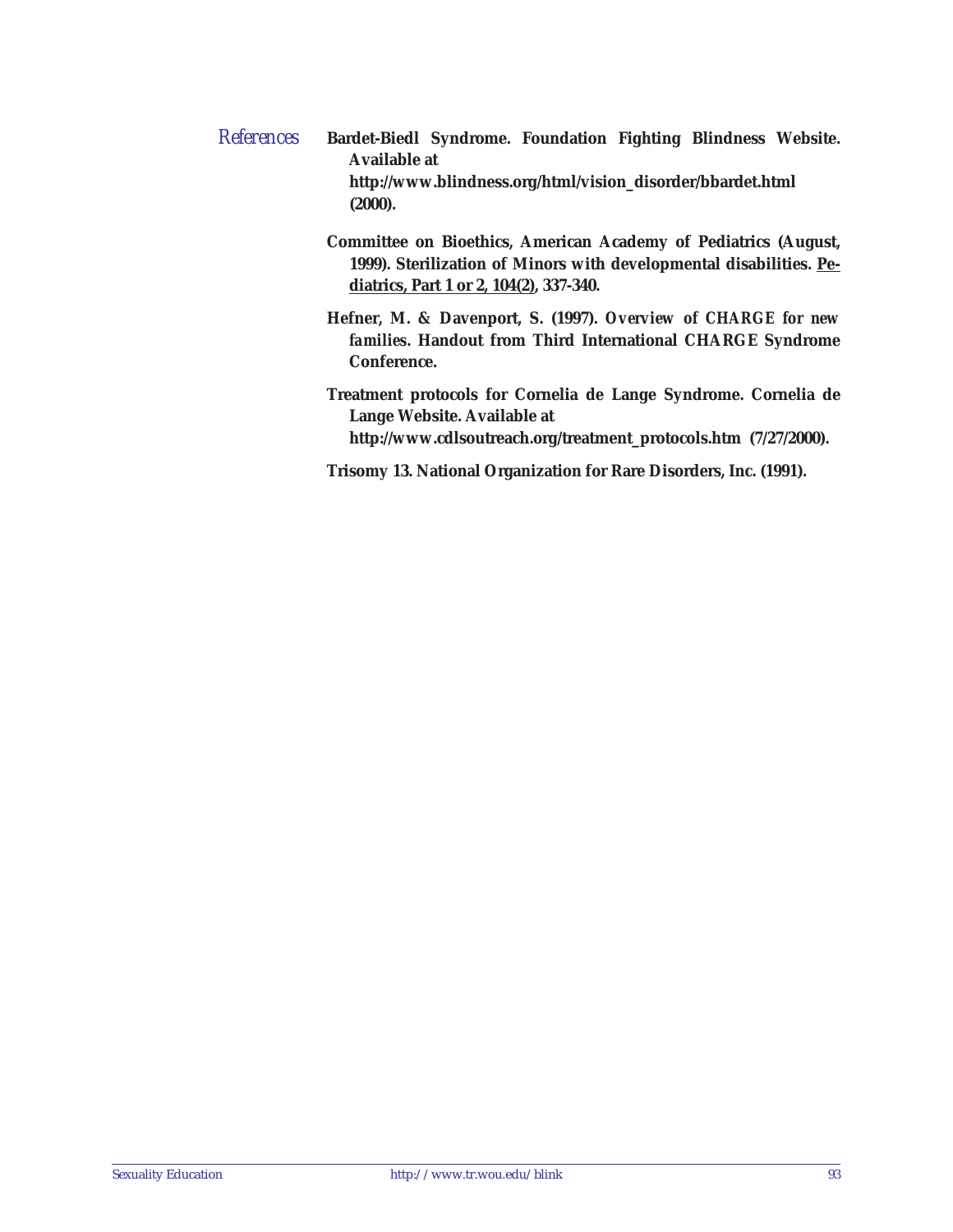- *References* **Bardet-Biedl Syndrome. Foundation Fighting Blindness Website. Available at http://www.blindness.org/html/vision\_disorder/bbardet.html (2000).**
	- **Committee on Bioethics, American Academy of Pediatrics (August, 1999). Sterilization of Minors with developmental disabilities. Pediatrics, Part 1 or 2, 104(2), 337-340.**
	- **Hefner, M. & Davenport, S. (1997).** *Overview of CHARGE for new families***. Handout from Third International CHARGE Syndrome Conference.**
	- **Treatment protocols for Cornelia de Lange Syndrome. Cornelia de Lange Website. Available at http://www.cdlsoutreach.org/treatment\_protocols.htm (7/27/2000).**
	- **Trisomy 13. National Organization for Rare Disorders, Inc. (1991).**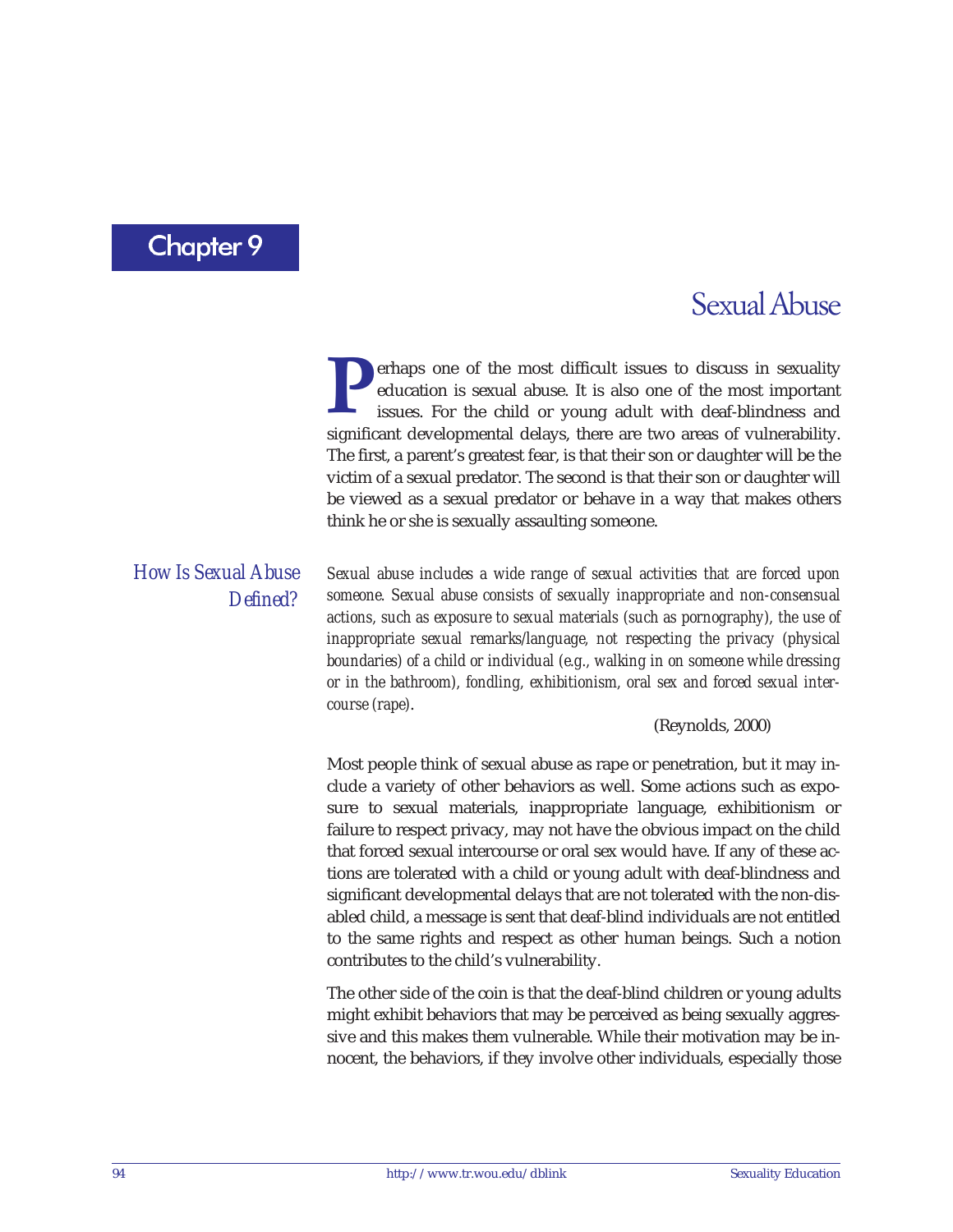# Chapter 9

# *Sexual Abuse*

*P*erhaps one of the most difficult issues to discuss in sexuality education is sexual abuse. It is also one of the most important issues. For the child or young adult with deaf-blindness and significant developmental delays, there are two areas of vulnerability. The first, a parent's greatest fear, is that their son or daughter will be the victim of a sexual predator. The second is that their son or daughter will be viewed as a sexual predator or behave in a way that makes others think he or she is sexually assaulting someone.

# *How Is Sexual Abuse Defined?*

*Sexual abuse includes a wide range of sexual activities that are forced upon someone. Sexual abuse consists of sexually inappropriate and non-consensual actions, such as exposure to sexual materials (such as pornography), the use of inappropriate sexual remarks/language, not respecting the privacy (physical boundaries) of a child or individual (e.g., walking in on someone while dressing or in the bathroom), fondling, exhibitionism, oral sex and forced sexual intercourse (rape)*.

#### (Reynolds, 2000)

Most people think of sexual abuse as rape or penetration, but it may include a variety of other behaviors as well. Some actions such as exposure to sexual materials, inappropriate language, exhibitionism or failure to respect privacy, may not have the obvious impact on the child that forced sexual intercourse or oral sex would have. If any of these actions are tolerated with a child or young adult with deaf-blindness and significant developmental delays that are not tolerated with the non-disabled child, a message is sent that deaf-blind individuals are not entitled to the same rights and respect as other human beings. Such a notion contributes to the child's vulnerability.

The other side of the coin is that the deaf-blind children or young adults might exhibit behaviors that may be perceived as being sexually aggressive and this makes them vulnerable. While their motivation may be innocent, the behaviors, if they involve other individuals, especially those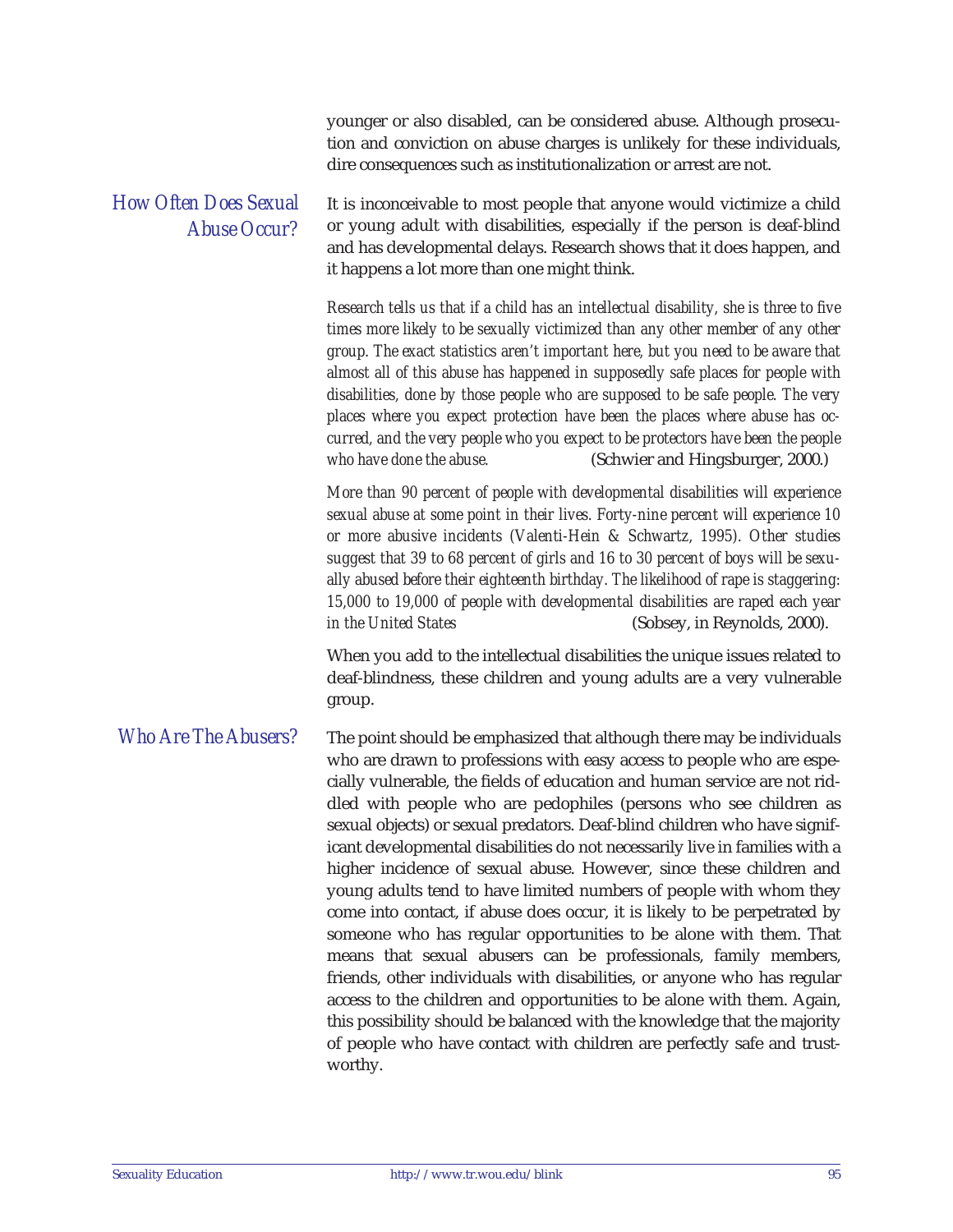younger or also disabled, can be considered abuse. Although prosecution and conviction on abuse charges is unlikely for these individuals, dire consequences such as institutionalization or arrest are not.

# *How Often Does Sexual Abuse Occur?*

It is inconceivable to most people that anyone would victimize a child or young adult with disabilities, especially if the person is deaf-blind and has developmental delays. Research shows that it does happen, and it happens a lot more than one might think.

*Research tells us that if a child has an intellectual disability, she is three to five times more likely to be sexually victimized than any other member of any other group. The exact statistics aren't important here, but you need to be aware that almost all of this abuse has happened in supposedly safe places for people with disabilities, done by those people who are supposed to be safe people. The very places where you expect protection have been the places where abuse has occurred, and the very people who you expect to be protectors have been the people who have done the abuse.* (Schwier and Hingsburger, 2000.)

*More than 90 percent of people with developmental disabilities will experience sexual abuse at some point in their lives. Forty-nine percent will experience 10 or more abusive incidents (Valenti-Hein & Schwartz, 1995). Other studies suggest that 39 to 68 percent of girls and 16 to 30 percent of boys will be sexually abused before their eighteenth birthday. The likelihood of rape is staggering: 15,000 to 19,000 of people with developmental disabilities are raped each year in the United States* (Sobsey, in Reynolds, 2000).

When you add to the intellectual disabilities the unique issues related to deaf-blindness, these children and young adults are a very vulnerable group.

*Who Are The Abusers?* The point should be emphasized that although there may be individuals who are drawn to professions with easy access to people who are especially vulnerable, the fields of education and human service are not riddled with people who are pedophiles (persons who see children as sexual objects) or sexual predators. Deaf-blind children who have significant developmental disabilities do not necessarily live in families with a higher incidence of sexual abuse. However, since these children and young adults tend to have limited numbers of people with whom they come into contact, if abuse does occur, it is likely to be perpetrated by someone who has regular opportunities to be alone with them. That means that sexual abusers can be professionals, family members, friends, other individuals with disabilities, or anyone who has regular access to the children and opportunities to be alone with them. Again, this possibility should be balanced with the knowledge that the majority of people who have contact with children are perfectly safe and trustworthy.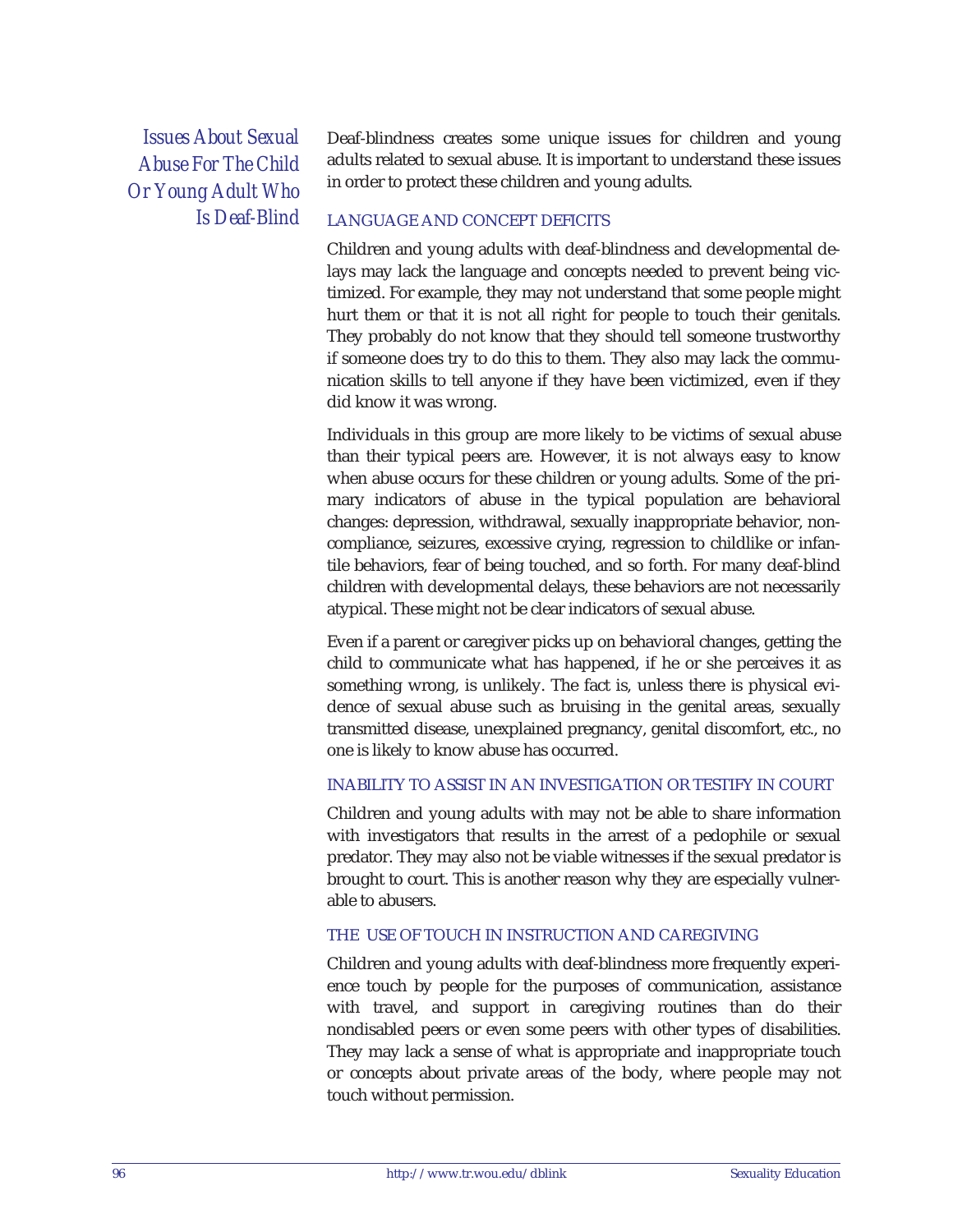*Issues About Sexual Abuse For The Child Or Young Adult Who Is Deaf-Blind*

Deaf-blindness creates some unique issues for children and young adults related to sexual abuse. It is important to understand these issues in order to protect these children and young adults.

#### LANGUAGE AND CONCEPT DEFICITS

Children and young adults with deaf-blindness and developmental delays may lack the language and concepts needed to prevent being victimized. For example, they may not understand that some people might hurt them or that it is not all right for people to touch their genitals. They probably do not know that they should tell someone trustworthy if someone does try to do this to them. They also may lack the communication skills to tell anyone if they have been victimized, even if they did know it was wrong.

Individuals in this group are more likely to be victims of sexual abuse than their typical peers are. However, it is not always easy to know when abuse occurs for these children or young adults. Some of the primary indicators of abuse in the typical population are behavioral changes: depression, withdrawal, sexually inappropriate behavior, noncompliance, seizures, excessive crying, regression to childlike or infantile behaviors, fear of being touched, and so forth. For many deaf-blind children with developmental delays, these behaviors are not necessarily atypical. These might not be clear indicators of sexual abuse.

Even if a parent or caregiver picks up on behavioral changes, getting the child to communicate what has happened, if he or she perceives it as something wrong, is unlikely. The fact is, unless there is physical evidence of sexual abuse such as bruising in the genital areas, sexually transmitted disease, unexplained pregnancy, genital discomfort, etc., no one is likely to know abuse has occurred.

#### INABILITY TO ASSIST IN AN INVESTIGATION OR TESTIFY IN COURT

Children and young adults with may not be able to share information with investigators that results in the arrest of a pedophile or sexual predator. They may also not be viable witnesses if the sexual predator is brought to court. This is another reason why they are especially vulnerable to abusers.

#### THE USE OF TOUCH IN INSTRUCTION AND CAREGIVING

Children and young adults with deaf-blindness more frequently experience touch by people for the purposes of communication, assistance with travel, and support in caregiving routines than do their nondisabled peers or even some peers with other types of disabilities. They may lack a sense of what is appropriate and inappropriate touch or concepts about private areas of the body, where people may not touch without permission.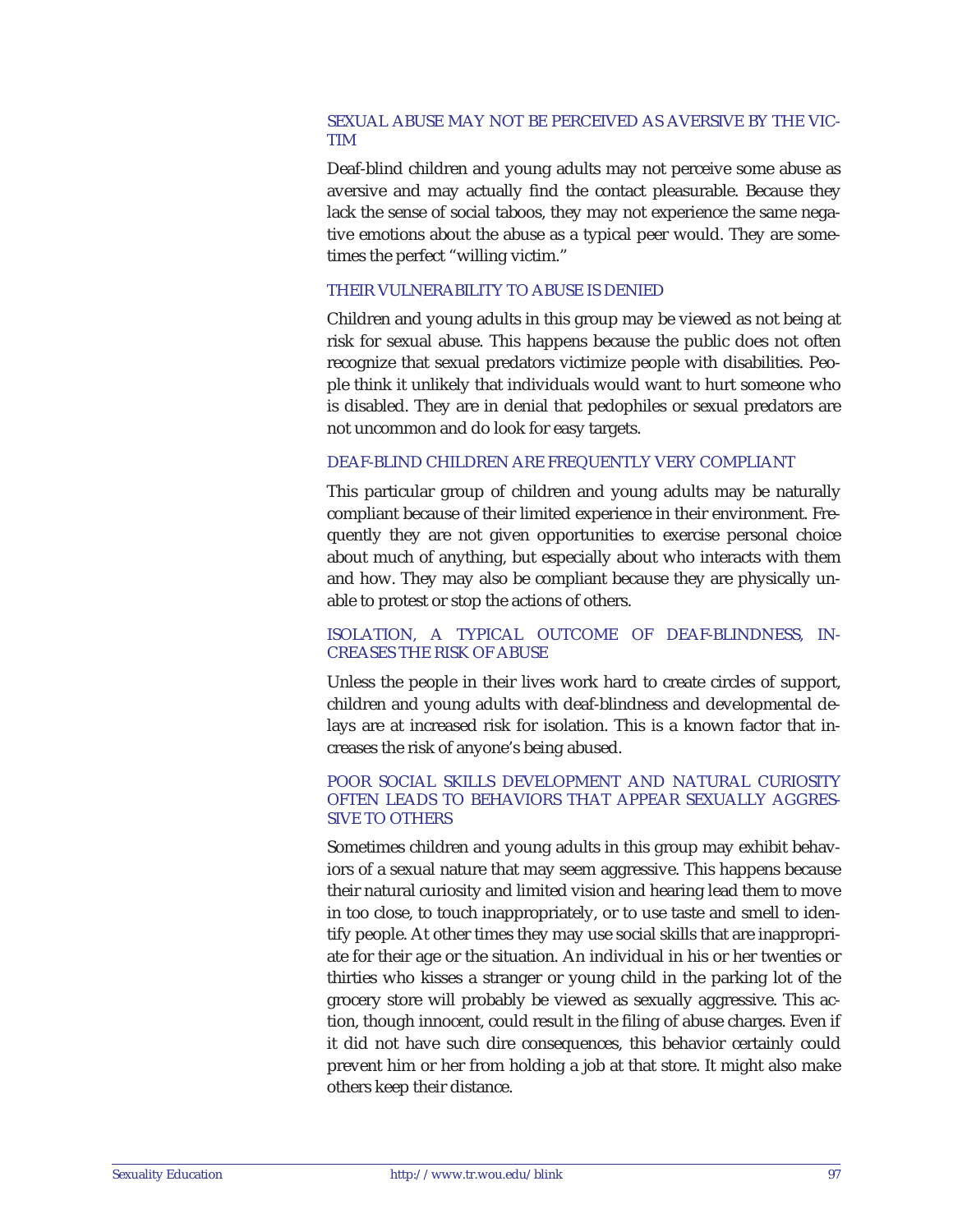#### SEXUAL ABUSE MAY NOT BE PERCEIVED AS AVERSIVE BY THE VIC-TIM

Deaf-blind children and young adults may not perceive some abuse as aversive and may actually find the contact pleasurable. Because they lack the sense of social taboos, they may not experience the same negative emotions about the abuse as a typical peer would. They are sometimes the perfect "willing victim."

#### THEIR VULNERABILITY TO ABUSE IS DENIED

Children and young adults in this group may be viewed as not being at risk for sexual abuse. This happens because the public does not often recognize that sexual predators victimize people with disabilities. People think it unlikely that individuals would want to hurt someone who is disabled. They are in denial that pedophiles or sexual predators are not uncommon and do look for easy targets.

### DEAF-BLIND CHILDREN ARE FREQUENTLY VERY COMPLIANT

This particular group of children and young adults may be naturally compliant because of their limited experience in their environment. Frequently they are not given opportunities to exercise personal choice about much of anything, but especially about who interacts with them and how. They may also be compliant because they are physically unable to protest or stop the actions of others.

#### ISOLATION, A TYPICAL OUTCOME OF DEAF-BLINDNESS, IN-CREASES THE RISK OF ABUSE

Unless the people in their lives work hard to create circles of support, children and young adults with deaf-blindness and developmental delays are at increased risk for isolation. This is a known factor that increases the risk of anyone's being abused.

#### POOR SOCIAL SKILLS DEVELOPMENT AND NATURAL CURIOSITY OFTEN LEADS TO BEHAVIORS THAT APPEAR SEXUALLY AGGRES-SIVE TO OTHERS

Sometimes children and young adults in this group may exhibit behaviors of a sexual nature that may seem aggressive. This happens because their natural curiosity and limited vision and hearing lead them to move in too close, to touch inappropriately, or to use taste and smell to identify people. At other times they may use social skills that are inappropriate for their age or the situation. An individual in his or her twenties or thirties who kisses a stranger or young child in the parking lot of the grocery store will probably be viewed as sexually aggressive. This action, though innocent, could result in the filing of abuse charges. Even if it did not have such dire consequences, this behavior certainly could prevent him or her from holding a job at that store. It might also make others keep their distance.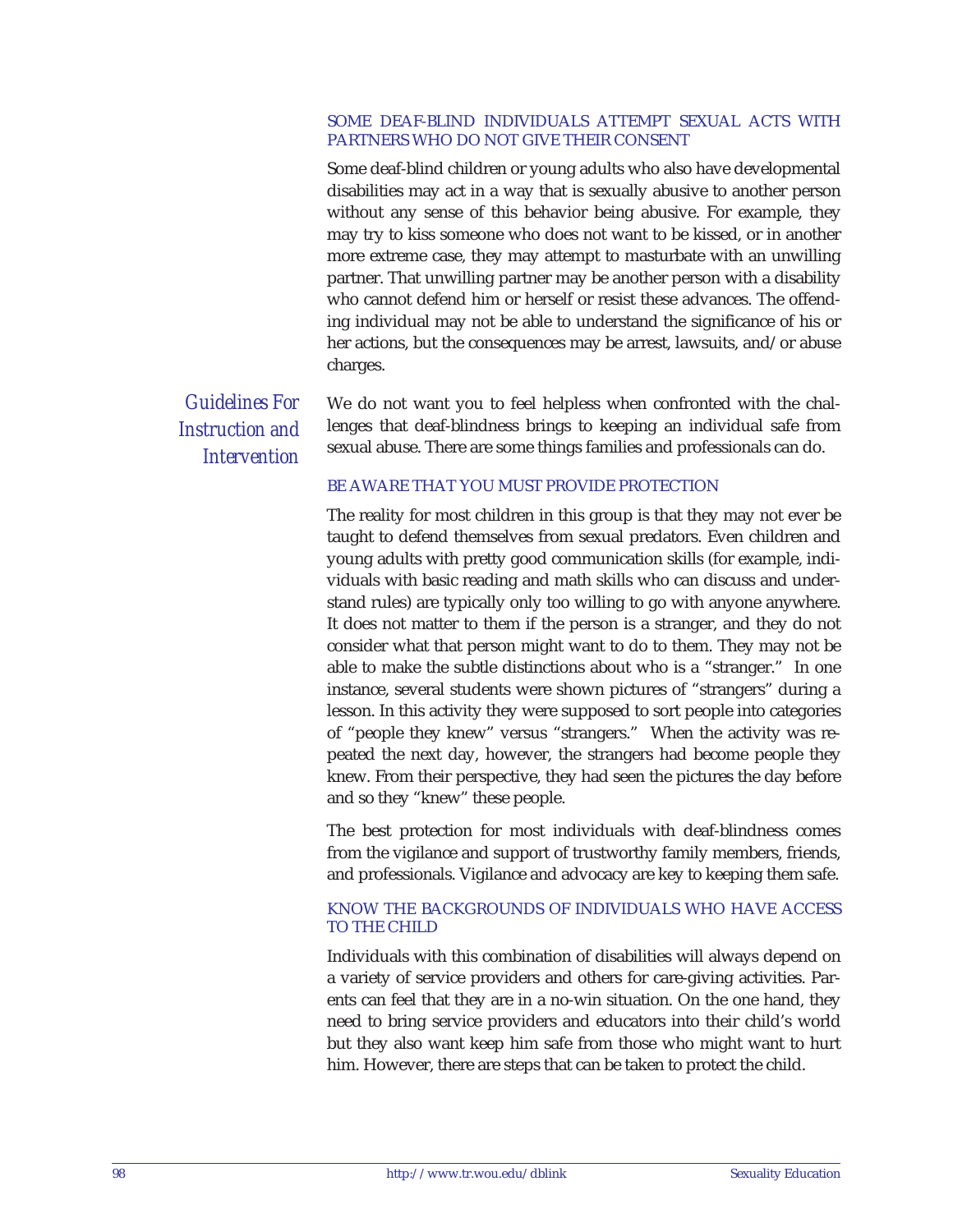#### SOME DEAF-BLIND INDIVIDUALS ATTEMPT SEXUAL ACTS WITH PARTNERS WHO DO NOT GIVE THEIR CONSENT

Some deaf-blind children or young adults who also have developmental disabilities may act in a way that is sexually abusive to another person without any sense of this behavior being abusive. For example, they may try to kiss someone who does not want to be kissed, or in another more extreme case, they may attempt to masturbate with an unwilling partner. That unwilling partner may be another person with a disability who cannot defend him or herself or resist these advances. The offending individual may not be able to understand the significance of his or her actions, but the consequences may be arrest, lawsuits, and/or abuse charges.

*Guidelines For Instruction and Intervention*

We do not want you to feel helpless when confronted with the challenges that deaf-blindness brings to keeping an individual safe from sexual abuse. There are some things families and professionals can do.

#### BE AWARE THAT YOU MUST PROVIDE PROTECTION

The reality for most children in this group is that they may not ever be taught to defend themselves from sexual predators. Even children and young adults with pretty good communication skills (for example, individuals with basic reading and math skills who can discuss and understand rules) are typically only too willing to go with anyone anywhere. It does not matter to them if the person is a stranger, and they do not consider what that person might want to do to them. They may not be able to make the subtle distinctions about who is a "stranger." In one instance, several students were shown pictures of "strangers" during a lesson. In this activity they were supposed to sort people into categories of "people they knew" versus "strangers." When the activity was repeated the next day, however, the strangers had become people they knew. From their perspective, they had seen the pictures the day before and so they "knew" these people.

The best protection for most individuals with deaf-blindness comes from the vigilance and support of trustworthy family members, friends, and professionals. Vigilance and advocacy are key to keeping them safe.

#### KNOW THE BACKGROUNDS OF INDIVIDUALS WHO HAVE ACCESS TO THE CHILD

Individuals with this combination of disabilities will always depend on a variety of service providers and others for care-giving activities. Parents can feel that they are in a no-win situation. On the one hand, they need to bring service providers and educators into their child's world but they also want keep him safe from those who might want to hurt him. However, there are steps that can be taken to protect the child.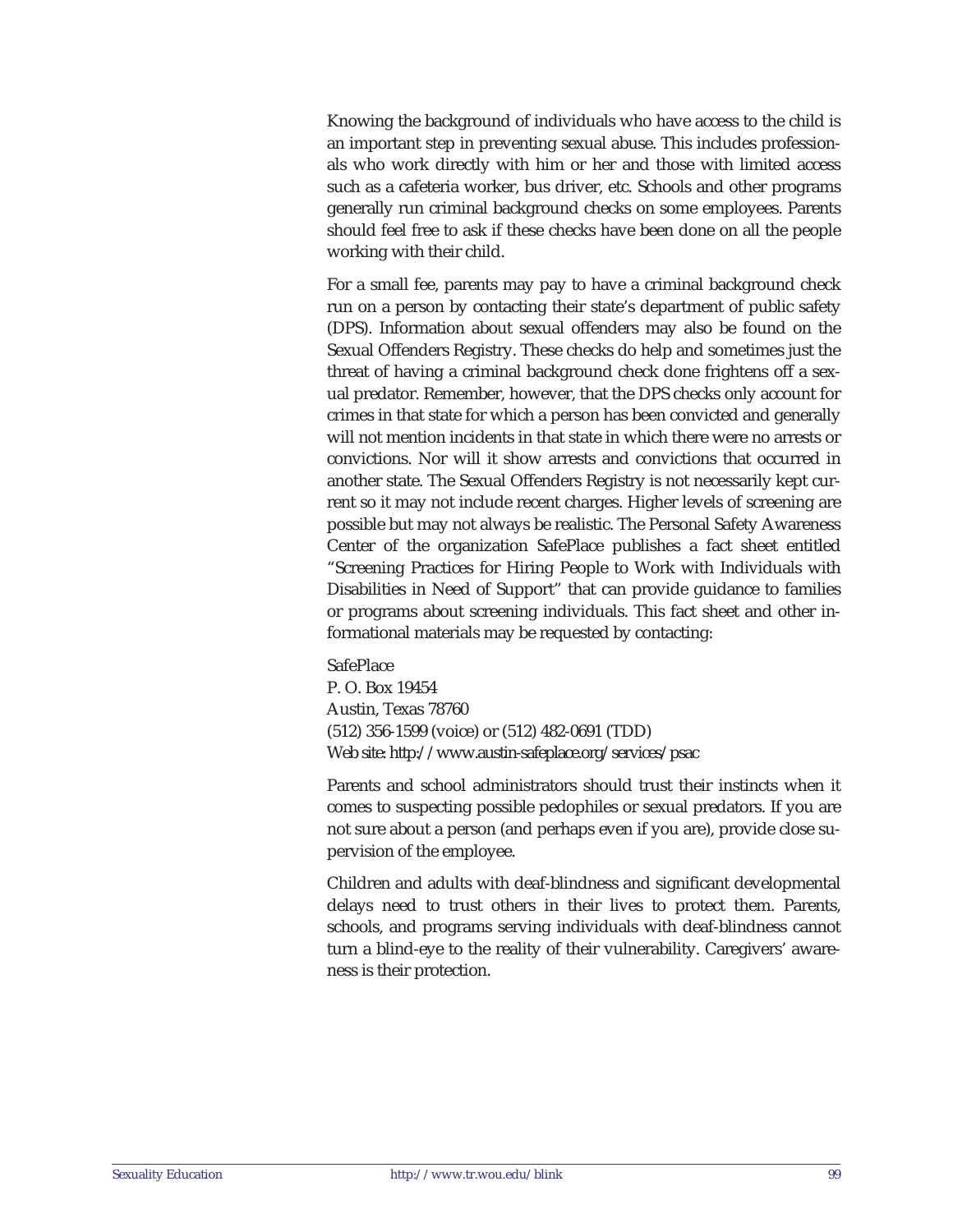Knowing the background of individuals who have access to the child is an important step in preventing sexual abuse. This includes professionals who work directly with him or her and those with limited access such as a cafeteria worker, bus driver, etc. Schools and other programs generally run criminal background checks on some employees. Parents should feel free to ask if these checks have been done on all the people working with their child.

For a small fee, parents may pay to have a criminal background check run on a person by contacting their state's department of public safety (DPS). Information about sexual offenders may also be found on the Sexual Offenders Registry. These checks do help and sometimes just the threat of having a criminal background check done frightens off a sexual predator. Remember, however, that the DPS checks only account for crimes in that state for which a person has been convicted and generally will not mention incidents in that state in which there were no arrests or convictions. Nor will it show arrests and convictions that occurred in another state. The Sexual Offenders Registry is not necessarily kept current so it may not include recent charges. Higher levels of screening are possible but may not always be realistic. The Personal Safety Awareness Center of the organization SafePlace publishes a fact sheet entitled "Screening Practices for Hiring People to Work with Individuals with Disabilities in Need of Support" that can provide guidance to families or programs about screening individuals. This fact sheet and other informational materials may be requested by contacting:

SafePlace P. O. Box 19454 Austin, Texas 78760 (512) 356-1599 (voice) or (512) 482-0691 (TDD) Web site: http://www.austin-safeplace.org/services/psac

Parents and school administrators should trust their instincts when it comes to suspecting possible pedophiles or sexual predators. If you are not sure about a person (and perhaps even if you are), provide close supervision of the employee.

Children and adults with deaf-blindness and significant developmental delays need to trust others in their lives to protect them. Parents, schools, and programs serving individuals with deaf-blindness cannot turn a blind-eye to the reality of their vulnerability. Caregivers' awareness is their protection.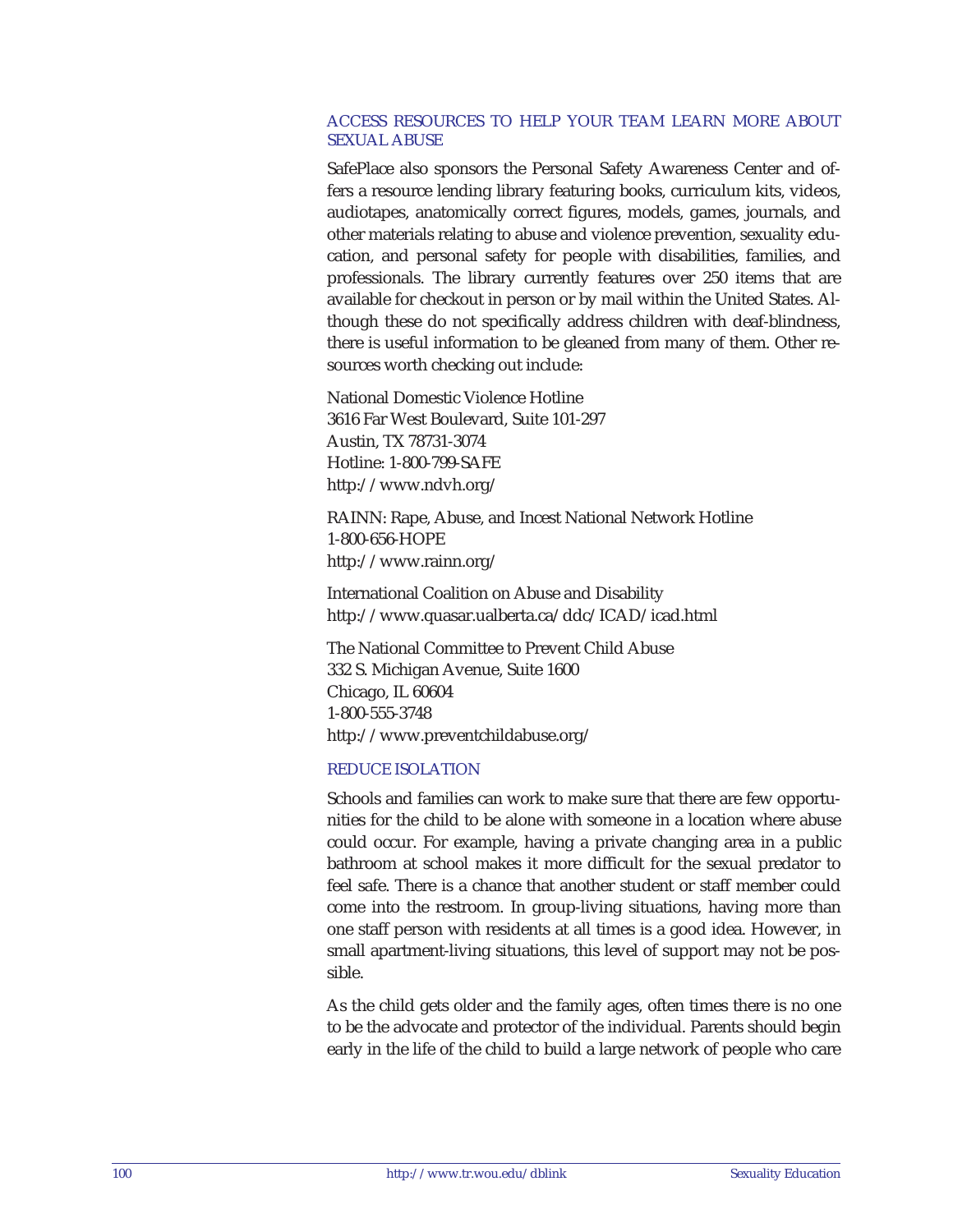#### ACCESS RESOURCES TO HELP YOUR TEAM LEARN MORE ABOUT SEXUAL ABUSE

SafePlace also sponsors the Personal Safety Awareness Center and offers a resource lending library featuring books, curriculum kits, videos, audiotapes, anatomically correct figures, models, games, journals, and other materials relating to abuse and violence prevention, sexuality education, and personal safety for people with disabilities, families, and professionals. The library currently features over 250 items that are available for checkout in person or by mail within the United States. Although these do not specifically address children with deaf-blindness, there is useful information to be gleaned from many of them. Other resources worth checking out include:

National Domestic Violence Hotline 3616 Far West Boulevard, Suite 101-297 Austin, TX 78731-3074 Hotline: 1-800-799-SAFE http://www.ndvh.org/

RAINN: Rape, Abuse, and Incest National Network Hotline 1-800-656-HOPE http://www.rainn.org/

International Coalition on Abuse and Disability http://www.quasar.ualberta.ca/ddc/ICAD/icad.html

The National Committee to Prevent Child Abuse 332 S. Michigan Avenue, Suite 1600 Chicago, IL 60604 1-800-555-3748 http://www.preventchildabuse.org/

#### REDUCE ISOLATION

Schools and families can work to make sure that there are few opportunities for the child to be alone with someone in a location where abuse could occur. For example, having a private changing area in a public bathroom at school makes it more difficult for the sexual predator to feel safe. There is a chance that another student or staff member could come into the restroom. In group-living situations, having more than one staff person with residents at all times is a good idea. However, in small apartment-living situations, this level of support may not be possible.

As the child gets older and the family ages, often times there is no one to be the advocate and protector of the individual. Parents should begin early in the life of the child to build a large network of people who care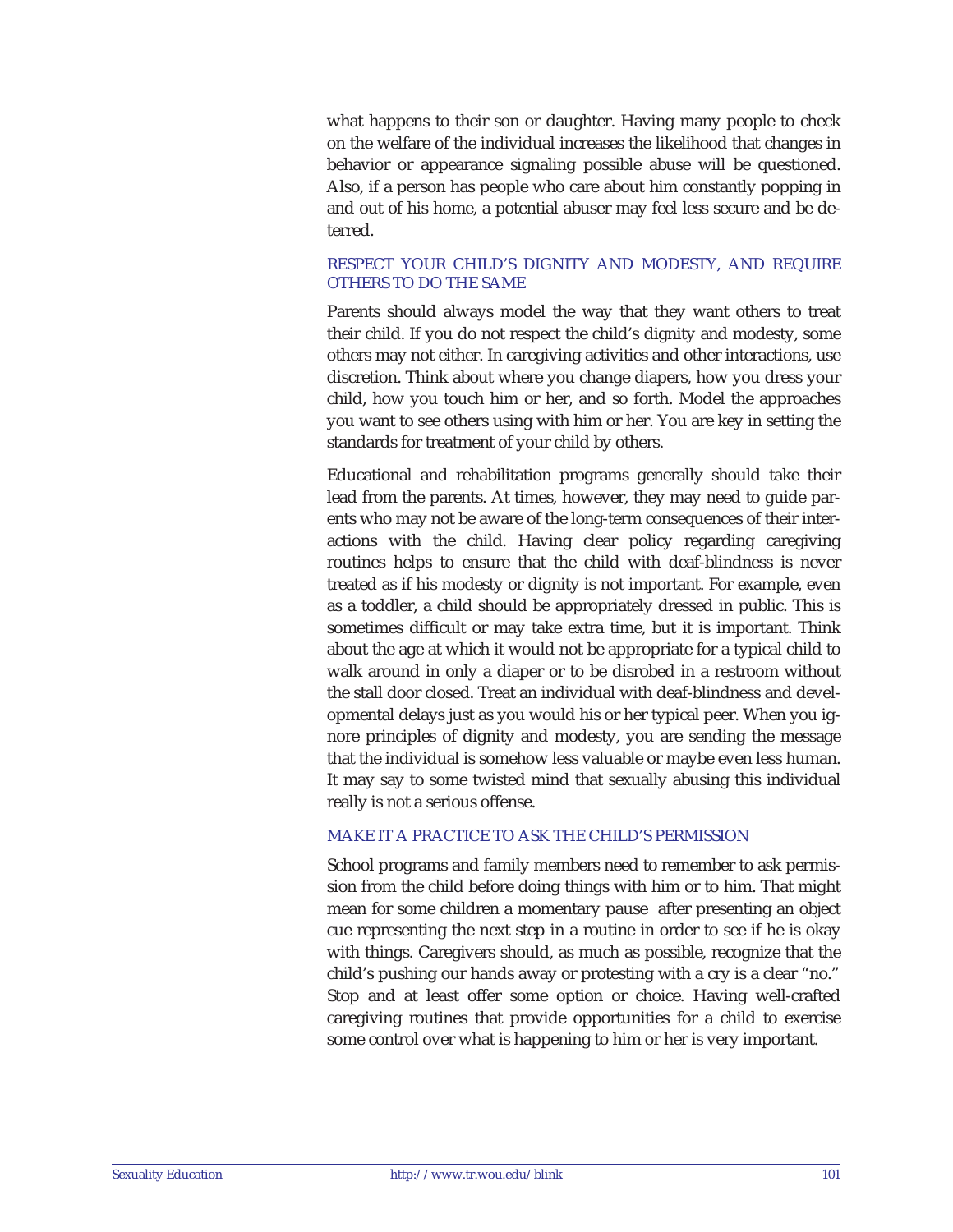what happens to their son or daughter. Having many people to check on the welfare of the individual increases the likelihood that changes in behavior or appearance signaling possible abuse will be questioned. Also, if a person has people who care about him constantly popping in and out of his home, a potential abuser may feel less secure and be deterred.

#### RESPECT YOUR CHILD'S DIGNITY AND MODESTY, AND REQUIRE OTHERS TO DO THE SAME

Parents should always model the way that they want others to treat their child. If you do not respect the child's dignity and modesty, some others may not either. In caregiving activities and other interactions, use discretion. Think about where you change diapers, how you dress your child, how you touch him or her, and so forth. Model the approaches you want to see others using with him or her. You are key in setting the standards for treatment of your child by others.

Educational and rehabilitation programs generally should take their lead from the parents. At times, however, they may need to guide parents who may not be aware of the long-term consequences of their interactions with the child. Having clear policy regarding caregiving routines helps to ensure that the child with deaf-blindness is never treated as if his modesty or dignity is not important. For example, even as a toddler, a child should be appropriately dressed in public. This is sometimes difficult or may take extra time, but it is important. Think about the age at which it would not be appropriate for a typical child to walk around in only a diaper or to be disrobed in a restroom without the stall door closed. Treat an individual with deaf-blindness and developmental delays just as you would his or her typical peer. When you ignore principles of dignity and modesty, you are sending the message that the individual is somehow less valuable or maybe even less human. It may say to some twisted mind that sexually abusing this individual really is not a serious offense.

#### MAKE IT A PRACTICE TO ASK THE CHILD'S PERMISSION

School programs and family members need to remember to ask permission from the child before doing things with him or to him. That might mean for some children a momentary pause after presenting an object cue representing the next step in a routine in order to see if he is okay with things. Caregivers should, as much as possible, recognize that the child's pushing our hands away or protesting with a cry is a clear "no." Stop and at least offer some option or choice. Having well-crafted caregiving routines that provide opportunities for a child to exercise some control over what is happening to him or her is very important.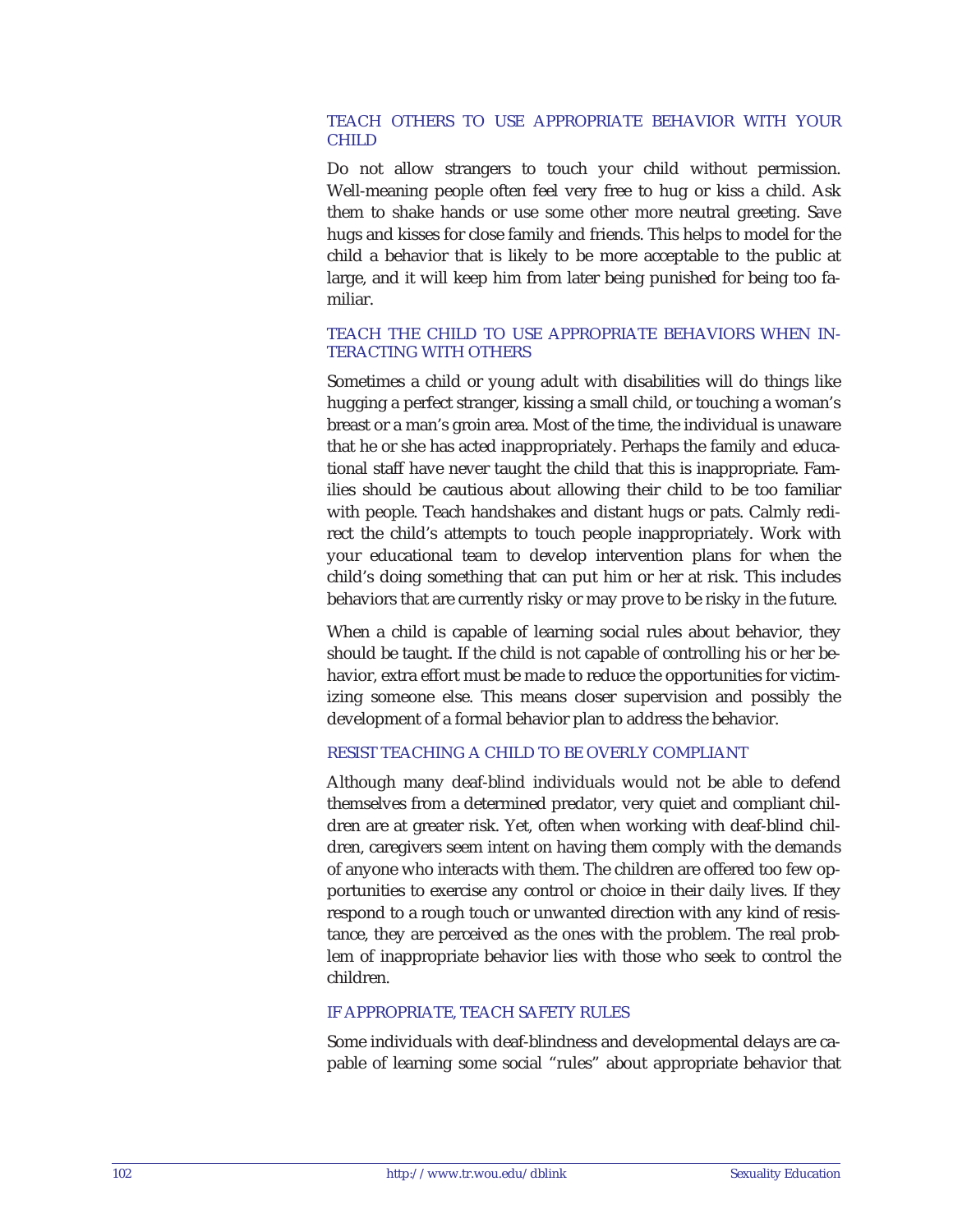#### TEACH OTHERS TO USE APPROPRIATE BEHAVIOR WITH YOUR CHILD

Do not allow strangers to touch your child without permission. Well-meaning people often feel very free to hug or kiss a child. Ask them to shake hands or use some other more neutral greeting. Save hugs and kisses for close family and friends. This helps to model for the child a behavior that is likely to be more acceptable to the public at large, and it will keep him from later being punished for being too familiar.

#### TEACH THE CHILD TO USE APPROPRIATE BEHAVIORS WHEN IN-TERACTING WITH OTHERS

Sometimes a child or young adult with disabilities will do things like hugging a perfect stranger, kissing a small child, or touching a woman's breast or a man's groin area. Most of the time, the individual is unaware that he or she has acted inappropriately. Perhaps the family and educational staff have never taught the child that this is inappropriate. Families should be cautious about allowing their child to be too familiar with people. Teach handshakes and distant hugs or pats. Calmly redirect the child's attempts to touch people inappropriately. Work with your educational team to develop intervention plans for when the child's doing something that can put him or her at risk. This includes behaviors that are currently risky or may prove to be risky in the future.

When a child is capable of learning social rules about behavior, they should be taught. If the child is not capable of controlling his or her behavior, extra effort must be made to reduce the opportunities for victimizing someone else. This means closer supervision and possibly the development of a formal behavior plan to address the behavior.

#### RESIST TEACHING A CHILD TO BE OVERLY COMPLIANT

Although many deaf-blind individuals would not be able to defend themselves from a determined predator, very quiet and compliant children are at greater risk. Yet, often when working with deaf-blind children, caregivers seem intent on having them comply with the demands of anyone who interacts with them. The children are offered too few opportunities to exercise any control or choice in their daily lives. If they respond to a rough touch or unwanted direction with any kind of resistance, they are perceived as the ones with the problem. The real problem of inappropriate behavior lies with those who seek to control the children.

#### IF APPROPRIATE, TEACH SAFETY RULES

Some individuals with deaf-blindness and developmental delays are capable of learning some social "rules" about appropriate behavior that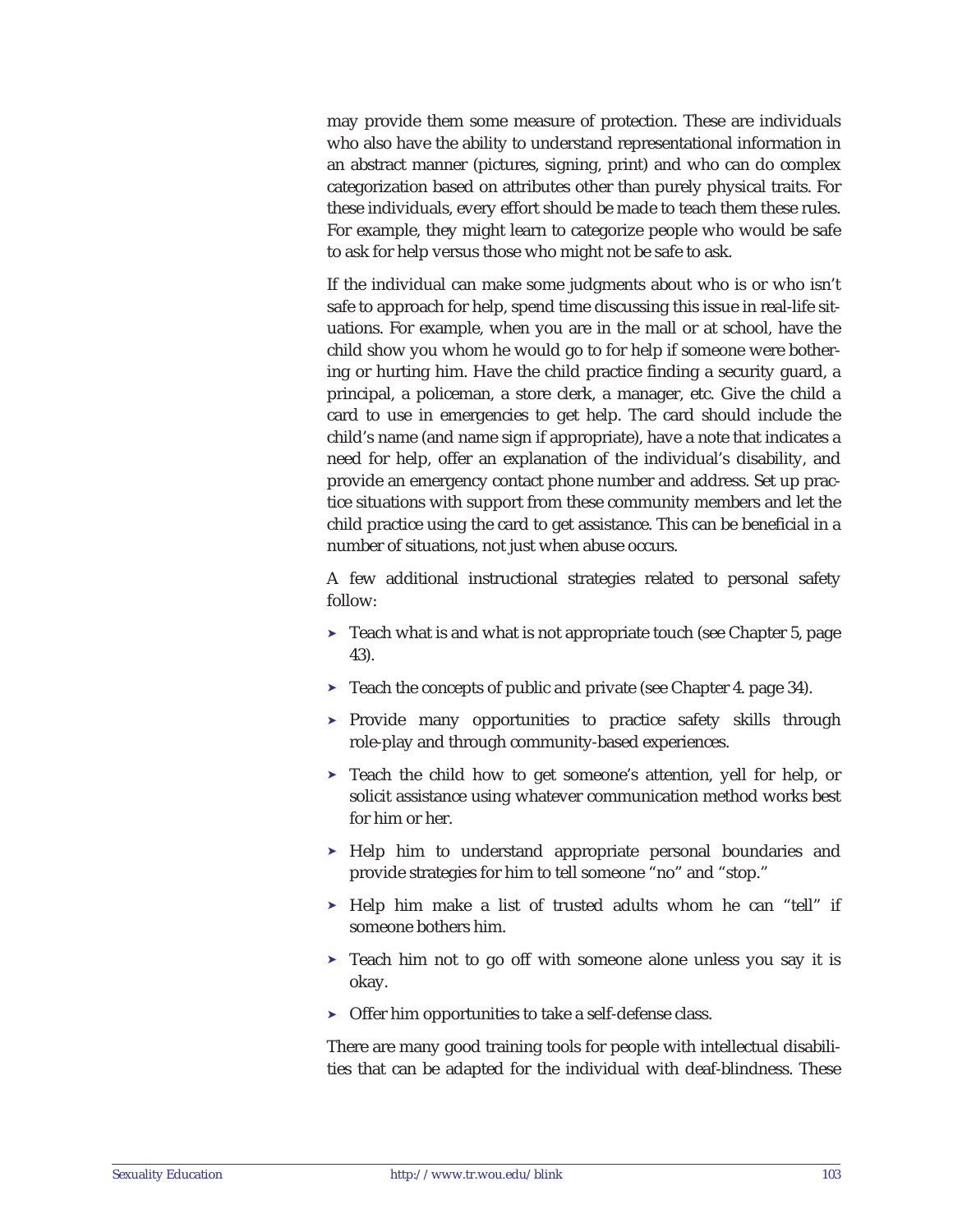may provide them some measure of protection. These are individuals who also have the ability to understand representational information in an abstract manner (pictures, signing, print) and who can do complex categorization based on attributes other than purely physical traits. For these individuals, every effort should be made to teach them these rules. For example, they might learn to categorize people who would be safe to ask for help versus those who might not be safe to ask.

If the individual can make some judgments about who is or who isn't safe to approach for help, spend time discussing this issue in real-life situations. For example, when you are in the mall or at school, have the child show you whom he would go to for help if someone were bothering or hurting him. Have the child practice finding a security guard, a principal, a policeman, a store clerk, a manager, etc. Give the child a card to use in emergencies to get help. The card should include the child's name (and name sign if appropriate), have a note that indicates a need for help, offer an explanation of the individual's disability, and provide an emergency contact phone number and address. Set up practice situations with support from these community members and let the child practice using the card to get assistance. This can be beneficial in a number of situations, not just when abuse occurs.

A few additional instructional strategies related to personal safety follow:

- ➤ Teach what is and what is not appropriate touch (see Chapter 5, page [43\)](#page-48-0).
- ➤ Teach the concepts of public and private (see Chapter 4. page [34](#page-39-0)).
- ➤ Provide many opportunities to practice safety skills through role-play and through community-based experiences.
- ➤ Teach the child how to get someone's attention, yell for help, or solicit assistance using whatever communication method works best for him or her.
- ➤ Help him to understand appropriate personal boundaries and provide strategies for him to tell someone "no" and "stop."
- ➤ Help him make a list of trusted adults whom he can "tell" if someone bothers him.
- ➤ Teach him not to go off with someone alone unless you say it is okay.
- ➤ Offer him opportunities to take a self-defense class.

There are many good training tools for people with intellectual disabilities that can be adapted for the individual with deaf-blindness. These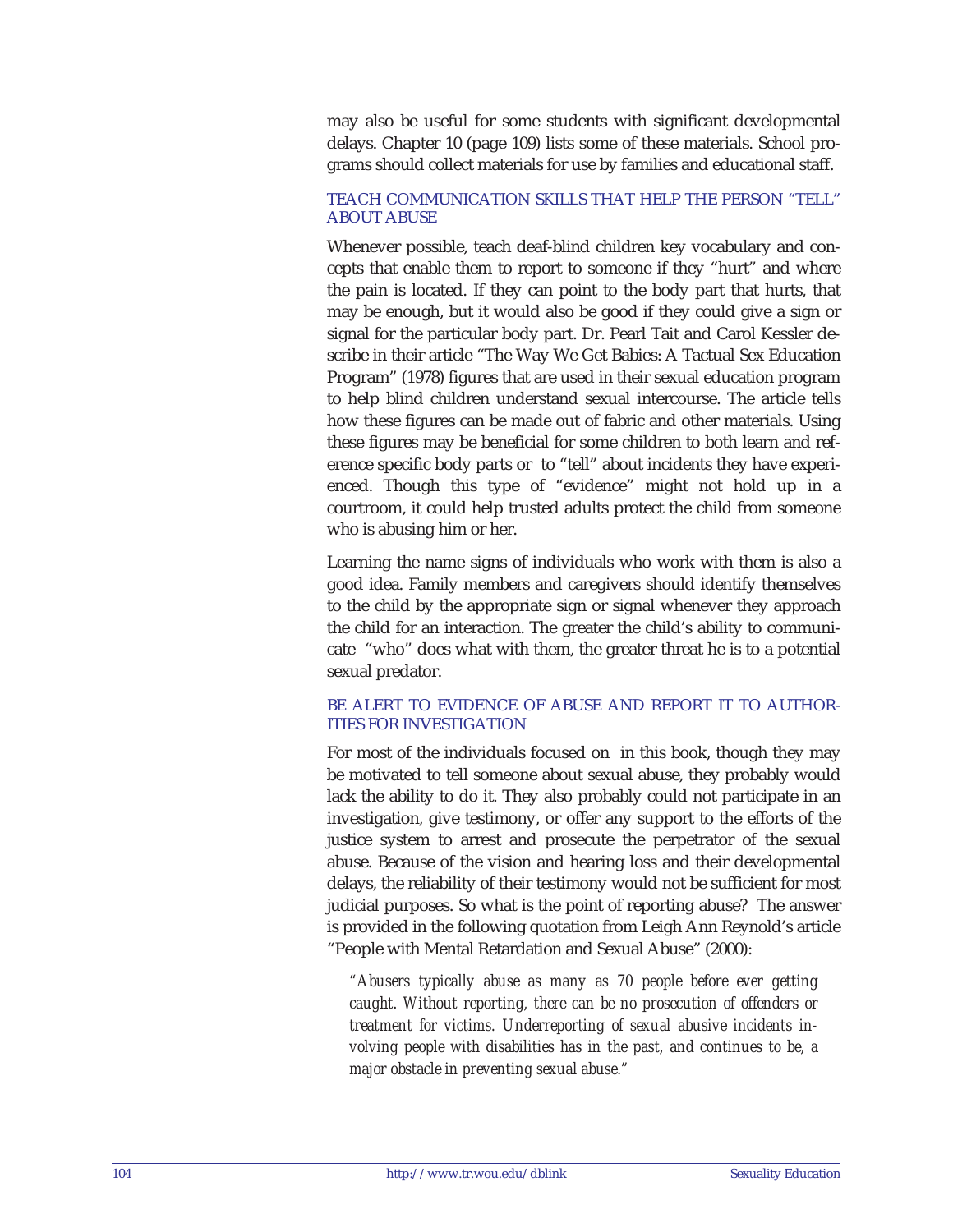may also be useful for some students with significant developmental delays. Chapter 10 (page [109\)](#page-114-0) lists some of these materials. School programs should collect materials for use by families and educational staff.

#### TEACH COMMUNICATION SKILLS THAT HELP THE PERSON "TELL" ABOUT ABUSE

Whenever possible, teach deaf-blind children key vocabulary and concepts that enable them to report to someone if they "hurt" and where the pain is located. If they can point to the body part that hurts, that may be enough, but it would also be good if they could give a sign or signal for the particular body part. Dr. Pearl Tait and Carol Kessler describe in their article "The Way We Get Babies: A Tactual Sex Education Program" (1978) figures that are used in their sexual education program to help blind children understand sexual intercourse. The article tells how these figures can be made out of fabric and other materials. Using these figures may be beneficial for some children to both learn and reference specific body parts or to "tell" about incidents they have experienced. Though this type of "evidence" might not hold up in a courtroom, it could help trusted adults protect the child from someone who is abusing him or her.

Learning the name signs of individuals who work with them is also a good idea. Family members and caregivers should identify themselves to the child by the appropriate sign or signal whenever they approach the child for an interaction. The greater the child's ability to communicate "who" does what with them, the greater threat he is to a potential sexual predator.

#### BE ALERT TO EVIDENCE OF ABUSE AND REPORT IT TO AUTHOR-ITIES FOR INVESTIGATION

For most of the individuals focused on in this book, though they may be motivated to tell someone about sexual abuse, they probably would lack the ability to do it. They also probably could not participate in an investigation, give testimony, or offer any support to the efforts of the justice system to arrest and prosecute the perpetrator of the sexual abuse. Because of the vision and hearing loss and their developmental delays, the reliability of their testimony would not be sufficient for most judicial purposes. So what is the point of reporting abuse? The answer is provided in the following quotation from Leigh Ann Reynold's article "People with Mental Retardation and Sexual Abuse" (2000):

*"Abusers typically abuse as many as 70 people before ever getting caught. Without reporting, there can be no prosecution of offenders or treatment for victims. Underreporting of sexual abusive incidents involving people with disabilities has in the past, and continues to be, a major obstacle in preventing sexual abuse."*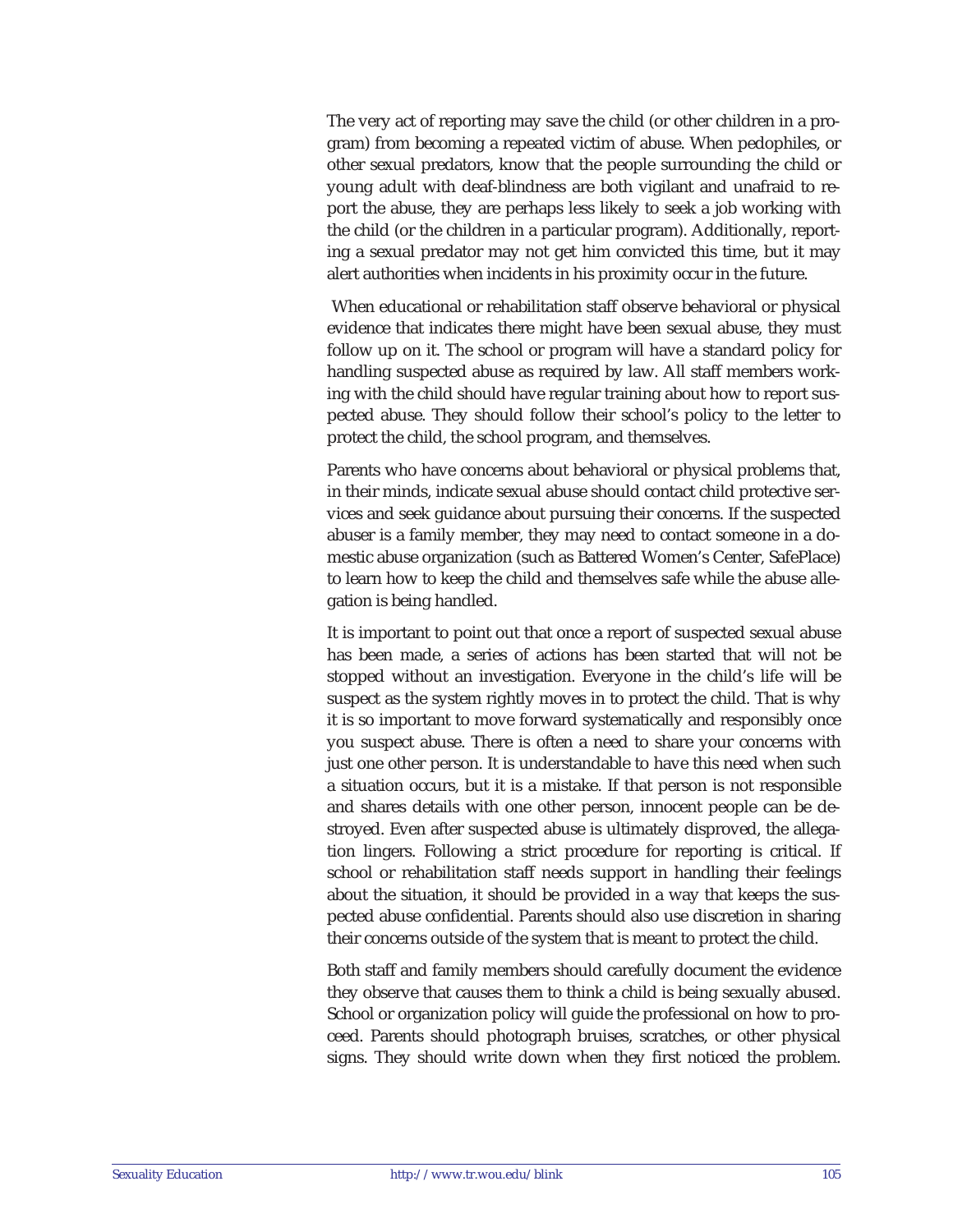The very act of reporting may save the child (or other children in a program) from becoming a repeated victim of abuse. When pedophiles, or other sexual predators, know that the people surrounding the child or young adult with deaf-blindness are both vigilant and unafraid to report the abuse, they are perhaps less likely to seek a job working with the child (or the children in a particular program). Additionally, reporting a sexual predator may not get him convicted this time, but it may alert authorities when incidents in his proximity occur in the future.

When educational or rehabilitation staff observe behavioral or physical evidence that indicates there might have been sexual abuse, they must follow up on it. The school or program will have a standard policy for handling suspected abuse as required by law. All staff members working with the child should have regular training about how to report suspected abuse. They should follow their school's policy to the letter to protect the child, the school program, and themselves.

Parents who have concerns about behavioral or physical problems that, in their minds, indicate sexual abuse should contact child protective services and seek guidance about pursuing their concerns. If the suspected abuser is a family member, they may need to contact someone in a domestic abuse organization (such as Battered Women's Center, SafePlace) to learn how to keep the child and themselves safe while the abuse allegation is being handled.

It is important to point out that once a report of suspected sexual abuse has been made, a series of actions has been started that will not be stopped without an investigation. Everyone in the child's life will be suspect as the system rightly moves in to protect the child. That is why it is so important to move forward systematically and responsibly once you suspect abuse. There is often a need to share your concerns with just one other person. It is understandable to have this need when such a situation occurs, but it is a mistake. If that person is not responsible and shares details with one other person, innocent people can be destroyed. Even after suspected abuse is ultimately disproved, the allegation lingers. Following a strict procedure for reporting is critical. If school or rehabilitation staff needs support in handling their feelings about the situation, it should be provided in a way that keeps the suspected abuse confidential. Parents should also use discretion in sharing their concerns outside of the system that is meant to protect the child.

Both staff and family members should carefully document the evidence they observe that causes them to think a child is being sexually abused. School or organization policy will guide the professional on how to proceed. Parents should photograph bruises, scratches, or other physical signs. They should write down when they first noticed the problem.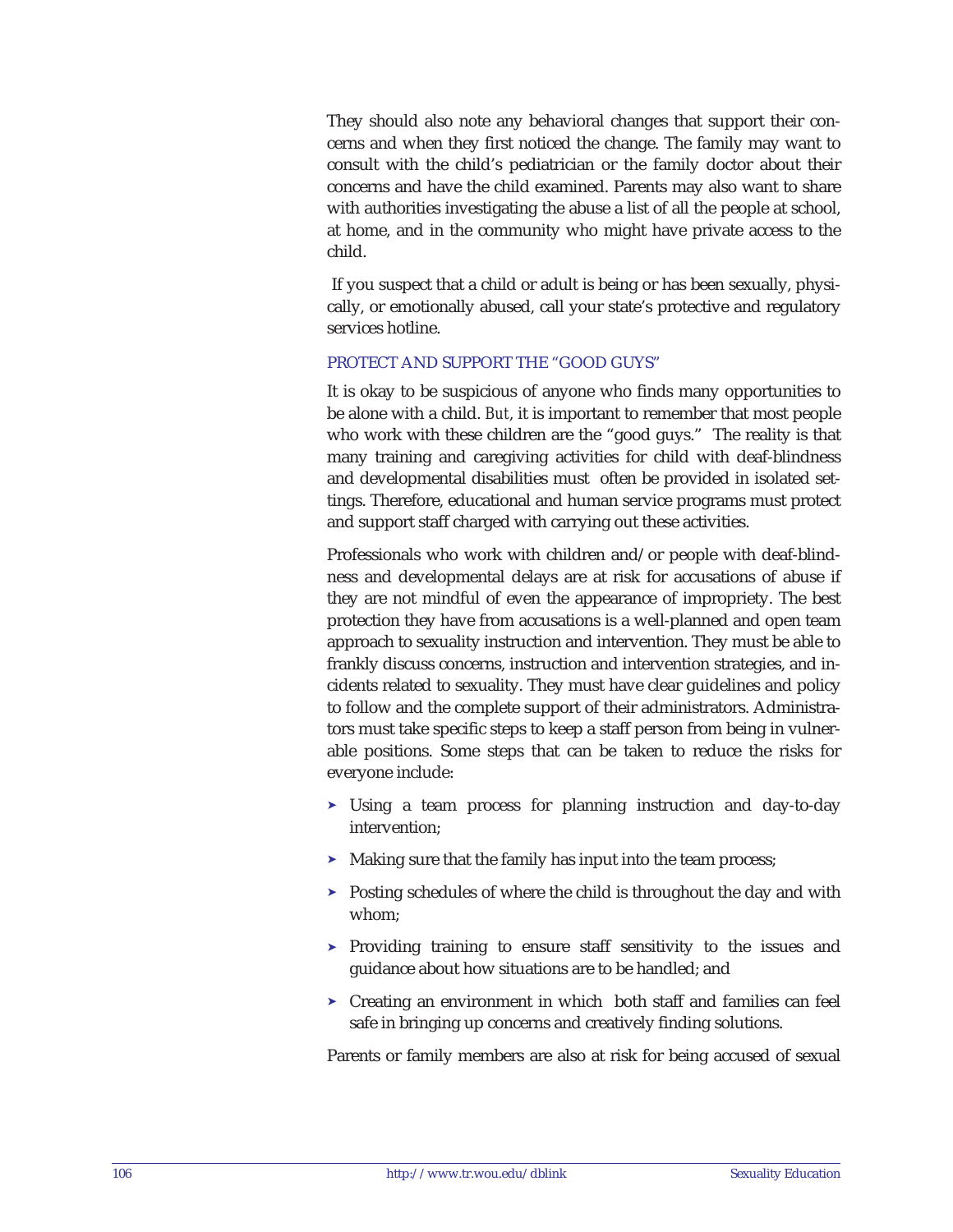They should also note any behavioral changes that support their concerns and when they first noticed the change. The family may want to consult with the child's pediatrician or the family doctor about their concerns and have the child examined. Parents may also want to share with authorities investigating the abuse a list of all the people at school, at home, and in the community who might have private access to the child.

If you suspect that a child or adult is being or has been sexually, physically, or emotionally abused, call your state's protective and regulatory services hotline.

#### PROTECT AND SUPPORT THE "GOOD GUYS"

It is okay to be suspicious of anyone who finds many opportunities to be alone with a child. *But*, it is important to remember that most people who work with these children are the "good guys." The reality is that many training and caregiving activities for child with deaf-blindness and developmental disabilities must often be provided in isolated settings. Therefore, educational and human service programs must protect and support staff charged with carrying out these activities.

Professionals who work with children and/or people with deaf-blindness and developmental delays are at risk for accusations of abuse if they are not mindful of even the appearance of impropriety. The best protection they have from accusations is a well-planned and open team approach to sexuality instruction and intervention. They must be able to frankly discuss concerns, instruction and intervention strategies, and incidents related to sexuality. They must have clear guidelines and policy to follow and the complete support of their administrators. Administrators must take specific steps to keep a staff person from being in vulnerable positions. Some steps that can be taken to reduce the risks for everyone include:

- ➤ Using a team process for planning instruction and day-to-day intervention;
- ➤ Making sure that the family has input into the team process;
- ➤ Posting schedules of where the child is throughout the day and with whom;
- ➤ Providing training to ensure staff sensitivity to the issues and guidance about how situations are to be handled; and
- ➤ Creating an environment in which both staff and families can feel safe in bringing up concerns and creatively finding solutions.

Parents or family members are also at risk for being accused of sexual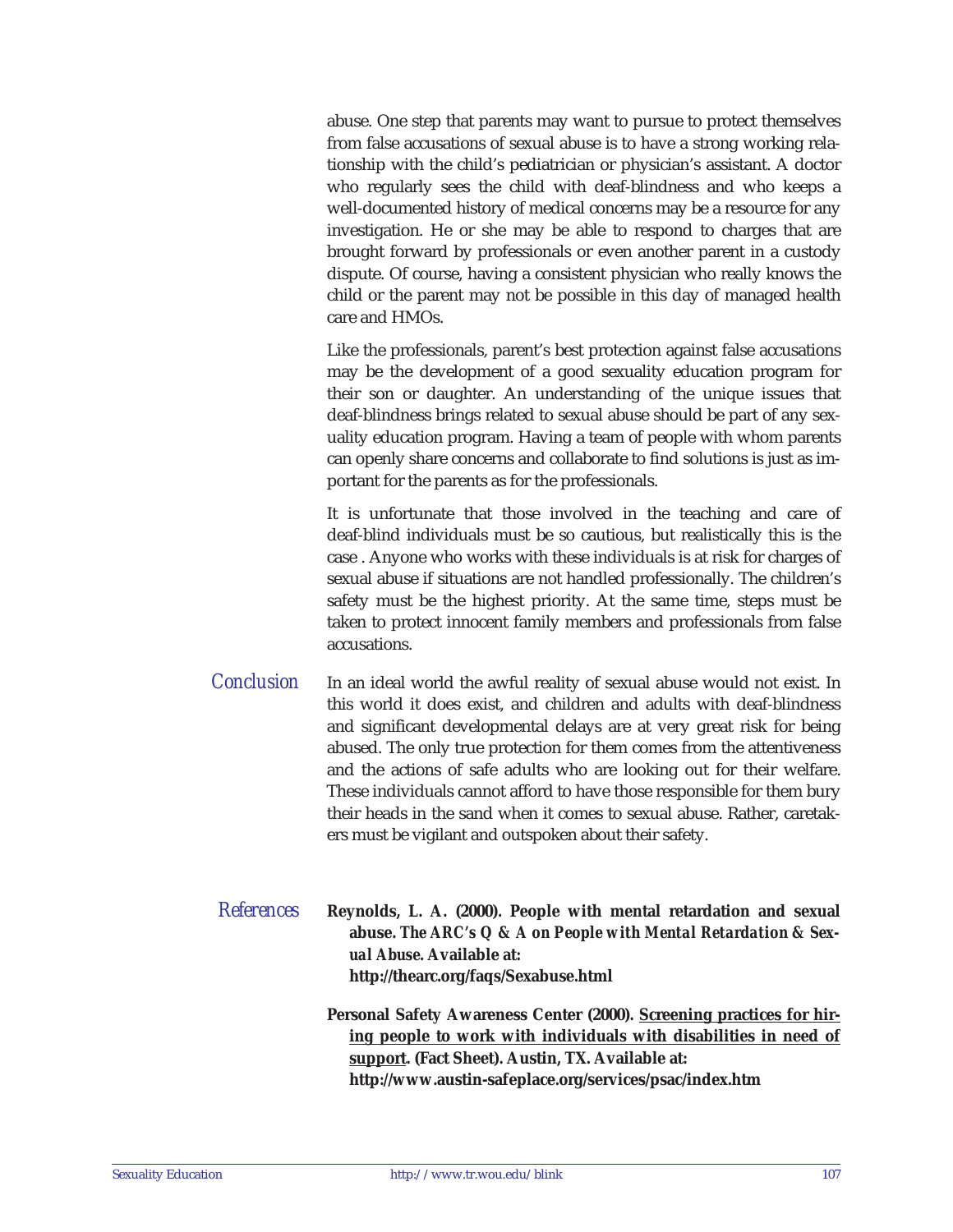abuse. One step that parents may want to pursue to protect themselves from false accusations of sexual abuse is to have a strong working relationship with the child's pediatrician or physician's assistant. A doctor who regularly sees the child with deaf-blindness and who keeps a well-documented history of medical concerns may be a resource for any investigation. He or she may be able to respond to charges that are brought forward by professionals or even another parent in a custody dispute. Of course, having a consistent physician who really knows the child or the parent may not be possible in this day of managed health care and HMOs.

Like the professionals, parent's best protection against false accusations may be the development of a good sexuality education program for their son or daughter. An understanding of the unique issues that deaf-blindness brings related to sexual abuse should be part of any sexuality education program. Having a team of people with whom parents can openly share concerns and collaborate to find solutions is just as important for the parents as for the professionals.

It is unfortunate that those involved in the teaching and care of deaf-blind individuals must be so cautious, but realistically this is the case . Anyone who works with these individuals is at risk for charges of sexual abuse if situations are not handled professionally. The children's safety must be the highest priority. At the same time, steps must be taken to protect innocent family members and professionals from false accusations.

- *Conclusion* In an ideal world the awful reality of sexual abuse would not exist. In this world it does exist, and children and adults with deaf-blindness and significant developmental delays are at very great risk for being abused. The only true protection for them comes from the attentiveness and the actions of safe adults who are looking out for their welfare. These individuals cannot afford to have those responsible for them bury their heads in the sand when it comes to sexual abuse. Rather, caretakers must be vigilant and outspoken about their safety.
	- *References* **Reynolds, L. A. (2000). People with mental retardation and sexual abuse.** *The ARC's Q & A on People with Mental Retardation & Sexual Abuse***. Available at: http://thearc.org/faqs/Sexabuse.html**

**Personal Safety Awareness Center (2000). Screening practices for hiring people to work with individuals with disabilities in need of support. (Fact Sheet). Austin, TX. Available at: http://www.austin-safeplace.org/services/psac/index.htm**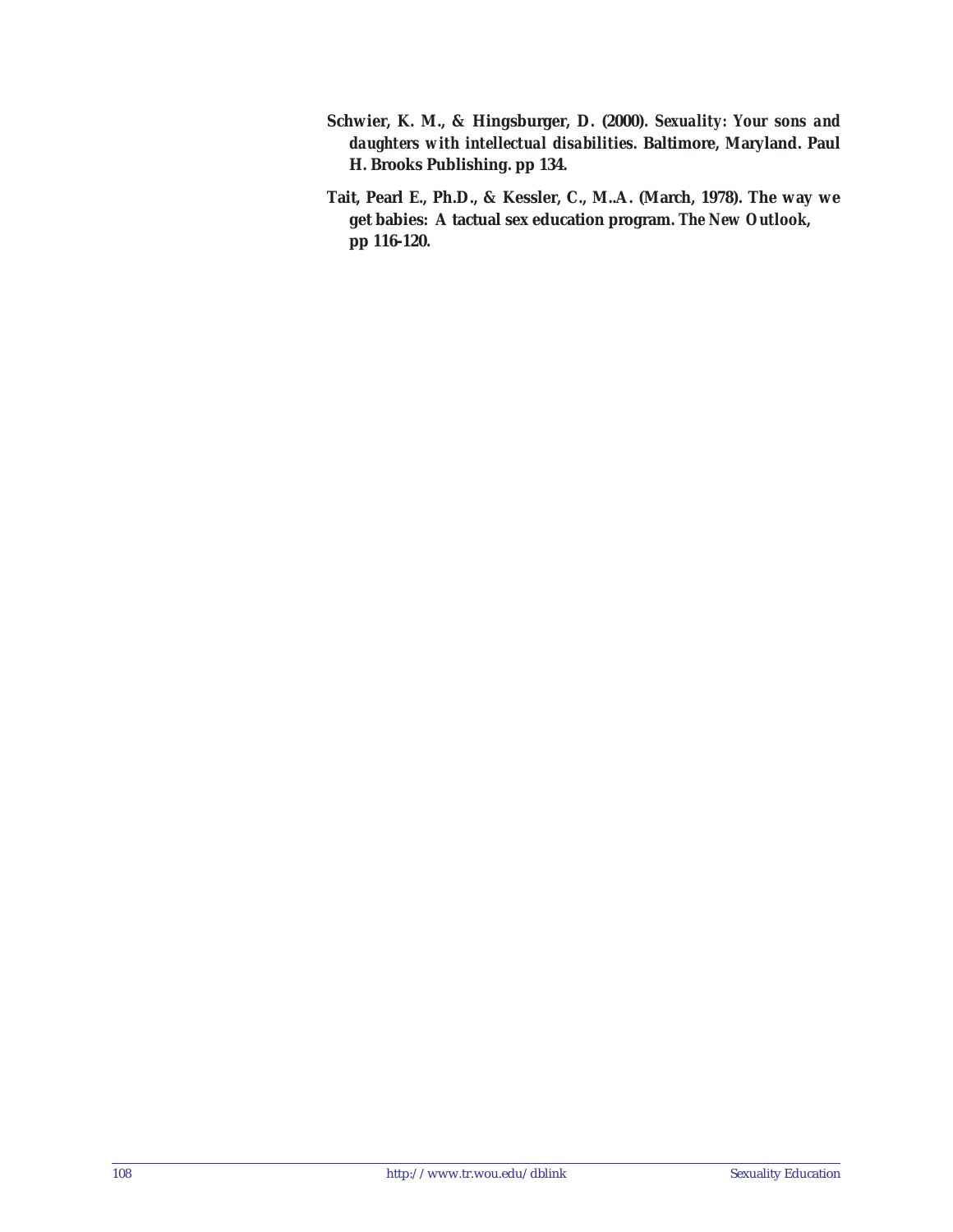- **Schwier, K. M., & Hingsburger, D. (2000).** *Sexuality: Your sons and daughters with intellectual disabilities.* **Baltimore, Maryland. Paul H. Brooks Publishing. pp 134.**
- **Tait, Pearl E., Ph.D., & Kessler, C., M..A. (March, 1978). The way we get babies: A tactual sex education program.** *The New Outlook***, pp 116-120.**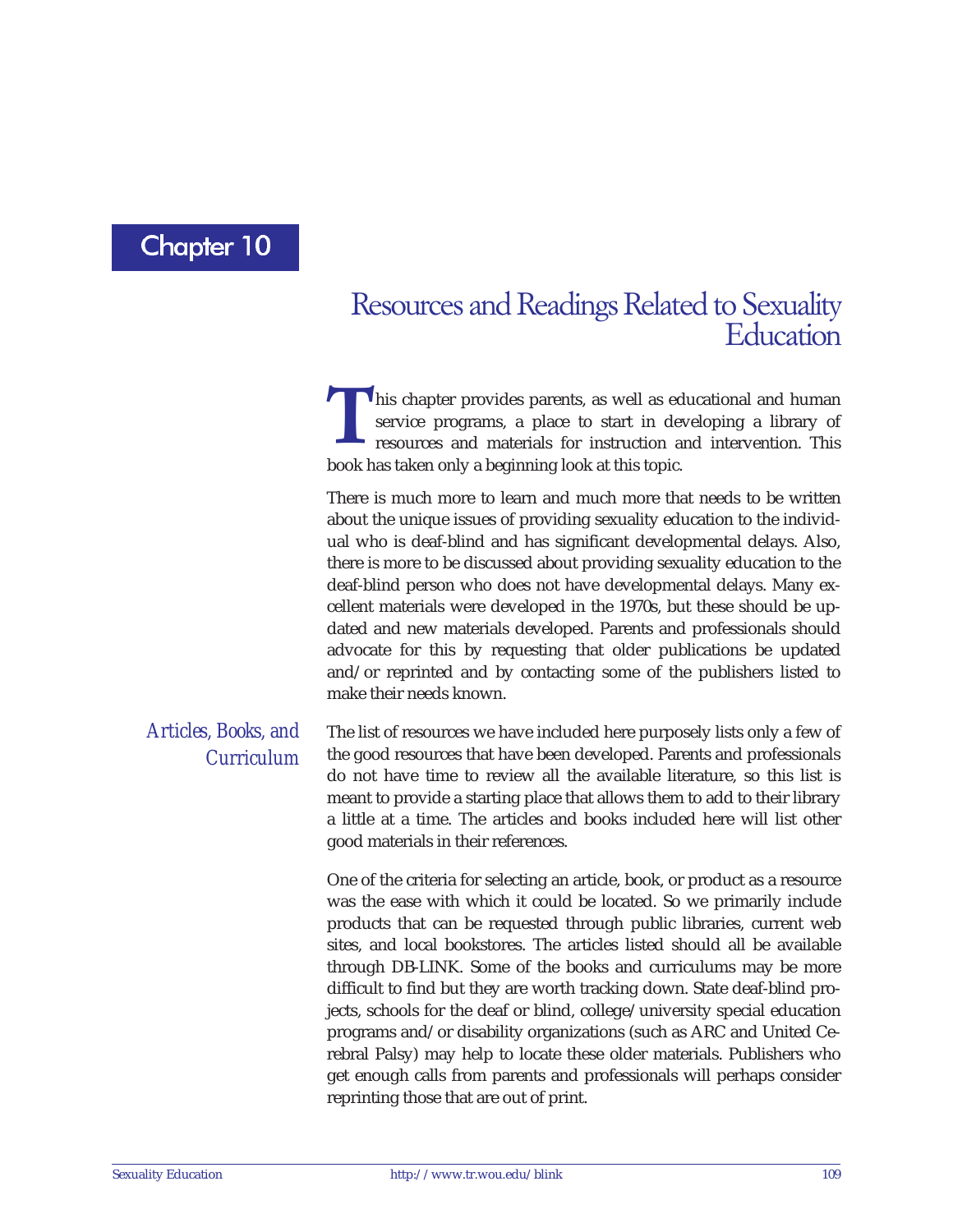# <span id="page-114-0"></span>Chapter 10

## *Resources and Readings Related to Sexuality Education*

This chapter provides parents, as well as educational and human<br>service programs, a place to start in developing a library of<br>resources and materials for instruction and intervention. This service programs, a place to start in developing a library of resources and materials for instruction and intervention. This book has taken only a beginning look at this topic.

There is much more to learn and much more that needs to be written about the unique issues of providing sexuality education to the individual who is deaf-blind and has significant developmental delays. Also, there is more to be discussed about providing sexuality education to the deaf-blind person who does not have developmental delays. Many excellent materials were developed in the 1970s, but these should be updated and new materials developed. Parents and professionals should advocate for this by requesting that older publications be updated and/or reprinted and by contacting some of the publishers listed to make their needs known.

#### *Articles, Books, and Curriculum* The list of resources we have included here purposely lists only a few of the good resources that have been developed. Parents and professionals do not have time to review all the available literature, so this list is meant to provide a starting place that allows them to add to their library a little at a time. The articles and books included here will list other good materials in their references.

One of the criteria for selecting an article, book, or product as a resource was the ease with which it could be located. So we primarily include products that can be requested through public libraries, current web sites, and local bookstores. The articles listed should all be available through DB-LINK. Some of the books and curriculums may be more difficult to find but they are worth tracking down. State deaf-blind projects, schools for the deaf or blind, college/university special education programs and/or disability organizations (such as ARC and United Cerebral Palsy) may help to locate these older materials. Publishers who get enough calls from parents and professionals will perhaps consider reprinting those that are out of print.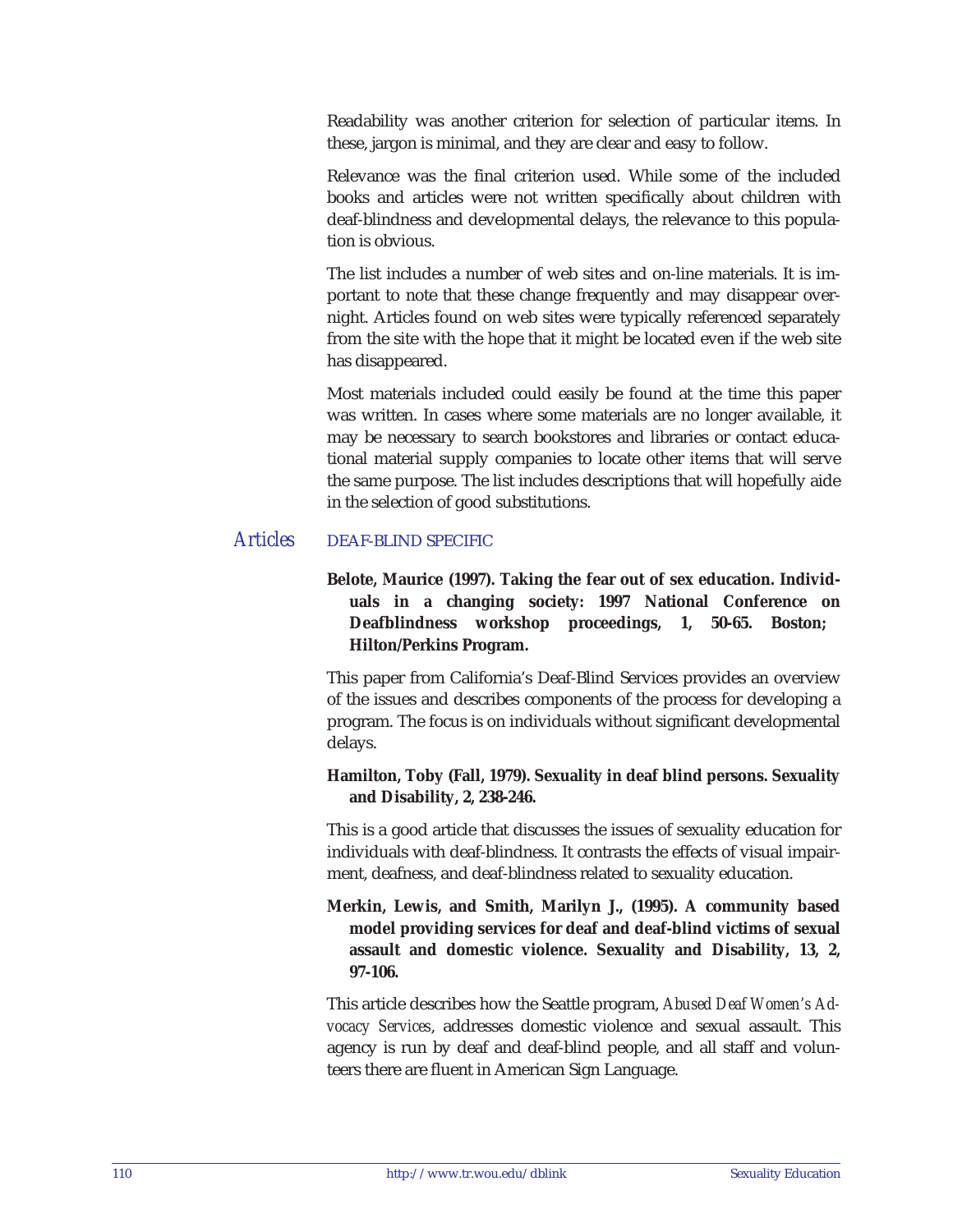Readability was another criterion for selection of particular items. In these, jargon is minimal, and they are clear and easy to follow.

Relevance was the final criterion used. While some of the included books and articles were not written specifically about children with deaf-blindness and developmental delays, the relevance to this population is obvious.

The list includes a number of web sites and on-line materials. It is important to note that these change frequently and may disappear overnight. Articles found on web sites were typically referenced separately from the site with the hope that it might be located even if the web site has disappeared.

Most materials included could easily be found at the time this paper was written. In cases where some materials are no longer available, it may be necessary to search bookstores and libraries or contact educational material supply companies to locate other items that will serve the same purpose. The list includes descriptions that will hopefully aide in the selection of good substitutions.

## *Articles* DEAF-BLIND SPECIFIC

**Belote, Maurice (1997). Taking the fear out of sex education. Individuals in a changing society: 1997 National Conference on Deafblindness workshop proceedings, 1, 50-65. Boston; Hilton/Perkins Program.**

This paper from California's Deaf-Blind Services provides an overview of the issues and describes components of the process for developing a program. The focus is on individuals without significant developmental delays.

**Hamilton, Toby (Fall, 1979). Sexuality in deaf blind persons. Sexuality and Disability, 2, 238-246.**

This is a good article that discusses the issues of sexuality education for individuals with deaf-blindness. It contrasts the effects of visual impairment, deafness, and deaf-blindness related to sexuality education.

#### **Merkin, Lewis, and Smith, Marilyn J., (1995). A community based model providing services for deaf and deaf-blind victims of sexual assault and domestic violence. Sexuality and Disability, 13, 2, 97-106.**

This article describes how the Seattle program, *Abused Deaf Women's Advocacy Services*, addresses domestic violence and sexual assault. This agency is run by deaf and deaf-blind people, and all staff and volunteers there are fluent in American Sign Language.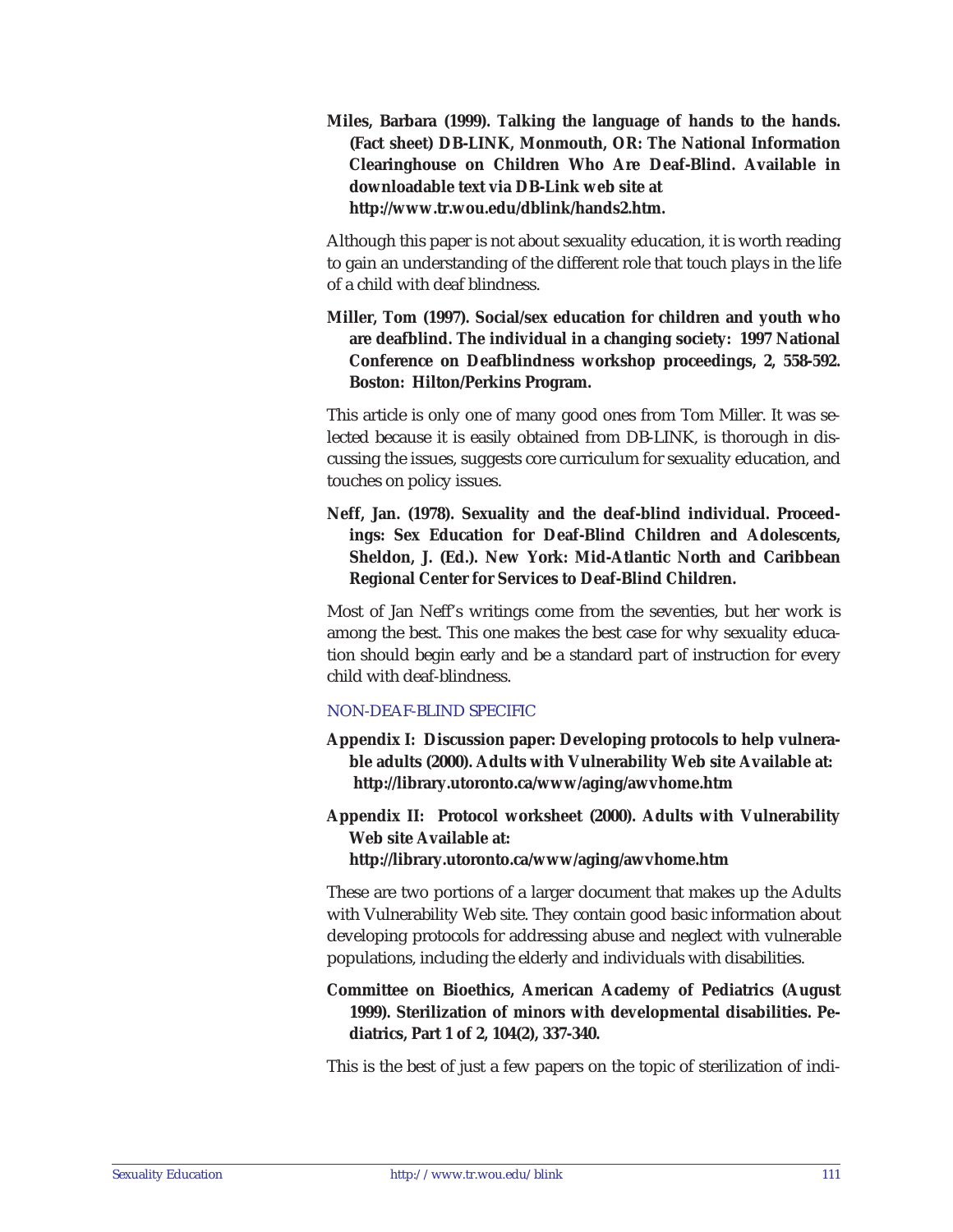**Miles, Barbara (1999). Talking the language of hands to the hands. (Fact sheet) DB-LINK, Monmouth, OR: The National Information Clearinghouse on Children Who Are Deaf-Blind. Available in downloadable text via DB-Link web site at http://www.tr.wou.edu/dblink/hands2.htm.**

Although this paper is not about sexuality education, it is worth reading to gain an understanding of the different role that touch plays in the life of a child with deaf blindness.

**Miller, Tom (1997). Social/sex education for children and youth who are deafblind. The individual in a changing society: 1997 National Conference on Deafblindness workshop proceedings, 2, 558-592. Boston: Hilton/Perkins Program.**

This article is only one of many good ones from Tom Miller. It was selected because it is easily obtained from DB-LINK, is thorough in discussing the issues, suggests core curriculum for sexuality education, and touches on policy issues.

**Neff, Jan. (1978). Sexuality and the deaf-blind individual. Proceedings: Sex Education for Deaf-Blind Children and Adolescents, Sheldon, J. (Ed.). New York: Mid-Atlantic North and Caribbean Regional Center for Services to Deaf-Blind Children.**

Most of Jan Neff's writings come from the seventies, but her work is among the best. This one makes the best case for why sexuality education should begin early and be a standard part of instruction for every child with deaf-blindness.

#### NON-DEAF-BLIND SPECIFIC

- **Appendix I: Discussion paper: Developing protocols to help vulnerable adults (2000). Adults with Vulnerability Web site Available at: http://library.utoronto.ca/www/aging/awvhome.htm**
- **Appendix II: Protocol worksheet (2000). Adults with Vulnerability Web site Available at:**

**http://library.utoronto.ca/www/aging/awvhome.htm**

These are two portions of a larger document that makes up the Adults with Vulnerability Web site. They contain good basic information about developing protocols for addressing abuse and neglect with vulnerable populations, including the elderly and individuals with disabilities.

#### **Committee on Bioethics, American Academy of Pediatrics (August 1999). Sterilization of minors with developmental disabilities. Pediatrics, Part 1 of 2, 104(2), 337-340.**

This is the best of just a few papers on the topic of sterilization of indi-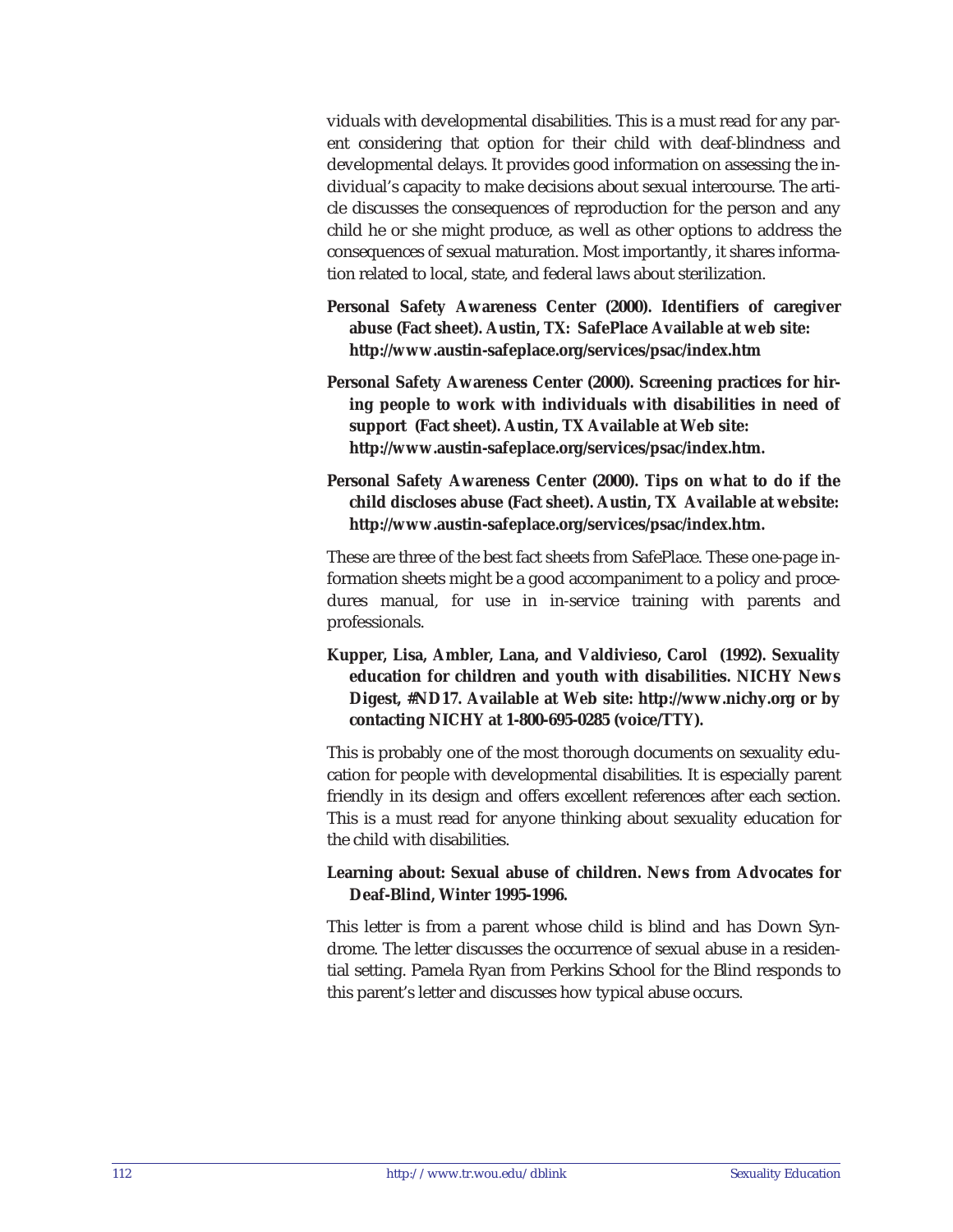viduals with developmental disabilities. This is a must read for any parent considering that option for their child with deaf-blindness and developmental delays. It provides good information on assessing the individual's capacity to make decisions about sexual intercourse. The article discusses the consequences of reproduction for the person and any child he or she might produce, as well as other options to address the consequences of sexual maturation. Most importantly, it shares information related to local, state, and federal laws about sterilization.

- **Personal Safety Awareness Center (2000). Identifiers of caregiver abuse (Fact sheet). Austin, TX: SafePlace Available at web site: http://www.austin-safeplace.org/services/psac/index.htm**
- **Personal Safety Awareness Center (2000). Screening practices for hiring people to work with individuals with disabilities in need of support (Fact sheet). Austin, TX Available at Web site: http://www.austin-safeplace.org/services/psac/index.htm.**
- **Personal Safety Awareness Center (2000). Tips on what to do if the child discloses abuse (Fact sheet). Austin, TX Available at website: http://www.austin-safeplace.org/services/psac/index.htm.**

These are three of the best fact sheets from SafePlace. These one-page information sheets might be a good accompaniment to a policy and procedures manual, for use in in-service training with parents and professionals.

**Kupper, Lisa, Ambler, Lana, and Valdivieso, Carol (1992). Sexuality education for children and youth with disabilities. NICHY News Digest, #ND17. Available at Web site: http://www.nichy.org or by contacting NICHY at 1-800-695-0285 (voice/TTY).**

This is probably one of the most thorough documents on sexuality education for people with developmental disabilities. It is especially parent friendly in its design and offers excellent references after each section. This is a must read for anyone thinking about sexuality education for the child with disabilities.

## **Learning about: Sexual abuse of children. News from Advocates for Deaf-Blind, Winter 1995-1996.**

This letter is from a parent whose child is blind and has Down Syndrome. The letter discusses the occurrence of sexual abuse in a residential setting. Pamela Ryan from Perkins School for the Blind responds to this parent's letter and discusses how typical abuse occurs.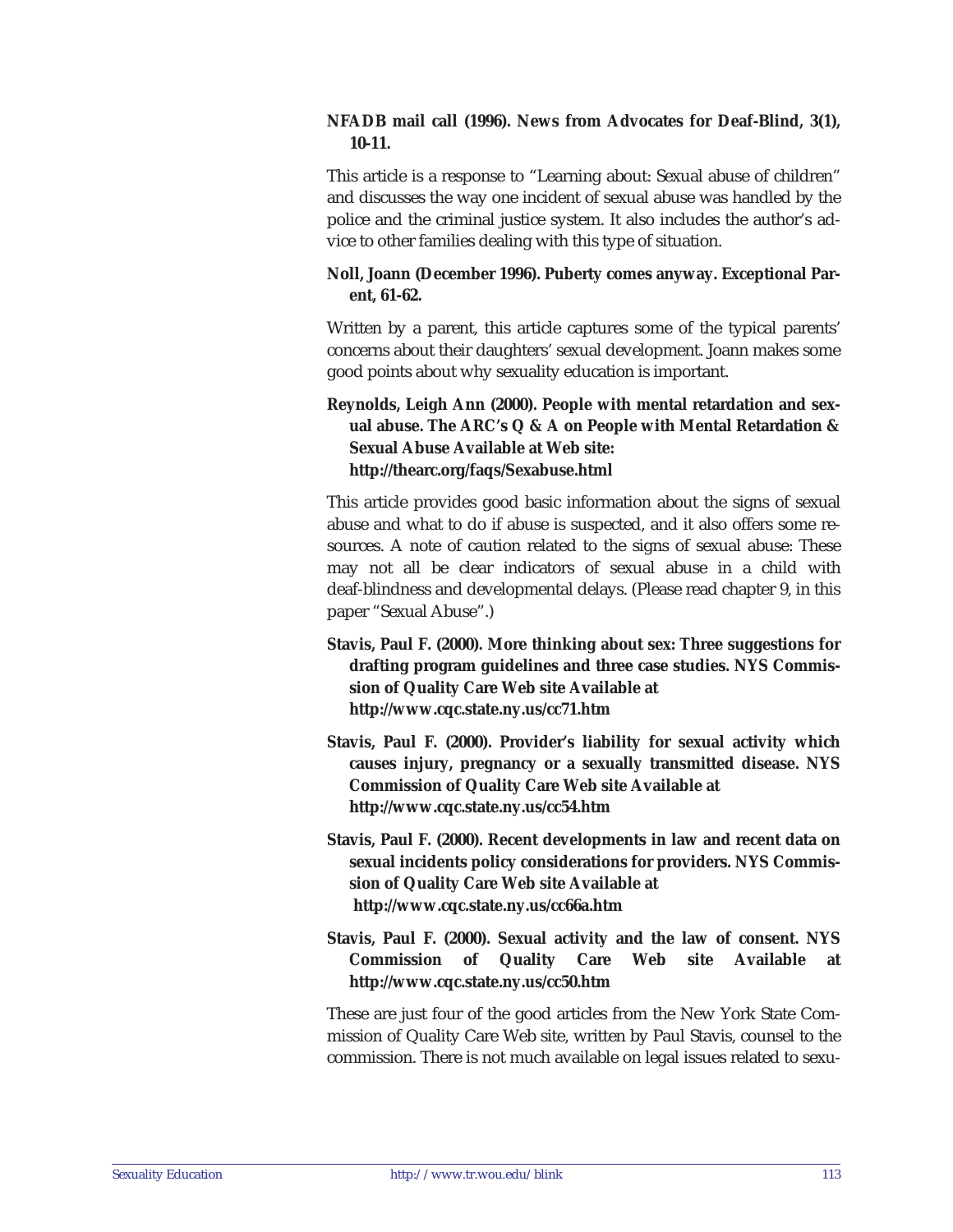#### **NFADB mail call (1996). News from Advocates for Deaf-Blind, 3(1), 10-11.**

This article is a response to "Learning about: Sexual abuse of children" and discusses the way one incident of sexual abuse was handled by the police and the criminal justice system. It also includes the author's advice to other families dealing with this type of situation.

#### **Noll, Joann (December 1996). Puberty comes anyway. Exceptional Parent, 61-62.**

Written by a parent, this article captures some of the typical parents' concerns about their daughters' sexual development. Joann makes some good points about why sexuality education is important.

## **Reynolds, Leigh Ann (2000). People with mental retardation and sexual abuse. The ARC's Q & A on People with Mental Retardation & Sexual Abuse Available at Web site: http://thearc.org/faqs/Sexabuse.html**

This article provides good basic information about the signs of sexual abuse and what to do if abuse is suspected, and it also offers some resources. A note of caution related to the signs of sexual abuse: These may not all be clear indicators of sexual abuse in a child with deaf-blindness and developmental delays. (Please read chapter 9, in this paper "Sexual Abuse".)

- **Stavis, Paul F. (2000). More thinking about sex: Three suggestions for drafting program guidelines and three case studies. NYS Commission of Quality Care Web site Available at http://www.cqc.state.ny.us/cc71.htm**
- **Stavis, Paul F. (2000). Provider's liability for sexual activity which causes injury, pregnancy or a sexually transmitted disease. NYS Commission of Quality Care Web site Available at http://www.cqc.state.ny.us/cc54.htm**
- **Stavis, Paul F. (2000). Recent developments in law and recent data on sexual incidents policy considerations for providers. NYS Commission of Quality Care Web site Available at http://www.cqc.state.ny.us/cc66a.htm**
- **Stavis, Paul F. (2000). Sexual activity and the law of consent. NYS Commission of Quality Care Web site Available at http://www.cqc.state.ny.us/cc50.htm**

These are just four of the good articles from the New York State Commission of Quality Care Web site, written by Paul Stavis, counsel to the commission. There is not much available on legal issues related to sexu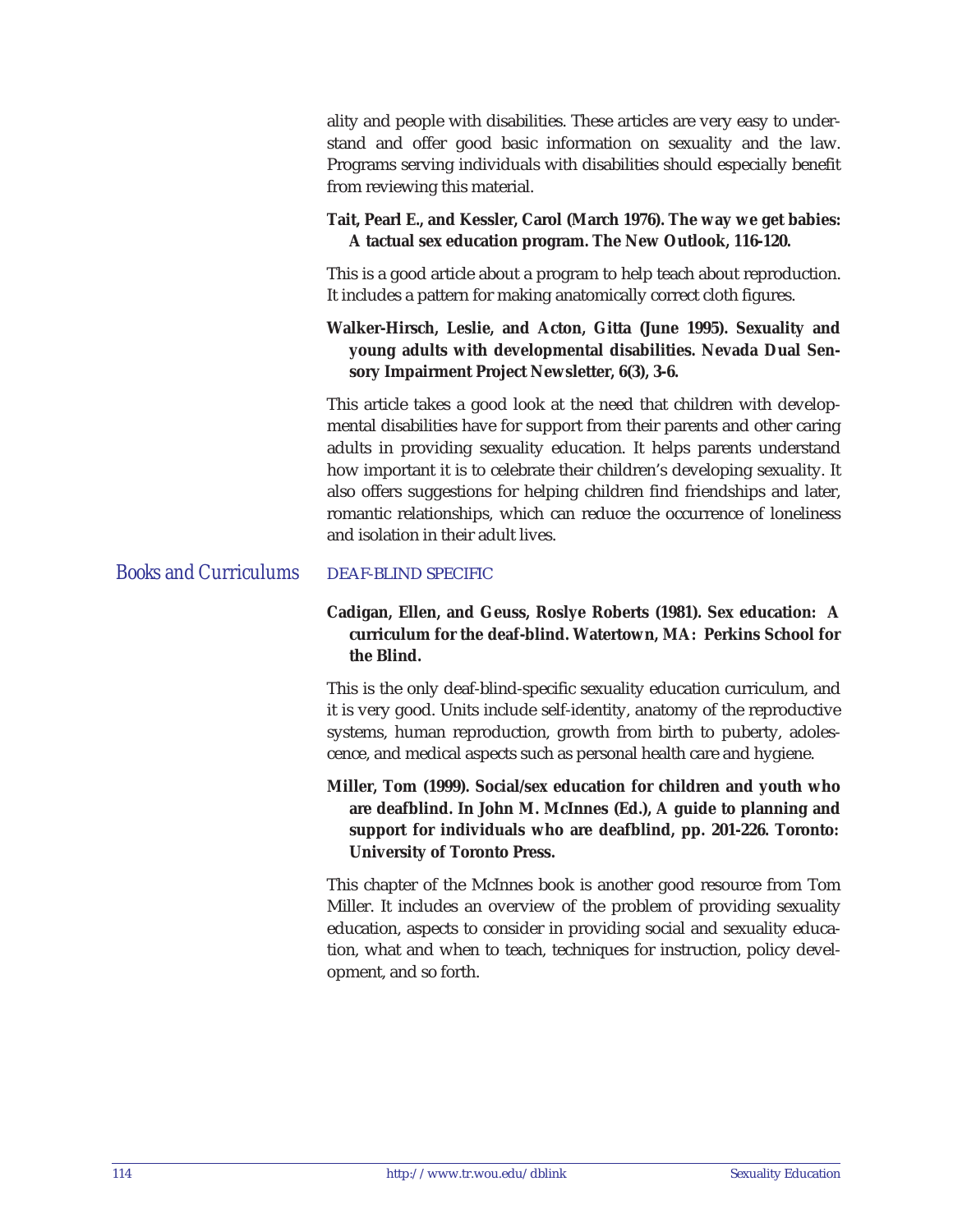ality and people with disabilities. These articles are very easy to understand and offer good basic information on sexuality and the law. Programs serving individuals with disabilities should especially benefit from reviewing this material.

## **Tait, Pearl E., and Kessler, Carol (March 1976). The way we get babies: A tactual sex education program. The New Outlook, 116-120.**

This is a good article about a program to help teach about reproduction. It includes a pattern for making anatomically correct cloth figures.

## **Walker-Hirsch, Leslie, and Acton, Gitta (June 1995). Sexuality and young adults with developmental disabilities. Nevada Dual Sensory Impairment Project Newsletter, 6(3), 3-6.**

This article takes a good look at the need that children with developmental disabilities have for support from their parents and other caring adults in providing sexuality education. It helps parents understand how important it is to celebrate their children's developing sexuality. It also offers suggestions for helping children find friendships and later, romantic relationships, which can reduce the occurrence of loneliness and isolation in their adult lives.

## **Books and Curriculums** DEAF-BLIND SPECIFIC

## **Cadigan, Ellen, and Geuss, Roslye Roberts (1981). Sex education: A curriculum for the deaf-blind. Watertown, MA: Perkins School for the Blind.**

This is the only deaf-blind-specific sexuality education curriculum, and it is very good. Units include self-identity, anatomy of the reproductive systems, human reproduction, growth from birth to puberty, adolescence, and medical aspects such as personal health care and hygiene.

## **Miller, Tom (1999). Social/sex education for children and youth who are deafblind. In John M. McInnes (Ed.), A guide to planning and support for individuals who are deafblind, pp. 201-226. Toronto: University of Toronto Press.**

This chapter of the McInnes book is another good resource from Tom Miller. It includes an overview of the problem of providing sexuality education, aspects to consider in providing social and sexuality education, what and when to teach, techniques for instruction, policy development, and so forth.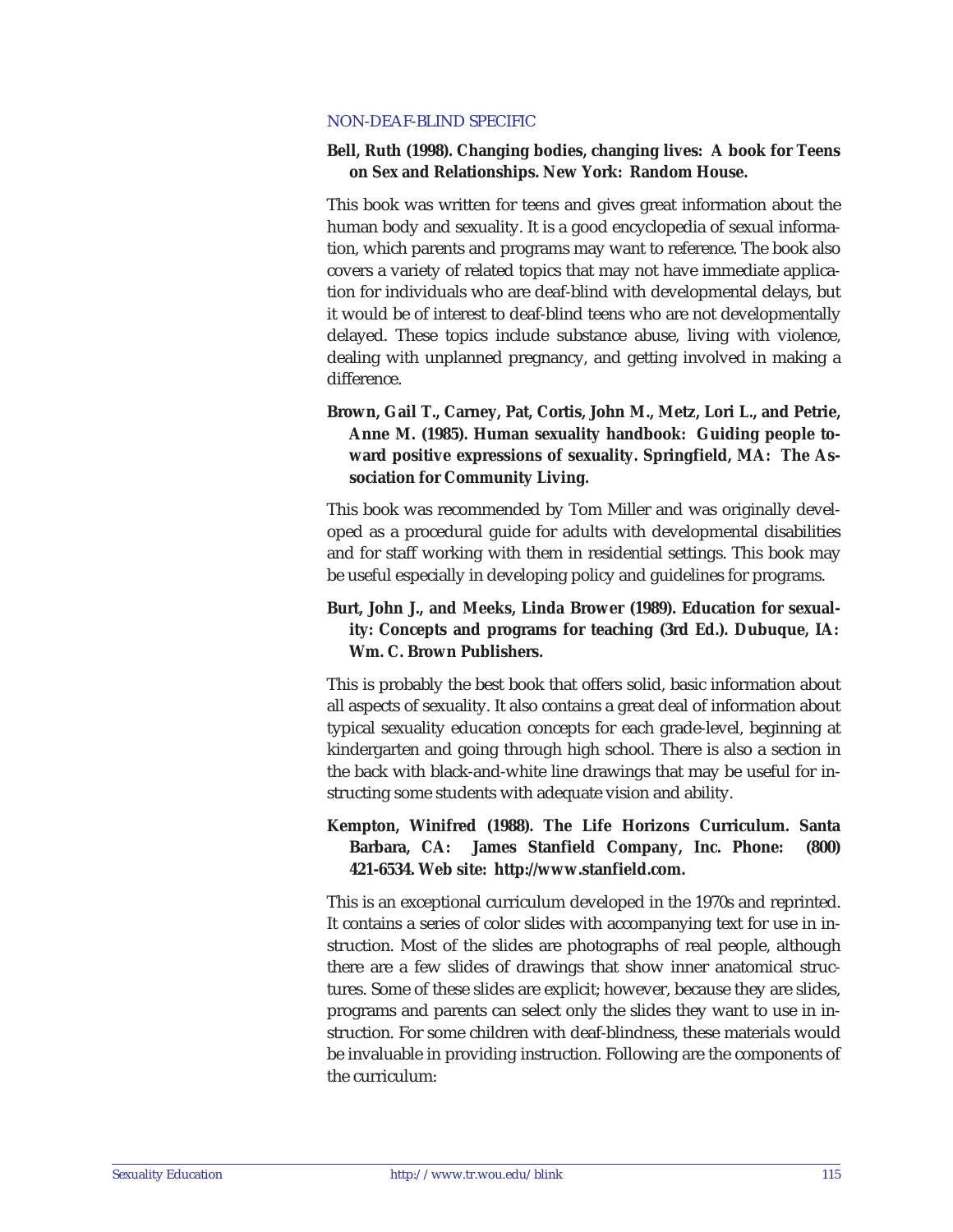#### NON-DEAF-BLIND SPECIFIC

#### **Bell, Ruth (1998). Changing bodies, changing lives: A book for Teens on Sex and Relationships. New York: Random House.**

This book was written for teens and gives great information about the human body and sexuality. It is a good encyclopedia of sexual information, which parents and programs may want to reference. The book also covers a variety of related topics that may not have immediate application for individuals who are deaf-blind with developmental delays, but it would be of interest to deaf-blind teens who are not developmentally delayed. These topics include substance abuse, living with violence, dealing with unplanned pregnancy, and getting involved in making a difference.

## **Brown, Gail T., Carney, Pat, Cortis, John M., Metz, Lori L., and Petrie, Anne M. (1985). Human sexuality handbook: Guiding people toward positive expressions of sexuality. Springfield, MA: The Association for Community Living.**

This book was recommended by Tom Miller and was originally developed as a procedural guide for adults with developmental disabilities and for staff working with them in residential settings. This book may be useful especially in developing policy and guidelines for programs.

#### **Burt, John J., and Meeks, Linda Brower (1989). Education for sexuality: Concepts and programs for teaching (3rd Ed.). Dubuque, IA: Wm. C. Brown Publishers.**

This is probably the best book that offers solid, basic information about all aspects of sexuality. It also contains a great deal of information about typical sexuality education concepts for each grade-level, beginning at kindergarten and going through high school. There is also a section in the back with black-and-white line drawings that may be useful for instructing some students with adequate vision and ability.

#### **Kempton, Winifred (1988). The Life Horizons Curriculum. Santa Barbara, CA: James Stanfield Company, Inc. Phone: (800) 421-6534. Web site: http://www.stanfield.com.**

This is an exceptional curriculum developed in the 1970s and reprinted. It contains a series of color slides with accompanying text for use in instruction. Most of the slides are photographs of real people, although there are a few slides of drawings that show inner anatomical structures. Some of these slides are explicit; however, because they are slides, programs and parents can select only the slides they want to use in instruction. For some children with deaf-blindness, these materials would be invaluable in providing instruction. Following are the components of the curriculum: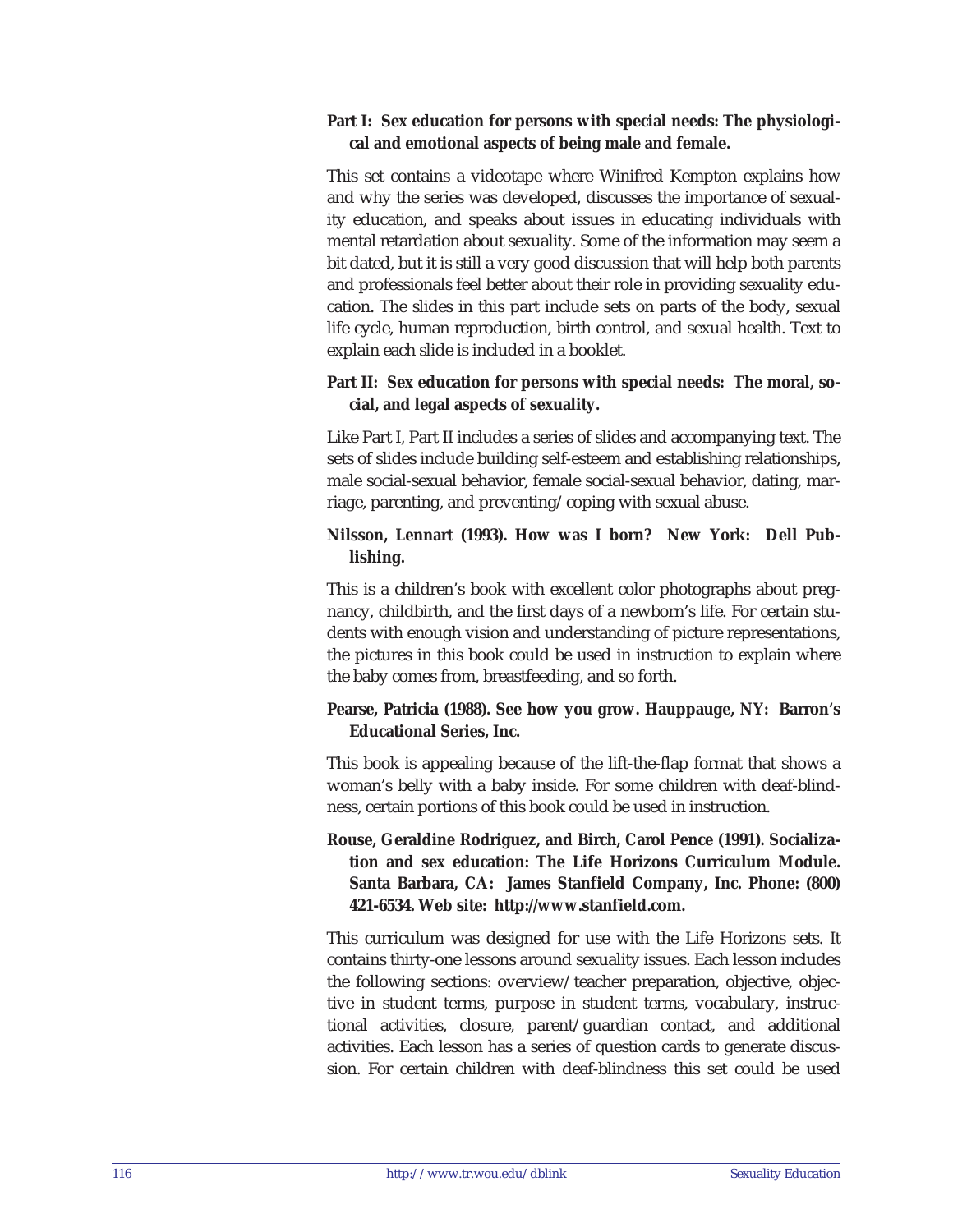#### **Part I: Sex education for persons with special needs: The physiological and emotional aspects of being male and female.**

This set contains a videotape where Winifred Kempton explains how and why the series was developed, discusses the importance of sexuality education, and speaks about issues in educating individuals with mental retardation about sexuality. Some of the information may seem a bit dated, but it is still a very good discussion that will help both parents and professionals feel better about their role in providing sexuality education. The slides in this part include sets on parts of the body, sexual life cycle, human reproduction, birth control, and sexual health. Text to explain each slide is included in a booklet.

#### **Part II: Sex education for persons with special needs: The moral, social, and legal aspects of sexuality.**

Like Part I, Part II includes a series of slides and accompanying text. The sets of slides include building self-esteem and establishing relationships, male social-sexual behavior, female social-sexual behavior, dating, marriage, parenting, and preventing/coping with sexual abuse.

## **Nilsson, Lennart (1993). How was I born? New York: Dell Publishing.**

This is a children's book with excellent color photographs about pregnancy, childbirth, and the first days of a newborn's life. For certain students with enough vision and understanding of picture representations, the pictures in this book could be used in instruction to explain where the baby comes from, breastfeeding, and so forth.

## **Pearse, Patricia (1988). See how you grow. Hauppauge, NY: Barron's Educational Series, Inc.**

This book is appealing because of the lift-the-flap format that shows a woman's belly with a baby inside. For some children with deaf-blindness, certain portions of this book could be used in instruction.

## **Rouse, Geraldine Rodriguez, and Birch, Carol Pence (1991). Socialization and sex education: The Life Horizons Curriculum Module. Santa Barbara, CA: James Stanfield Company, Inc. Phone: (800) 421-6534. Web site: http://www.stanfield.com.**

This curriculum was designed for use with the Life Horizons sets. It contains thirty-one lessons around sexuality issues. Each lesson includes the following sections: overview/teacher preparation, objective, objective in student terms, purpose in student terms, vocabulary, instructional activities, closure, parent/guardian contact, and additional activities. Each lesson has a series of question cards to generate discussion. For certain children with deaf-blindness this set could be used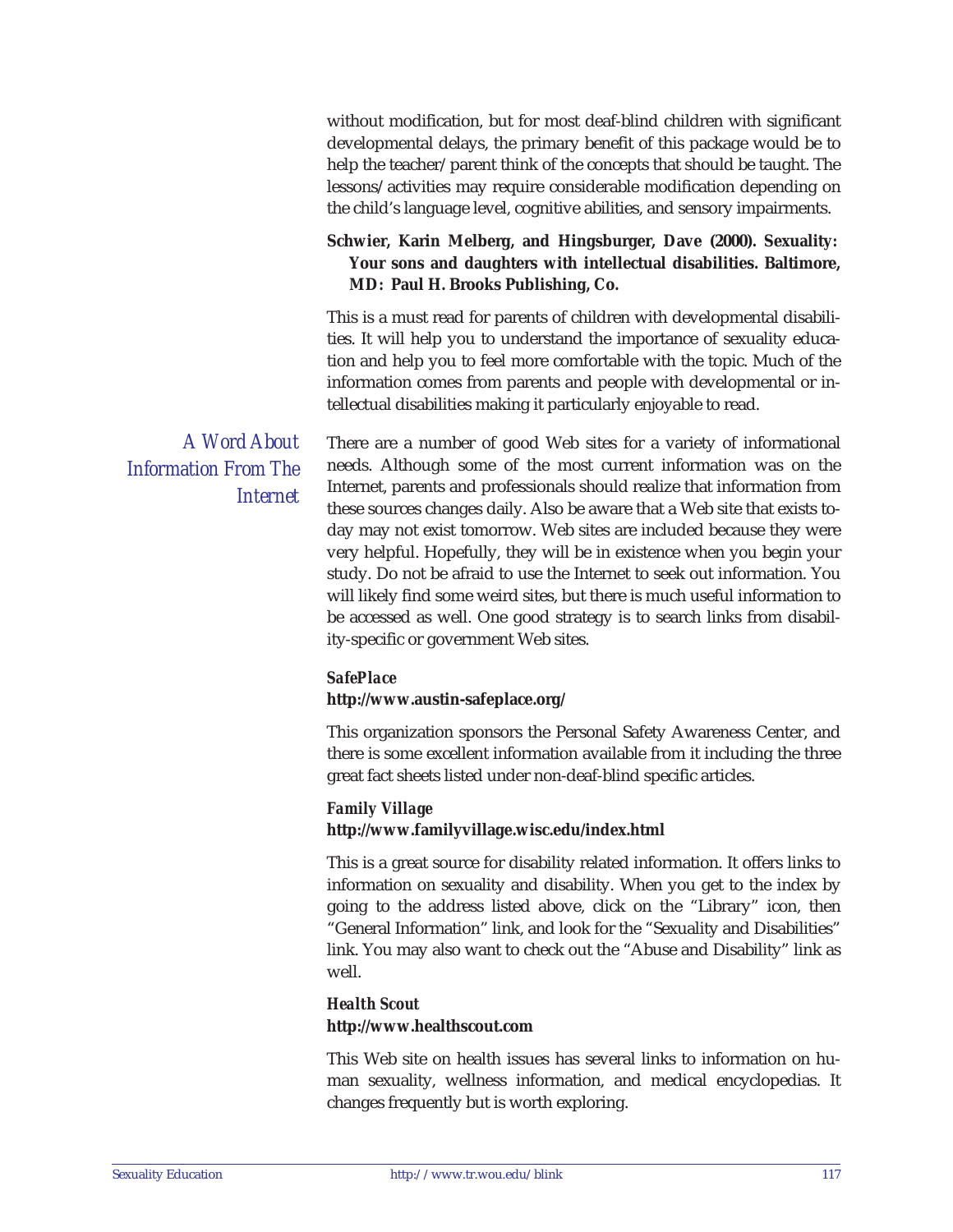without modification, but for most deaf-blind children with significant developmental delays, the primary benefit of this package would be to help the teacher/parent think of the concepts that should be taught. The lessons/activities may require considerable modification depending on the child's language level, cognitive abilities, and sensory impairments.

#### **Schwier, Karin Melberg, and Hingsburger, Dave (2000). Sexuality: Your sons and daughters with intellectual disabilities. Baltimore, MD: Paul H. Brooks Publishing, Co.**

This is a must read for parents of children with developmental disabilities. It will help you to understand the importance of sexuality education and help you to feel more comfortable with the topic. Much of the information comes from parents and people with developmental or intellectual disabilities making it particularly enjoyable to read.

*A Word About Information From The Internet* There are a number of good Web sites for a variety of informational needs. Although some of the most current information was on the Internet, parents and professionals should realize that information from these sources changes daily. Also be aware that a Web site that exists today may not exist tomorrow. Web sites are included because they were very helpful. Hopefully, they will be in existence when you begin your study. Do not be afraid to use the Internet to seek out information. You will likely find some weird sites, but there is much useful information to be accessed as well. One good strategy is to search links from disability-specific or government Web sites.

#### *SafePlace*

#### **http://www.austin-safeplace.org/**

This organization sponsors the Personal Safety Awareness Center, and there is some excellent information available from it including the three great fact sheets listed under non-deaf-blind specific articles.

#### *Family Village*

#### **http://www.familyvillage.wisc.edu/index.html**

This is a great source for disability related information. It offers links to information on sexuality and disability. When you get to the index by going to the address listed above, click on the "Library" icon, then "General Information" link, and look for the "Sexuality and Disabilities" link. You may also want to check out the "Abuse and Disability" link as well.

## *Health Scout*

#### **http://www.healthscout.com**

This Web site on health issues has several links to information on human sexuality, wellness information, and medical encyclopedias. It changes frequently but is worth exploring.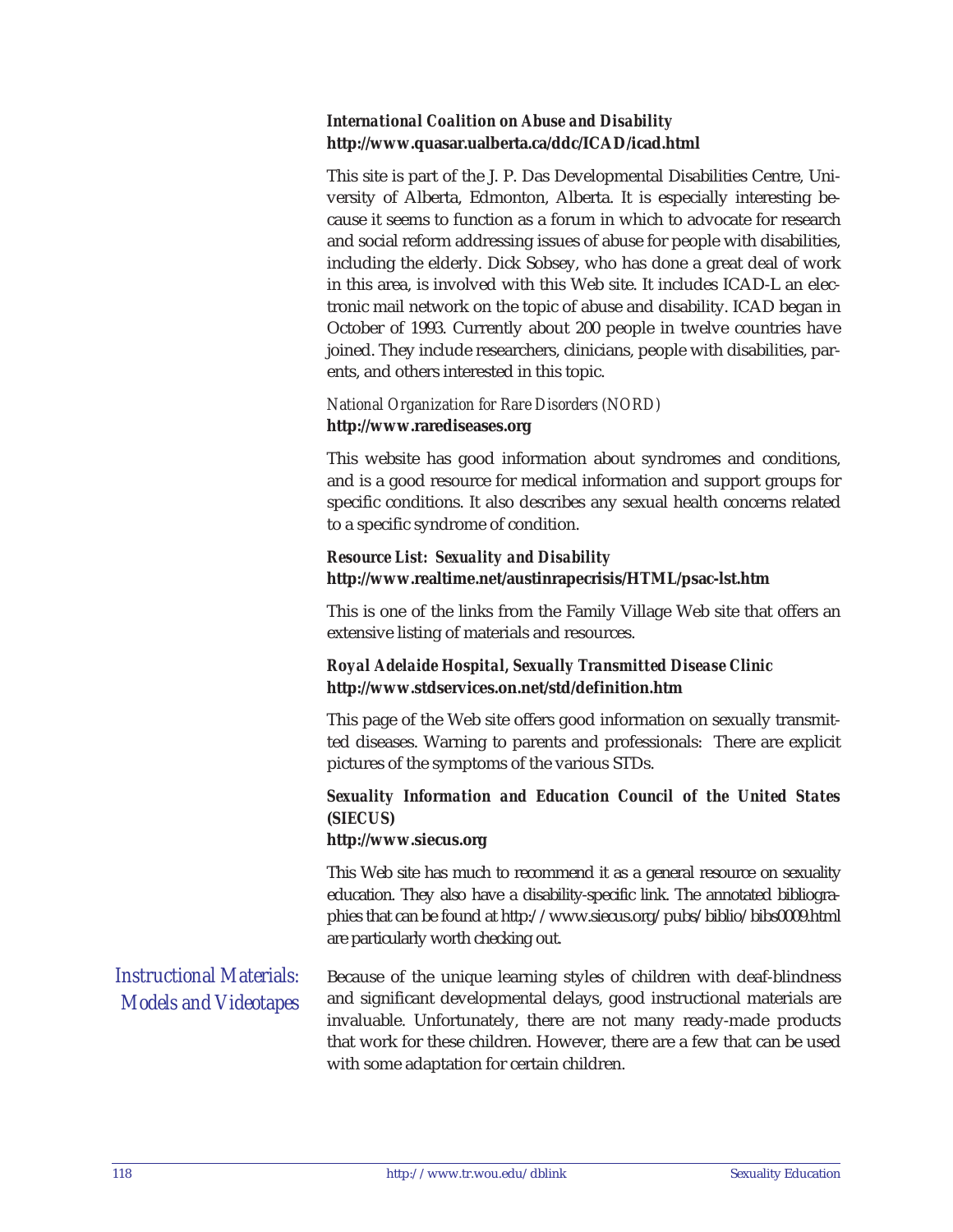#### *International Coalition on Abuse and Disability* **http://www.quasar.ualberta.ca/ddc/ICAD/icad.html**

This site is part of the J. P. Das Developmental Disabilities Centre, University of Alberta, Edmonton, Alberta. It is especially interesting because it seems to function as a forum in which to advocate for research and social reform addressing issues of abuse for people with disabilities, including the elderly. Dick Sobsey, who has done a great deal of work in this area, is involved with this Web site. It includes ICAD-L an electronic mail network on the topic of abuse and disability. ICAD began in October of 1993. Currently about 200 people in twelve countries have joined. They include researchers, clinicians, people with disabilities, parents, and others interested in this topic.

#### *National Organization for Rare Disorders (NORD)* **http://www.rarediseases.org**

This website has good information about syndromes and conditions, and is a good resource for medical information and support groups for specific conditions. It also describes any sexual health concerns related to a specific syndrome of condition.

#### *Resource List: Sexuality and Disability* **http://www.realtime.net/austinrapecrisis/HTML/psac-lst.htm**

This is one of the links from the Family Village Web site that offers an extensive listing of materials and resources.

#### *Royal Adelaide Hospital, Sexually Transmitted Disease Clinic* **http://www.stdservices.on.net/std/definition.htm**

This page of the Web site offers good information on sexually transmitted diseases. Warning to parents and professionals: There are explicit pictures of the symptoms of the various STDs.

## *Sexuality Information and Education Council of the United States (SIECUS)*

#### **http://www.siecus.org**

This Web site has much to recommend it as a general resource on sexuality education. They also have a disability-specific link. The annotated bibliographies that can be found at http://www.siecus.org/pubs/biblio/bibs0009.html are particularly worth checking out.

*Instructional Materials: Models and Videotapes*

Because of the unique learning styles of children with deaf-blindness and significant developmental delays, good instructional materials are invaluable. Unfortunately, there are not many ready-made products that work for these children. However, there are a few that can be used with some adaptation for certain children.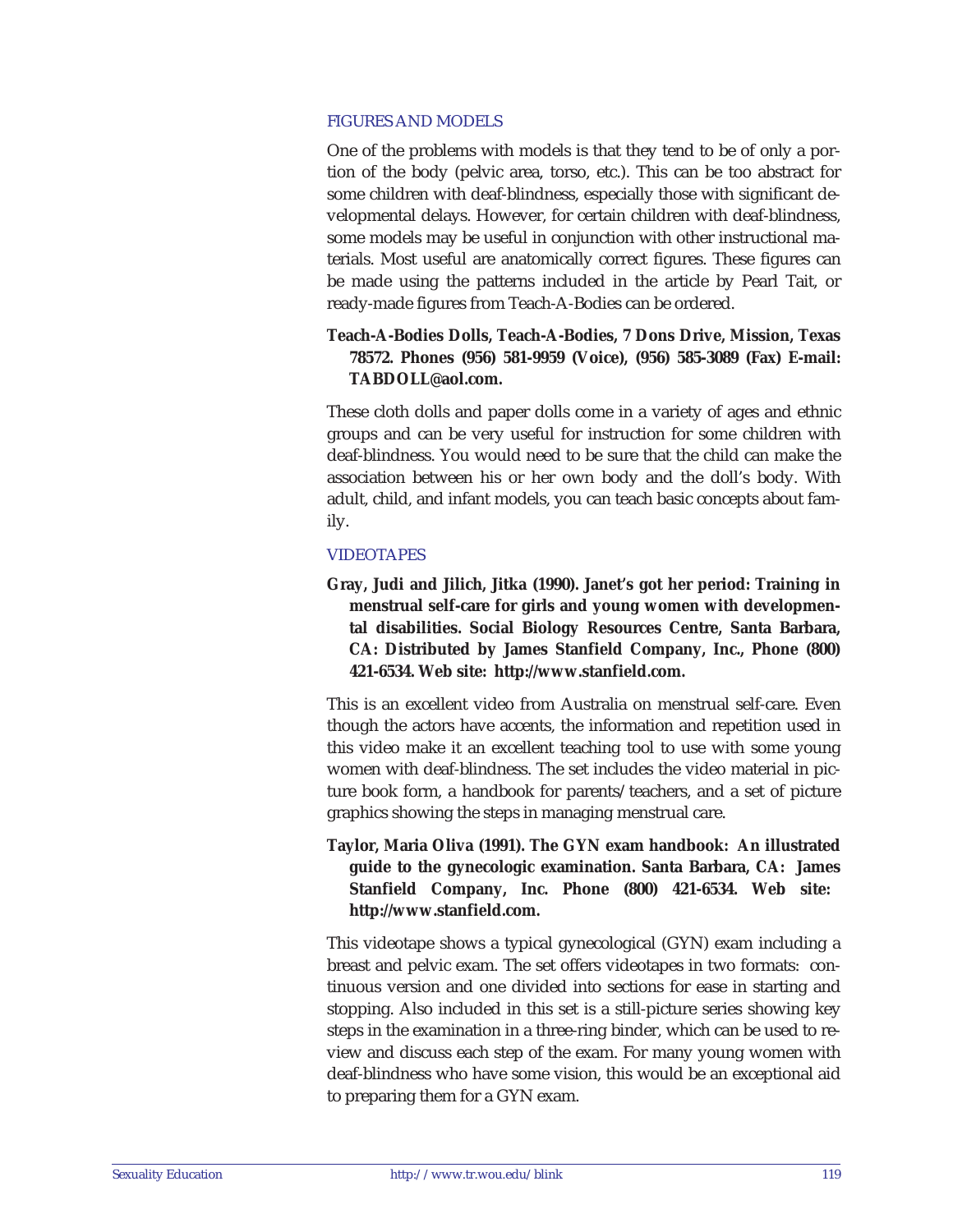#### FIGURES AND MODELS

One of the problems with models is that they tend to be of only a portion of the body (pelvic area, torso, etc.). This can be too abstract for some children with deaf-blindness, especially those with significant developmental delays. However, for certain children with deaf-blindness, some models may be useful in conjunction with other instructional materials. Most useful are anatomically correct figures. These figures can be made using the patterns included in the article by Pearl Tait, or ready-made figures from Teach-A-Bodies can be ordered.

#### **Teach-A-Bodies Dolls, Teach-A-Bodies, 7 Dons Drive, Mission, Texas 78572. Phones (956) 581-9959 (Voice), (956) 585-3089 (Fax) E-mail: TABDOLL@aol.com.**

These cloth dolls and paper dolls come in a variety of ages and ethnic groups and can be very useful for instruction for some children with deaf-blindness. You would need to be sure that the child can make the association between his or her own body and the doll's body. With adult, child, and infant models, you can teach basic concepts about family.

#### **VIDEOTAPES**

**Gray, Judi and Jilich, Jitka (1990). Janet's got her period: Training in menstrual self-care for girls and young women with developmental disabilities. Social Biology Resources Centre, Santa Barbara, CA: Distributed by James Stanfield Company, Inc., Phone (800) 421-6534. Web site: http://www.stanfield.com.**

This is an excellent video from Australia on menstrual self-care. Even though the actors have accents, the information and repetition used in this video make it an excellent teaching tool to use with some young women with deaf-blindness. The set includes the video material in picture book form, a handbook for parents/teachers, and a set of picture graphics showing the steps in managing menstrual care.

**Taylor, Maria Oliva (1991). The GYN exam handbook: An illustrated guide to the gynecologic examination. Santa Barbara, CA: James Stanfield Company, Inc. Phone (800) 421-6534. Web site: http://www.stanfield.com.**

This videotape shows a typical gynecological (GYN) exam including a breast and pelvic exam. The set offers videotapes in two formats: continuous version and one divided into sections for ease in starting and stopping. Also included in this set is a still-picture series showing key steps in the examination in a three-ring binder, which can be used to review and discuss each step of the exam. For many young women with deaf-blindness who have some vision, this would be an exceptional aid to preparing them for a GYN exam.